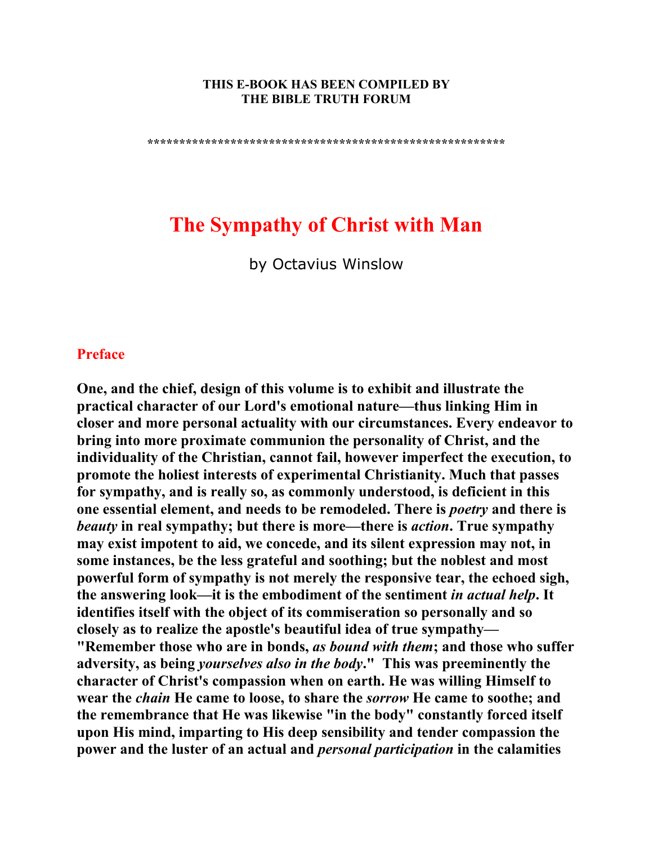#### **THIS E-BOOK HAS BEEN COMPILED BY THE BIBLE TRUTH FORUM**

**\*\*\*\*\*\*\*\*\*\*\*\*\*\*\*\*\*\*\*\*\*\*\*\*\*\*\*\*\*\*\*\*\*\*\*\*\*\*\*\*\*\*\*\*\*\*\*\*\*\*\*\*\*\*\*\*** 

# **The Sympathy of Christ with Man**

by Octavius Winslow

#### **Preface**

**One, and the chief, design of this volume is to exhibit and illustrate the practical character of our Lord's emotional nature—thus linking Him in closer and more personal actuality with our circumstances. Every endeavor to bring into more proximate communion the personality of Christ, and the individuality of the Christian, cannot fail, however imperfect the execution, to promote the holiest interests of experimental Christianity. Much that passes for sympathy, and is really so, as commonly understood, is deficient in this one essential element, and needs to be remodeled. There is** *poetry* **and there is**  *beauty* **in real sympathy; but there is more—there is** *action***. True sympathy may exist impotent to aid, we concede, and its silent expression may not, in some instances, be the less grateful and soothing; but the noblest and most powerful form of sympathy is not merely the responsive tear, the echoed sigh, the answering look—it is the embodiment of the sentiment** *in actual help***. It identifies itself with the object of its commiseration so personally and so closely as to realize the apostle's beautiful idea of true sympathy— "Remember those who are in bonds,** *as bound with them***; and those who suffer adversity, as being** *yourselves also in the body***." This was preeminently the character of Christ's compassion when on earth. He was willing Himself to wear the** *chain* **He came to loose, to share the** *sorrow* **He came to soothe; and the remembrance that He was likewise "in the body" constantly forced itself upon His mind, imparting to His deep sensibility and tender compassion the power and the luster of an actual and** *personal participation* **in the calamities**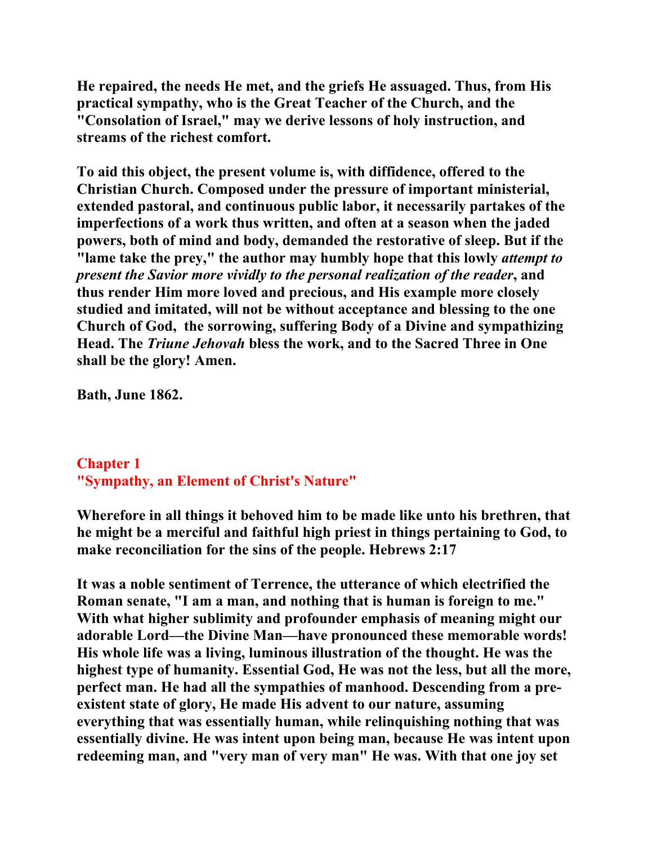**He repaired, the needs He met, and the griefs He assuaged. Thus, from His practical sympathy, who is the Great Teacher of the Church, and the "Consolation of Israel," may we derive lessons of holy instruction, and streams of the richest comfort.** 

**To aid this object, the present volume is, with diffidence, offered to the Christian Church. Composed under the pressure of important ministerial, extended pastoral, and continuous public labor, it necessarily partakes of the imperfections of a work thus written, and often at a season when the jaded powers, both of mind and body, demanded the restorative of sleep. But if the "lame take the prey," the author may humbly hope that this lowly** *attempt to present the Savior more vividly to the personal realization of the reader***, and thus render Him more loved and precious, and His example more closely studied and imitated, will not be without acceptance and blessing to the one Church of God, the sorrowing, suffering Body of a Divine and sympathizing Head. The** *Triune Jehovah* **bless the work, and to the Sacred Three in One shall be the glory! Amen.** 

**Bath, June 1862.** 

# **Chapter 1 "Sympathy, an Element of Christ's Nature"**

**Wherefore in all things it behoved him to be made like unto his brethren, that he might be a merciful and faithful high priest in things pertaining to God, to make reconciliation for the sins of the people. Hebrews 2:17** 

**It was a noble sentiment of Terrence, the utterance of which electrified the Roman senate, "I am a man, and nothing that is human is foreign to me." With what higher sublimity and profounder emphasis of meaning might our adorable Lord—the Divine Man—have pronounced these memorable words! His whole life was a living, luminous illustration of the thought. He was the highest type of humanity. Essential God, He was not the less, but all the more, perfect man. He had all the sympathies of manhood. Descending from a preexistent state of glory, He made His advent to our nature, assuming everything that was essentially human, while relinquishing nothing that was essentially divine. He was intent upon being man, because He was intent upon redeeming man, and "very man of very man" He was. With that one joy set**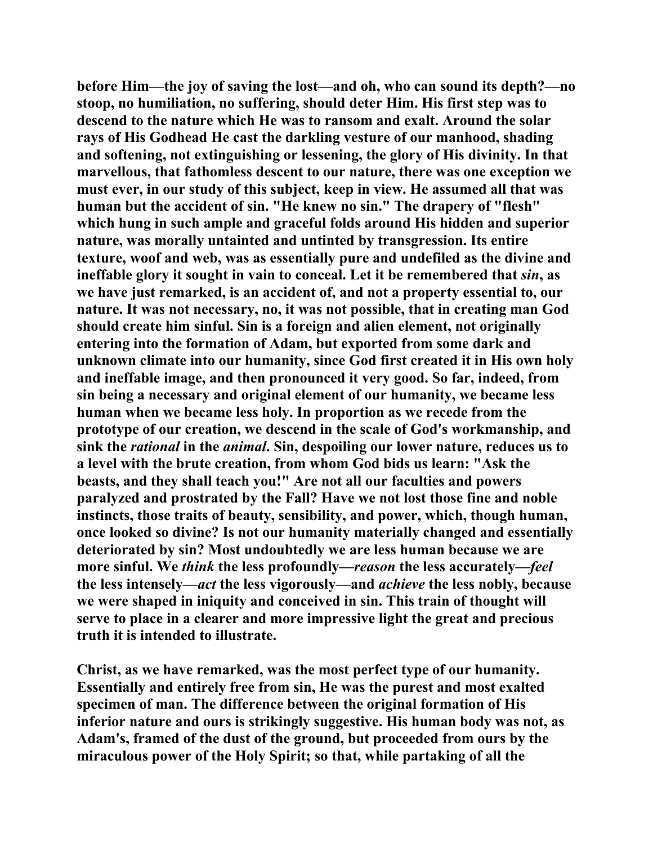**before Him—the joy of saving the lost—and oh, who can sound its depth?—no stoop, no humiliation, no suffering, should deter Him. His first step was to descend to the nature which He was to ransom and exalt. Around the solar rays of His Godhead He cast the darkling vesture of our manhood, shading and softening, not extinguishing or lessening, the glory of His divinity. In that marvellous, that fathomless descent to our nature, there was one exception we must ever, in our study of this subject, keep in view. He assumed all that was human but the accident of sin. "He knew no sin." The drapery of "flesh" which hung in such ample and graceful folds around His hidden and superior nature, was morally untainted and untinted by transgression. Its entire texture, woof and web, was as essentially pure and undefiled as the divine and ineffable glory it sought in vain to conceal. Let it be remembered that** *sin***, as we have just remarked, is an accident of, and not a property essential to, our nature. It was not necessary, no, it was not possible, that in creating man God should create him sinful. Sin is a foreign and alien element, not originally entering into the formation of Adam, but exported from some dark and unknown climate into our humanity, since God first created it in His own holy and ineffable image, and then pronounced it very good. So far, indeed, from sin being a necessary and original element of our humanity, we became less human when we became less holy. In proportion as we recede from the prototype of our creation, we descend in the scale of God's workmanship, and sink the** *rational* **in the** *animal***. Sin, despoiling our lower nature, reduces us to a level with the brute creation, from whom God bids us learn: "Ask the beasts, and they shall teach you!" Are not all our faculties and powers paralyzed and prostrated by the Fall? Have we not lost those fine and noble instincts, those traits of beauty, sensibility, and power, which, though human, once looked so divine? Is not our humanity materially changed and essentially deteriorated by sin? Most undoubtedly we are less human because we are more sinful. We** *think* **the less profoundly—***reason* **the less accurately—***feel* **the less intensely—***act* **the less vigorously—and** *achieve* **the less nobly, because we were shaped in iniquity and conceived in sin. This train of thought will serve to place in a clearer and more impressive light the great and precious truth it is intended to illustrate.** 

**Christ, as we have remarked, was the most perfect type of our humanity. Essentially and entirely free from sin, He was the purest and most exalted specimen of man. The difference between the original formation of His inferior nature and ours is strikingly suggestive. His human body was not, as Adam's, framed of the dust of the ground, but proceeded from ours by the miraculous power of the Holy Spirit; so that, while partaking of all the**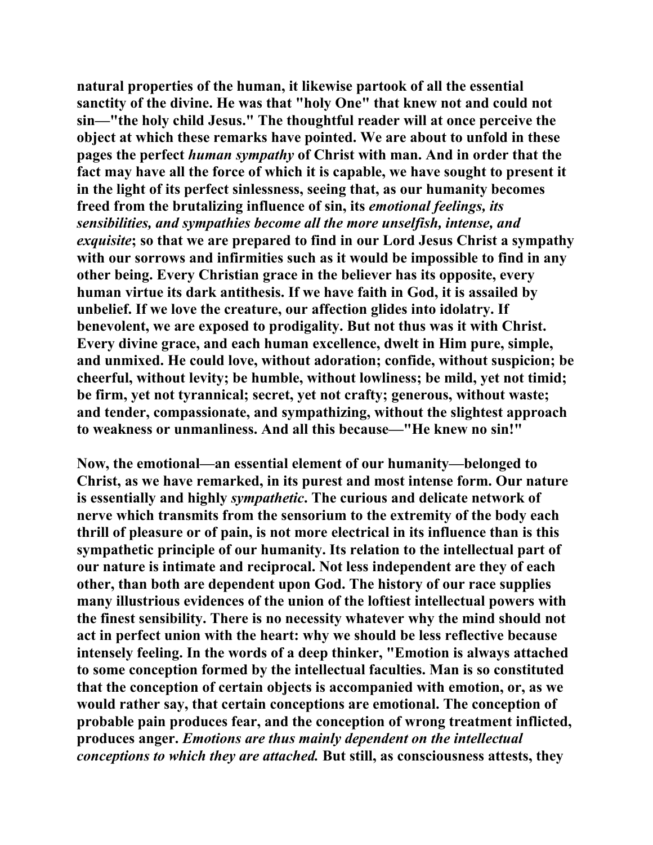**natural properties of the human, it likewise partook of all the essential sanctity of the divine. He was that "holy One" that knew not and could not sin—"the holy child Jesus." The thoughtful reader will at once perceive the object at which these remarks have pointed. We are about to unfold in these pages the perfect** *human sympathy* **of Christ with man. And in order that the fact may have all the force of which it is capable, we have sought to present it in the light of its perfect sinlessness, seeing that, as our humanity becomes freed from the brutalizing influence of sin, its** *emotional feelings, its sensibilities, and sympathies become all the more unselfish, intense, and exquisite***; so that we are prepared to find in our Lord Jesus Christ a sympathy with our sorrows and infirmities such as it would be impossible to find in any other being. Every Christian grace in the believer has its opposite, every human virtue its dark antithesis. If we have faith in God, it is assailed by unbelief. If we love the creature, our affection glides into idolatry. If benevolent, we are exposed to prodigality. But not thus was it with Christ. Every divine grace, and each human excellence, dwelt in Him pure, simple, and unmixed. He could love, without adoration; confide, without suspicion; be cheerful, without levity; be humble, without lowliness; be mild, yet not timid; be firm, yet not tyrannical; secret, yet not crafty; generous, without waste; and tender, compassionate, and sympathizing, without the slightest approach to weakness or unmanliness. And all this because—"He knew no sin!"** 

**Now, the emotional—an essential element of our humanity—belonged to Christ, as we have remarked, in its purest and most intense form. Our nature is essentially and highly** *sympathetic***. The curious and delicate network of nerve which transmits from the sensorium to the extremity of the body each thrill of pleasure or of pain, is not more electrical in its influence than is this sympathetic principle of our humanity. Its relation to the intellectual part of our nature is intimate and reciprocal. Not less independent are they of each other, than both are dependent upon God. The history of our race supplies many illustrious evidences of the union of the loftiest intellectual powers with the finest sensibility. There is no necessity whatever why the mind should not act in perfect union with the heart: why we should be less reflective because intensely feeling. In the words of a deep thinker, "Emotion is always attached to some conception formed by the intellectual faculties. Man is so constituted that the conception of certain objects is accompanied with emotion, or, as we would rather say, that certain conceptions are emotional. The conception of probable pain produces fear, and the conception of wrong treatment inflicted, produces anger.** *Emotions are thus mainly dependent on the intellectual conceptions to which they are attached.* **But still, as consciousness attests, they**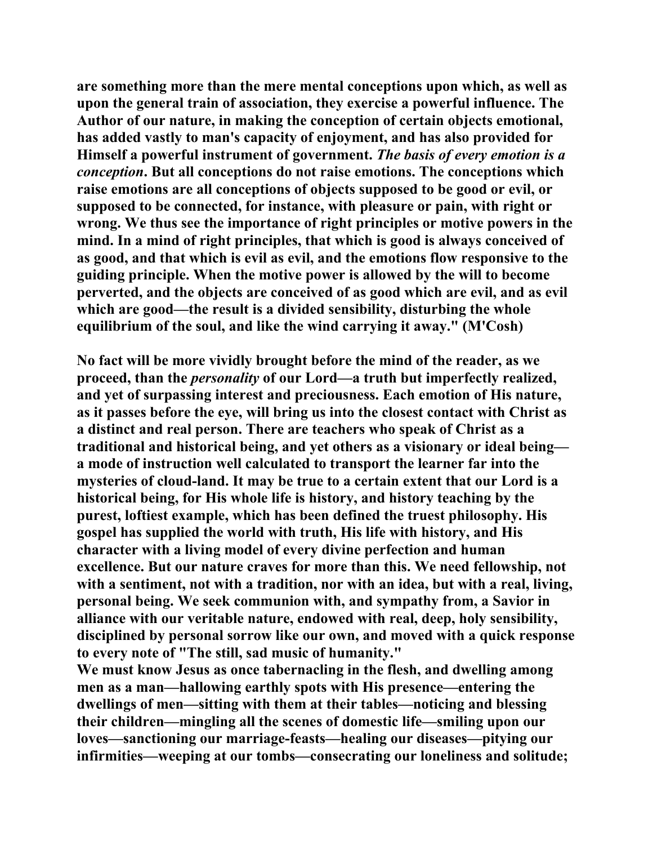**are something more than the mere mental conceptions upon which, as well as upon the general train of association, they exercise a powerful influence. The Author of our nature, in making the conception of certain objects emotional, has added vastly to man's capacity of enjoyment, and has also provided for Himself a powerful instrument of government.** *The basis of every emotion is a conception***. But all conceptions do not raise emotions. The conceptions which raise emotions are all conceptions of objects supposed to be good or evil, or supposed to be connected, for instance, with pleasure or pain, with right or wrong. We thus see the importance of right principles or motive powers in the mind. In a mind of right principles, that which is good is always conceived of as good, and that which is evil as evil, and the emotions flow responsive to the guiding principle. When the motive power is allowed by the will to become perverted, and the objects are conceived of as good which are evil, and as evil which are good—the result is a divided sensibility, disturbing the whole equilibrium of the soul, and like the wind carrying it away." (M'Cosh)** 

**No fact will be more vividly brought before the mind of the reader, as we proceed, than the** *personality* **of our Lord—a truth but imperfectly realized, and yet of surpassing interest and preciousness. Each emotion of His nature, as it passes before the eye, will bring us into the closest contact with Christ as a distinct and real person. There are teachers who speak of Christ as a traditional and historical being, and yet others as a visionary or ideal being a mode of instruction well calculated to transport the learner far into the mysteries of cloud-land. It may be true to a certain extent that our Lord is a historical being, for His whole life is history, and history teaching by the purest, loftiest example, which has been defined the truest philosophy. His gospel has supplied the world with truth, His life with history, and His character with a living model of every divine perfection and human excellence. But our nature craves for more than this. We need fellowship, not with a sentiment, not with a tradition, nor with an idea, but with a real, living, personal being. We seek communion with, and sympathy from, a Savior in alliance with our veritable nature, endowed with real, deep, holy sensibility, disciplined by personal sorrow like our own, and moved with a quick response to every note of "The still, sad music of humanity."** 

**We must know Jesus as once tabernacling in the flesh, and dwelling among men as a man—hallowing earthly spots with His presence—entering the dwellings of men—sitting with them at their tables—noticing and blessing their children—mingling all the scenes of domestic life—smiling upon our loves—sanctioning our marriage-feasts—healing our diseases—pitying our infirmities—weeping at our tombs—consecrating our loneliness and solitude;**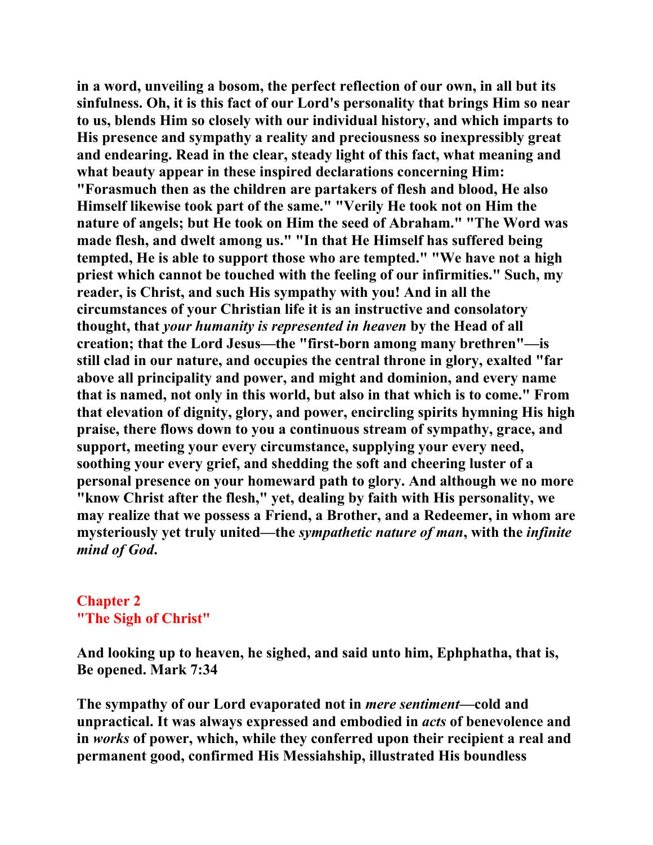**in a word, unveiling a bosom, the perfect reflection of our own, in all but its sinfulness. Oh, it is this fact of our Lord's personality that brings Him so near to us, blends Him so closely with our individual history, and which imparts to His presence and sympathy a reality and preciousness so inexpressibly great and endearing. Read in the clear, steady light of this fact, what meaning and what beauty appear in these inspired declarations concerning Him: "Forasmuch then as the children are partakers of flesh and blood, He also Himself likewise took part of the same." "Verily He took not on Him the nature of angels; but He took on Him the seed of Abraham." "The Word was made flesh, and dwelt among us." "In that He Himself has suffered being tempted, He is able to support those who are tempted." "We have not a high priest which cannot be touched with the feeling of our infirmities." Such, my reader, is Christ, and such His sympathy with you! And in all the circumstances of your Christian life it is an instructive and consolatory thought, that** *your humanity is represented in heaven* **by the Head of all creation; that the Lord Jesus—the "first-born among many brethren"—is still clad in our nature, and occupies the central throne in glory, exalted "far above all principality and power, and might and dominion, and every name that is named, not only in this world, but also in that which is to come." From that elevation of dignity, glory, and power, encircling spirits hymning His high praise, there flows down to you a continuous stream of sympathy, grace, and support, meeting your every circumstance, supplying your every need, soothing your every grief, and shedding the soft and cheering luster of a personal presence on your homeward path to glory. And although we no more "know Christ after the flesh," yet, dealing by faith with His personality, we may realize that we possess a Friend, a Brother, and a Redeemer, in whom are mysteriously yet truly united—the** *sympathetic nature of man***, with the** *infinite mind of God***.** 

### **Chapter 2 "The Sigh of Christ"**

**And looking up to heaven, he sighed, and said unto him, Ephphatha, that is, Be opened. Mark 7:34** 

**The sympathy of our Lord evaporated not in** *mere sentiment***—cold and unpractical. It was always expressed and embodied in** *acts* **of benevolence and in** *works* **of power, which, while they conferred upon their recipient a real and permanent good, confirmed His Messiahship, illustrated His boundless**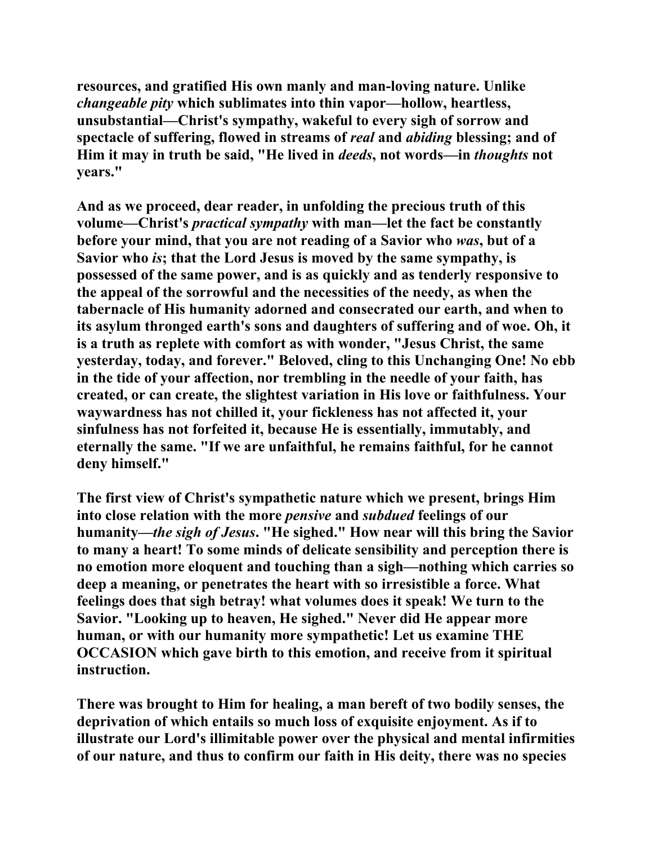**resources, and gratified His own manly and man-loving nature. Unlike**  *changeable pity* **which sublimates into thin vapor—hollow, heartless, unsubstantial—Christ's sympathy, wakeful to every sigh of sorrow and spectacle of suffering, flowed in streams of** *real* **and** *abiding* **blessing; and of Him it may in truth be said, "He lived in** *deeds***, not words—in** *thoughts* **not years."** 

**And as we proceed, dear reader, in unfolding the precious truth of this volume—Christ's** *practical sympathy* **with man—let the fact be constantly before your mind, that you are not reading of a Savior who** *was***, but of a Savior who** *is***; that the Lord Jesus is moved by the same sympathy, is possessed of the same power, and is as quickly and as tenderly responsive to the appeal of the sorrowful and the necessities of the needy, as when the tabernacle of His humanity adorned and consecrated our earth, and when to its asylum thronged earth's sons and daughters of suffering and of woe. Oh, it is a truth as replete with comfort as with wonder, "Jesus Christ, the same yesterday, today, and forever." Beloved, cling to this Unchanging One! No ebb in the tide of your affection, nor trembling in the needle of your faith, has created, or can create, the slightest variation in His love or faithfulness. Your waywardness has not chilled it, your fickleness has not affected it, your sinfulness has not forfeited it, because He is essentially, immutably, and eternally the same. "If we are unfaithful, he remains faithful, for he cannot deny himself."** 

**The first view of Christ's sympathetic nature which we present, brings Him into close relation with the more** *pensive* **and** *subdued* **feelings of our humanity***—the sigh of Jesus***. "He sighed." How near will this bring the Savior to many a heart! To some minds of delicate sensibility and perception there is no emotion more eloquent and touching than a sigh—nothing which carries so deep a meaning, or penetrates the heart with so irresistible a force. What feelings does that sigh betray! what volumes does it speak! We turn to the Savior. "Looking up to heaven, He sighed." Never did He appear more human, or with our humanity more sympathetic! Let us examine THE OCCASION which gave birth to this emotion, and receive from it spiritual instruction.** 

**There was brought to Him for healing, a man bereft of two bodily senses, the deprivation of which entails so much loss of exquisite enjoyment. As if to illustrate our Lord's illimitable power over the physical and mental infirmities of our nature, and thus to confirm our faith in His deity, there was no species**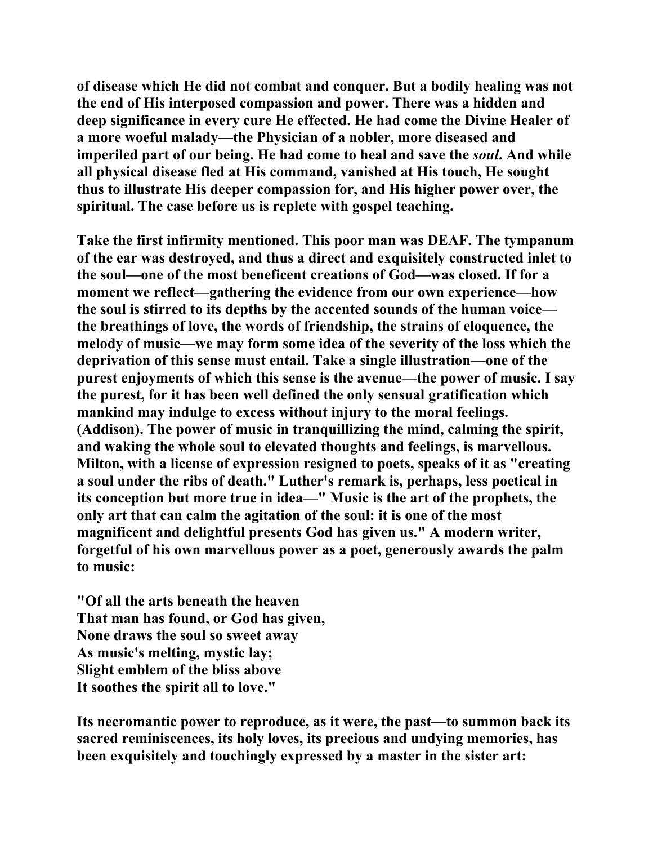**of disease which He did not combat and conquer. But a bodily healing was not the end of His interposed compassion and power. There was a hidden and deep significance in every cure He effected. He had come the Divine Healer of a more woeful malady—the Physician of a nobler, more diseased and imperiled part of our being. He had come to heal and save the** *soul***. And while all physical disease fled at His command, vanished at His touch, He sought thus to illustrate His deeper compassion for, and His higher power over, the spiritual. The case before us is replete with gospel teaching.** 

**Take the first infirmity mentioned. This poor man was DEAF. The tympanum of the ear was destroyed, and thus a direct and exquisitely constructed inlet to the soul—one of the most beneficent creations of God—was closed. If for a moment we reflect—gathering the evidence from our own experience—how the soul is stirred to its depths by the accented sounds of the human voice the breathings of love, the words of friendship, the strains of eloquence, the melody of music—we may form some idea of the severity of the loss which the deprivation of this sense must entail. Take a single illustration—one of the purest enjoyments of which this sense is the avenue—the power of music. I say the purest, for it has been well defined the only sensual gratification which mankind may indulge to excess without injury to the moral feelings. (Addison). The power of music in tranquillizing the mind, calming the spirit, and waking the whole soul to elevated thoughts and feelings, is marvellous. Milton, with a license of expression resigned to poets, speaks of it as "creating a soul under the ribs of death." Luther's remark is, perhaps, less poetical in its conception but more true in idea—" Music is the art of the prophets, the only art that can calm the agitation of the soul: it is one of the most magnificent and delightful presents God has given us." A modern writer, forgetful of his own marvellous power as a poet, generously awards the palm to music:** 

**"Of all the arts beneath the heaven That man has found, or God has given, None draws the soul so sweet away As music's melting, mystic lay; Slight emblem of the bliss above It soothes the spirit all to love."** 

**Its necromantic power to reproduce, as it were, the past—to summon back its sacred reminiscences, its holy loves, its precious and undying memories, has been exquisitely and touchingly expressed by a master in the sister art:**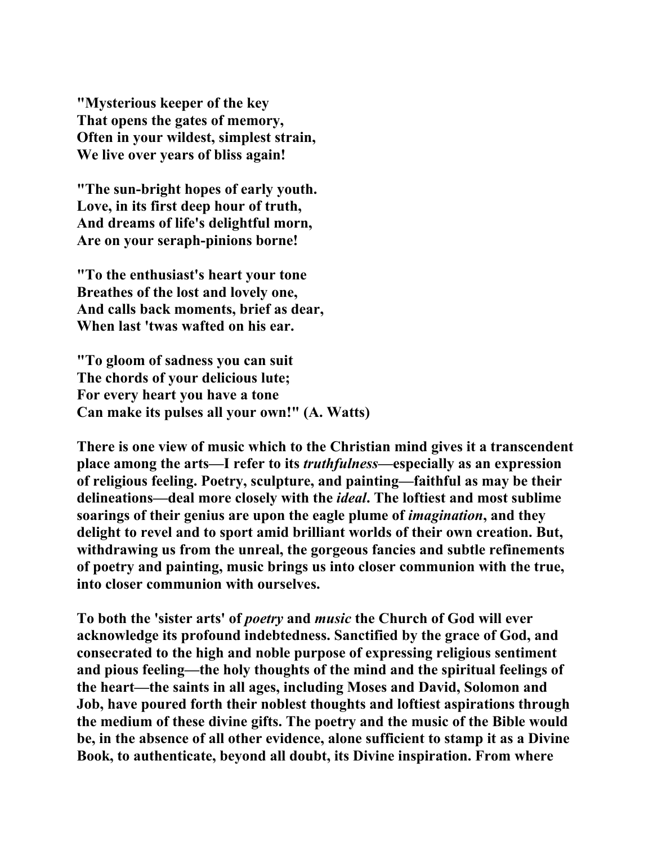**"Mysterious keeper of the key That opens the gates of memory, Often in your wildest, simplest strain, We live over years of bliss again!** 

**"The sun-bright hopes of early youth. Love, in its first deep hour of truth, And dreams of life's delightful morn, Are on your seraph-pinions borne!** 

**"To the enthusiast's heart your tone Breathes of the lost and lovely one, And calls back moments, brief as dear, When last 'twas wafted on his ear.** 

**"To gloom of sadness you can suit The chords of your delicious lute; For every heart you have a tone Can make its pulses all your own!" (A. Watts)** 

**There is one view of music which to the Christian mind gives it a transcendent place among the arts—I refer to its** *truthfulness***—especially as an expression of religious feeling. Poetry, sculpture, and painting—faithful as may be their delineations—deal more closely with the** *ideal***. The loftiest and most sublime soarings of their genius are upon the eagle plume of** *imagination***, and they delight to revel and to sport amid brilliant worlds of their own creation. But, withdrawing us from the unreal, the gorgeous fancies and subtle refinements of poetry and painting, music brings us into closer communion with the true, into closer communion with ourselves.** 

**To both the 'sister arts' of** *poetry* **and** *music* **the Church of God will ever acknowledge its profound indebtedness. Sanctified by the grace of God, and consecrated to the high and noble purpose of expressing religious sentiment and pious feeling—the holy thoughts of the mind and the spiritual feelings of the heart—the saints in all ages, including Moses and David, Solomon and Job, have poured forth their noblest thoughts and loftiest aspirations through the medium of these divine gifts. The poetry and the music of the Bible would be, in the absence of all other evidence, alone sufficient to stamp it as a Divine Book, to authenticate, beyond all doubt, its Divine inspiration. From where**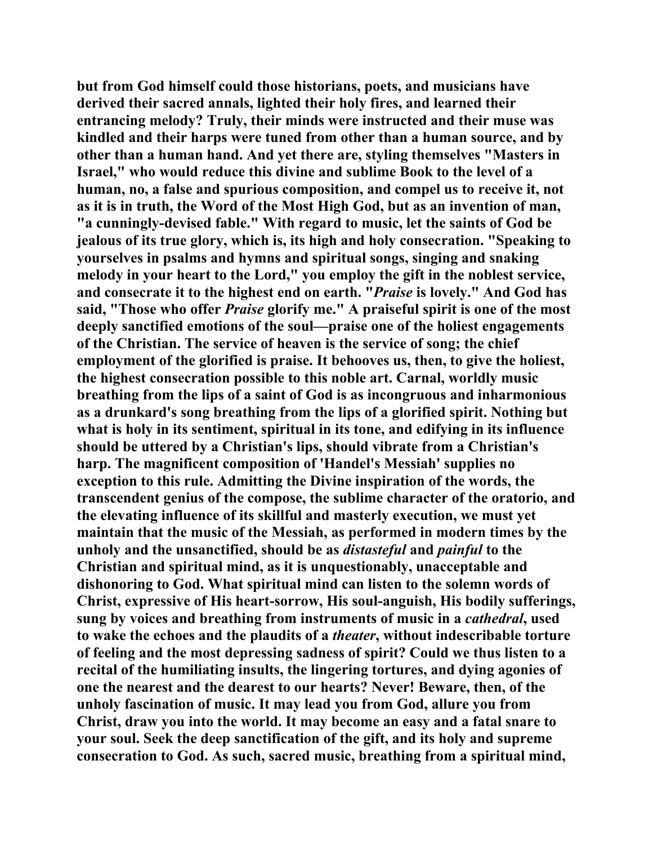**but from God himself could those historians, poets, and musicians have derived their sacred annals, lighted their holy fires, and learned their entrancing melody? Truly, their minds were instructed and their muse was kindled and their harps were tuned from other than a human source, and by other than a human hand. And yet there are, styling themselves "Masters in Israel," who would reduce this divine and sublime Book to the level of a human, no, a false and spurious composition, and compel us to receive it, not as it is in truth, the Word of the Most High God, but as an invention of man, "a cunningly-devised fable." With regard to music, let the saints of God be jealous of its true glory, which is, its high and holy consecration. "Speaking to yourselves in psalms and hymns and spiritual songs, singing and snaking melody in your heart to the Lord," you employ the gift in the noblest service, and consecrate it to the highest end on earth. "***Praise* **is lovely." And God has said, "Those who offer** *Praise* **glorify me." A praiseful spirit is one of the most deeply sanctified emotions of the soul—praise one of the holiest engagements of the Christian. The service of heaven is the service of song; the chief employment of the glorified is praise. It behooves us, then, to give the holiest, the highest consecration possible to this noble art. Carnal, worldly music breathing from the lips of a saint of God is as incongruous and inharmonious as a drunkard's song breathing from the lips of a glorified spirit. Nothing but what is holy in its sentiment, spiritual in its tone, and edifying in its influence should be uttered by a Christian's lips, should vibrate from a Christian's harp. The magnificent composition of 'Handel's Messiah' supplies no exception to this rule. Admitting the Divine inspiration of the words, the transcendent genius of the compose, the sublime character of the oratorio, and the elevating influence of its skillful and masterly execution, we must yet maintain that the music of the Messiah, as performed in modern times by the unholy and the unsanctified, should be as** *distasteful* **and** *painful* **to the Christian and spiritual mind, as it is unquestionably, unacceptable and dishonoring to God. What spiritual mind can listen to the solemn words of Christ, expressive of His heart-sorrow, His soul-anguish, His bodily sufferings, sung by voices and breathing from instruments of music in a** *cathedral***, used to wake the echoes and the plaudits of a** *theater***, without indescribable torture of feeling and the most depressing sadness of spirit? Could we thus listen to a recital of the humiliating insults, the lingering tortures, and dying agonies of one the nearest and the dearest to our hearts? Never! Beware, then, of the unholy fascination of music. It may lead you from God, allure you from Christ, draw you into the world. It may become an easy and a fatal snare to your soul. Seek the deep sanctification of the gift, and its holy and supreme consecration to God. As such, sacred music, breathing from a spiritual mind,**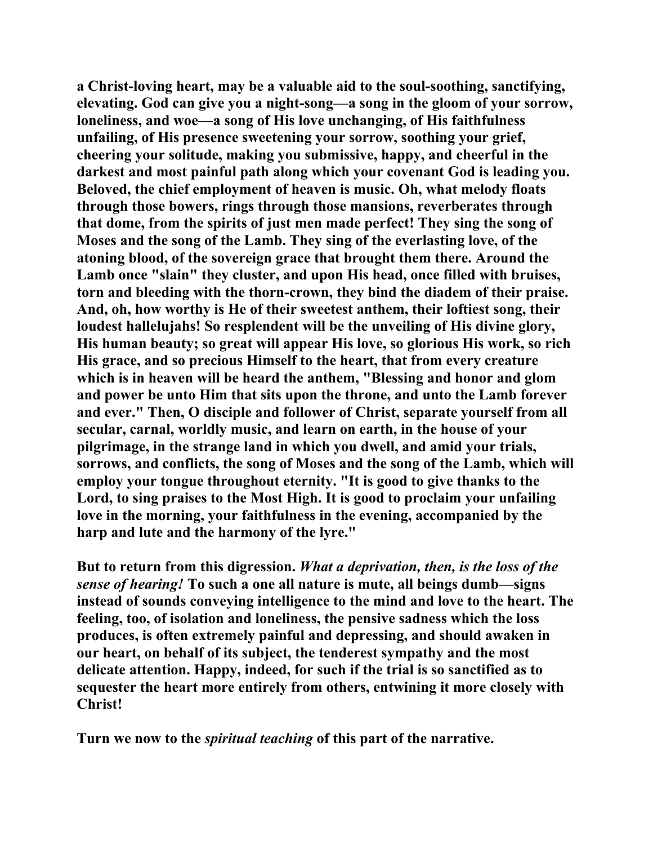**a Christ-loving heart, may be a valuable aid to the soul-soothing, sanctifying, elevating. God can give you a night-song—a song in the gloom of your sorrow, loneliness, and woe—a song of His love unchanging, of His faithfulness unfailing, of His presence sweetening your sorrow, soothing your grief, cheering your solitude, making you submissive, happy, and cheerful in the darkest and most painful path along which your covenant God is leading you. Beloved, the chief employment of heaven is music. Oh, what melody floats through those bowers, rings through those mansions, reverberates through that dome, from the spirits of just men made perfect! They sing the song of Moses and the song of the Lamb. They sing of the everlasting love, of the atoning blood, of the sovereign grace that brought them there. Around the Lamb once "slain" they cluster, and upon His head, once filled with bruises, torn and bleeding with the thorn-crown, they bind the diadem of their praise. And, oh, how worthy is He of their sweetest anthem, their loftiest song, their loudest hallelujahs! So resplendent will be the unveiling of His divine glory, His human beauty; so great will appear His love, so glorious His work, so rich His grace, and so precious Himself to the heart, that from every creature which is in heaven will be heard the anthem, "Blessing and honor and glom and power be unto Him that sits upon the throne, and unto the Lamb forever and ever." Then, O disciple and follower of Christ, separate yourself from all secular, carnal, worldly music, and learn on earth, in the house of your pilgrimage, in the strange land in which you dwell, and amid your trials, sorrows, and conflicts, the song of Moses and the song of the Lamb, which will employ your tongue throughout eternity. "It is good to give thanks to the Lord, to sing praises to the Most High. It is good to proclaim your unfailing love in the morning, your faithfulness in the evening, accompanied by the harp and lute and the harmony of the lyre."** 

**But to return from this digression.** *What a deprivation, then, is the loss of the sense of hearing!* **To such a one all nature is mute, all beings dumb—signs instead of sounds conveying intelligence to the mind and love to the heart. The feeling, too, of isolation and loneliness, the pensive sadness which the loss produces, is often extremely painful and depressing, and should awaken in our heart, on behalf of its subject, the tenderest sympathy and the most delicate attention. Happy, indeed, for such if the trial is so sanctified as to sequester the heart more entirely from others, entwining it more closely with Christ!** 

**Turn we now to the** *spiritual teaching* **of this part of the narrative.**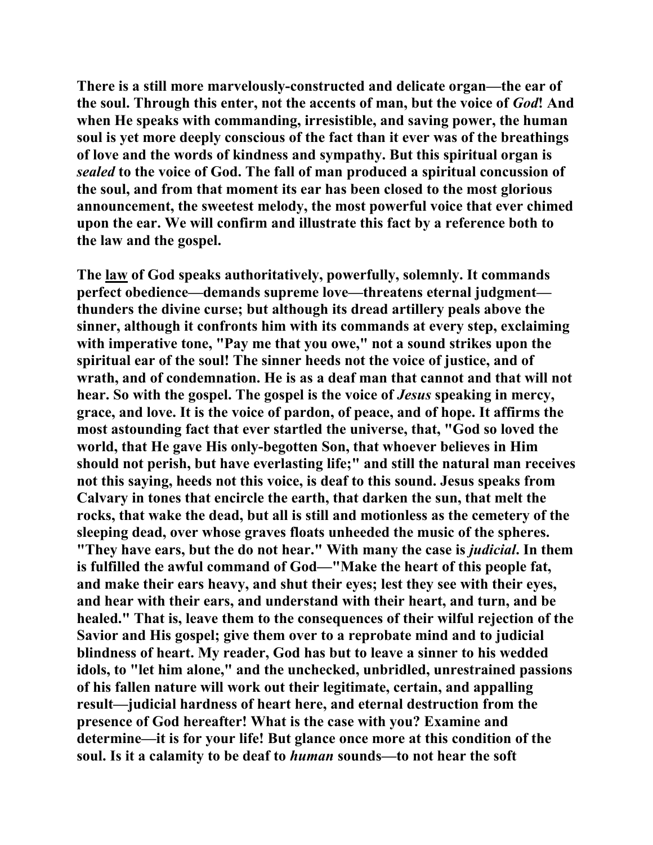**There is a still more marvelously-constructed and delicate organ—the ear of the soul. Through this enter, not the accents of man, but the voice of** *God***! And when He speaks with commanding, irresistible, and saving power, the human soul is yet more deeply conscious of the fact than it ever was of the breathings of love and the words of kindness and sympathy. But this spiritual organ is**  *sealed* **to the voice of God. The fall of man produced a spiritual concussion of the soul, and from that moment its ear has been closed to the most glorious announcement, the sweetest melody, the most powerful voice that ever chimed upon the ear. We will confirm and illustrate this fact by a reference both to the law and the gospel.** 

**The law of God speaks authoritatively, powerfully, solemnly. It commands perfect obedience—demands supreme love—threatens eternal judgment thunders the divine curse; but although its dread artillery peals above the sinner, although it confronts him with its commands at every step, exclaiming with imperative tone, "Pay me that you owe," not a sound strikes upon the spiritual ear of the soul! The sinner heeds not the voice of justice, and of wrath, and of condemnation. He is as a deaf man that cannot and that will not hear. So with the gospel. The gospel is the voice of** *Jesus* **speaking in mercy, grace, and love. It is the voice of pardon, of peace, and of hope. It affirms the most astounding fact that ever startled the universe, that, "God so loved the world, that He gave His only-begotten Son, that whoever believes in Him should not perish, but have everlasting life;" and still the natural man receives not this saying, heeds not this voice, is deaf to this sound. Jesus speaks from Calvary in tones that encircle the earth, that darken the sun, that melt the rocks, that wake the dead, but all is still and motionless as the cemetery of the sleeping dead, over whose graves floats unheeded the music of the spheres. "They have ears, but the do not hear." With many the case is** *judicial***. In them is fulfilled the awful command of God—"Make the heart of this people fat, and make their ears heavy, and shut their eyes; lest they see with their eyes, and hear with their ears, and understand with their heart, and turn, and be healed." That is, leave them to the consequences of their wilful rejection of the Savior and His gospel; give them over to a reprobate mind and to judicial blindness of heart. My reader, God has but to leave a sinner to his wedded idols, to "let him alone," and the unchecked, unbridled, unrestrained passions of his fallen nature will work out their legitimate, certain, and appalling result—judicial hardness of heart here, and eternal destruction from the presence of God hereafter! What is the case with you? Examine and determine—it is for your life! But glance once more at this condition of the soul. Is it a calamity to be deaf to** *human* **sounds—to not hear the soft**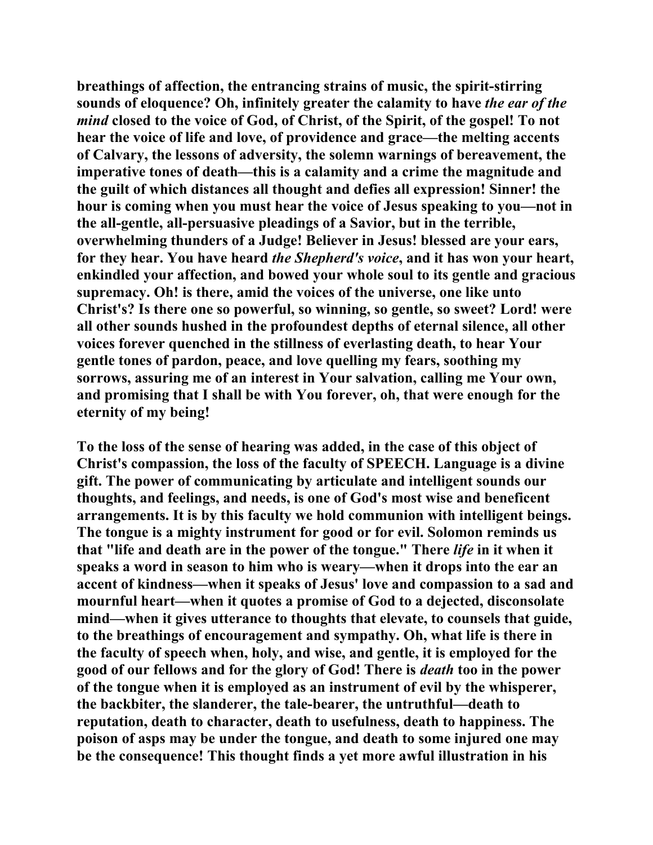**breathings of affection, the entrancing strains of music, the spirit-stirring sounds of eloquence? Oh, infinitely greater the calamity to have** *the ear of the mind* **closed to the voice of God, of Christ, of the Spirit, of the gospel! To not hear the voice of life and love, of providence and grace—the melting accents of Calvary, the lessons of adversity, the solemn warnings of bereavement, the imperative tones of death—this is a calamity and a crime the magnitude and the guilt of which distances all thought and defies all expression! Sinner! the hour is coming when you must hear the voice of Jesus speaking to you—not in the all-gentle, all-persuasive pleadings of a Savior, but in the terrible, overwhelming thunders of a Judge! Believer in Jesus! blessed are your ears, for they hear. You have heard** *the Shepherd's voice***, and it has won your heart, enkindled your affection, and bowed your whole soul to its gentle and gracious supremacy. Oh! is there, amid the voices of the universe, one like unto Christ's? Is there one so powerful, so winning, so gentle, so sweet? Lord! were all other sounds hushed in the profoundest depths of eternal silence, all other voices forever quenched in the stillness of everlasting death, to hear Your gentle tones of pardon, peace, and love quelling my fears, soothing my sorrows, assuring me of an interest in Your salvation, calling me Your own, and promising that I shall be with You forever, oh, that were enough for the eternity of my being!** 

**To the loss of the sense of hearing was added, in the case of this object of Christ's compassion, the loss of the faculty of SPEECH. Language is a divine gift. The power of communicating by articulate and intelligent sounds our thoughts, and feelings, and needs, is one of God's most wise and beneficent arrangements. It is by this faculty we hold communion with intelligent beings. The tongue is a mighty instrument for good or for evil. Solomon reminds us that "life and death are in the power of the tongue." There** *life* **in it when it speaks a word in season to him who is weary—when it drops into the ear an accent of kindness—when it speaks of Jesus' love and compassion to a sad and mournful heart—when it quotes a promise of God to a dejected, disconsolate mind—when it gives utterance to thoughts that elevate, to counsels that guide, to the breathings of encouragement and sympathy. Oh, what life is there in the faculty of speech when, holy, and wise, and gentle, it is employed for the good of our fellows and for the glory of God! There is** *death* **too in the power of the tongue when it is employed as an instrument of evil by the whisperer, the backbiter, the slanderer, the tale-bearer, the untruthful—death to reputation, death to character, death to usefulness, death to happiness. The poison of asps may be under the tongue, and death to some injured one may be the consequence! This thought finds a yet more awful illustration in his**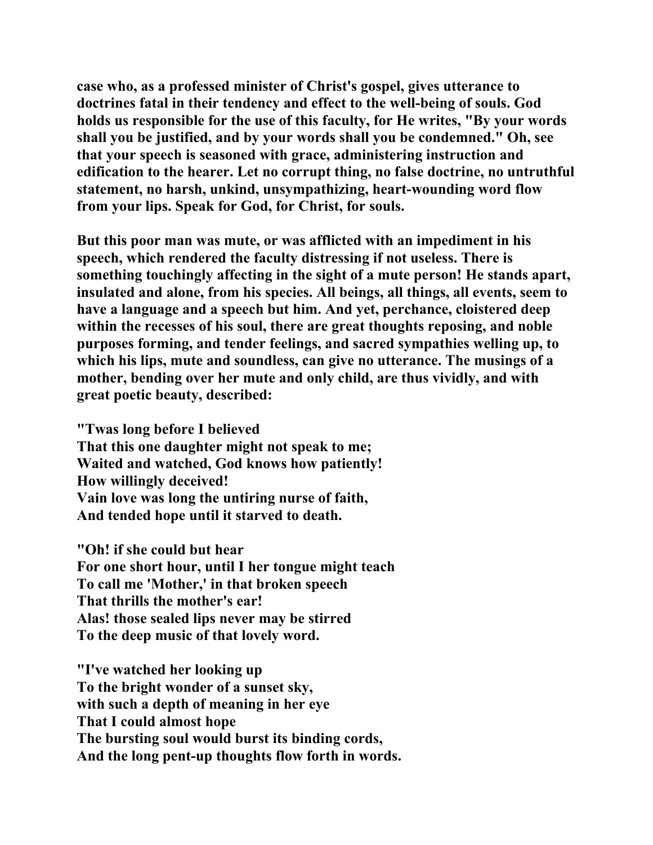**case who, as a professed minister of Christ's gospel, gives utterance to doctrines fatal in their tendency and effect to the well-being of souls. God holds us responsible for the use of this faculty, for He writes, "By your words shall you be justified, and by your words shall you be condemned." Oh, see that your speech is seasoned with grace, administering instruction and edification to the hearer. Let no corrupt thing, no false doctrine, no untruthful statement, no harsh, unkind, unsympathizing, heart-wounding word flow from your lips. Speak for God, for Christ, for souls.** 

**But this poor man was mute, or was afflicted with an impediment in his speech, which rendered the faculty distressing if not useless. There is something touchingly affecting in the sight of a mute person! He stands apart, insulated and alone, from his species. All beings, all things, all events, seem to have a language and a speech but him. And yet, perchance, cloistered deep within the recesses of his soul, there are great thoughts reposing, and noble purposes forming, and tender feelings, and sacred sympathies welling up, to which his lips, mute and soundless, can give no utterance. The musings of a mother, bending over her mute and only child, are thus vividly, and with great poetic beauty, described:** 

**"Twas long before I believed That this one daughter might not speak to me; Waited and watched, God knows how patiently! How willingly deceived! Vain love was long the untiring nurse of faith, And tended hope until it starved to death.** 

**"Oh! if she could but hear For one short hour, until I her tongue might teach To call me 'Mother,' in that broken speech That thrills the mother's ear! Alas! those sealed lips never may be stirred To the deep music of that lovely word.** 

**"I've watched her looking up To the bright wonder of a sunset sky, with such a depth of meaning in her eye That I could almost hope The bursting soul would burst its binding cords, And the long pent-up thoughts flow forth in words.**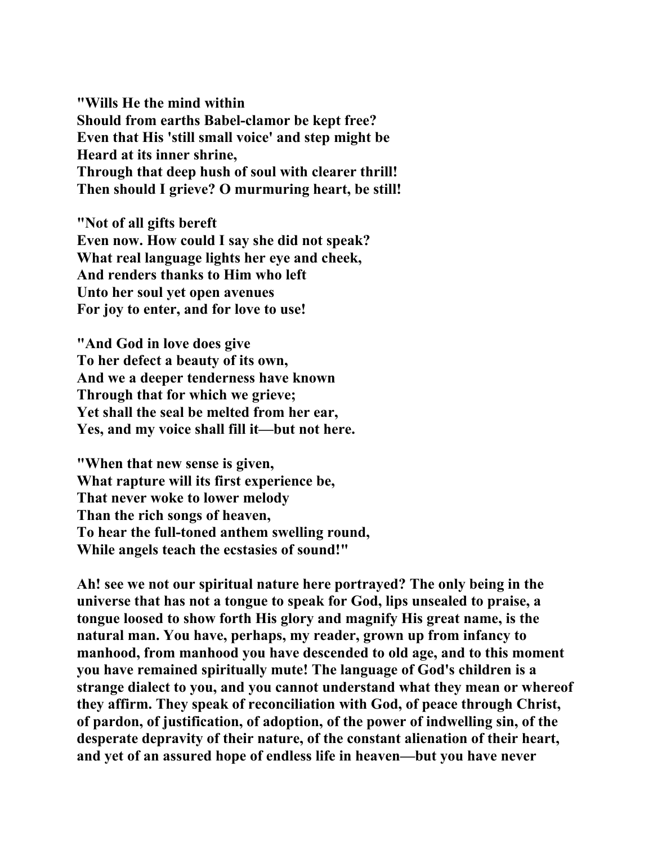**"Wills He the mind within Should from earths Babel-clamor be kept free? Even that His 'still small voice' and step might be Heard at its inner shrine, Through that deep hush of soul with clearer thrill! Then should I grieve? O murmuring heart, be still!** 

**"Not of all gifts bereft Even now. How could I say she did not speak? What real language lights her eye and cheek, And renders thanks to Him who left Unto her soul yet open avenues For joy to enter, and for love to use!** 

**"And God in love does give To her defect a beauty of its own, And we a deeper tenderness have known Through that for which we grieve; Yet shall the seal be melted from her ear, Yes, and my voice shall fill it—but not here.** 

**"When that new sense is given, What rapture will its first experience be, That never woke to lower melody Than the rich songs of heaven, To hear the full-toned anthem swelling round, While angels teach the ecstasies of sound!"** 

**Ah! see we not our spiritual nature here portrayed? The only being in the universe that has not a tongue to speak for God, lips unsealed to praise, a tongue loosed to show forth His glory and magnify His great name, is the natural man. You have, perhaps, my reader, grown up from infancy to manhood, from manhood you have descended to old age, and to this moment you have remained spiritually mute! The language of God's children is a strange dialect to you, and you cannot understand what they mean or whereof they affirm. They speak of reconciliation with God, of peace through Christ, of pardon, of justification, of adoption, of the power of indwelling sin, of the desperate depravity of their nature, of the constant alienation of their heart, and yet of an assured hope of endless life in heaven—but you have never**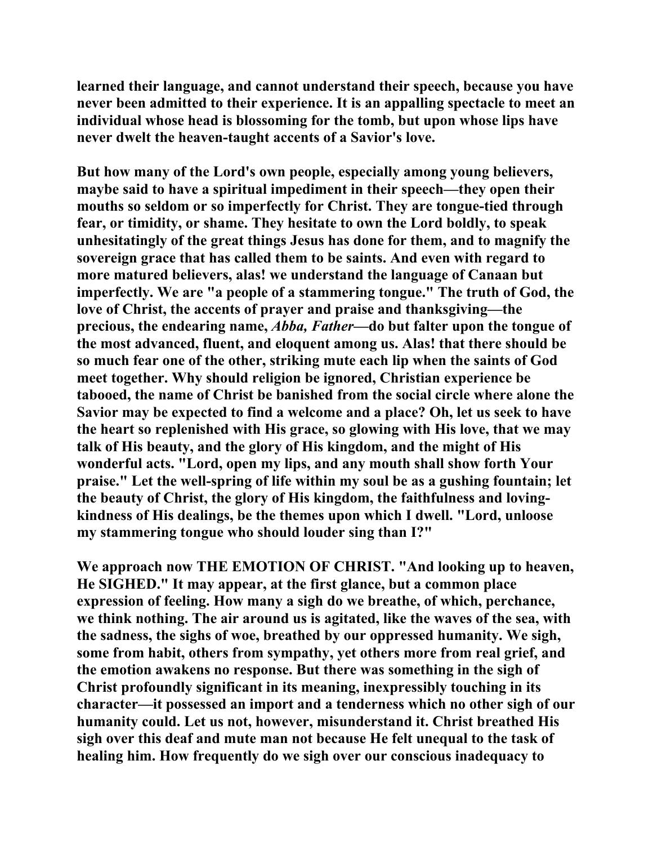**learned their language, and cannot understand their speech, because you have never been admitted to their experience. It is an appalling spectacle to meet an individual whose head is blossoming for the tomb, but upon whose lips have never dwelt the heaven-taught accents of a Savior's love.** 

**But how many of the Lord's own people, especially among young believers, maybe said to have a spiritual impediment in their speech—they open their mouths so seldom or so imperfectly for Christ. They are tongue-tied through fear, or timidity, or shame. They hesitate to own the Lord boldly, to speak unhesitatingly of the great things Jesus has done for them, and to magnify the sovereign grace that has called them to be saints. And even with regard to more matured believers, alas! we understand the language of Canaan but imperfectly. We are "a people of a stammering tongue." The truth of God, the love of Christ, the accents of prayer and praise and thanksgiving—the precious, the endearing name,** *Abba, Father***—do but falter upon the tongue of the most advanced, fluent, and eloquent among us. Alas! that there should be so much fear one of the other, striking mute each lip when the saints of God meet together. Why should religion be ignored, Christian experience be tabooed, the name of Christ be banished from the social circle where alone the Savior may be expected to find a welcome and a place? Oh, let us seek to have the heart so replenished with His grace, so glowing with His love, that we may talk of His beauty, and the glory of His kingdom, and the might of His wonderful acts. "Lord, open my lips, and any mouth shall show forth Your praise." Let the well-spring of life within my soul be as a gushing fountain; let the beauty of Christ, the glory of His kingdom, the faithfulness and lovingkindness of His dealings, be the themes upon which I dwell. "Lord, unloose my stammering tongue who should louder sing than I?"** 

**We approach now THE EMOTION OF CHRIST. "And looking up to heaven, He SIGHED." It may appear, at the first glance, but a common place expression of feeling. How many a sigh do we breathe, of which, perchance, we think nothing. The air around us is agitated, like the waves of the sea, with the sadness, the sighs of woe, breathed by our oppressed humanity. We sigh, some from habit, others from sympathy, yet others more from real grief, and the emotion awakens no response. But there was something in the sigh of Christ profoundly significant in its meaning, inexpressibly touching in its character—it possessed an import and a tenderness which no other sigh of our humanity could. Let us not, however, misunderstand it. Christ breathed His sigh over this deaf and mute man not because He felt unequal to the task of healing him. How frequently do we sigh over our conscious inadequacy to**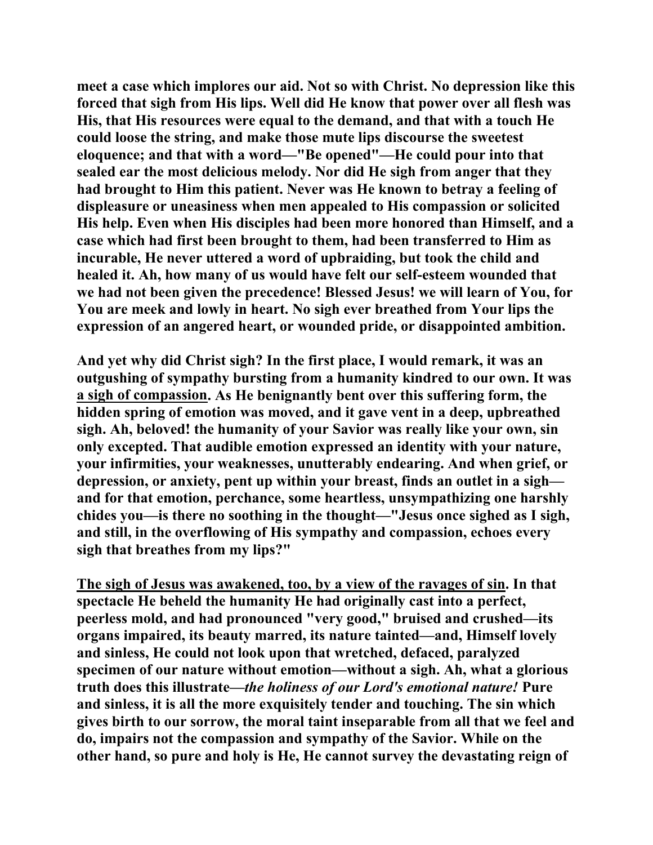**meet a case which implores our aid. Not so with Christ. No depression like this forced that sigh from His lips. Well did He know that power over all flesh was His, that His resources were equal to the demand, and that with a touch He could loose the string, and make those mute lips discourse the sweetest eloquence; and that with a word—"Be opened"—He could pour into that sealed ear the most delicious melody. Nor did He sigh from anger that they had brought to Him this patient. Never was He known to betray a feeling of displeasure or uneasiness when men appealed to His compassion or solicited His help. Even when His disciples had been more honored than Himself, and a case which had first been brought to them, had been transferred to Him as incurable, He never uttered a word of upbraiding, but took the child and healed it. Ah, how many of us would have felt our self-esteem wounded that we had not been given the precedence! Blessed Jesus! we will learn of You, for You are meek and lowly in heart. No sigh ever breathed from Your lips the expression of an angered heart, or wounded pride, or disappointed ambition.** 

**And yet why did Christ sigh? In the first place, I would remark, it was an outgushing of sympathy bursting from a humanity kindred to our own. It was a sigh of compassion. As He benignantly bent over this suffering form, the hidden spring of emotion was moved, and it gave vent in a deep, upbreathed sigh. Ah, beloved! the humanity of your Savior was really like your own, sin only excepted. That audible emotion expressed an identity with your nature, your infirmities, your weaknesses, unutterably endearing. And when grief, or depression, or anxiety, pent up within your breast, finds an outlet in a sigh and for that emotion, perchance, some heartless, unsympathizing one harshly chides you—is there no soothing in the thought—"Jesus once sighed as I sigh, and still, in the overflowing of His sympathy and compassion, echoes every sigh that breathes from my lips?"** 

**The sigh of Jesus was awakened, too, by a view of the ravages of sin. In that spectacle He beheld the humanity He had originally cast into a perfect, peerless mold, and had pronounced "very good," bruised and crushed—its organs impaired, its beauty marred, its nature tainted—and, Himself lovely and sinless, He could not look upon that wretched, defaced, paralyzed specimen of our nature without emotion—without a sigh. Ah, what a glorious truth does this illustrate—***the holiness of our Lord's emotional nature!* **Pure and sinless, it is all the more exquisitely tender and touching. The sin which gives birth to our sorrow, the moral taint inseparable from all that we feel and do, impairs not the compassion and sympathy of the Savior. While on the other hand, so pure and holy is He, He cannot survey the devastating reign of**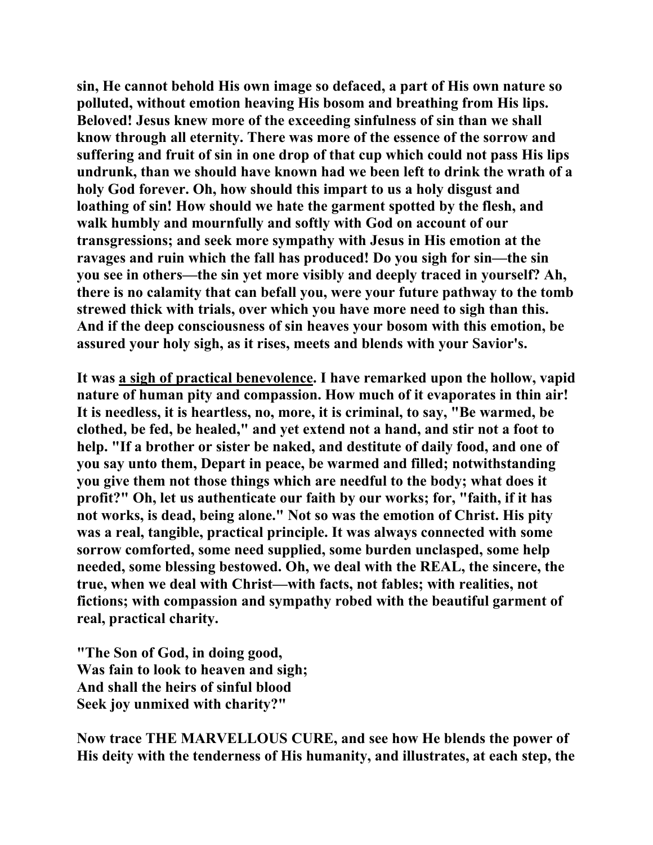**sin, He cannot behold His own image so defaced, a part of His own nature so polluted, without emotion heaving His bosom and breathing from His lips. Beloved! Jesus knew more of the exceeding sinfulness of sin than we shall know through all eternity. There was more of the essence of the sorrow and suffering and fruit of sin in one drop of that cup which could not pass His lips undrunk, than we should have known had we been left to drink the wrath of a holy God forever. Oh, how should this impart to us a holy disgust and loathing of sin! How should we hate the garment spotted by the flesh, and walk humbly and mournfully and softly with God on account of our transgressions; and seek more sympathy with Jesus in His emotion at the ravages and ruin which the fall has produced! Do you sigh for sin—the sin you see in others—the sin yet more visibly and deeply traced in yourself? Ah, there is no calamity that can befall you, were your future pathway to the tomb strewed thick with trials, over which you have more need to sigh than this. And if the deep consciousness of sin heaves your bosom with this emotion, be assured your holy sigh, as it rises, meets and blends with your Savior's.** 

**It was a sigh of practical benevolence. I have remarked upon the hollow, vapid nature of human pity and compassion. How much of it evaporates in thin air! It is needless, it is heartless, no, more, it is criminal, to say, "Be warmed, be clothed, be fed, be healed," and yet extend not a hand, and stir not a foot to help. "If a brother or sister be naked, and destitute of daily food, and one of you say unto them, Depart in peace, be warmed and filled; notwithstanding you give them not those things which are needful to the body; what does it profit?" Oh, let us authenticate our faith by our works; for, "faith, if it has not works, is dead, being alone." Not so was the emotion of Christ. His pity was a real, tangible, practical principle. It was always connected with some sorrow comforted, some need supplied, some burden unclasped, some help needed, some blessing bestowed. Oh, we deal with the REAL, the sincere, the true, when we deal with Christ—with facts, not fables; with realities, not fictions; with compassion and sympathy robed with the beautiful garment of real, practical charity.** 

**"The Son of God, in doing good, Was fain to look to heaven and sigh; And shall the heirs of sinful blood Seek joy unmixed with charity?"** 

**Now trace THE MARVELLOUS CURE, and see how He blends the power of His deity with the tenderness of His humanity, and illustrates, at each step, the**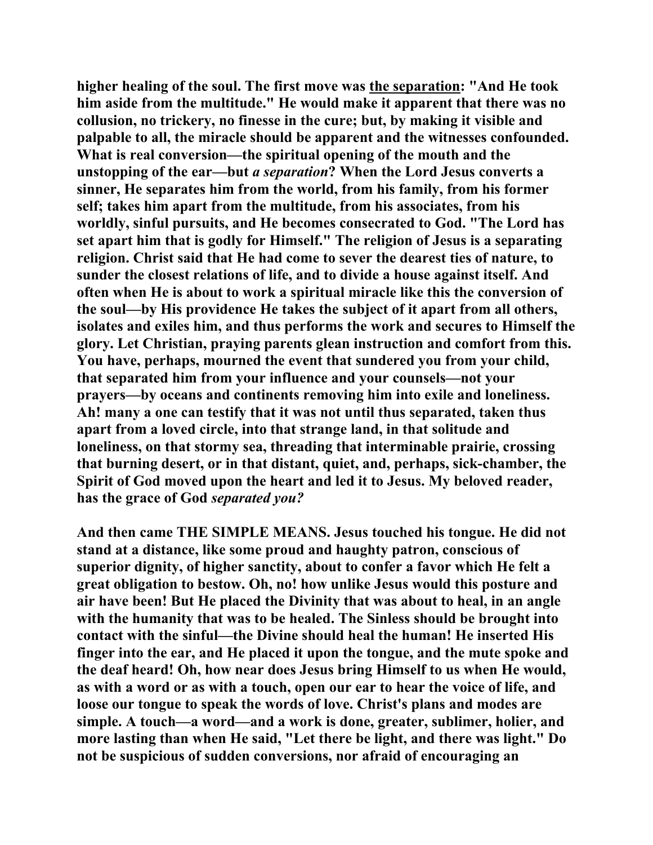**higher healing of the soul. The first move was the separation: "And He took him aside from the multitude." He would make it apparent that there was no collusion, no trickery, no finesse in the cure; but, by making it visible and palpable to all, the miracle should be apparent and the witnesses confounded. What is real conversion—the spiritual opening of the mouth and the unstopping of the ear—but** *a separation***? When the Lord Jesus converts a sinner, He separates him from the world, from his family, from his former self; takes him apart from the multitude, from his associates, from his worldly, sinful pursuits, and He becomes consecrated to God. "The Lord has set apart him that is godly for Himself." The religion of Jesus is a separating religion. Christ said that He had come to sever the dearest ties of nature, to sunder the closest relations of life, and to divide a house against itself. And often when He is about to work a spiritual miracle like this the conversion of the soul—by His providence He takes the subject of it apart from all others, isolates and exiles him, and thus performs the work and secures to Himself the glory. Let Christian, praying parents glean instruction and comfort from this. You have, perhaps, mourned the event that sundered you from your child, that separated him from your influence and your counsels—not your prayers—by oceans and continents removing him into exile and loneliness. Ah! many a one can testify that it was not until thus separated, taken thus apart from a loved circle, into that strange land, in that solitude and loneliness, on that stormy sea, threading that interminable prairie, crossing that burning desert, or in that distant, quiet, and, perhaps, sick-chamber, the Spirit of God moved upon the heart and led it to Jesus. My beloved reader, has the grace of God** *separated you?*

**And then came THE SIMPLE MEANS. Jesus touched his tongue. He did not stand at a distance, like some proud and haughty patron, conscious of superior dignity, of higher sanctity, about to confer a favor which He felt a great obligation to bestow. Oh, no! how unlike Jesus would this posture and air have been! But He placed the Divinity that was about to heal, in an angle with the humanity that was to be healed. The Sinless should be brought into contact with the sinful—the Divine should heal the human! He inserted His finger into the ear, and He placed it upon the tongue, and the mute spoke and the deaf heard! Oh, how near does Jesus bring Himself to us when He would, as with a word or as with a touch, open our ear to hear the voice of life, and loose our tongue to speak the words of love. Christ's plans and modes are simple. A touch—a word—and a work is done, greater, sublimer, holier, and more lasting than when He said, "Let there be light, and there was light." Do not be suspicious of sudden conversions, nor afraid of encouraging an**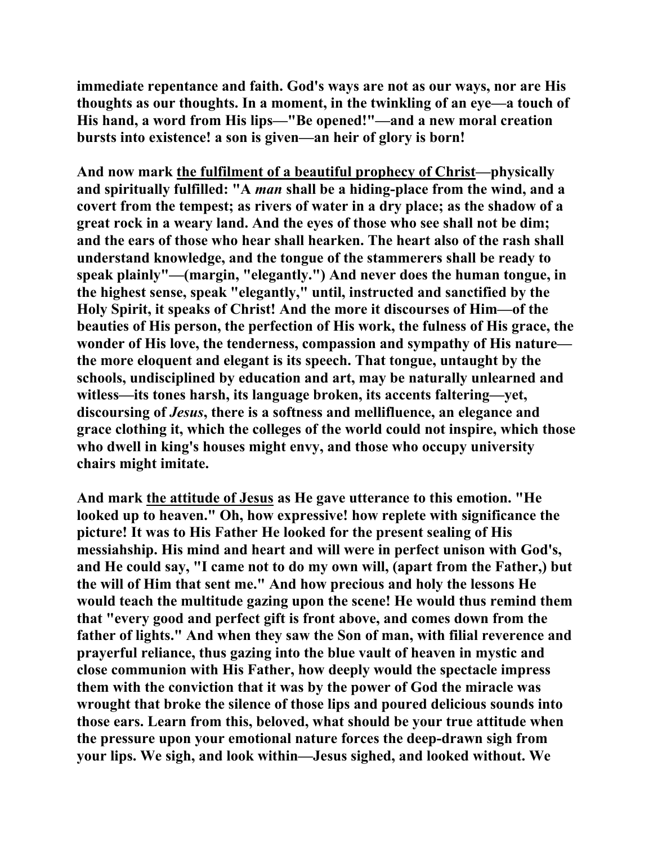**immediate repentance and faith. God's ways are not as our ways, nor are His thoughts as our thoughts. In a moment, in the twinkling of an eye—a touch of His hand, a word from His lips—"Be opened!"—and a new moral creation bursts into existence! a son is given—an heir of glory is born!** 

**And now mark the fulfilment of a beautiful prophecy of Christ—physically and spiritually fulfilled: "A** *man* **shall be a hiding-place from the wind, and a covert from the tempest; as rivers of water in a dry place; as the shadow of a great rock in a weary land. And the eyes of those who see shall not be dim; and the ears of those who hear shall hearken. The heart also of the rash shall understand knowledge, and the tongue of the stammerers shall be ready to speak plainly"—(margin, "elegantly.") And never does the human tongue, in the highest sense, speak "elegantly," until, instructed and sanctified by the Holy Spirit, it speaks of Christ! And the more it discourses of Him—of the beauties of His person, the perfection of His work, the fulness of His grace, the wonder of His love, the tenderness, compassion and sympathy of His nature the more eloquent and elegant is its speech. That tongue, untaught by the schools, undisciplined by education and art, may be naturally unlearned and witless—its tones harsh, its language broken, its accents faltering—yet, discoursing of** *Jesus***, there is a softness and mellifluence, an elegance and grace clothing it, which the colleges of the world could not inspire, which those who dwell in king's houses might envy, and those who occupy university chairs might imitate.** 

**And mark the attitude of Jesus as He gave utterance to this emotion. "He looked up to heaven." Oh, how expressive! how replete with significance the picture! It was to His Father He looked for the present sealing of His messiahship. His mind and heart and will were in perfect unison with God's, and He could say, "I came not to do my own will, (apart from the Father,) but the will of Him that sent me." And how precious and holy the lessons He would teach the multitude gazing upon the scene! He would thus remind them that "every good and perfect gift is front above, and comes down from the father of lights." And when they saw the Son of man, with filial reverence and prayerful reliance, thus gazing into the blue vault of heaven in mystic and close communion with His Father, how deeply would the spectacle impress them with the conviction that it was by the power of God the miracle was wrought that broke the silence of those lips and poured delicious sounds into those ears. Learn from this, beloved, what should be your true attitude when the pressure upon your emotional nature forces the deep-drawn sigh from your lips. We sigh, and look within—Jesus sighed, and looked without. We**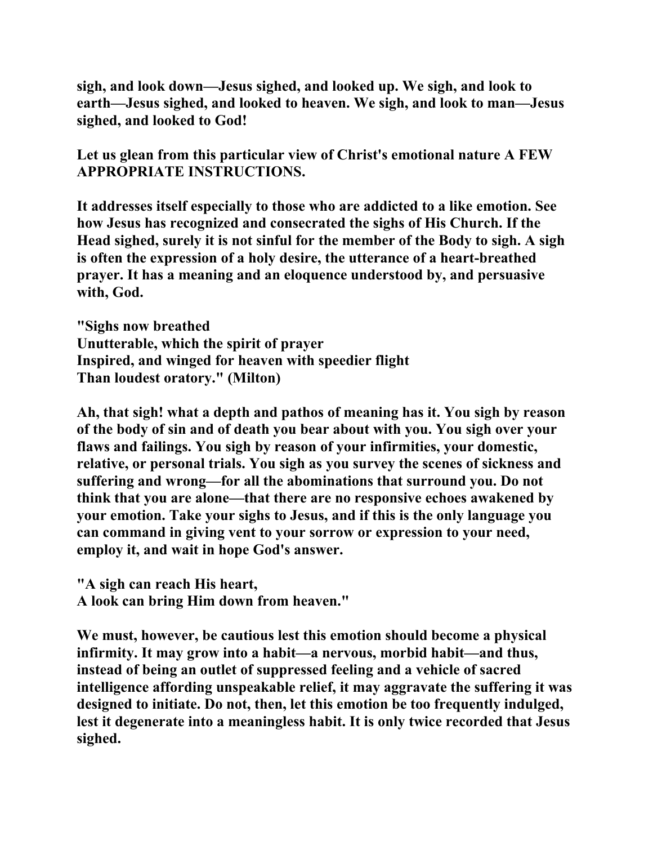**sigh, and look down—Jesus sighed, and looked up. We sigh, and look to earth—Jesus sighed, and looked to heaven. We sigh, and look to man—Jesus sighed, and looked to God!** 

**Let us glean from this particular view of Christ's emotional nature A FEW APPROPRIATE INSTRUCTIONS.** 

**It addresses itself especially to those who are addicted to a like emotion. See how Jesus has recognized and consecrated the sighs of His Church. If the Head sighed, surely it is not sinful for the member of the Body to sigh. A sigh is often the expression of a holy desire, the utterance of a heart-breathed prayer. It has a meaning and an eloquence understood by, and persuasive with, God.** 

**"Sighs now breathed Unutterable, which the spirit of prayer Inspired, and winged for heaven with speedier flight Than loudest oratory." (Milton)** 

**Ah, that sigh! what a depth and pathos of meaning has it. You sigh by reason of the body of sin and of death you bear about with you. You sigh over your flaws and failings. You sigh by reason of your infirmities, your domestic, relative, or personal trials. You sigh as you survey the scenes of sickness and suffering and wrong—for all the abominations that surround you. Do not think that you are alone—that there are no responsive echoes awakened by your emotion. Take your sighs to Jesus, and if this is the only language you can command in giving vent to your sorrow or expression to your need, employ it, and wait in hope God's answer.** 

**"A sigh can reach His heart, A look can bring Him down from heaven."** 

**We must, however, be cautious lest this emotion should become a physical infirmity. It may grow into a habit—a nervous, morbid habit—and thus, instead of being an outlet of suppressed feeling and a vehicle of sacred intelligence affording unspeakable relief, it may aggravate the suffering it was designed to initiate. Do not, then, let this emotion be too frequently indulged, lest it degenerate into a meaningless habit. It is only twice recorded that Jesus sighed.**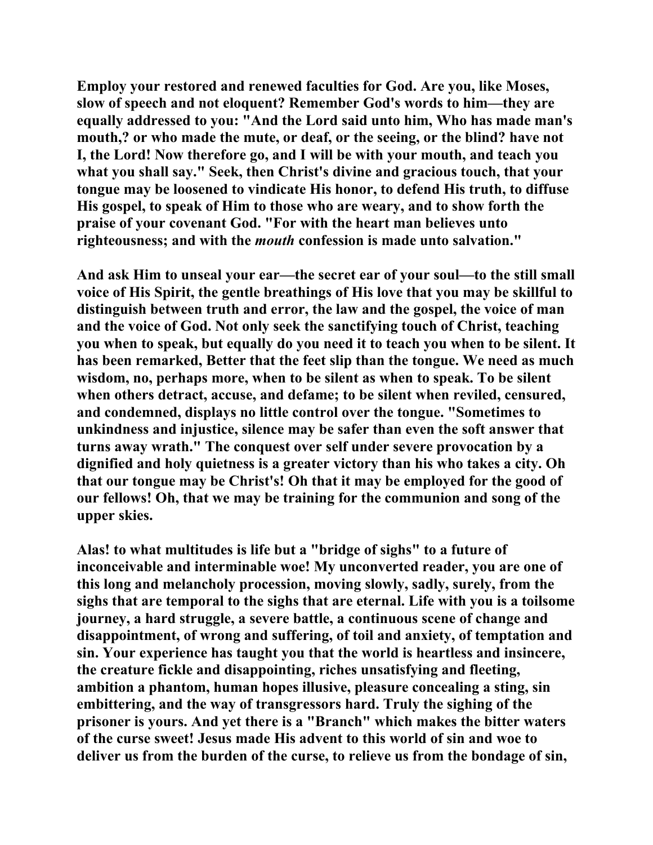**Employ your restored and renewed faculties for God. Are you, like Moses, slow of speech and not eloquent? Remember God's words to him—they are equally addressed to you: "And the Lord said unto him, Who has made man's mouth,? or who made the mute, or deaf, or the seeing, or the blind? have not I, the Lord! Now therefore go, and I will be with your mouth, and teach you what you shall say." Seek, then Christ's divine and gracious touch, that your tongue may be loosened to vindicate His honor, to defend His truth, to diffuse His gospel, to speak of Him to those who are weary, and to show forth the praise of your covenant God. "For with the heart man believes unto righteousness; and with the** *mouth* **confession is made unto salvation."** 

**And ask Him to unseal your ear—the secret ear of your soul—to the still small voice of His Spirit, the gentle breathings of His love that you may be skillful to distinguish between truth and error, the law and the gospel, the voice of man and the voice of God. Not only seek the sanctifying touch of Christ, teaching you when to speak, but equally do you need it to teach you when to be silent. It has been remarked, Better that the feet slip than the tongue. We need as much wisdom, no, perhaps more, when to be silent as when to speak. To be silent when others detract, accuse, and defame; to be silent when reviled, censured, and condemned, displays no little control over the tongue. "Sometimes to unkindness and injustice, silence may be safer than even the soft answer that turns away wrath." The conquest over self under severe provocation by a dignified and holy quietness is a greater victory than his who takes a city. Oh that our tongue may be Christ's! Oh that it may be employed for the good of our fellows! Oh, that we may be training for the communion and song of the upper skies.** 

**Alas! to what multitudes is life but a "bridge of sighs" to a future of inconceivable and interminable woe! My unconverted reader, you are one of this long and melancholy procession, moving slowly, sadly, surely, from the sighs that are temporal to the sighs that are eternal. Life with you is a toilsome journey, a hard struggle, a severe battle, a continuous scene of change and disappointment, of wrong and suffering, of toil and anxiety, of temptation and sin. Your experience has taught you that the world is heartless and insincere, the creature fickle and disappointing, riches unsatisfying and fleeting, ambition a phantom, human hopes illusive, pleasure concealing a sting, sin embittering, and the way of transgressors hard. Truly the sighing of the prisoner is yours. And yet there is a "Branch" which makes the bitter waters of the curse sweet! Jesus made His advent to this world of sin and woe to deliver us from the burden of the curse, to relieve us from the bondage of sin,**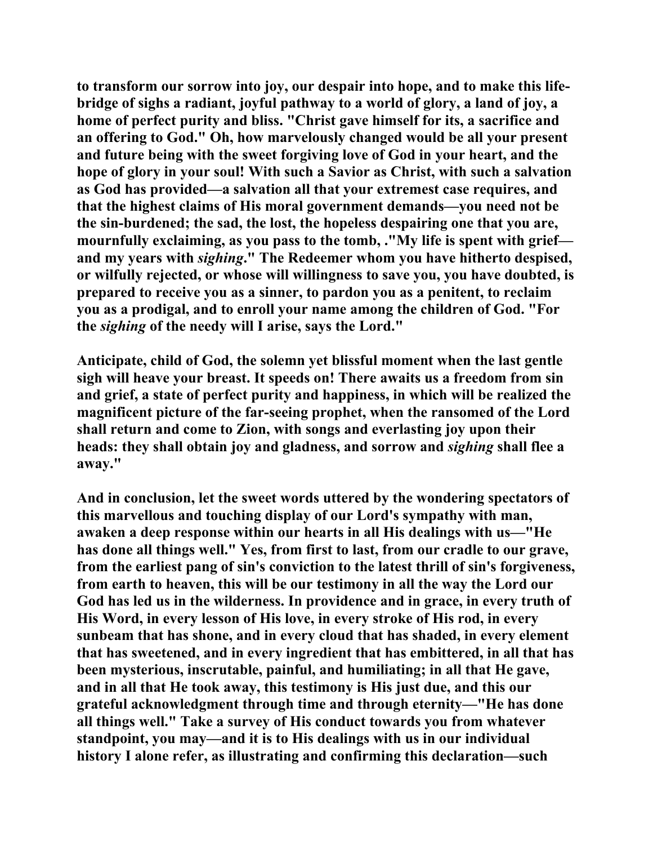**to transform our sorrow into joy, our despair into hope, and to make this lifebridge of sighs a radiant, joyful pathway to a world of glory, a land of joy, a home of perfect purity and bliss. "Christ gave himself for its, a sacrifice and an offering to God." Oh, how marvelously changed would be all your present and future being with the sweet forgiving love of God in your heart, and the hope of glory in your soul! With such a Savior as Christ, with such a salvation as God has provided—a salvation all that your extremest case requires, and that the highest claims of His moral government demands—you need not be the sin-burdened; the sad, the lost, the hopeless despairing one that you are, mournfully exclaiming, as you pass to the tomb, ."My life is spent with grief and my years with** *sighing***." The Redeemer whom you have hitherto despised, or wilfully rejected, or whose will willingness to save you, you have doubted, is prepared to receive you as a sinner, to pardon you as a penitent, to reclaim you as a prodigal, and to enroll your name among the children of God. "For the** *sighing* **of the needy will I arise, says the Lord."** 

**Anticipate, child of God, the solemn yet blissful moment when the last gentle sigh will heave your breast. It speeds on! There awaits us a freedom from sin and grief, a state of perfect purity and happiness, in which will be realized the magnificent picture of the far-seeing prophet, when the ransomed of the Lord shall return and come to Zion, with songs and everlasting joy upon their heads: they shall obtain joy and gladness, and sorrow and** *sighing* **shall flee a away."** 

**And in conclusion, let the sweet words uttered by the wondering spectators of this marvellous and touching display of our Lord's sympathy with man, awaken a deep response within our hearts in all His dealings with us—"He has done all things well." Yes, from first to last, from our cradle to our grave, from the earliest pang of sin's conviction to the latest thrill of sin's forgiveness, from earth to heaven, this will be our testimony in all the way the Lord our God has led us in the wilderness. In providence and in grace, in every truth of His Word, in every lesson of His love, in every stroke of His rod, in every sunbeam that has shone, and in every cloud that has shaded, in every element that has sweetened, and in every ingredient that has embittered, in all that has been mysterious, inscrutable, painful, and humiliating; in all that He gave, and in all that He took away, this testimony is His just due, and this our grateful acknowledgment through time and through eternity—"He has done all things well." Take a survey of His conduct towards you from whatever standpoint, you may—and it is to His dealings with us in our individual history I alone refer, as illustrating and confirming this declaration—such**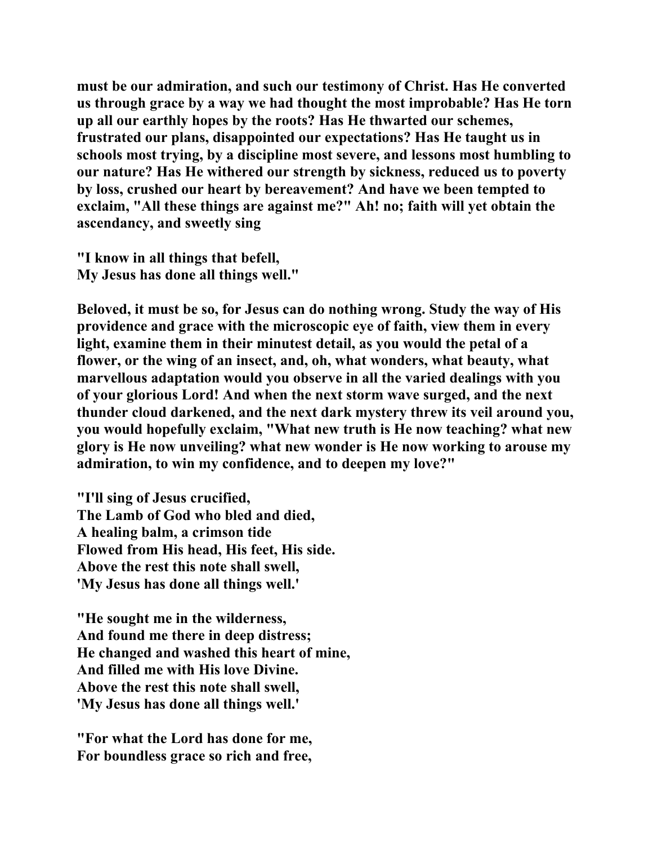**must be our admiration, and such our testimony of Christ. Has He converted us through grace by a way we had thought the most improbable? Has He torn up all our earthly hopes by the roots? Has He thwarted our schemes, frustrated our plans, disappointed our expectations? Has He taught us in schools most trying, by a discipline most severe, and lessons most humbling to our nature? Has He withered our strength by sickness, reduced us to poverty by loss, crushed our heart by bereavement? And have we been tempted to exclaim, "All these things are against me?" Ah! no; faith will yet obtain the ascendancy, and sweetly sing** 

**"I know in all things that befell, My Jesus has done all things well."** 

**Beloved, it must be so, for Jesus can do nothing wrong. Study the way of His providence and grace with the microscopic eye of faith, view them in every light, examine them in their minutest detail, as you would the petal of a flower, or the wing of an insect, and, oh, what wonders, what beauty, what marvellous adaptation would you observe in all the varied dealings with you of your glorious Lord! And when the next storm wave surged, and the next thunder cloud darkened, and the next dark mystery threw its veil around you, you would hopefully exclaim, "What new truth is He now teaching? what new glory is He now unveiling? what new wonder is He now working to arouse my admiration, to win my confidence, and to deepen my love?"** 

**"I'll sing of Jesus crucified, The Lamb of God who bled and died, A healing balm, a crimson tide Flowed from His head, His feet, His side. Above the rest this note shall swell, 'My Jesus has done all things well.'** 

**"He sought me in the wilderness, And found me there in deep distress; He changed and washed this heart of mine, And filled me with His love Divine. Above the rest this note shall swell, 'My Jesus has done all things well.'** 

**"For what the Lord has done for me, For boundless grace so rich and free,**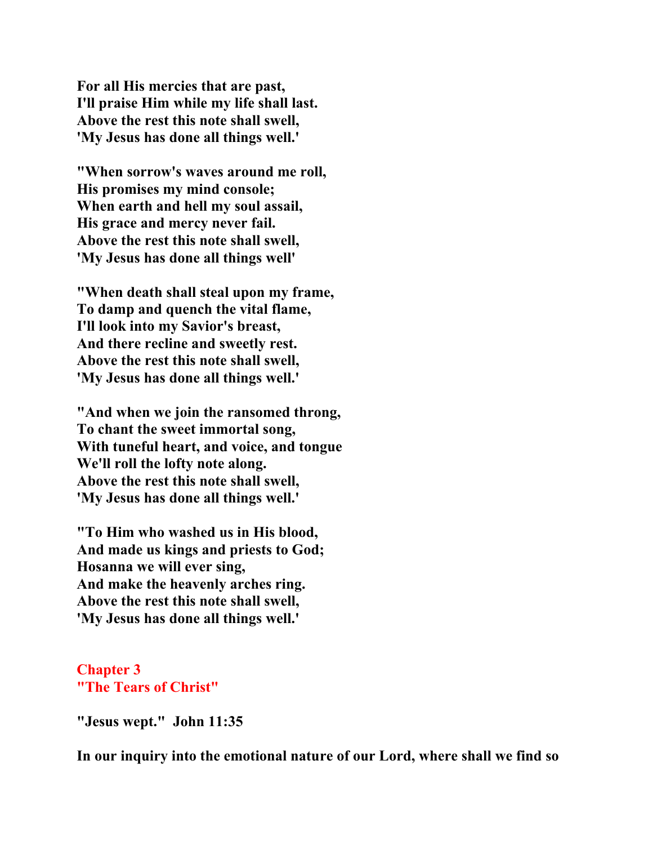**For all His mercies that are past, I'll praise Him while my life shall last. Above the rest this note shall swell, 'My Jesus has done all things well.'** 

**"When sorrow's waves around me roll, His promises my mind console; When earth and hell my soul assail, His grace and mercy never fail. Above the rest this note shall swell, 'My Jesus has done all things well'** 

**"When death shall steal upon my frame, To damp and quench the vital flame, I'll look into my Savior's breast, And there recline and sweetly rest. Above the rest this note shall swell, 'My Jesus has done all things well.'** 

**"And when we join the ransomed throng, To chant the sweet immortal song, With tuneful heart, and voice, and tongue We'll roll the lofty note along. Above the rest this note shall swell, 'My Jesus has done all things well.'** 

**"To Him who washed us in His blood, And made us kings and priests to God; Hosanna we will ever sing, And make the heavenly arches ring. Above the rest this note shall swell, 'My Jesus has done all things well.'** 

## **Chapter 3 "The Tears of Christ"**

**"Jesus wept." John 11:35** 

**In our inquiry into the emotional nature of our Lord, where shall we find so**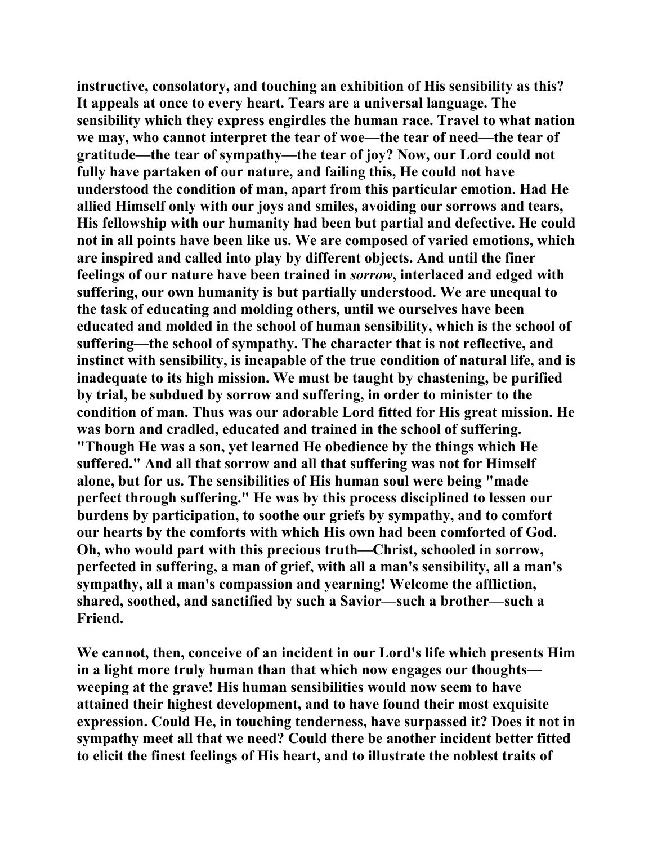**instructive, consolatory, and touching an exhibition of His sensibility as this? It appeals at once to every heart. Tears are a universal language. The sensibility which they express engirdles the human race. Travel to what nation we may, who cannot interpret the tear of woe—the tear of need—the tear of gratitude—the tear of sympathy—the tear of joy? Now, our Lord could not fully have partaken of our nature, and failing this, He could not have understood the condition of man, apart from this particular emotion. Had He allied Himself only with our joys and smiles, avoiding our sorrows and tears, His fellowship with our humanity had been but partial and defective. He could not in all points have been like us. We are composed of varied emotions, which are inspired and called into play by different objects. And until the finer feelings of our nature have been trained in** *sorrow***, interlaced and edged with suffering, our own humanity is but partially understood. We are unequal to the task of educating and molding others, until we ourselves have been educated and molded in the school of human sensibility, which is the school of suffering—the school of sympathy. The character that is not reflective, and instinct with sensibility, is incapable of the true condition of natural life, and is inadequate to its high mission. We must be taught by chastening, be purified by trial, be subdued by sorrow and suffering, in order to minister to the condition of man. Thus was our adorable Lord fitted for His great mission. He was born and cradled, educated and trained in the school of suffering. "Though He was a son, yet learned He obedience by the things which He suffered." And all that sorrow and all that suffering was not for Himself alone, but for us. The sensibilities of His human soul were being "made perfect through suffering." He was by this process disciplined to lessen our burdens by participation, to soothe our griefs by sympathy, and to comfort our hearts by the comforts with which His own had been comforted of God. Oh, who would part with this precious truth—Christ, schooled in sorrow, perfected in suffering, a man of grief, with all a man's sensibility, all a man's sympathy, all a man's compassion and yearning! Welcome the affliction, shared, soothed, and sanctified by such a Savior—such a brother—such a Friend.** 

**We cannot, then, conceive of an incident in our Lord's life which presents Him in a light more truly human than that which now engages our thoughts weeping at the grave! His human sensibilities would now seem to have attained their highest development, and to have found their most exquisite expression. Could He, in touching tenderness, have surpassed it? Does it not in sympathy meet all that we need? Could there be another incident better fitted to elicit the finest feelings of His heart, and to illustrate the noblest traits of**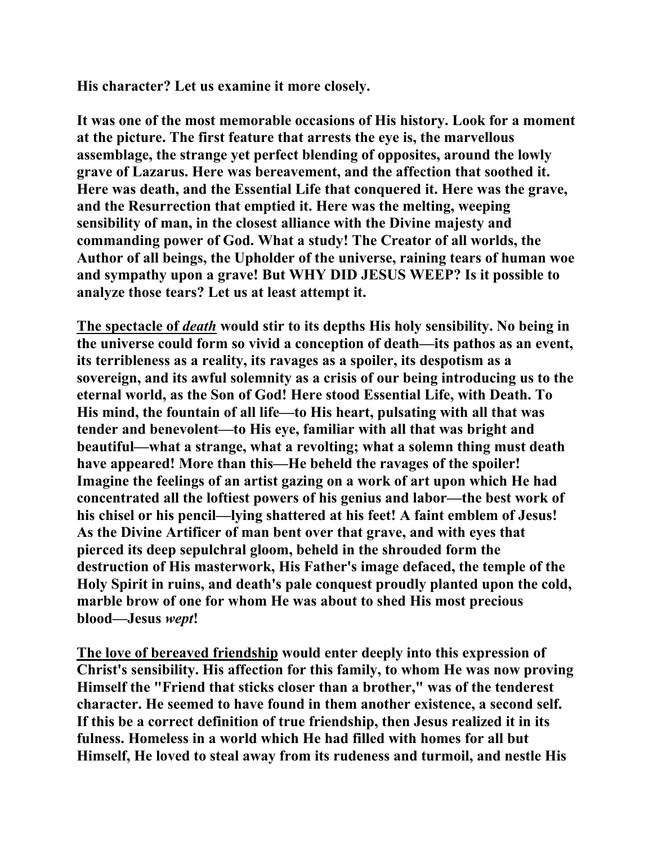**His character? Let us examine it more closely.** 

**It was one of the most memorable occasions of His history. Look for a moment at the picture. The first feature that arrests the eye is, the marvellous assemblage, the strange yet perfect blending of opposites, around the lowly grave of Lazarus. Here was bereavement, and the affection that soothed it. Here was death, and the Essential Life that conquered it. Here was the grave, and the Resurrection that emptied it. Here was the melting, weeping sensibility of man, in the closest alliance with the Divine majesty and commanding power of God. What a study! The Creator of all worlds, the Author of all beings, the Upholder of the universe, raining tears of human woe and sympathy upon a grave! But WHY DID JESUS WEEP? Is it possible to analyze those tears? Let us at least attempt it.** 

**The spectacle of** *death* **would stir to its depths His holy sensibility. No being in the universe could form so vivid a conception of death—its pathos as an event, its terribleness as a reality, its ravages as a spoiler, its despotism as a sovereign, and its awful solemnity as a crisis of our being introducing us to the eternal world, as the Son of God! Here stood Essential Life, with Death. To His mind, the fountain of all life—to His heart, pulsating with all that was tender and benevolent—to His eye, familiar with all that was bright and beautiful—what a strange, what a revolting; what a solemn thing must death have appeared! More than this—He beheld the ravages of the spoiler! Imagine the feelings of an artist gazing on a work of art upon which He had concentrated all the loftiest powers of his genius and labor—the best work of his chisel or his pencil—lying shattered at his feet! A faint emblem of Jesus! As the Divine Artificer of man bent over that grave, and with eyes that pierced its deep sepulchral gloom, beheld in the shrouded form the destruction of His masterwork, His Father's image defaced, the temple of the Holy Spirit in ruins, and death's pale conquest proudly planted upon the cold, marble brow of one for whom He was about to shed His most precious blood—Jesus** *wept***!** 

**The love of bereaved friendship would enter deeply into this expression of Christ's sensibility. His affection for this family, to whom He was now proving Himself the "Friend that sticks closer than a brother," was of the tenderest character. He seemed to have found in them another existence, a second self. If this be a correct definition of true friendship, then Jesus realized it in its fulness. Homeless in a world which He had filled with homes for all but Himself, He loved to steal away from its rudeness and turmoil, and nestle His**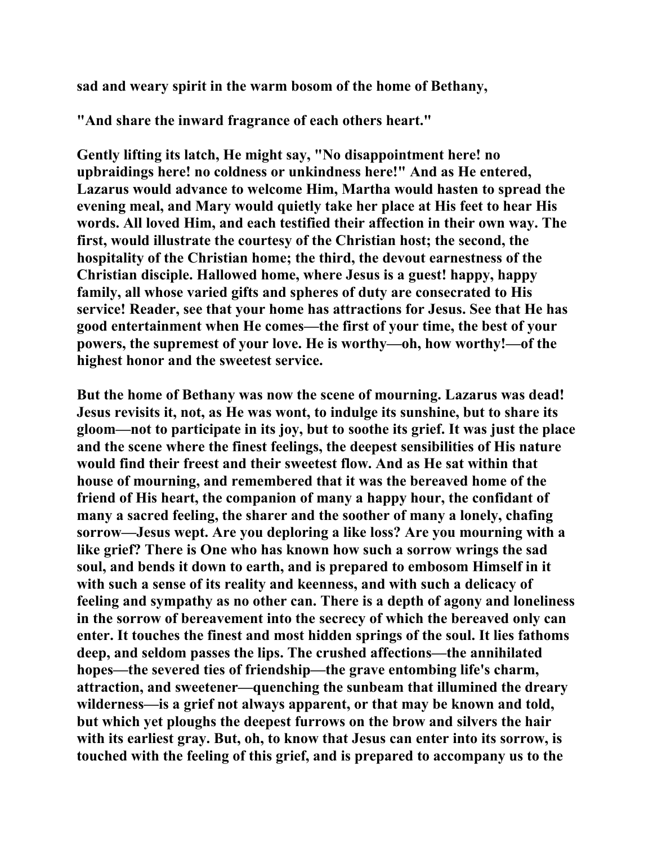**sad and weary spirit in the warm bosom of the home of Bethany,** 

**"And share the inward fragrance of each others heart."** 

**Gently lifting its latch, He might say, "No disappointment here! no upbraidings here! no coldness or unkindness here!" And as He entered, Lazarus would advance to welcome Him, Martha would hasten to spread the evening meal, and Mary would quietly take her place at His feet to hear His words. All loved Him, and each testified their affection in their own way. The first, would illustrate the courtesy of the Christian host; the second, the hospitality of the Christian home; the third, the devout earnestness of the Christian disciple. Hallowed home, where Jesus is a guest! happy, happy family, all whose varied gifts and spheres of duty are consecrated to His service! Reader, see that your home has attractions for Jesus. See that He has good entertainment when He comes—the first of your time, the best of your powers, the supremest of your love. He is worthy—oh, how worthy!—of the highest honor and the sweetest service.** 

**But the home of Bethany was now the scene of mourning. Lazarus was dead! Jesus revisits it, not, as He was wont, to indulge its sunshine, but to share its gloom—not to participate in its joy, but to soothe its grief. It was just the place and the scene where the finest feelings, the deepest sensibilities of His nature would find their freest and their sweetest flow. And as He sat within that house of mourning, and remembered that it was the bereaved home of the friend of His heart, the companion of many a happy hour, the confidant of many a sacred feeling, the sharer and the soother of many a lonely, chafing sorrow—Jesus wept. Are you deploring a like loss? Are you mourning with a like grief? There is One who has known how such a sorrow wrings the sad soul, and bends it down to earth, and is prepared to embosom Himself in it with such a sense of its reality and keenness, and with such a delicacy of feeling and sympathy as no other can. There is a depth of agony and loneliness in the sorrow of bereavement into the secrecy of which the bereaved only can enter. It touches the finest and most hidden springs of the soul. It lies fathoms deep, and seldom passes the lips. The crushed affections—the annihilated hopes—the severed ties of friendship—the grave entombing life's charm, attraction, and sweetener—quenching the sunbeam that illumined the dreary wilderness—is a grief not always apparent, or that may be known and told, but which yet ploughs the deepest furrows on the brow and silvers the hair with its earliest gray. But, oh, to know that Jesus can enter into its sorrow, is touched with the feeling of this grief, and is prepared to accompany us to the**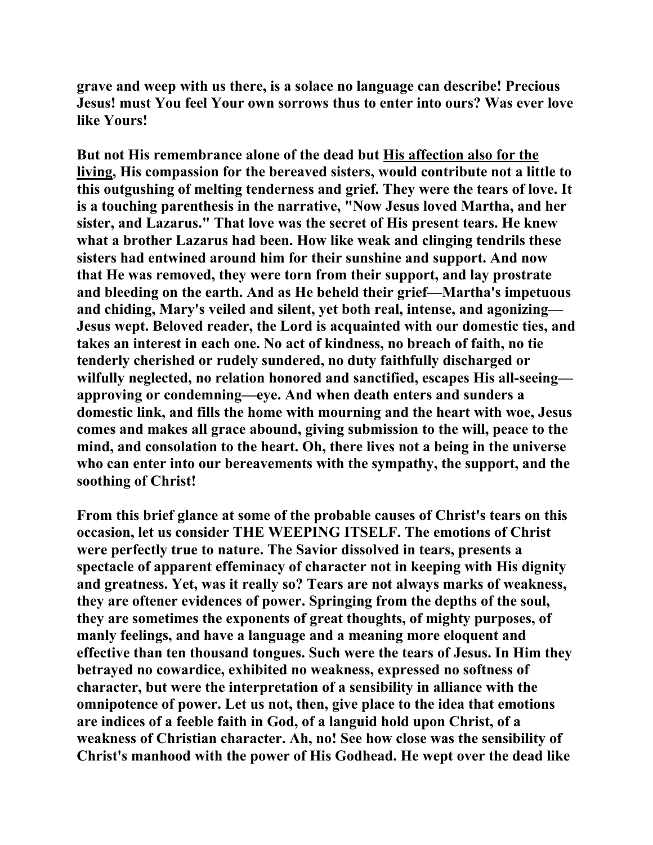**grave and weep with us there, is a solace no language can describe! Precious Jesus! must You feel Your own sorrows thus to enter into ours? Was ever love like Yours!** 

**But not His remembrance alone of the dead but His affection also for the living, His compassion for the bereaved sisters, would contribute not a little to this outgushing of melting tenderness and grief. They were the tears of love. It is a touching parenthesis in the narrative, "Now Jesus loved Martha, and her sister, and Lazarus." That love was the secret of His present tears. He knew what a brother Lazarus had been. How like weak and clinging tendrils these sisters had entwined around him for their sunshine and support. And now that He was removed, they were torn from their support, and lay prostrate and bleeding on the earth. And as He beheld their grief—Martha's impetuous and chiding, Mary's veiled and silent, yet both real, intense, and agonizing— Jesus wept. Beloved reader, the Lord is acquainted with our domestic ties, and takes an interest in each one. No act of kindness, no breach of faith, no tie tenderly cherished or rudely sundered, no duty faithfully discharged or wilfully neglected, no relation honored and sanctified, escapes His all-seeing approving or condemning—eye. And when death enters and sunders a domestic link, and fills the home with mourning and the heart with woe, Jesus comes and makes all grace abound, giving submission to the will, peace to the mind, and consolation to the heart. Oh, there lives not a being in the universe who can enter into our bereavements with the sympathy, the support, and the soothing of Christ!** 

**From this brief glance at some of the probable causes of Christ's tears on this occasion, let us consider THE WEEPING ITSELF. The emotions of Christ were perfectly true to nature. The Savior dissolved in tears, presents a spectacle of apparent effeminacy of character not in keeping with His dignity and greatness. Yet, was it really so? Tears are not always marks of weakness, they are oftener evidences of power. Springing from the depths of the soul, they are sometimes the exponents of great thoughts, of mighty purposes, of manly feelings, and have a language and a meaning more eloquent and effective than ten thousand tongues. Such were the tears of Jesus. In Him they betrayed no cowardice, exhibited no weakness, expressed no softness of character, but were the interpretation of a sensibility in alliance with the omnipotence of power. Let us not, then, give place to the idea that emotions are indices of a feeble faith in God, of a languid hold upon Christ, of a weakness of Christian character. Ah, no! See how close was the sensibility of Christ's manhood with the power of His Godhead. He wept over the dead like**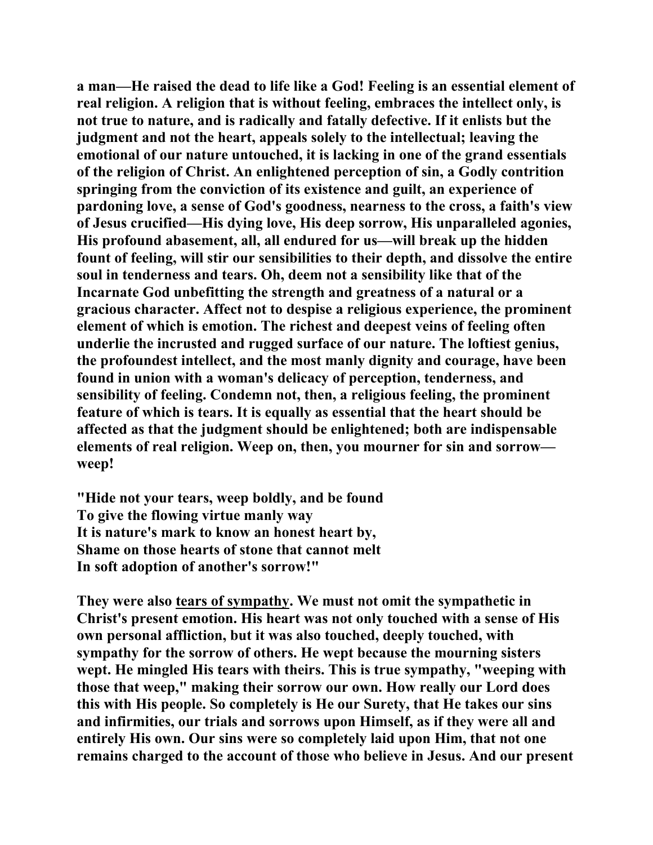**a man—He raised the dead to life like a God! Feeling is an essential element of real religion. A religion that is without feeling, embraces the intellect only, is not true to nature, and is radically and fatally defective. If it enlists but the judgment and not the heart, appeals solely to the intellectual; leaving the emotional of our nature untouched, it is lacking in one of the grand essentials of the religion of Christ. An enlightened perception of sin, a Godly contrition springing from the conviction of its existence and guilt, an experience of pardoning love, a sense of God's goodness, nearness to the cross, a faith's view of Jesus crucified—His dying love, His deep sorrow, His unparalleled agonies, His profound abasement, all, all endured for us—will break up the hidden fount of feeling, will stir our sensibilities to their depth, and dissolve the entire soul in tenderness and tears. Oh, deem not a sensibility like that of the Incarnate God unbefitting the strength and greatness of a natural or a gracious character. Affect not to despise a religious experience, the prominent element of which is emotion. The richest and deepest veins of feeling often underlie the incrusted and rugged surface of our nature. The loftiest genius, the profoundest intellect, and the most manly dignity and courage, have been found in union with a woman's delicacy of perception, tenderness, and sensibility of feeling. Condemn not, then, a religious feeling, the prominent feature of which is tears. It is equally as essential that the heart should be affected as that the judgment should be enlightened; both are indispensable elements of real religion. Weep on, then, you mourner for sin and sorrow weep!** 

**"Hide not your tears, weep boldly, and be found To give the flowing virtue manly way It is nature's mark to know an honest heart by, Shame on those hearts of stone that cannot melt In soft adoption of another's sorrow!"** 

**They were also tears of sympathy. We must not omit the sympathetic in Christ's present emotion. His heart was not only touched with a sense of His own personal affliction, but it was also touched, deeply touched, with sympathy for the sorrow of others. He wept because the mourning sisters wept. He mingled His tears with theirs. This is true sympathy, "weeping with those that weep," making their sorrow our own. How really our Lord does this with His people. So completely is He our Surety, that He takes our sins and infirmities, our trials and sorrows upon Himself, as if they were all and entirely His own. Our sins were so completely laid upon Him, that not one remains charged to the account of those who believe in Jesus. And our present**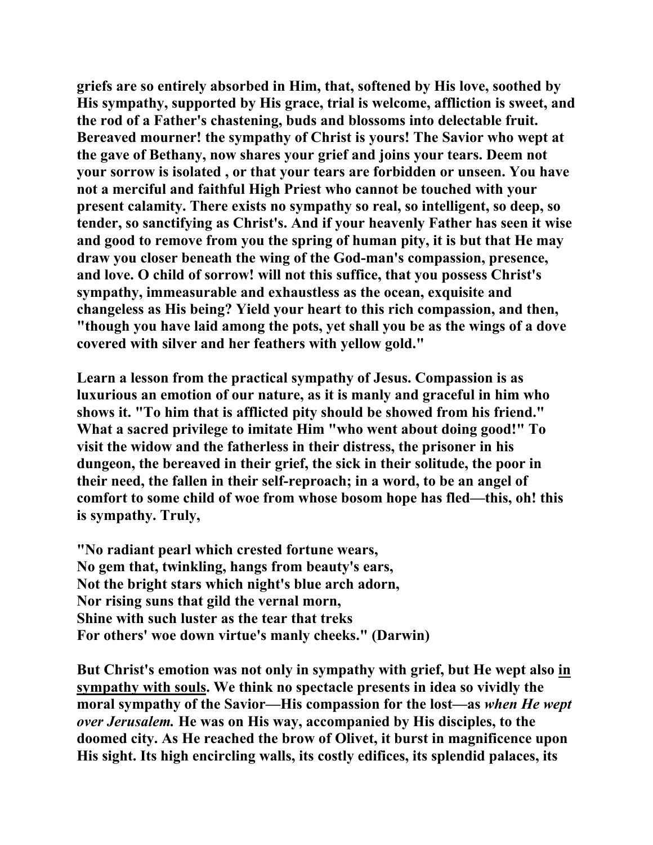**griefs are so entirely absorbed in Him, that, softened by His love, soothed by His sympathy, supported by His grace, trial is welcome, affliction is sweet, and the rod of a Father's chastening, buds and blossoms into delectable fruit. Bereaved mourner! the sympathy of Christ is yours! The Savior who wept at the gave of Bethany, now shares your grief and joins your tears. Deem not your sorrow is isolated , or that your tears are forbidden or unseen. You have not a merciful and faithful High Priest who cannot be touched with your present calamity. There exists no sympathy so real, so intelligent, so deep, so tender, so sanctifying as Christ's. And if your heavenly Father has seen it wise and good to remove from you the spring of human pity, it is but that He may draw you closer beneath the wing of the God-man's compassion, presence, and love. O child of sorrow! will not this suffice, that you possess Christ's sympathy, immeasurable and exhaustless as the ocean, exquisite and changeless as His being? Yield your heart to this rich compassion, and then, "though you have laid among the pots, yet shall you be as the wings of a dove covered with silver and her feathers with yellow gold."** 

**Learn a lesson from the practical sympathy of Jesus. Compassion is as luxurious an emotion of our nature, as it is manly and graceful in him who shows it. "To him that is afflicted pity should be showed from his friend." What a sacred privilege to imitate Him "who went about doing good!" To visit the widow and the fatherless in their distress, the prisoner in his dungeon, the bereaved in their grief, the sick in their solitude, the poor in their need, the fallen in their self-reproach; in a word, to be an angel of comfort to some child of woe from whose bosom hope has fled—this, oh! this is sympathy. Truly,** 

**"No radiant pearl which crested fortune wears, No gem that, twinkling, hangs from beauty's ears, Not the bright stars which night's blue arch adorn, Nor rising suns that gild the vernal morn, Shine with such luster as the tear that treks For others' woe down virtue's manly cheeks." (Darwin)** 

**But Christ's emotion was not only in sympathy with grief, but He wept also in sympathy with souls. We think no spectacle presents in idea so vividly the moral sympathy of the Savior—His compassion for the lost—as** *when He wept over Jerusalem.* **He was on His way, accompanied by His disciples, to the doomed city. As He reached the brow of Olivet, it burst in magnificence upon His sight. Its high encircling walls, its costly edifices, its splendid palaces, its**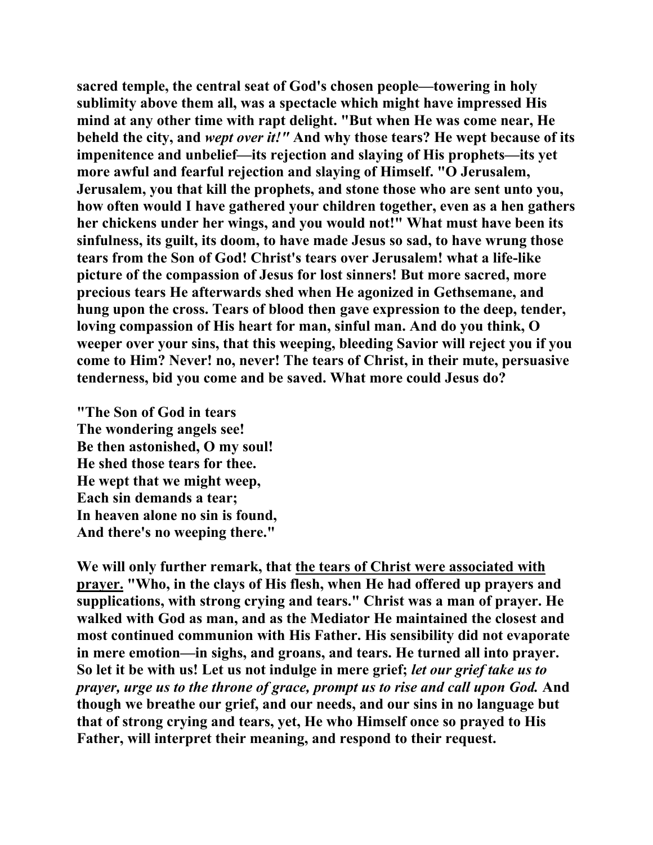**sacred temple, the central seat of God's chosen people—towering in holy sublimity above them all, was a spectacle which might have impressed His mind at any other time with rapt delight. "But when He was come near, He beheld the city, and** *wept over it!"* **And why those tears? He wept because of its impenitence and unbelief—its rejection and slaying of His prophets—its yet more awful and fearful rejection and slaying of Himself. "O Jerusalem, Jerusalem, you that kill the prophets, and stone those who are sent unto you, how often would I have gathered your children together, even as a hen gathers her chickens under her wings, and you would not!" What must have been its sinfulness, its guilt, its doom, to have made Jesus so sad, to have wrung those tears from the Son of God! Christ's tears over Jerusalem! what a life-like picture of the compassion of Jesus for lost sinners! But more sacred, more precious tears He afterwards shed when He agonized in Gethsemane, and hung upon the cross. Tears of blood then gave expression to the deep, tender, loving compassion of His heart for man, sinful man. And do you think, O weeper over your sins, that this weeping, bleeding Savior will reject you if you come to Him? Never! no, never! The tears of Christ, in their mute, persuasive tenderness, bid you come and be saved. What more could Jesus do?** 

**"The Son of God in tears The wondering angels see! Be then astonished, O my soul! He shed those tears for thee. He wept that we might weep, Each sin demands a tear; In heaven alone no sin is found, And there's no weeping there."** 

**We will only further remark, that the tears of Christ were associated with prayer. "Who, in the clays of His flesh, when He had offered up prayers and supplications, with strong crying and tears." Christ was a man of prayer. He walked with God as man, and as the Mediator He maintained the closest and most continued communion with His Father. His sensibility did not evaporate in mere emotion—in sighs, and groans, and tears. He turned all into prayer. So let it be with us! Let us not indulge in mere grief;** *let our grief take us to prayer, urge us to the throne of grace, prompt us to rise and call upon God.* **And though we breathe our grief, and our needs, and our sins in no language but that of strong crying and tears, yet, He who Himself once so prayed to His Father, will interpret their meaning, and respond to their request.**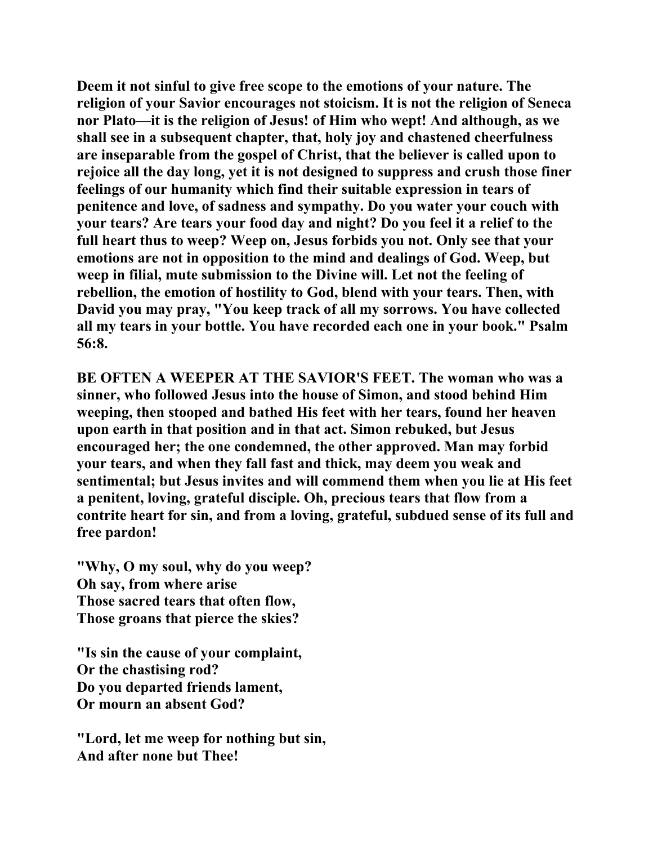**Deem it not sinful to give free scope to the emotions of your nature. The religion of your Savior encourages not stoicism. It is not the religion of Seneca nor Plato—it is the religion of Jesus! of Him who wept! And although, as we shall see in a subsequent chapter, that, holy joy and chastened cheerfulness are inseparable from the gospel of Christ, that the believer is called upon to rejoice all the day long, yet it is not designed to suppress and crush those finer feelings of our humanity which find their suitable expression in tears of penitence and love, of sadness and sympathy. Do you water your couch with your tears? Are tears your food day and night? Do you feel it a relief to the full heart thus to weep? Weep on, Jesus forbids you not. Only see that your emotions are not in opposition to the mind and dealings of God. Weep, but weep in filial, mute submission to the Divine will. Let not the feeling of rebellion, the emotion of hostility to God, blend with your tears. Then, with David you may pray, "You keep track of all my sorrows. You have collected all my tears in your bottle. You have recorded each one in your book." Psalm 56:8.** 

**BE OFTEN A WEEPER AT THE SAVIOR'S FEET. The woman who was a sinner, who followed Jesus into the house of Simon, and stood behind Him weeping, then stooped and bathed His feet with her tears, found her heaven upon earth in that position and in that act. Simon rebuked, but Jesus encouraged her; the one condemned, the other approved. Man may forbid your tears, and when they fall fast and thick, may deem you weak and sentimental; but Jesus invites and will commend them when you lie at His feet a penitent, loving, grateful disciple. Oh, precious tears that flow from a contrite heart for sin, and from a loving, grateful, subdued sense of its full and free pardon!** 

**"Why, O my soul, why do you weep? Oh say, from where arise Those sacred tears that often flow, Those groans that pierce the skies?** 

**"Is sin the cause of your complaint, Or the chastising rod? Do you departed friends lament, Or mourn an absent God?** 

**"Lord, let me weep for nothing but sin, And after none but Thee!**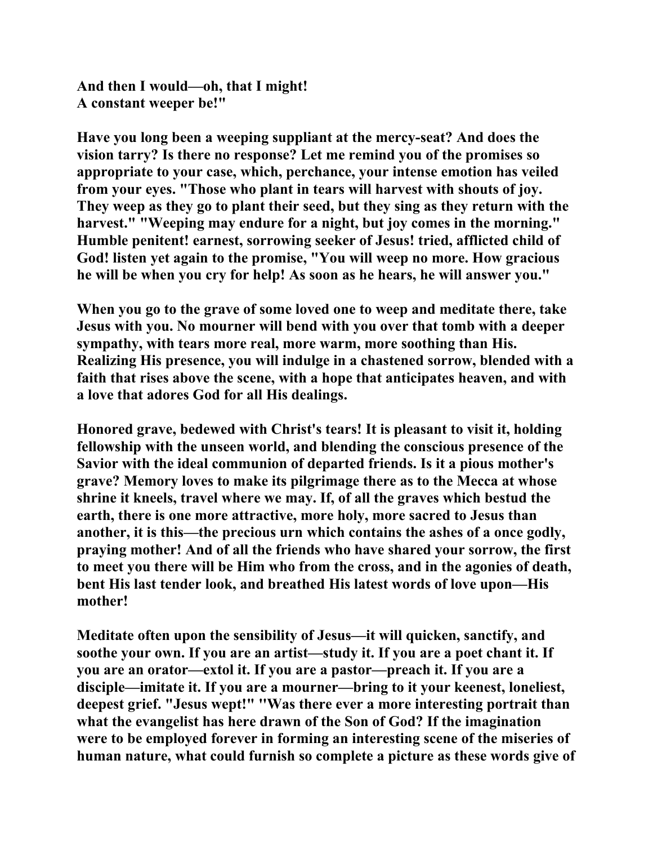**And then I would—oh, that I might! A constant weeper be!"** 

**Have you long been a weeping suppliant at the mercy-seat? And does the vision tarry? Is there no response? Let me remind you of the promises so appropriate to your case, which, perchance, your intense emotion has veiled from your eyes. "Those who plant in tears will harvest with shouts of joy. They weep as they go to plant their seed, but they sing as they return with the harvest." "Weeping may endure for a night, but joy comes in the morning." Humble penitent! earnest, sorrowing seeker of Jesus! tried, afflicted child of God! listen yet again to the promise, "You will weep no more. How gracious he will be when you cry for help! As soon as he hears, he will answer you."** 

**When you go to the grave of some loved one to weep and meditate there, take Jesus with you. No mourner will bend with you over that tomb with a deeper sympathy, with tears more real, more warm, more soothing than His. Realizing His presence, you will indulge in a chastened sorrow, blended with a faith that rises above the scene, with a hope that anticipates heaven, and with a love that adores God for all His dealings.** 

**Honored grave, bedewed with Christ's tears! It is pleasant to visit it, holding fellowship with the unseen world, and blending the conscious presence of the Savior with the ideal communion of departed friends. Is it a pious mother's grave? Memory loves to make its pilgrimage there as to the Mecca at whose shrine it kneels, travel where we may. If, of all the graves which bestud the earth, there is one more attractive, more holy, more sacred to Jesus than another, it is this—the precious urn which contains the ashes of a once godly, praying mother! And of all the friends who have shared your sorrow, the first to meet you there will be Him who from the cross, and in the agonies of death, bent His last tender look, and breathed His latest words of love upon—His mother!** 

**Meditate often upon the sensibility of Jesus—it will quicken, sanctify, and soothe your own. If you are an artist—study it. If you are a poet chant it. If you are an orator—extol it. If you are a pastor—preach it. If you are a disciple—imitate it. If you are a mourner—bring to it your keenest, loneliest, deepest grief. "Jesus wept!" ''Was there ever a more interesting portrait than what the evangelist has here drawn of the Son of God? If the imagination were to be employed forever in forming an interesting scene of the miseries of human nature, what could furnish so complete a picture as these words give of**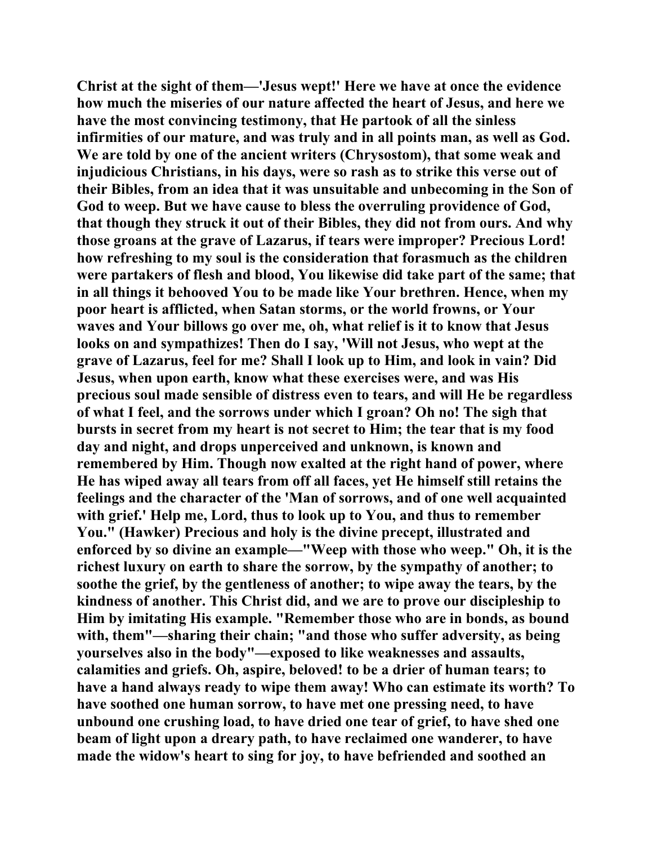**Christ at the sight of them—'Jesus wept!' Here we have at once the evidence how much the miseries of our nature affected the heart of Jesus, and here we have the most convincing testimony, that He partook of all the sinless infirmities of our mature, and was truly and in all points man, as well as God. We are told by one of the ancient writers (Chrysostom), that some weak and injudicious Christians, in his days, were so rash as to strike this verse out of their Bibles, from an idea that it was unsuitable and unbecoming in the Son of God to weep. But we have cause to bless the overruling providence of God, that though they struck it out of their Bibles, they did not from ours. And why those groans at the grave of Lazarus, if tears were improper? Precious Lord! how refreshing to my soul is the consideration that forasmuch as the children were partakers of flesh and blood, You likewise did take part of the same; that in all things it behooved You to be made like Your brethren. Hence, when my poor heart is afflicted, when Satan storms, or the world frowns, or Your waves and Your billows go over me, oh, what relief is it to know that Jesus looks on and sympathizes! Then do I say, 'Will not Jesus, who wept at the grave of Lazarus, feel for me? Shall I look up to Him, and look in vain? Did Jesus, when upon earth, know what these exercises were, and was His precious soul made sensible of distress even to tears, and will He be regardless of what I feel, and the sorrows under which I groan? Oh no! The sigh that bursts in secret from my heart is not secret to Him; the tear that is my food day and night, and drops unperceived and unknown, is known and remembered by Him. Though now exalted at the right hand of power, where He has wiped away all tears from off all faces, yet He himself still retains the feelings and the character of the 'Man of sorrows, and of one well acquainted with grief.' Help me, Lord, thus to look up to You, and thus to remember You." (Hawker) Precious and holy is the divine precept, illustrated and enforced by so divine an example—"Weep with those who weep." Oh, it is the richest luxury on earth to share the sorrow, by the sympathy of another; to soothe the grief, by the gentleness of another; to wipe away the tears, by the kindness of another. This Christ did, and we are to prove our discipleship to Him by imitating His example. "Remember those who are in bonds, as bound with, them"—sharing their chain; "and those who suffer adversity, as being yourselves also in the body"—exposed to like weaknesses and assaults, calamities and griefs. Oh, aspire, beloved! to be a drier of human tears; to have a hand always ready to wipe them away! Who can estimate its worth? To have soothed one human sorrow, to have met one pressing need, to have unbound one crushing load, to have dried one tear of grief, to have shed one beam of light upon a dreary path, to have reclaimed one wanderer, to have made the widow's heart to sing for joy, to have befriended and soothed an**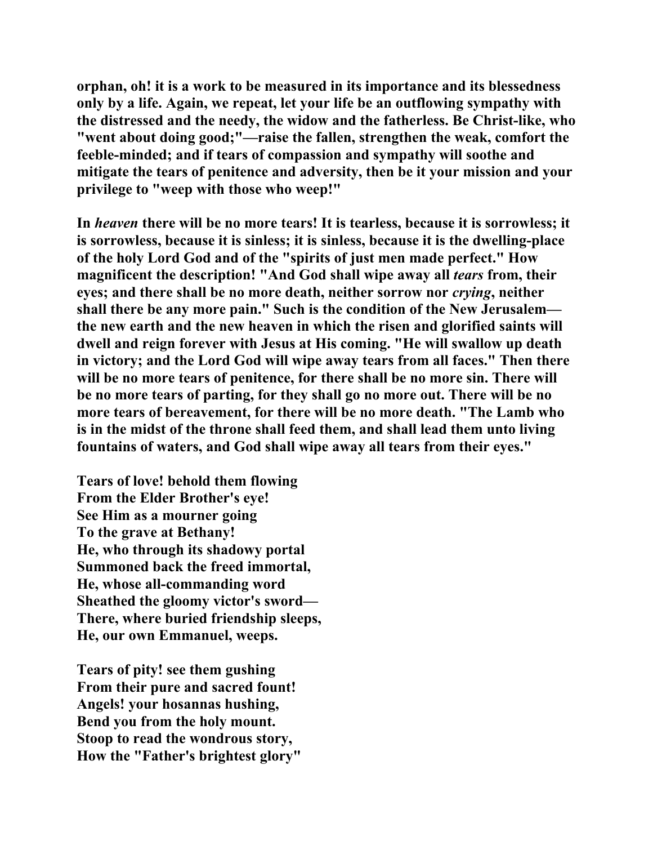**orphan, oh! it is a work to be measured in its importance and its blessedness only by a life. Again, we repeat, let your life be an outflowing sympathy with the distressed and the needy, the widow and the fatherless. Be Christ-like, who "went about doing good;"—raise the fallen, strengthen the weak, comfort the feeble-minded; and if tears of compassion and sympathy will soothe and mitigate the tears of penitence and adversity, then be it your mission and your privilege to "weep with those who weep!"** 

**In** *heaven* **there will be no more tears! It is tearless, because it is sorrowless; it is sorrowless, because it is sinless; it is sinless, because it is the dwelling-place of the holy Lord God and of the "spirits of just men made perfect." How magnificent the description! "And God shall wipe away all** *tears* **from, their eyes; and there shall be no more death, neither sorrow nor** *crying***, neither shall there be any more pain." Such is the condition of the New Jerusalem the new earth and the new heaven in which the risen and glorified saints will dwell and reign forever with Jesus at His coming. "He will swallow up death in victory; and the Lord God will wipe away tears from all faces." Then there**  will be no more tears of penitence, for there shall be no more sin. There will **be no more tears of parting, for they shall go no more out. There will be no more tears of bereavement, for there will be no more death. "The Lamb who is in the midst of the throne shall feed them, and shall lead them unto living fountains of waters, and God shall wipe away all tears from their eyes."** 

**Tears of love! behold them flowing From the Elder Brother's eye! See Him as a mourner going To the grave at Bethany! He, who through its shadowy portal Summoned back the freed immortal, He, whose all-commanding word Sheathed the gloomy victor's sword— There, where buried friendship sleeps, He, our own Emmanuel, weeps.** 

**Tears of pity! see them gushing From their pure and sacred fount! Angels! your hosannas hushing, Bend you from the holy mount. Stoop to read the wondrous story, How the "Father's brightest glory"**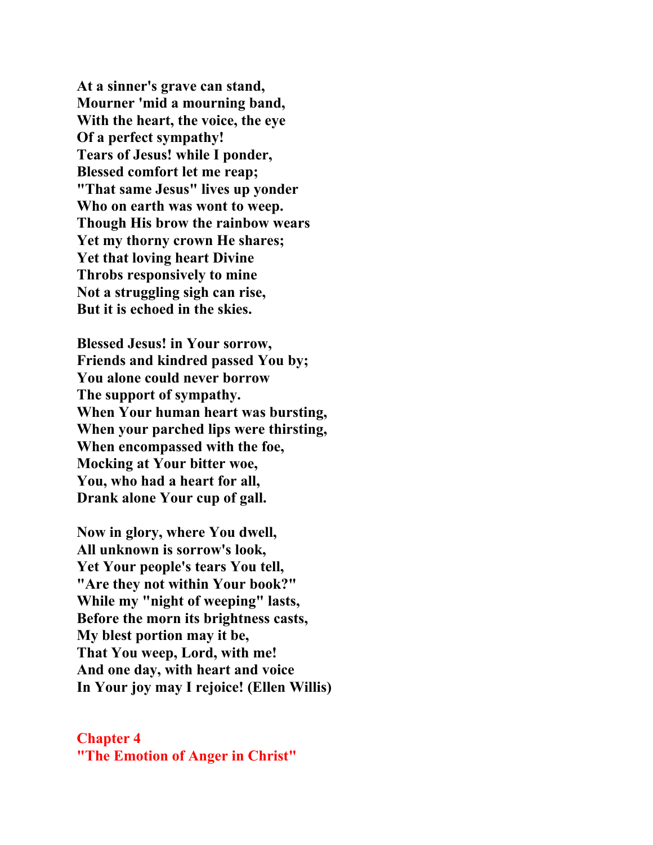**At a sinner's grave can stand, Mourner 'mid a mourning band, With the heart, the voice, the eye Of a perfect sympathy! Tears of Jesus! while I ponder, Blessed comfort let me reap; "That same Jesus" lives up yonder Who on earth was wont to weep. Though His brow the rainbow wears Yet my thorny crown He shares; Yet that loving heart Divine Throbs responsively to mine Not a struggling sigh can rise, But it is echoed in the skies.** 

**Blessed Jesus! in Your sorrow, Friends and kindred passed You by; You alone could never borrow The support of sympathy. When Your human heart was bursting, When your parched lips were thirsting, When encompassed with the foe, Mocking at Your bitter woe, You, who had a heart for all, Drank alone Your cup of gall.** 

**Now in glory, where You dwell, All unknown is sorrow's look, Yet Your people's tears You tell, "Are they not within Your book?" While my "night of weeping" lasts, Before the morn its brightness casts, My blest portion may it be, That You weep, Lord, with me! And one day, with heart and voice In Your joy may I rejoice! (Ellen Willis)** 

## **Chapter 4 "The Emotion of Anger in Christ"**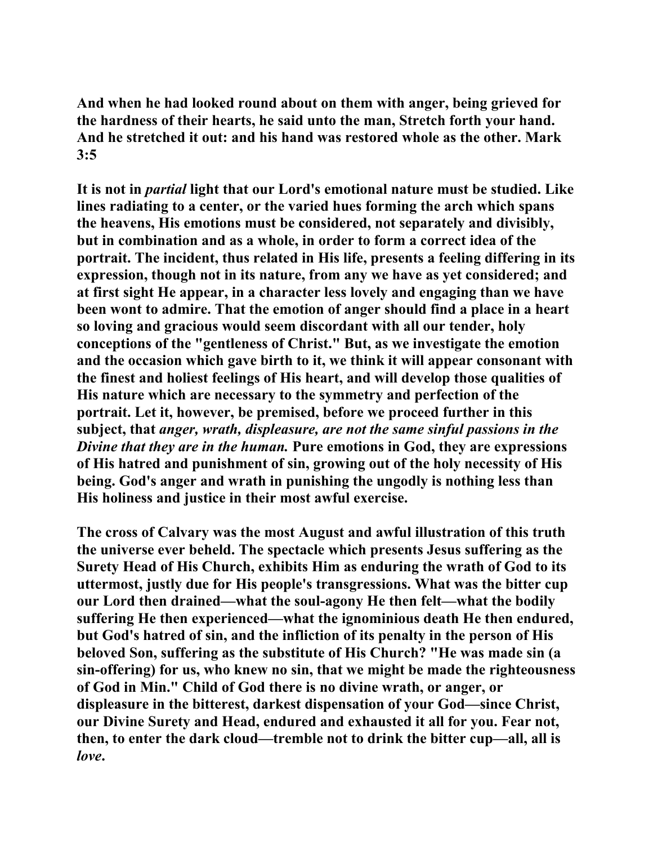**And when he had looked round about on them with anger, being grieved for the hardness of their hearts, he said unto the man, Stretch forth your hand. And he stretched it out: and his hand was restored whole as the other. Mark 3:5** 

**It is not in** *partial* **light that our Lord's emotional nature must be studied. Like lines radiating to a center, or the varied hues forming the arch which spans the heavens, His emotions must be considered, not separately and divisibly, but in combination and as a whole, in order to form a correct idea of the portrait. The incident, thus related in His life, presents a feeling differing in its expression, though not in its nature, from any we have as yet considered; and at first sight He appear, in a character less lovely and engaging than we have been wont to admire. That the emotion of anger should find a place in a heart so loving and gracious would seem discordant with all our tender, holy conceptions of the "gentleness of Christ." But, as we investigate the emotion and the occasion which gave birth to it, we think it will appear consonant with the finest and holiest feelings of His heart, and will develop those qualities of His nature which are necessary to the symmetry and perfection of the portrait. Let it, however, be premised, before we proceed further in this subject, that** *anger, wrath, displeasure, are not the same sinful passions in the Divine that they are in the human.* **Pure emotions in God, they are expressions of His hatred and punishment of sin, growing out of the holy necessity of His being. God's anger and wrath in punishing the ungodly is nothing less than His holiness and justice in their most awful exercise.** 

**The cross of Calvary was the most August and awful illustration of this truth the universe ever beheld. The spectacle which presents Jesus suffering as the Surety Head of His Church, exhibits Him as enduring the wrath of God to its uttermost, justly due for His people's transgressions. What was the bitter cup our Lord then drained—what the soul-agony He then felt—what the bodily suffering He then experienced—what the ignominious death He then endured, but God's hatred of sin, and the infliction of its penalty in the person of His beloved Son, suffering as the substitute of His Church? "He was made sin (a sin-offering) for us, who knew no sin, that we might be made the righteousness of God in Min." Child of God there is no divine wrath, or anger, or displeasure in the bitterest, darkest dispensation of your God—since Christ, our Divine Surety and Head, endured and exhausted it all for you. Fear not, then, to enter the dark cloud—tremble not to drink the bitter cup—all, all is**  *love***.**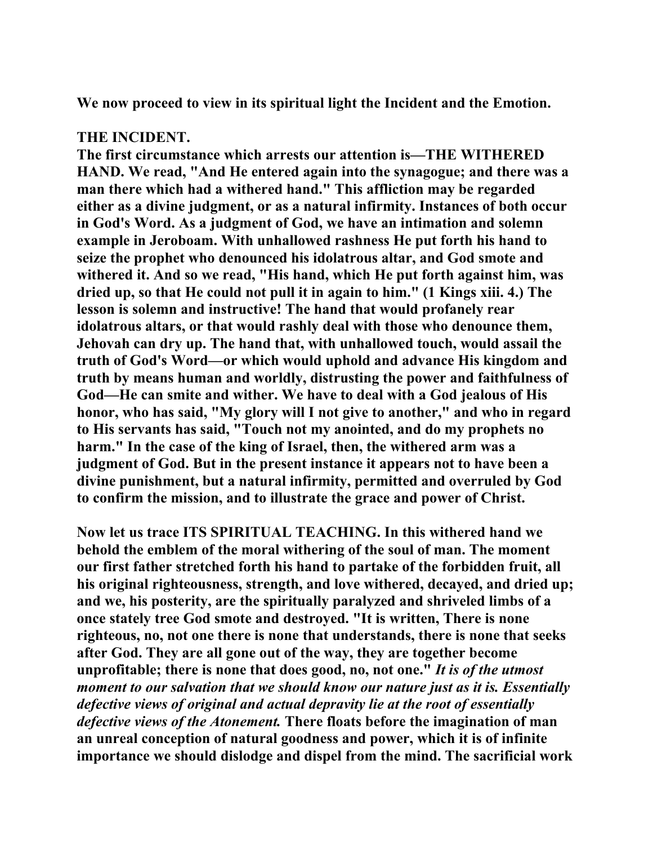**We now proceed to view in its spiritual light the Incident and the Emotion.** 

## **THE INCIDENT.**

**The first circumstance which arrests our attention is—THE WITHERED HAND. We read, "And He entered again into the synagogue; and there was a man there which had a withered hand." This affliction may be regarded either as a divine judgment, or as a natural infirmity. Instances of both occur in God's Word. As a judgment of God, we have an intimation and solemn example in Jeroboam. With unhallowed rashness He put forth his hand to seize the prophet who denounced his idolatrous altar, and God smote and withered it. And so we read, "His hand, which He put forth against him, was dried up, so that He could not pull it in again to him." (1 Kings xiii. 4.) The lesson is solemn and instructive! The hand that would profanely rear idolatrous altars, or that would rashly deal with those who denounce them, Jehovah can dry up. The hand that, with unhallowed touch, would assail the truth of God's Word—or which would uphold and advance His kingdom and truth by means human and worldly, distrusting the power and faithfulness of God—He can smite and wither. We have to deal with a God jealous of His honor, who has said, "My glory will I not give to another," and who in regard to His servants has said, "Touch not my anointed, and do my prophets no harm." In the case of the king of Israel, then, the withered arm was a judgment of God. But in the present instance it appears not to have been a divine punishment, but a natural infirmity, permitted and overruled by God to confirm the mission, and to illustrate the grace and power of Christ.** 

**Now let us trace ITS SPIRITUAL TEACHING. In this withered hand we behold the emblem of the moral withering of the soul of man. The moment our first father stretched forth his hand to partake of the forbidden fruit, all his original righteousness, strength, and love withered, decayed, and dried up; and we, his posterity, are the spiritually paralyzed and shriveled limbs of a once stately tree God smote and destroyed. "It is written, There is none righteous, no, not one there is none that understands, there is none that seeks after God. They are all gone out of the way, they are together become unprofitable; there is none that does good, no, not one."** *It is of the utmost moment to our salvation that we should know our nature just as it is. Essentially defective views of original and actual depravity lie at the root of essentially defective views of the Atonement.* **There floats before the imagination of man an unreal conception of natural goodness and power, which it is of infinite importance we should dislodge and dispel from the mind. The sacrificial work**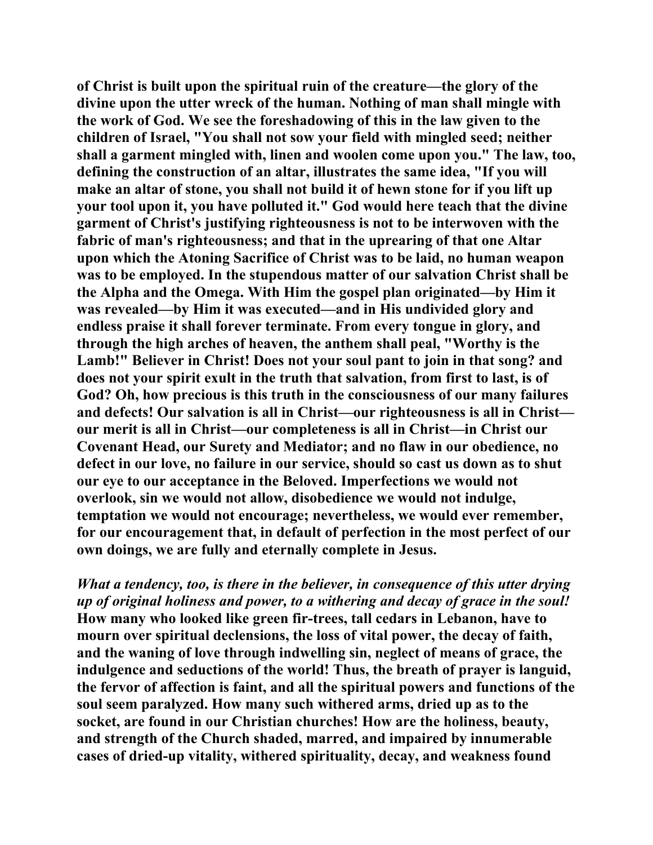**of Christ is built upon the spiritual ruin of the creature—the glory of the divine upon the utter wreck of the human. Nothing of man shall mingle with the work of God. We see the foreshadowing of this in the law given to the children of Israel, "You shall not sow your field with mingled seed; neither shall a garment mingled with, linen and woolen come upon you." The law, too, defining the construction of an altar, illustrates the same idea, "If you will make an altar of stone, you shall not build it of hewn stone for if you lift up your tool upon it, you have polluted it." God would here teach that the divine garment of Christ's justifying righteousness is not to be interwoven with the fabric of man's righteousness; and that in the uprearing of that one Altar upon which the Atoning Sacrifice of Christ was to be laid, no human weapon was to be employed. In the stupendous matter of our salvation Christ shall be the Alpha and the Omega. With Him the gospel plan originated—by Him it was revealed—by Him it was executed—and in His undivided glory and endless praise it shall forever terminate. From every tongue in glory, and through the high arches of heaven, the anthem shall peal, "Worthy is the Lamb!" Believer in Christ! Does not your soul pant to join in that song? and does not your spirit exult in the truth that salvation, from first to last, is of God? Oh, how precious is this truth in the consciousness of our many failures and defects! Our salvation is all in Christ—our righteousness is all in Christ our merit is all in Christ—our completeness is all in Christ—in Christ our Covenant Head, our Surety and Mediator; and no flaw in our obedience, no defect in our love, no failure in our service, should so cast us down as to shut our eye to our acceptance in the Beloved. Imperfections we would not overlook, sin we would not allow, disobedience we would not indulge, temptation we would not encourage; nevertheless, we would ever remember, for our encouragement that, in default of perfection in the most perfect of our own doings, we are fully and eternally complete in Jesus.** 

*What a tendency, too, is there in the believer, in consequence of this utter drying up of original holiness and power, to a withering and decay of grace in the soul!* **How many who looked like green fir-trees, tall cedars in Lebanon, have to mourn over spiritual declensions, the loss of vital power, the decay of faith, and the waning of love through indwelling sin, neglect of means of grace, the indulgence and seductions of the world! Thus, the breath of prayer is languid, the fervor of affection is faint, and all the spiritual powers and functions of the soul seem paralyzed. How many such withered arms, dried up as to the socket, are found in our Christian churches! How are the holiness, beauty, and strength of the Church shaded, marred, and impaired by innumerable cases of dried-up vitality, withered spirituality, decay, and weakness found**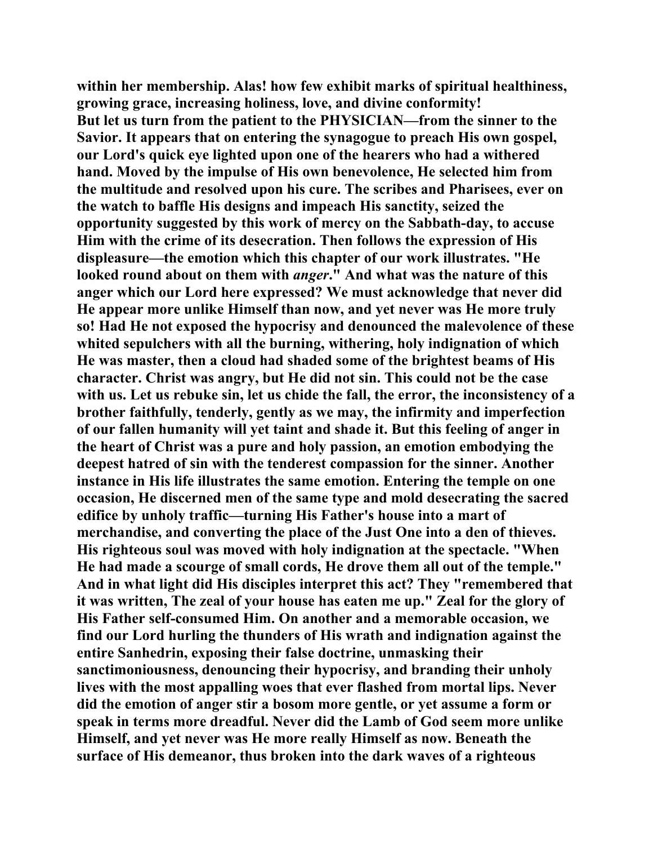**within her membership. Alas! how few exhibit marks of spiritual healthiness, growing grace, increasing holiness, love, and divine conformity! But let us turn from the patient to the PHYSICIAN—from the sinner to the Savior. It appears that on entering the synagogue to preach His own gospel, our Lord's quick eye lighted upon one of the hearers who had a withered hand. Moved by the impulse of His own benevolence, He selected him from the multitude and resolved upon his cure. The scribes and Pharisees, ever on the watch to baffle His designs and impeach His sanctity, seized the opportunity suggested by this work of mercy on the Sabbath-day, to accuse Him with the crime of its desecration. Then follows the expression of His displeasure—the emotion which this chapter of our work illustrates. "He looked round about on them with** *anger***." And what was the nature of this anger which our Lord here expressed? We must acknowledge that never did He appear more unlike Himself than now, and yet never was He more truly so! Had He not exposed the hypocrisy and denounced the malevolence of these whited sepulchers with all the burning, withering, holy indignation of which He was master, then a cloud had shaded some of the brightest beams of His character. Christ was angry, but He did not sin. This could not be the case with us. Let us rebuke sin, let us chide the fall, the error, the inconsistency of a brother faithfully, tenderly, gently as we may, the infirmity and imperfection of our fallen humanity will yet taint and shade it. But this feeling of anger in the heart of Christ was a pure and holy passion, an emotion embodying the deepest hatred of sin with the tenderest compassion for the sinner. Another instance in His life illustrates the same emotion. Entering the temple on one occasion, He discerned men of the same type and mold desecrating the sacred edifice by unholy traffic—turning His Father's house into a mart of merchandise, and converting the place of the Just One into a den of thieves. His righteous soul was moved with holy indignation at the spectacle. "When He had made a scourge of small cords, He drove them all out of the temple." And in what light did His disciples interpret this act? They "remembered that it was written, The zeal of your house has eaten me up." Zeal for the glory of His Father self-consumed Him. On another and a memorable occasion, we find our Lord hurling the thunders of His wrath and indignation against the entire Sanhedrin, exposing their false doctrine, unmasking their sanctimoniousness, denouncing their hypocrisy, and branding their unholy lives with the most appalling woes that ever flashed from mortal lips. Never did the emotion of anger stir a bosom more gentle, or yet assume a form or speak in terms more dreadful. Never did the Lamb of God seem more unlike Himself, and yet never was He more really Himself as now. Beneath the surface of His demeanor, thus broken into the dark waves of a righteous**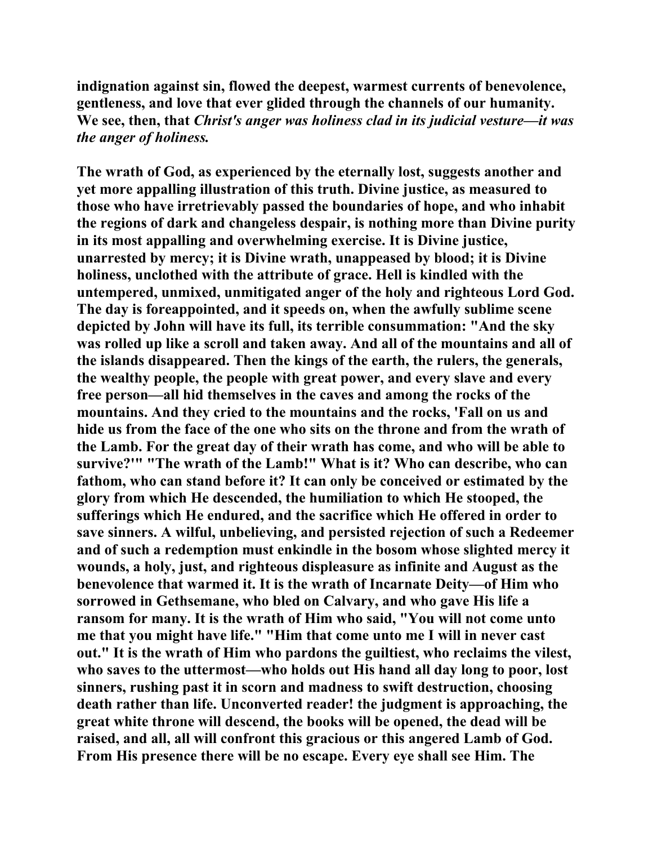**indignation against sin, flowed the deepest, warmest currents of benevolence, gentleness, and love that ever glided through the channels of our humanity. We see, then, that** *Christ's anger was holiness clad in its judicial vesture—it was the anger of holiness.*

**The wrath of God, as experienced by the eternally lost, suggests another and yet more appalling illustration of this truth. Divine justice, as measured to those who have irretrievably passed the boundaries of hope, and who inhabit the regions of dark and changeless despair, is nothing more than Divine purity in its most appalling and overwhelming exercise. It is Divine justice, unarrested by mercy; it is Divine wrath, unappeased by blood; it is Divine holiness, unclothed with the attribute of grace. Hell is kindled with the untempered, unmixed, unmitigated anger of the holy and righteous Lord God. The day is foreappointed, and it speeds on, when the awfully sublime scene depicted by John will have its full, its terrible consummation: "And the sky was rolled up like a scroll and taken away. And all of the mountains and all of the islands disappeared. Then the kings of the earth, the rulers, the generals, the wealthy people, the people with great power, and every slave and every free person—all hid themselves in the caves and among the rocks of the mountains. And they cried to the mountains and the rocks, 'Fall on us and hide us from the face of the one who sits on the throne and from the wrath of the Lamb. For the great day of their wrath has come, and who will be able to survive?'" "The wrath of the Lamb!" What is it? Who can describe, who can fathom, who can stand before it? It can only be conceived or estimated by the glory from which He descended, the humiliation to which He stooped, the sufferings which He endured, and the sacrifice which He offered in order to save sinners. A wilful, unbelieving, and persisted rejection of such a Redeemer and of such a redemption must enkindle in the bosom whose slighted mercy it wounds, a holy, just, and righteous displeasure as infinite and August as the benevolence that warmed it. It is the wrath of Incarnate Deity—of Him who sorrowed in Gethsemane, who bled on Calvary, and who gave His life a ransom for many. It is the wrath of Him who said, "You will not come unto me that you might have life." "Him that come unto me I will in never cast out." It is the wrath of Him who pardons the guiltiest, who reclaims the vilest, who saves to the uttermost—who holds out His hand all day long to poor, lost sinners, rushing past it in scorn and madness to swift destruction, choosing death rather than life. Unconverted reader! the judgment is approaching, the great white throne will descend, the books will be opened, the dead will be raised, and all, all will confront this gracious or this angered Lamb of God. From His presence there will be no escape. Every eye shall see Him. The**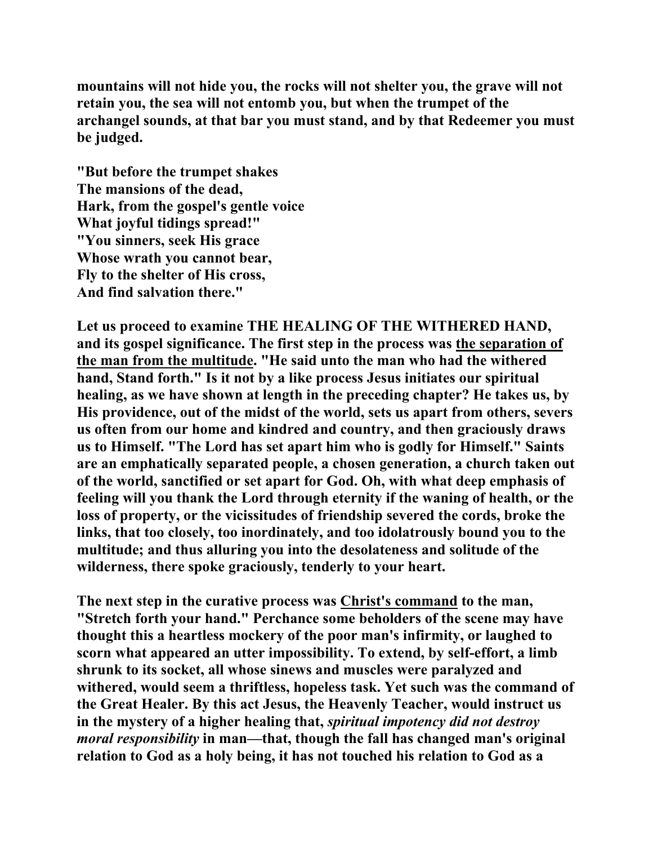**mountains will not hide you, the rocks will not shelter you, the grave will not retain you, the sea will not entomb you, but when the trumpet of the archangel sounds, at that bar you must stand, and by that Redeemer you must be judged.** 

**"But before the trumpet shakes The mansions of the dead, Hark, from the gospel's gentle voice What joyful tidings spread!" "You sinners, seek His grace Whose wrath you cannot bear, Fly to the shelter of His cross, And find salvation there."** 

**Let us proceed to examine THE HEALING OF THE WITHERED HAND, and its gospel significance. The first step in the process was the separation of the man from the multitude. "He said unto the man who had the withered hand, Stand forth." Is it not by a like process Jesus initiates our spiritual healing, as we have shown at length in the preceding chapter? He takes us, by His providence, out of the midst of the world, sets us apart from others, severs us often from our home and kindred and country, and then graciously draws us to Himself. "The Lord has set apart him who is godly for Himself." Saints are an emphatically separated people, a chosen generation, a church taken out of the world, sanctified or set apart for God. Oh, with what deep emphasis of feeling will you thank the Lord through eternity if the waning of health, or the loss of property, or the vicissitudes of friendship severed the cords, broke the links, that too closely, too inordinately, and too idolatrously bound you to the multitude; and thus alluring you into the desolateness and solitude of the wilderness, there spoke graciously, tenderly to your heart.** 

**The next step in the curative process was Christ's command to the man, "Stretch forth your hand." Perchance some beholders of the scene may have thought this a heartless mockery of the poor man's infirmity, or laughed to scorn what appeared an utter impossibility. To extend, by self-effort, a limb shrunk to its socket, all whose sinews and muscles were paralyzed and withered, would seem a thriftless, hopeless task. Yet such was the command of the Great Healer. By this act Jesus, the Heavenly Teacher, would instruct us in the mystery of a higher healing that,** *spiritual impotency did not destroy moral responsibility* **in man—that, though the fall has changed man's original relation to God as a holy being, it has not touched his relation to God as a**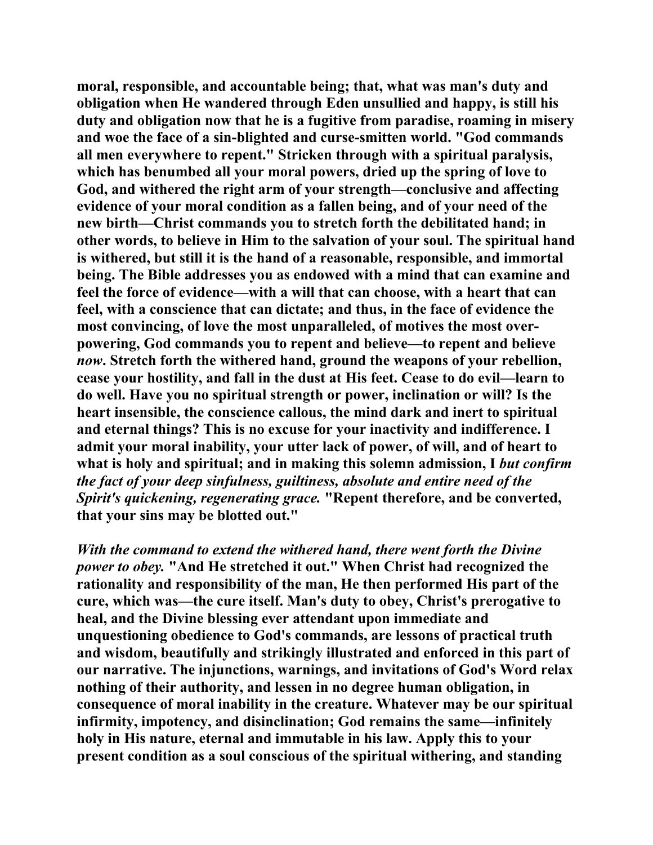**moral, responsible, and accountable being; that, what was man's duty and obligation when He wandered through Eden unsullied and happy, is still his duty and obligation now that he is a fugitive from paradise, roaming in misery and woe the face of a sin-blighted and curse-smitten world. "God commands all men everywhere to repent." Stricken through with a spiritual paralysis, which has benumbed all your moral powers, dried up the spring of love to God, and withered the right arm of your strength—conclusive and affecting evidence of your moral condition as a fallen being, and of your need of the new birth—Christ commands you to stretch forth the debilitated hand; in other words, to believe in Him to the salvation of your soul. The spiritual hand is withered, but still it is the hand of a reasonable, responsible, and immortal being. The Bible addresses you as endowed with a mind that can examine and feel the force of evidence—with a will that can choose, with a heart that can feel, with a conscience that can dictate; and thus, in the face of evidence the most convincing, of love the most unparalleled, of motives the most overpowering, God commands you to repent and believe—to repent and believe**  *now***. Stretch forth the withered hand, ground the weapons of your rebellion, cease your hostility, and fall in the dust at His feet. Cease to do evil—learn to do well. Have you no spiritual strength or power, inclination or will? Is the heart insensible, the conscience callous, the mind dark and inert to spiritual and eternal things? This is no excuse for your inactivity and indifference. I admit your moral inability, your utter lack of power, of will, and of heart to**  what is holy and spiritual; and in making this solemn admission, I *but confirm the fact of your deep sinfulness, guiltiness, absolute and entire need of the Spirit's quickening, regenerating grace.* **"Repent therefore, and be converted, that your sins may be blotted out."** 

*With the command to extend the withered hand, there went forth the Divine power to obey.* **"And He stretched it out." When Christ had recognized the rationality and responsibility of the man, He then performed His part of the cure, which was—the cure itself. Man's duty to obey, Christ's prerogative to heal, and the Divine blessing ever attendant upon immediate and unquestioning obedience to God's commands, are lessons of practical truth and wisdom, beautifully and strikingly illustrated and enforced in this part of our narrative. The injunctions, warnings, and invitations of God's Word relax nothing of their authority, and lessen in no degree human obligation, in consequence of moral inability in the creature. Whatever may be our spiritual infirmity, impotency, and disinclination; God remains the same—infinitely holy in His nature, eternal and immutable in his law. Apply this to your present condition as a soul conscious of the spiritual withering, and standing**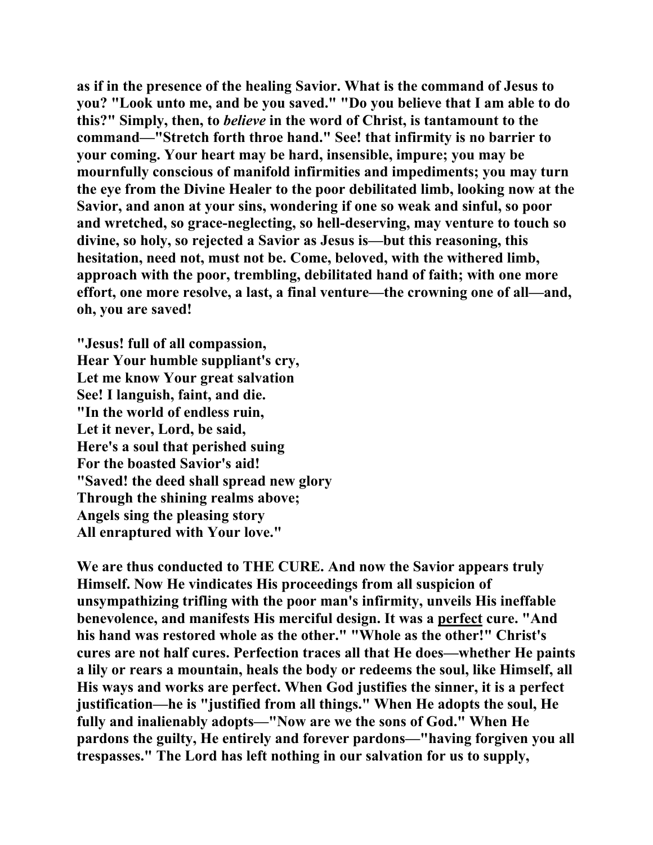**as if in the presence of the healing Savior. What is the command of Jesus to you? "Look unto me, and be you saved." "Do you believe that I am able to do this?" Simply, then, to** *believe* **in the word of Christ, is tantamount to the command—"Stretch forth throe hand." See! that infirmity is no barrier to your coming. Your heart may be hard, insensible, impure; you may be mournfully conscious of manifold infirmities and impediments; you may turn the eye from the Divine Healer to the poor debilitated limb, looking now at the Savior, and anon at your sins, wondering if one so weak and sinful, so poor and wretched, so grace-neglecting, so hell-deserving, may venture to touch so divine, so holy, so rejected a Savior as Jesus is—but this reasoning, this hesitation, need not, must not be. Come, beloved, with the withered limb, approach with the poor, trembling, debilitated hand of faith; with one more effort, one more resolve, a last, a final venture—the crowning one of all—and, oh, you are saved!** 

**"Jesus! full of all compassion, Hear Your humble suppliant's cry, Let me know Your great salvation See! I languish, faint, and die. "In the world of endless ruin, Let it never, Lord, be said, Here's a soul that perished suing For the boasted Savior's aid! "Saved! the deed shall spread new glory Through the shining realms above; Angels sing the pleasing story All enraptured with Your love."** 

**We are thus conducted to THE CURE. And now the Savior appears truly Himself. Now He vindicates His proceedings from all suspicion of unsympathizing trifling with the poor man's infirmity, unveils His ineffable benevolence, and manifests His merciful design. It was a perfect cure. "And his hand was restored whole as the other." "Whole as the other!" Christ's cures are not half cures. Perfection traces all that He does—whether He paints a lily or rears a mountain, heals the body or redeems the soul, like Himself, all His ways and works are perfect. When God justifies the sinner, it is a perfect justification—he is "justified from all things." When He adopts the soul, He fully and inalienably adopts—"Now are we the sons of God." When He pardons the guilty, He entirely and forever pardons—"having forgiven you all trespasses." The Lord has left nothing in our salvation for us to supply,**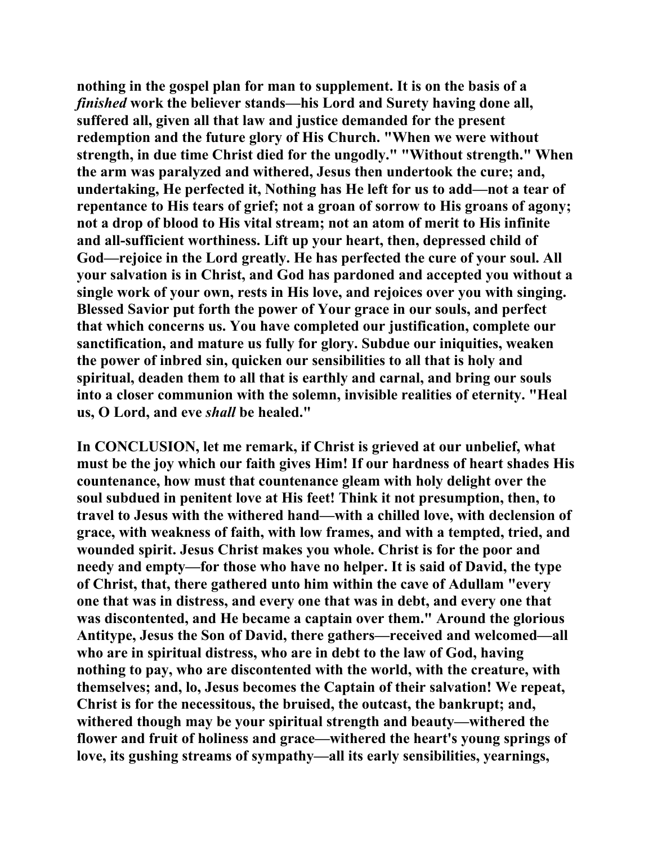**nothing in the gospel plan for man to supplement. It is on the basis of a**  *finished* **work the believer stands—his Lord and Surety having done all, suffered all, given all that law and justice demanded for the present redemption and the future glory of His Church. "When we were without strength, in due time Christ died for the ungodly." "Without strength." When the arm was paralyzed and withered, Jesus then undertook the cure; and, undertaking, He perfected it, Nothing has He left for us to add—not a tear of repentance to His tears of grief; not a groan of sorrow to His groans of agony; not a drop of blood to His vital stream; not an atom of merit to His infinite and all-sufficient worthiness. Lift up your heart, then, depressed child of God—rejoice in the Lord greatly. He has perfected the cure of your soul. All your salvation is in Christ, and God has pardoned and accepted you without a single work of your own, rests in His love, and rejoices over you with singing. Blessed Savior put forth the power of Your grace in our souls, and perfect that which concerns us. You have completed our justification, complete our sanctification, and mature us fully for glory. Subdue our iniquities, weaken the power of inbred sin, quicken our sensibilities to all that is holy and spiritual, deaden them to all that is earthly and carnal, and bring our souls into a closer communion with the solemn, invisible realities of eternity. "Heal us, O Lord, and eve** *shall* **be healed."** 

**In CONCLUSION, let me remark, if Christ is grieved at our unbelief, what must be the joy which our faith gives Him! If our hardness of heart shades His countenance, how must that countenance gleam with holy delight over the soul subdued in penitent love at His feet! Think it not presumption, then, to travel to Jesus with the withered hand—with a chilled love, with declension of grace, with weakness of faith, with low frames, and with a tempted, tried, and wounded spirit. Jesus Christ makes you whole. Christ is for the poor and needy and empty—for those who have no helper. It is said of David, the type of Christ, that, there gathered unto him within the cave of Adullam "every one that was in distress, and every one that was in debt, and every one that was discontented, and He became a captain over them." Around the glorious Antitype, Jesus the Son of David, there gathers—received and welcomed—all who are in spiritual distress, who are in debt to the law of God, having nothing to pay, who are discontented with the world, with the creature, with themselves; and, lo, Jesus becomes the Captain of their salvation! We repeat, Christ is for the necessitous, the bruised, the outcast, the bankrupt; and, withered though may be your spiritual strength and beauty—withered the flower and fruit of holiness and grace—withered the heart's young springs of love, its gushing streams of sympathy—all its early sensibilities, yearnings,**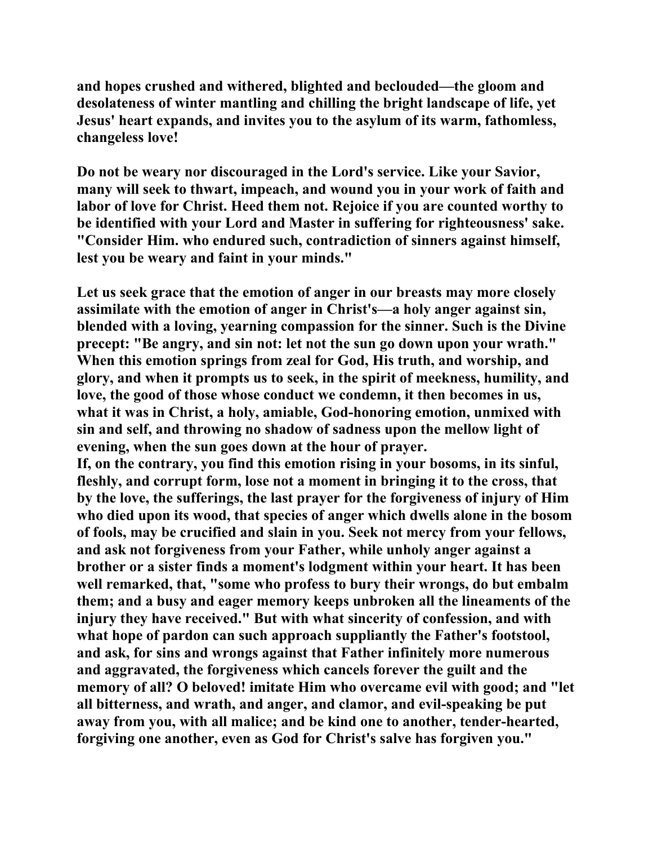**and hopes crushed and withered, blighted and beclouded—the gloom and desolateness of winter mantling and chilling the bright landscape of life, yet Jesus' heart expands, and invites you to the asylum of its warm, fathomless, changeless love!** 

**Do not be weary nor discouraged in the Lord's service. Like your Savior, many will seek to thwart, impeach, and wound you in your work of faith and labor of love for Christ. Heed them not. Rejoice if you are counted worthy to be identified with your Lord and Master in suffering for righteousness' sake. "Consider Him. who endured such, contradiction of sinners against himself, lest you be weary and faint in your minds."** 

**Let us seek grace that the emotion of anger in our breasts may more closely assimilate with the emotion of anger in Christ's—a holy anger against sin, blended with a loving, yearning compassion for the sinner. Such is the Divine precept: "Be angry, and sin not: let not the sun go down upon your wrath." When this emotion springs from zeal for God, His truth, and worship, and glory, and when it prompts us to seek, in the spirit of meekness, humility, and love, the good of those whose conduct we condemn, it then becomes in us, what it was in Christ, a holy, amiable, God-honoring emotion, unmixed with sin and self, and throwing no shadow of sadness upon the mellow light of evening, when the sun goes down at the hour of prayer.** 

**If, on the contrary, you find this emotion rising in your bosoms, in its sinful, fleshly, and corrupt form, lose not a moment in bringing it to the cross, that by the love, the sufferings, the last prayer for the forgiveness of injury of Him who died upon its wood, that species of anger which dwells alone in the bosom of fools, may be crucified and slain in you. Seek not mercy from your fellows, and ask not forgiveness from your Father, while unholy anger against a brother or a sister finds a moment's lodgment within your heart. It has been well remarked, that, "some who profess to bury their wrongs, do but embalm them; and a busy and eager memory keeps unbroken all the lineaments of the injury they have received." But with what sincerity of confession, and with what hope of pardon can such approach suppliantly the Father's footstool, and ask, for sins and wrongs against that Father infinitely more numerous and aggravated, the forgiveness which cancels forever the guilt and the memory of all? O beloved! imitate Him who overcame evil with good; and "let all bitterness, and wrath, and anger, and clamor, and evil-speaking be put away from you, with all malice; and be kind one to another, tender-hearted, forgiving one another, even as God for Christ's salve has forgiven you."**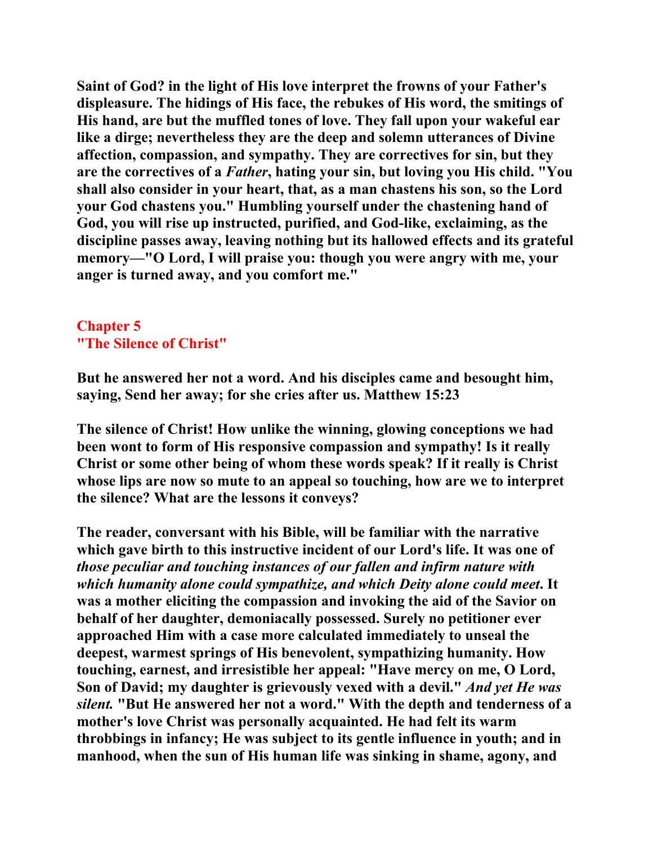**Saint of God? in the light of His love interpret the frowns of your Father's displeasure. The hidings of His face, the rebukes of His word, the smitings of His hand, are but the muffled tones of love. They fall upon your wakeful ear like a dirge; nevertheless they are the deep and solemn utterances of Divine affection, compassion, and sympathy. They are correctives for sin, but they are the correctives of a** *Father***, hating your sin, but loving you His child. "You shall also consider in your heart, that, as a man chastens his son, so the Lord your God chastens you." Humbling yourself under the chastening hand of God, you will rise up instructed, purified, and God-like, exclaiming, as the discipline passes away, leaving nothing but its hallowed effects and its grateful memory—"O Lord, I will praise you: though you were angry with me, your anger is turned away, and you comfort me."** 

## **Chapter 5 "The Silence of Christ"**

**But he answered her not a word. And his disciples came and besought him, saying, Send her away; for she cries after us. Matthew 15:23** 

**The silence of Christ! How unlike the winning, glowing conceptions we had been wont to form of His responsive compassion and sympathy! Is it really Christ or some other being of whom these words speak? If it really is Christ whose lips are now so mute to an appeal so touching, how are we to interpret the silence? What are the lessons it conveys?** 

**The reader, conversant with his Bible, will be familiar with the narrative which gave birth to this instructive incident of our Lord's life. It was one of**  *those peculiar and touching instances of our fallen and infirm nature with which humanity alone could sympathize, and which Deity alone could meet***. It was a mother eliciting the compassion and invoking the aid of the Savior on behalf of her daughter, demoniacally possessed. Surely no petitioner ever approached Him with a case more calculated immediately to unseal the deepest, warmest springs of His benevolent, sympathizing humanity. How touching, earnest, and irresistible her appeal: "Have mercy on me, O Lord, Son of David; my daughter is grievously vexed with a devil."** *And yet He was silent.* **"But He answered her not a word." With the depth and tenderness of a mother's love Christ was personally acquainted. He had felt its warm throbbings in infancy; He was subject to its gentle influence in youth; and in manhood, when the sun of His human life was sinking in shame, agony, and**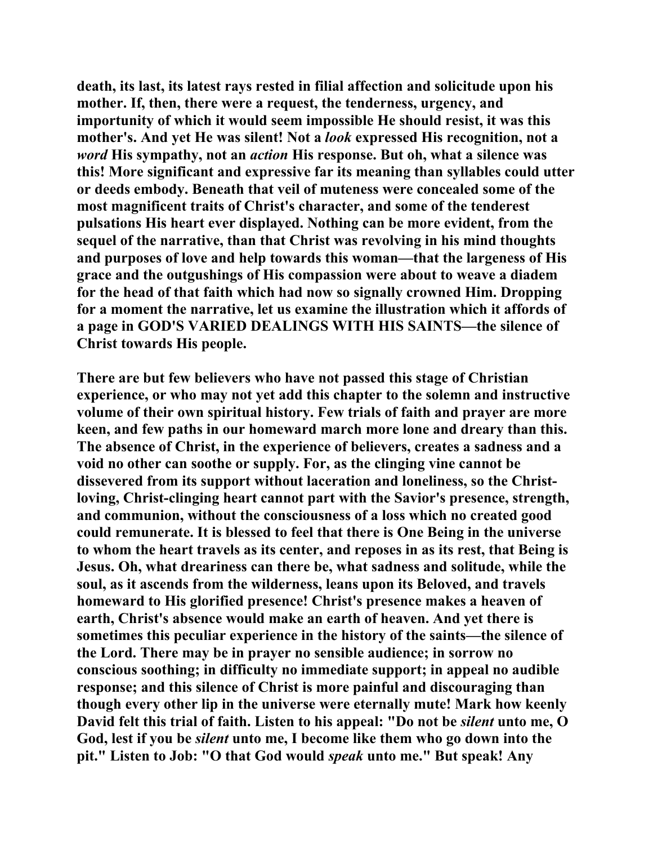**death, its last, its latest rays rested in filial affection and solicitude upon his mother. If, then, there were a request, the tenderness, urgency, and importunity of which it would seem impossible He should resist, it was this mother's. And yet He was silent! Not a** *look* **expressed His recognition, not a**  *word* **His sympathy, not an** *action* **His response. But oh, what a silence was this! More significant and expressive far its meaning than syllables could utter or deeds embody. Beneath that veil of muteness were concealed some of the most magnificent traits of Christ's character, and some of the tenderest pulsations His heart ever displayed. Nothing can be more evident, from the sequel of the narrative, than that Christ was revolving in his mind thoughts and purposes of love and help towards this woman—that the largeness of His grace and the outgushings of His compassion were about to weave a diadem for the head of that faith which had now so signally crowned Him. Dropping for a moment the narrative, let us examine the illustration which it affords of a page in GOD'S VARIED DEALINGS WITH HIS SAINTS—the silence of Christ towards His people.** 

**There are but few believers who have not passed this stage of Christian experience, or who may not yet add this chapter to the solemn and instructive volume of their own spiritual history. Few trials of faith and prayer are more keen, and few paths in our homeward march more lone and dreary than this. The absence of Christ, in the experience of believers, creates a sadness and a void no other can soothe or supply. For, as the clinging vine cannot be dissevered from its support without laceration and loneliness, so the Christloving, Christ-clinging heart cannot part with the Savior's presence, strength, and communion, without the consciousness of a loss which no created good could remunerate. It is blessed to feel that there is One Being in the universe to whom the heart travels as its center, and reposes in as its rest, that Being is Jesus. Oh, what dreariness can there be, what sadness and solitude, while the soul, as it ascends from the wilderness, leans upon its Beloved, and travels homeward to His glorified presence! Christ's presence makes a heaven of earth, Christ's absence would make an earth of heaven. And yet there is sometimes this peculiar experience in the history of the saints—the silence of the Lord. There may be in prayer no sensible audience; in sorrow no conscious soothing; in difficulty no immediate support; in appeal no audible response; and this silence of Christ is more painful and discouraging than though every other lip in the universe were eternally mute! Mark how keenly David felt this trial of faith. Listen to his appeal: "Do not be** *silent* **unto me, O God, lest if you be** *silent* **unto me, I become like them who go down into the pit." Listen to Job: "O that God would** *speak* **unto me." But speak! Any**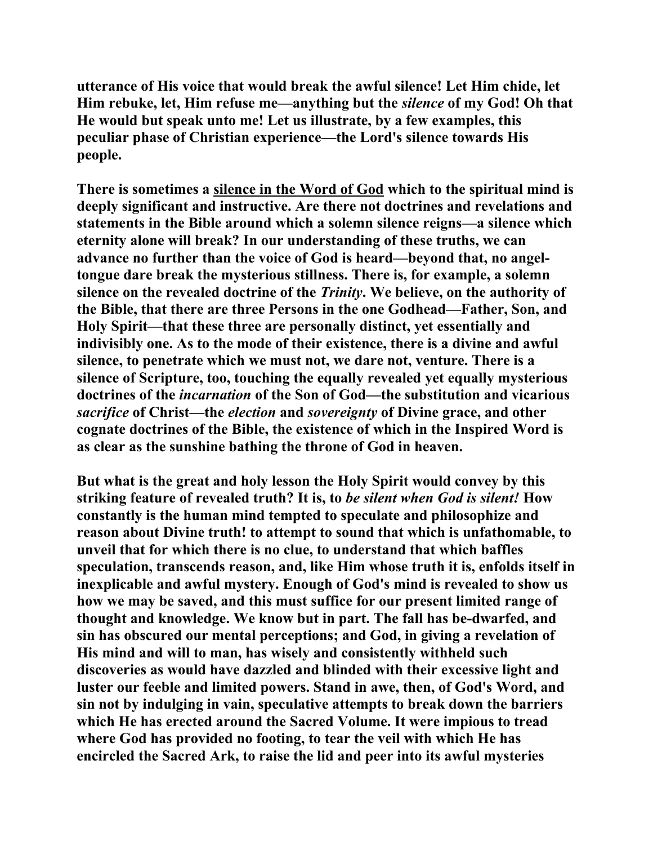**utterance of His voice that would break the awful silence! Let Him chide, let Him rebuke, let, Him refuse me—anything but the** *silence* **of my God! Oh that He would but speak unto me! Let us illustrate, by a few examples, this peculiar phase of Christian experience—the Lord's silence towards His people.** 

**There is sometimes a silence in the Word of God which to the spiritual mind is deeply significant and instructive. Are there not doctrines and revelations and statements in the Bible around which a solemn silence reigns—a silence which eternity alone will break? In our understanding of these truths, we can advance no further than the voice of God is heard—beyond that, no angeltongue dare break the mysterious stillness. There is, for example, a solemn silence on the revealed doctrine of the** *Trinity***. We believe, on the authority of the Bible, that there are three Persons in the one Godhead—Father, Son, and Holy Spirit—that these three are personally distinct, yet essentially and indivisibly one. As to the mode of their existence, there is a divine and awful silence, to penetrate which we must not, we dare not, venture. There is a silence of Scripture, too, touching the equally revealed yet equally mysterious doctrines of the** *incarnation* **of the Son of God—the substitution and vicarious**  *sacrifice* **of Christ—the** *election* **and** *sovereignty* **of Divine grace, and other cognate doctrines of the Bible, the existence of which in the Inspired Word is as clear as the sunshine bathing the throne of God in heaven.** 

**But what is the great and holy lesson the Holy Spirit would convey by this striking feature of revealed truth? It is, to** *be silent when God is silent!* **How constantly is the human mind tempted to speculate and philosophize and reason about Divine truth! to attempt to sound that which is unfathomable, to unveil that for which there is no clue, to understand that which baffles speculation, transcends reason, and, like Him whose truth it is, enfolds itself in inexplicable and awful mystery. Enough of God's mind is revealed to show us how we may be saved, and this must suffice for our present limited range of thought and knowledge. We know but in part. The fall has be-dwarfed, and sin has obscured our mental perceptions; and God, in giving a revelation of His mind and will to man, has wisely and consistently withheld such discoveries as would have dazzled and blinded with their excessive light and luster our feeble and limited powers. Stand in awe, then, of God's Word, and sin not by indulging in vain, speculative attempts to break down the barriers which He has erected around the Sacred Volume. It were impious to tread where God has provided no footing, to tear the veil with which He has encircled the Sacred Ark, to raise the lid and peer into its awful mysteries**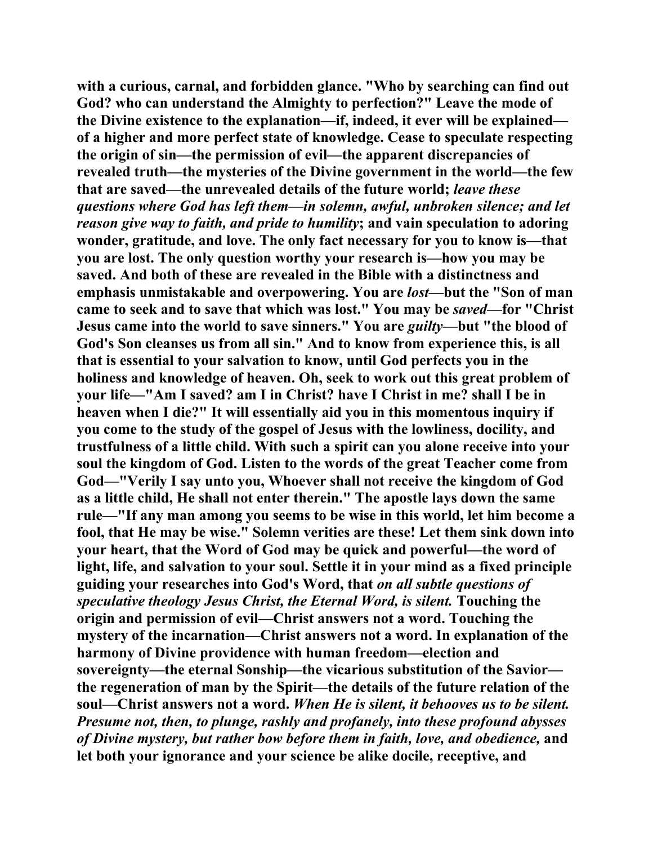**with a curious, carnal, and forbidden glance. "Who by searching can find out God? who can understand the Almighty to perfection?" Leave the mode of the Divine existence to the explanation—if, indeed, it ever will be explained of a higher and more perfect state of knowledge. Cease to speculate respecting the origin of sin—the permission of evil—the apparent discrepancies of revealed truth—the mysteries of the Divine government in the world—the few that are saved—the unrevealed details of the future world;** *leave these questions where God has left them—in solemn, awful, unbroken silence; and let reason give way to faith, and pride to humility***; and vain speculation to adoring wonder, gratitude, and love. The only fact necessary for you to know is—that you are lost. The only question worthy your research is—how you may be saved. And both of these are revealed in the Bible with a distinctness and emphasis unmistakable and overpowering. You are** *lost***—but the "Son of man came to seek and to save that which was lost." You may be** *saved***—for "Christ Jesus came into the world to save sinners." You are** *guilty***—but "the blood of God's Son cleanses us from all sin." And to know from experience this, is all that is essential to your salvation to know, until God perfects you in the holiness and knowledge of heaven. Oh, seek to work out this great problem of your life—"Am I saved? am I in Christ? have I Christ in me? shall I be in heaven when I die?" It will essentially aid you in this momentous inquiry if you come to the study of the gospel of Jesus with the lowliness, docility, and trustfulness of a little child. With such a spirit can you alone receive into your soul the kingdom of God. Listen to the words of the great Teacher come from God—"Verily I say unto you, Whoever shall not receive the kingdom of God as a little child, He shall not enter therein." The apostle lays down the same rule—"If any man among you seems to be wise in this world, let him become a fool, that He may be wise." Solemn verities are these! Let them sink down into your heart, that the Word of God may be quick and powerful—the word of light, life, and salvation to your soul. Settle it in your mind as a fixed principle guiding your researches into God's Word, that** *on all subtle questions of speculative theology Jesus Christ, the Eternal Word, is silent.* **Touching the origin and permission of evil—Christ answers not a word. Touching the mystery of the incarnation—Christ answers not a word. In explanation of the harmony of Divine providence with human freedom—election and sovereignty—the eternal Sonship—the vicarious substitution of the Savior the regeneration of man by the Spirit—the details of the future relation of the soul—Christ answers not a word.** *When He is silent, it behooves us to be silent. Presume not, then, to plunge, rashly and profanely, into these profound abysses of Divine mystery, but rather bow before them in faith, love, and obedience,* **and let both your ignorance and your science be alike docile, receptive, and**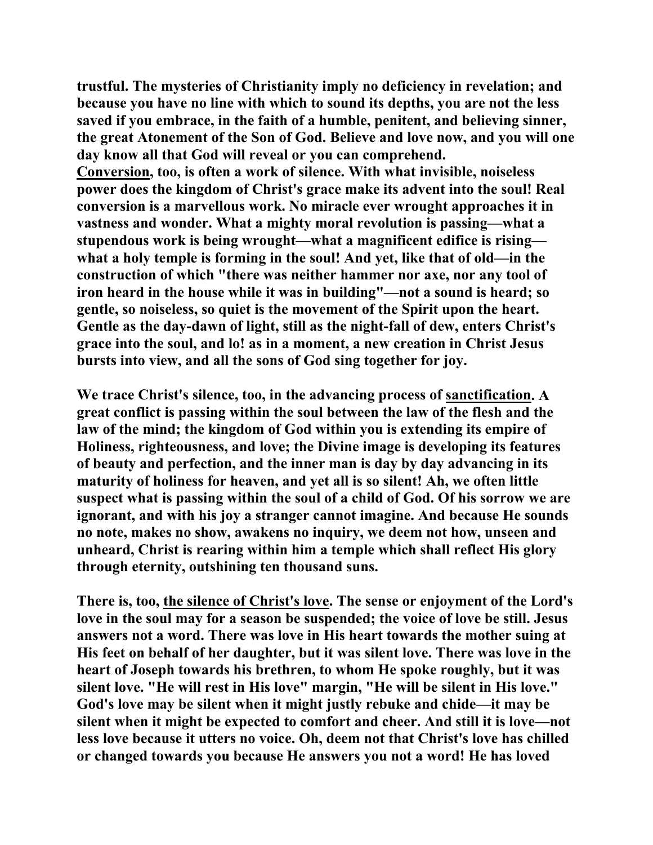**trustful. The mysteries of Christianity imply no deficiency in revelation; and because you have no line with which to sound its depths, you are not the less saved if you embrace, in the faith of a humble, penitent, and believing sinner, the great Atonement of the Son of God. Believe and love now, and you will one day know all that God will reveal or you can comprehend.** 

**Conversion, too, is often a work of silence. With what invisible, noiseless power does the kingdom of Christ's grace make its advent into the soul! Real conversion is a marvellous work. No miracle ever wrought approaches it in vastness and wonder. What a mighty moral revolution is passing—what a stupendous work is being wrought—what a magnificent edifice is rising what a holy temple is forming in the soul! And yet, like that of old—in the construction of which "there was neither hammer nor axe, nor any tool of iron heard in the house while it was in building"—not a sound is heard; so gentle, so noiseless, so quiet is the movement of the Spirit upon the heart. Gentle as the day-dawn of light, still as the night-fall of dew, enters Christ's grace into the soul, and lo! as in a moment, a new creation in Christ Jesus bursts into view, and all the sons of God sing together for joy.** 

**We trace Christ's silence, too, in the advancing process of sanctification. A great conflict is passing within the soul between the law of the flesh and the law of the mind; the kingdom of God within you is extending its empire of Holiness, righteousness, and love; the Divine image is developing its features of beauty and perfection, and the inner man is day by day advancing in its maturity of holiness for heaven, and yet all is so silent! Ah, we often little suspect what is passing within the soul of a child of God. Of his sorrow we are ignorant, and with his joy a stranger cannot imagine. And because He sounds no note, makes no show, awakens no inquiry, we deem not how, unseen and unheard, Christ is rearing within him a temple which shall reflect His glory through eternity, outshining ten thousand suns.** 

**There is, too, the silence of Christ's love. The sense or enjoyment of the Lord's love in the soul may for a season be suspended; the voice of love be still. Jesus answers not a word. There was love in His heart towards the mother suing at His feet on behalf of her daughter, but it was silent love. There was love in the heart of Joseph towards his brethren, to whom He spoke roughly, but it was silent love. "He will rest in His love" margin, "He will be silent in His love." God's love may be silent when it might justly rebuke and chide—it may be silent when it might be expected to comfort and cheer. And still it is love—not less love because it utters no voice. Oh, deem not that Christ's love has chilled or changed towards you because He answers you not a word! He has loved**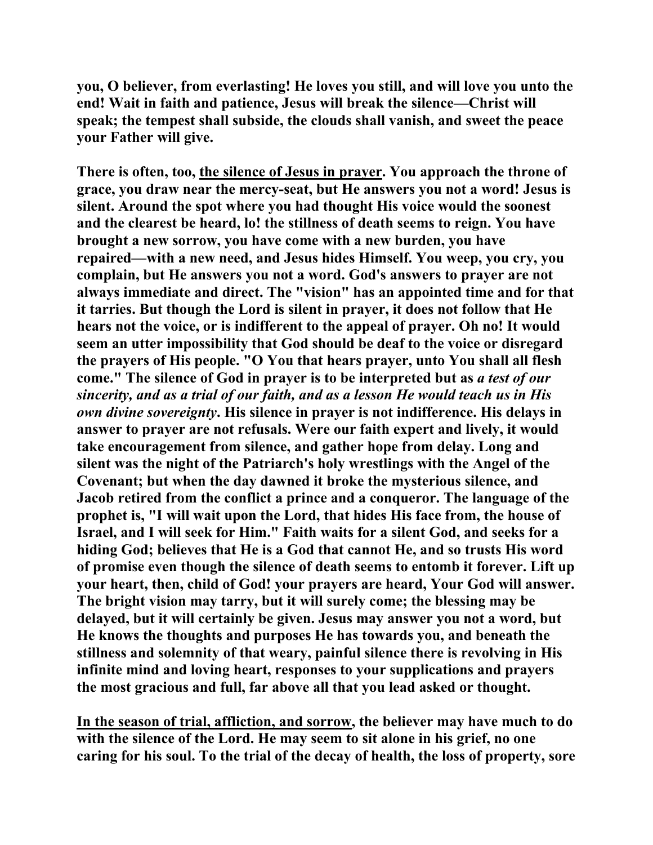**you, O believer, from everlasting! He loves you still, and will love you unto the end! Wait in faith and patience, Jesus will break the silence—Christ will speak; the tempest shall subside, the clouds shall vanish, and sweet the peace your Father will give.** 

**There is often, too, the silence of Jesus in prayer. You approach the throne of grace, you draw near the mercy-seat, but He answers you not a word! Jesus is silent. Around the spot where you had thought His voice would the soonest and the clearest be heard, lo! the stillness of death seems to reign. You have brought a new sorrow, you have come with a new burden, you have repaired—with a new need, and Jesus hides Himself. You weep, you cry, you complain, but He answers you not a word. God's answers to prayer are not always immediate and direct. The "vision" has an appointed time and for that it tarries. But though the Lord is silent in prayer, it does not follow that He hears not the voice, or is indifferent to the appeal of prayer. Oh no! It would seem an utter impossibility that God should be deaf to the voice or disregard the prayers of His people. "O You that hears prayer, unto You shall all flesh come." The silence of God in prayer is to be interpreted but as** *a test of our sincerity, and as a trial of our faith, and as a lesson He would teach us in His own divine sovereignty***. His silence in prayer is not indifference. His delays in answer to prayer are not refusals. Were our faith expert and lively, it would take encouragement from silence, and gather hope from delay. Long and silent was the night of the Patriarch's holy wrestlings with the Angel of the Covenant; but when the day dawned it broke the mysterious silence, and Jacob retired from the conflict a prince and a conqueror. The language of the prophet is, "I will wait upon the Lord, that hides His face from, the house of Israel, and I will seek for Him." Faith waits for a silent God, and seeks for a hiding God; believes that He is a God that cannot He, and so trusts His word of promise even though the silence of death seems to entomb it forever. Lift up your heart, then, child of God! your prayers are heard, Your God will answer. The bright vision may tarry, but it will surely come; the blessing may be delayed, but it will certainly be given. Jesus may answer you not a word, but He knows the thoughts and purposes He has towards you, and beneath the stillness and solemnity of that weary, painful silence there is revolving in His infinite mind and loving heart, responses to your supplications and prayers the most gracious and full, far above all that you lead asked or thought.** 

**In the season of trial, affliction, and sorrow, the believer may have much to do with the silence of the Lord. He may seem to sit alone in his grief, no one caring for his soul. To the trial of the decay of health, the loss of property, sore**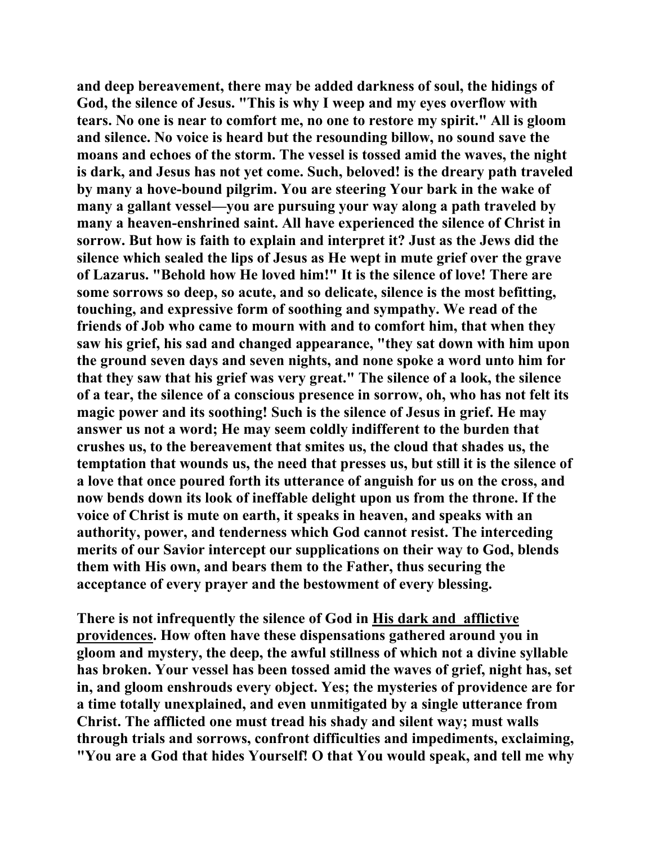**and deep bereavement, there may be added darkness of soul, the hidings of God, the silence of Jesus. "This is why I weep and my eyes overflow with tears. No one is near to comfort me, no one to restore my spirit." All is gloom and silence. No voice is heard but the resounding billow, no sound save the moans and echoes of the storm. The vessel is tossed amid the waves, the night is dark, and Jesus has not yet come. Such, beloved! is the dreary path traveled by many a hove-bound pilgrim. You are steering Your bark in the wake of many a gallant vessel—you are pursuing your way along a path traveled by many a heaven-enshrined saint. All have experienced the silence of Christ in sorrow. But how is faith to explain and interpret it? Just as the Jews did the silence which sealed the lips of Jesus as He wept in mute grief over the grave of Lazarus. "Behold how He loved him!" It is the silence of love! There are some sorrows so deep, so acute, and so delicate, silence is the most befitting, touching, and expressive form of soothing and sympathy. We read of the friends of Job who came to mourn with and to comfort him, that when they saw his grief, his sad and changed appearance, "they sat down with him upon the ground seven days and seven nights, and none spoke a word unto him for that they saw that his grief was very great." The silence of a look, the silence of a tear, the silence of a conscious presence in sorrow, oh, who has not felt its magic power and its soothing! Such is the silence of Jesus in grief. He may answer us not a word; He may seem coldly indifferent to the burden that crushes us, to the bereavement that smites us, the cloud that shades us, the temptation that wounds us, the need that presses us, but still it is the silence of a love that once poured forth its utterance of anguish for us on the cross, and now bends down its look of ineffable delight upon us from the throne. If the voice of Christ is mute on earth, it speaks in heaven, and speaks with an authority, power, and tenderness which God cannot resist. The interceding merits of our Savior intercept our supplications on their way to God, blends them with His own, and bears them to the Father, thus securing the acceptance of every prayer and the bestowment of every blessing.** 

**There is not infrequently the silence of God in His dark and afflictive providences. How often have these dispensations gathered around you in gloom and mystery, the deep, the awful stillness of which not a divine syllable has broken. Your vessel has been tossed amid the waves of grief, night has, set in, and gloom enshrouds every object. Yes; the mysteries of providence are for a time totally unexplained, and even unmitigated by a single utterance from Christ. The afflicted one must tread his shady and silent way; must walls through trials and sorrows, confront difficulties and impediments, exclaiming, "You are a God that hides Yourself! O that You would speak, and tell me why**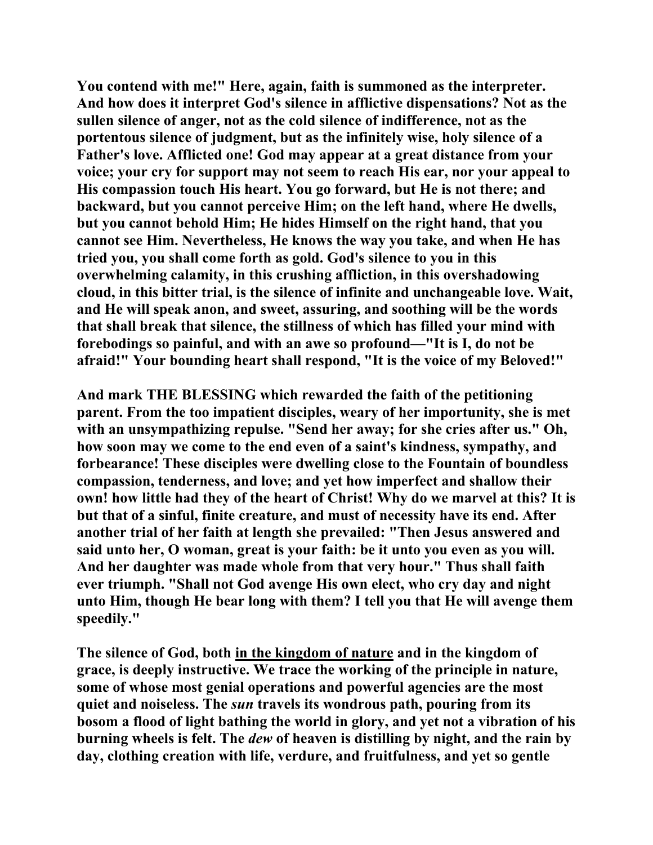**You contend with me!" Here, again, faith is summoned as the interpreter. And how does it interpret God's silence in afflictive dispensations? Not as the sullen silence of anger, not as the cold silence of indifference, not as the portentous silence of judgment, but as the infinitely wise, holy silence of a Father's love. Afflicted one! God may appear at a great distance from your voice; your cry for support may not seem to reach His ear, nor your appeal to His compassion touch His heart. You go forward, but He is not there; and backward, but you cannot perceive Him; on the left hand, where He dwells, but you cannot behold Him; He hides Himself on the right hand, that you cannot see Him. Nevertheless, He knows the way you take, and when He has tried you, you shall come forth as gold. God's silence to you in this overwhelming calamity, in this crushing affliction, in this overshadowing cloud, in this bitter trial, is the silence of infinite and unchangeable love. Wait, and He will speak anon, and sweet, assuring, and soothing will be the words that shall break that silence, the stillness of which has filled your mind with forebodings so painful, and with an awe so profound—"It is I, do not be afraid!" Your bounding heart shall respond, "It is the voice of my Beloved!"** 

**And mark THE BLESSING which rewarded the faith of the petitioning parent. From the too impatient disciples, weary of her importunity, she is met**  with an unsympathizing repulse. "Send her away; for she cries after us." Oh, **how soon may we come to the end even of a saint's kindness, sympathy, and forbearance! These disciples were dwelling close to the Fountain of boundless compassion, tenderness, and love; and yet how imperfect and shallow their own! how little had they of the heart of Christ! Why do we marvel at this? It is but that of a sinful, finite creature, and must of necessity have its end. After another trial of her faith at length she prevailed: "Then Jesus answered and said unto her, O woman, great is your faith: be it unto you even as you will. And her daughter was made whole from that very hour." Thus shall faith ever triumph. "Shall not God avenge His own elect, who cry day and night unto Him, though He bear long with them? I tell you that He will avenge them speedily."** 

**The silence of God, both in the kingdom of nature and in the kingdom of grace, is deeply instructive. We trace the working of the principle in nature, some of whose most genial operations and powerful agencies are the most quiet and noiseless. The** *sun* **travels its wondrous path, pouring from its bosom a flood of light bathing the world in glory, and yet not a vibration of his burning wheels is felt. The** *dew* **of heaven is distilling by night, and the rain by day, clothing creation with life, verdure, and fruitfulness, and yet so gentle**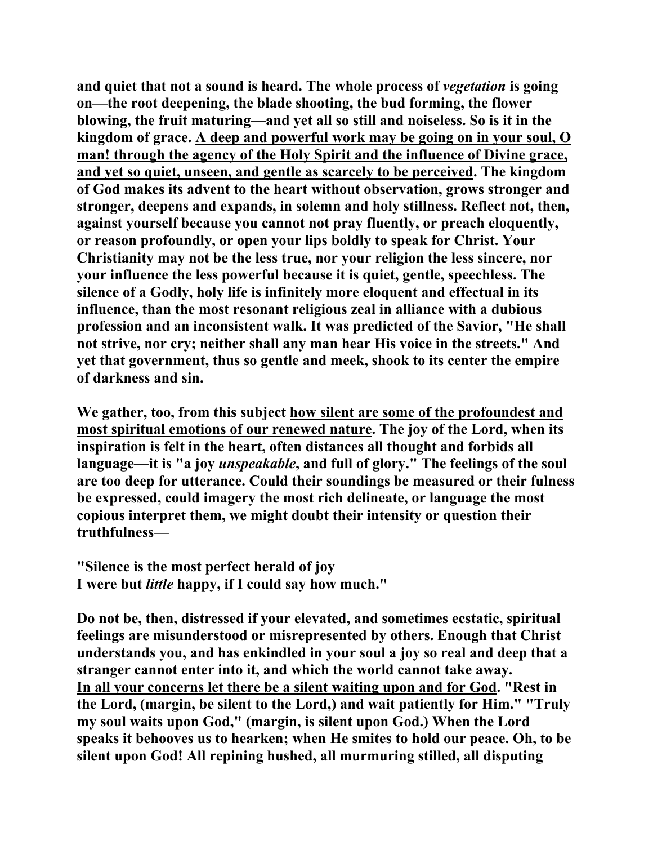**and quiet that not a sound is heard. The whole process of** *vegetation* **is going on—the root deepening, the blade shooting, the bud forming, the flower blowing, the fruit maturing—and yet all so still and noiseless. So is it in the kingdom of grace. A deep and powerful work may be going on in your soul, O man! through the agency of the Holy Spirit and the influence of Divine grace, and yet so quiet, unseen, and gentle as scarcely to be perceived. The kingdom of God makes its advent to the heart without observation, grows stronger and stronger, deepens and expands, in solemn and holy stillness. Reflect not, then, against yourself because you cannot not pray fluently, or preach eloquently, or reason profoundly, or open your lips boldly to speak for Christ. Your Christianity may not be the less true, nor your religion the less sincere, nor your influence the less powerful because it is quiet, gentle, speechless. The silence of a Godly, holy life is infinitely more eloquent and effectual in its influence, than the most resonant religious zeal in alliance with a dubious profession and an inconsistent walk. It was predicted of the Savior, "He shall not strive, nor cry; neither shall any man hear His voice in the streets." And yet that government, thus so gentle and meek, shook to its center the empire of darkness and sin.** 

**We gather, too, from this subject how silent are some of the profoundest and most spiritual emotions of our renewed nature. The joy of the Lord, when its inspiration is felt in the heart, often distances all thought and forbids all language—it is "a joy** *unspeakable***, and full of glory." The feelings of the soul are too deep for utterance. Could their soundings be measured or their fulness be expressed, could imagery the most rich delineate, or language the most copious interpret them, we might doubt their intensity or question their truthfulness—** 

**"Silence is the most perfect herald of joy I were but** *little* **happy, if I could say how much."** 

**Do not be, then, distressed if your elevated, and sometimes ecstatic, spiritual feelings are misunderstood or misrepresented by others. Enough that Christ understands you, and has enkindled in your soul a joy so real and deep that a stranger cannot enter into it, and which the world cannot take away. In all your concerns let there be a silent waiting upon and for God. "Rest in the Lord, (margin, be silent to the Lord,) and wait patiently for Him." "Truly my soul waits upon God," (margin, is silent upon God.) When the Lord speaks it behooves us to hearken; when He smites to hold our peace. Oh, to be silent upon God! All repining hushed, all murmuring stilled, all disputing**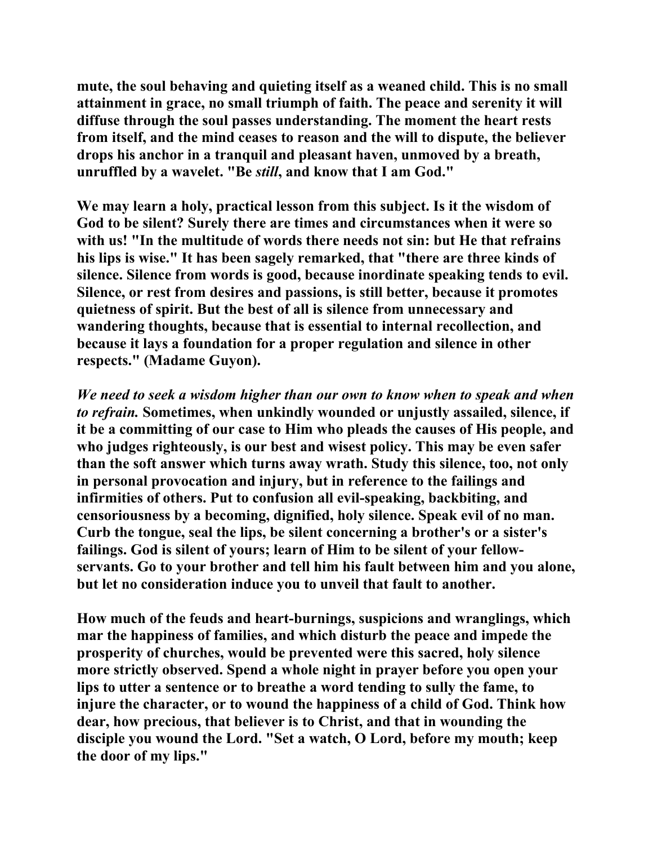**mute, the soul behaving and quieting itself as a weaned child. This is no small attainment in grace, no small triumph of faith. The peace and serenity it will diffuse through the soul passes understanding. The moment the heart rests from itself, and the mind ceases to reason and the will to dispute, the believer drops his anchor in a tranquil and pleasant haven, unmoved by a breath, unruffled by a wavelet. "Be** *still***, and know that I am God."** 

**We may learn a holy, practical lesson from this subject. Is it the wisdom of God to be silent? Surely there are times and circumstances when it were so with us! "In the multitude of words there needs not sin: but He that refrains his lips is wise." It has been sagely remarked, that "there are three kinds of silence. Silence from words is good, because inordinate speaking tends to evil. Silence, or rest from desires and passions, is still better, because it promotes quietness of spirit. But the best of all is silence from unnecessary and wandering thoughts, because that is essential to internal recollection, and because it lays a foundation for a proper regulation and silence in other respects." (Madame Guyon).** 

*We need to seek a wisdom higher than our own to know when to speak and when to refrain.* **Sometimes, when unkindly wounded or unjustly assailed, silence, if it be a committing of our case to Him who pleads the causes of His people, and who judges righteously, is our best and wisest policy. This may be even safer than the soft answer which turns away wrath. Study this silence, too, not only in personal provocation and injury, but in reference to the failings and infirmities of others. Put to confusion all evil-speaking, backbiting, and censoriousness by a becoming, dignified, holy silence. Speak evil of no man. Curb the tongue, seal the lips, be silent concerning a brother's or a sister's failings. God is silent of yours; learn of Him to be silent of your fellowservants. Go to your brother and tell him his fault between him and you alone, but let no consideration induce you to unveil that fault to another.** 

**How much of the feuds and heart-burnings, suspicions and wranglings, which mar the happiness of families, and which disturb the peace and impede the prosperity of churches, would be prevented were this sacred, holy silence more strictly observed. Spend a whole night in prayer before you open your lips to utter a sentence or to breathe a word tending to sully the fame, to injure the character, or to wound the happiness of a child of God. Think how dear, how precious, that believer is to Christ, and that in wounding the disciple you wound the Lord. "Set a watch, O Lord, before my mouth; keep the door of my lips."**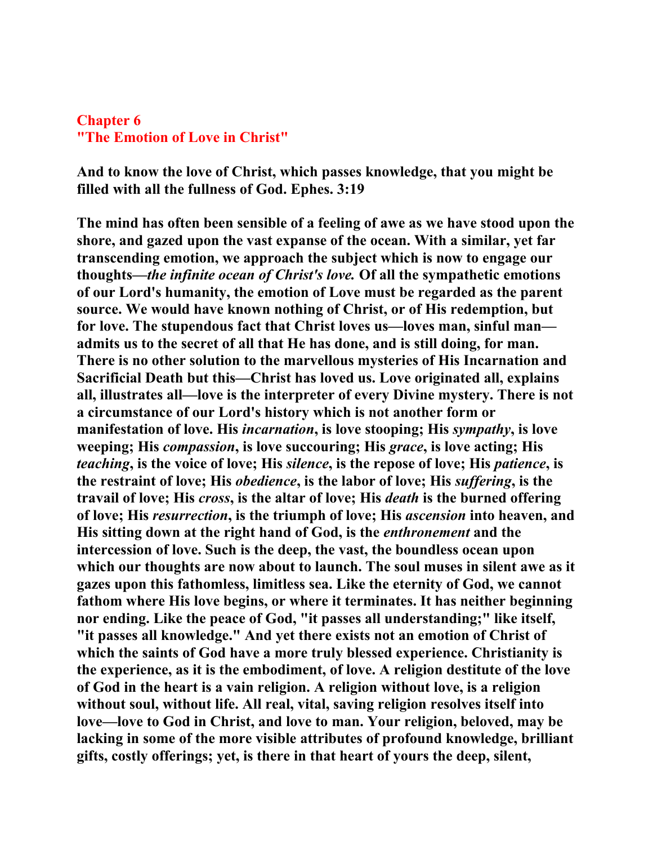## **Chapter 6 "The Emotion of Love in Christ"**

**And to know the love of Christ, which passes knowledge, that you might be filled with all the fullness of God. Ephes. 3:19** 

**The mind has often been sensible of a feeling of awe as we have stood upon the shore, and gazed upon the vast expanse of the ocean. With a similar, yet far transcending emotion, we approach the subject which is now to engage our thoughts—***the infinite ocean of Christ's love.* **Of all the sympathetic emotions of our Lord's humanity, the emotion of Love must be regarded as the parent source. We would have known nothing of Christ, or of His redemption, but for love. The stupendous fact that Christ loves us—loves man, sinful man admits us to the secret of all that He has done, and is still doing, for man. There is no other solution to the marvellous mysteries of His Incarnation and Sacrificial Death but this—Christ has loved us. Love originated all, explains all, illustrates all—love is the interpreter of every Divine mystery. There is not a circumstance of our Lord's history which is not another form or manifestation of love. His** *incarnation***, is love stooping; His** *sympathy***, is love weeping; His** *compassion***, is love succouring; His** *grace***, is love acting; His**  *teaching***, is the voice of love; His** *silence***, is the repose of love; His** *patience***, is the restraint of love; His** *obedience***, is the labor of love; His** *suffering***, is the travail of love; His** *cross***, is the altar of love; His** *death* **is the burned offering of love; His** *resurrection***, is the triumph of love; His** *ascension* **into heaven, and His sitting down at the right hand of God, is the** *enthronement* **and the intercession of love. Such is the deep, the vast, the boundless ocean upon which our thoughts are now about to launch. The soul muses in silent awe as it gazes upon this fathomless, limitless sea. Like the eternity of God, we cannot fathom where His love begins, or where it terminates. It has neither beginning nor ending. Like the peace of God, "it passes all understanding;" like itself, "it passes all knowledge." And yet there exists not an emotion of Christ of which the saints of God have a more truly blessed experience. Christianity is the experience, as it is the embodiment, of love. A religion destitute of the love of God in the heart is a vain religion. A religion without love, is a religion without soul, without life. All real, vital, saving religion resolves itself into love—love to God in Christ, and love to man. Your religion, beloved, may be lacking in some of the more visible attributes of profound knowledge, brilliant gifts, costly offerings; yet, is there in that heart of yours the deep, silent,**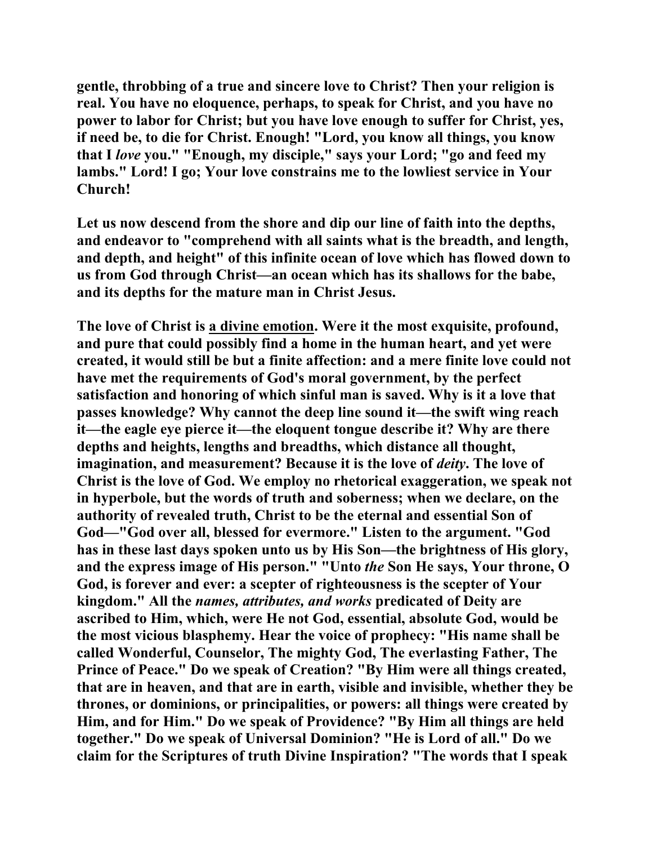**gentle, throbbing of a true and sincere love to Christ? Then your religion is real. You have no eloquence, perhaps, to speak for Christ, and you have no power to labor for Christ; but you have love enough to suffer for Christ, yes, if need be, to die for Christ. Enough! "Lord, you know all things, you know that I** *love* **you." "Enough, my disciple," says your Lord; "go and feed my lambs." Lord! I go; Your love constrains me to the lowliest service in Your Church!** 

**Let us now descend from the shore and dip our line of faith into the depths, and endeavor to "comprehend with all saints what is the breadth, and length, and depth, and height" of this infinite ocean of love which has flowed down to us from God through Christ—an ocean which has its shallows for the babe, and its depths for the mature man in Christ Jesus.** 

**The love of Christ is a divine emotion. Were it the most exquisite, profound, and pure that could possibly find a home in the human heart, and yet were created, it would still be but a finite affection: and a mere finite love could not have met the requirements of God's moral government, by the perfect satisfaction and honoring of which sinful man is saved. Why is it a love that passes knowledge? Why cannot the deep line sound it—the swift wing reach it—the eagle eye pierce it—the eloquent tongue describe it? Why are there depths and heights, lengths and breadths, which distance all thought, imagination, and measurement? Because it is the love of** *deity***. The love of Christ is the love of God. We employ no rhetorical exaggeration, we speak not in hyperbole, but the words of truth and soberness; when we declare, on the authority of revealed truth, Christ to be the eternal and essential Son of God—"God over all, blessed for evermore." Listen to the argument. "God has in these last days spoken unto us by His Son—the brightness of His glory, and the express image of His person." "Unto** *the* **Son He says, Your throne, O God, is forever and ever: a scepter of righteousness is the scepter of Your kingdom." All the** *names, attributes, and works* **predicated of Deity are ascribed to Him, which, were He not God, essential, absolute God, would be the most vicious blasphemy. Hear the voice of prophecy: "His name shall be called Wonderful, Counselor, The mighty God, The everlasting Father, The Prince of Peace." Do we speak of Creation? "By Him were all things created, that are in heaven, and that are in earth, visible and invisible, whether they be thrones, or dominions, or principalities, or powers: all things were created by Him, and for Him." Do we speak of Providence? "By Him all things are held together." Do we speak of Universal Dominion? "He is Lord of all." Do we claim for the Scriptures of truth Divine Inspiration? "The words that I speak**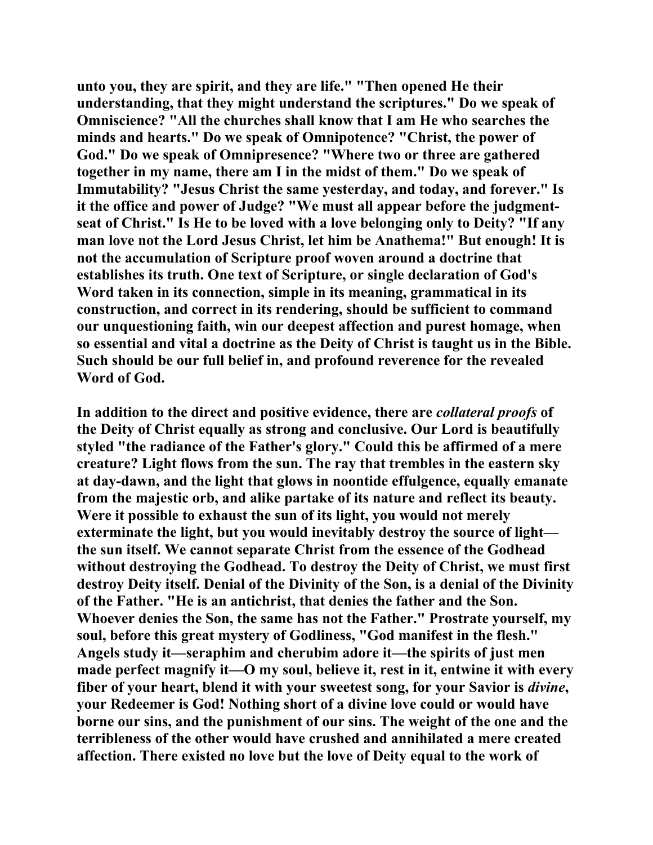**unto you, they are spirit, and they are life." "Then opened He their understanding, that they might understand the scriptures." Do we speak of Omniscience? "All the churches shall know that I am He who searches the minds and hearts." Do we speak of Omnipotence? "Christ, the power of God." Do we speak of Omnipresence? "Where two or three are gathered together in my name, there am I in the midst of them." Do we speak of Immutability? "Jesus Christ the same yesterday, and today, and forever." Is it the office and power of Judge? "We must all appear before the judgmentseat of Christ." Is He to be loved with a love belonging only to Deity? "If any man love not the Lord Jesus Christ, let him be Anathema!" But enough! It is not the accumulation of Scripture proof woven around a doctrine that establishes its truth. One text of Scripture, or single declaration of God's Word taken in its connection, simple in its meaning, grammatical in its construction, and correct in its rendering, should be sufficient to command our unquestioning faith, win our deepest affection and purest homage, when so essential and vital a doctrine as the Deity of Christ is taught us in the Bible. Such should be our full belief in, and profound reverence for the revealed Word of God.** 

**In addition to the direct and positive evidence, there are** *collateral proofs* **of the Deity of Christ equally as strong and conclusive. Our Lord is beautifully styled "the radiance of the Father's glory." Could this be affirmed of a mere creature? Light flows from the sun. The ray that trembles in the eastern sky at day-dawn, and the light that glows in noontide effulgence, equally emanate from the majestic orb, and alike partake of its nature and reflect its beauty. Were it possible to exhaust the sun of its light, you would not merely exterminate the light, but you would inevitably destroy the source of light the sun itself. We cannot separate Christ from the essence of the Godhead without destroying the Godhead. To destroy the Deity of Christ, we must first destroy Deity itself. Denial of the Divinity of the Son, is a denial of the Divinity of the Father. "He is an antichrist, that denies the father and the Son. Whoever denies the Son, the same has not the Father." Prostrate yourself, my soul, before this great mystery of Godliness, "God manifest in the flesh." Angels study it—seraphim and cherubim adore it—the spirits of just men made perfect magnify it—O my soul, believe it, rest in it, entwine it with every fiber of your heart, blend it with your sweetest song, for your Savior is** *divine***, your Redeemer is God! Nothing short of a divine love could or would have borne our sins, and the punishment of our sins. The weight of the one and the terribleness of the other would have crushed and annihilated a mere created affection. There existed no love but the love of Deity equal to the work of**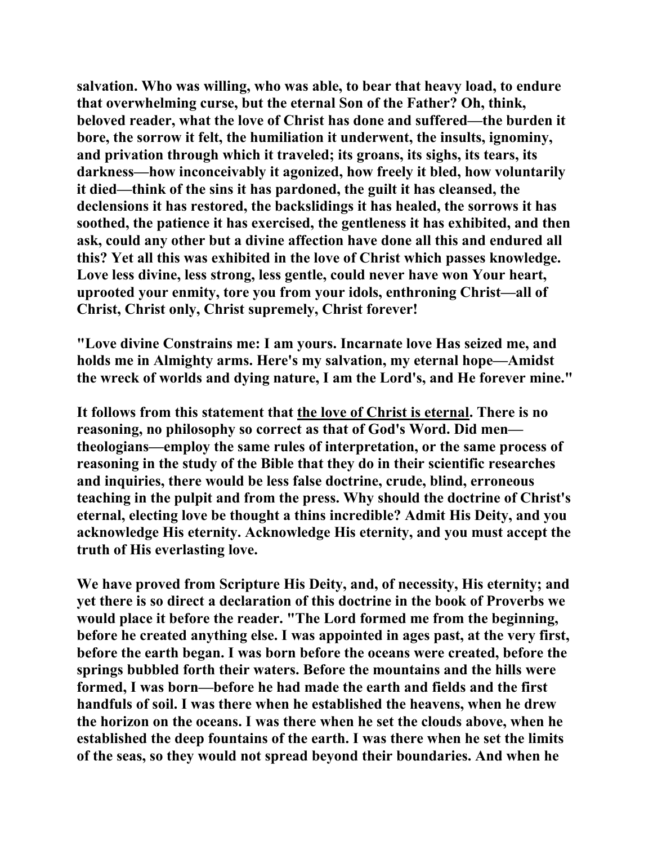**salvation. Who was willing, who was able, to bear that heavy load, to endure that overwhelming curse, but the eternal Son of the Father? Oh, think, beloved reader, what the love of Christ has done and suffered—the burden it bore, the sorrow it felt, the humiliation it underwent, the insults, ignominy, and privation through which it traveled; its groans, its sighs, its tears, its darkness—how inconceivably it agonized, how freely it bled, how voluntarily it died—think of the sins it has pardoned, the guilt it has cleansed, the declensions it has restored, the backslidings it has healed, the sorrows it has soothed, the patience it has exercised, the gentleness it has exhibited, and then ask, could any other but a divine affection have done all this and endured all this? Yet all this was exhibited in the love of Christ which passes knowledge. Love less divine, less strong, less gentle, could never have won Your heart, uprooted your enmity, tore you from your idols, enthroning Christ—all of Christ, Christ only, Christ supremely, Christ forever!** 

**"Love divine Constrains me: I am yours. Incarnate love Has seized me, and holds me in Almighty arms. Here's my salvation, my eternal hope—Amidst the wreck of worlds and dying nature, I am the Lord's, and He forever mine."** 

**It follows from this statement that the love of Christ is eternal. There is no reasoning, no philosophy so correct as that of God's Word. Did men theologians—employ the same rules of interpretation, or the same process of reasoning in the study of the Bible that they do in their scientific researches and inquiries, there would be less false doctrine, crude, blind, erroneous teaching in the pulpit and from the press. Why should the doctrine of Christ's eternal, electing love be thought a thins incredible? Admit His Deity, and you acknowledge His eternity. Acknowledge His eternity, and you must accept the truth of His everlasting love.** 

**We have proved from Scripture His Deity, and, of necessity, His eternity; and yet there is so direct a declaration of this doctrine in the book of Proverbs we would place it before the reader. "The Lord formed me from the beginning, before he created anything else. I was appointed in ages past, at the very first, before the earth began. I was born before the oceans were created, before the springs bubbled forth their waters. Before the mountains and the hills were formed, I was born—before he had made the earth and fields and the first handfuls of soil. I was there when he established the heavens, when he drew the horizon on the oceans. I was there when he set the clouds above, when he established the deep fountains of the earth. I was there when he set the limits of the seas, so they would not spread beyond their boundaries. And when he**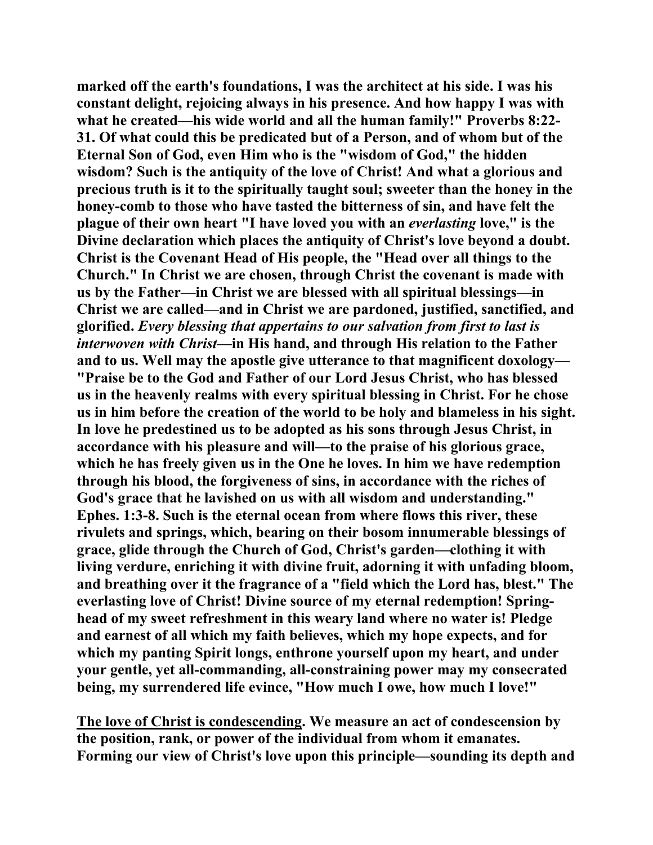**marked off the earth's foundations, I was the architect at his side. I was his constant delight, rejoicing always in his presence. And how happy I was with what he created—his wide world and all the human family!" Proverbs 8:22- 31. Of what could this be predicated but of a Person, and of whom but of the Eternal Son of God, even Him who is the "wisdom of God," the hidden wisdom? Such is the antiquity of the love of Christ! And what a glorious and precious truth is it to the spiritually taught soul; sweeter than the honey in the honey-comb to those who have tasted the bitterness of sin, and have felt the plague of their own heart "I have loved you with an** *everlasting* **love," is the Divine declaration which places the antiquity of Christ's love beyond a doubt. Christ is the Covenant Head of His people, the "Head over all things to the Church." In Christ we are chosen, through Christ the covenant is made with us by the Father—in Christ we are blessed with all spiritual blessings—in Christ we are called—and in Christ we are pardoned, justified, sanctified, and glorified.** *Every blessing that appertains to our salvation from first to last is interwoven with Christ***—in His hand, and through His relation to the Father and to us. Well may the apostle give utterance to that magnificent doxology— "Praise be to the God and Father of our Lord Jesus Christ, who has blessed us in the heavenly realms with every spiritual blessing in Christ. For he chose us in him before the creation of the world to be holy and blameless in his sight. In love he predestined us to be adopted as his sons through Jesus Christ, in accordance with his pleasure and will—to the praise of his glorious grace, which he has freely given us in the One he loves. In him we have redemption through his blood, the forgiveness of sins, in accordance with the riches of God's grace that he lavished on us with all wisdom and understanding." Ephes. 1:3-8. Such is the eternal ocean from where flows this river, these rivulets and springs, which, bearing on their bosom innumerable blessings of grace, glide through the Church of God, Christ's garden—clothing it with living verdure, enriching it with divine fruit, adorning it with unfading bloom, and breathing over it the fragrance of a "field which the Lord has, blest." The everlasting love of Christ! Divine source of my eternal redemption! Springhead of my sweet refreshment in this weary land where no water is! Pledge and earnest of all which my faith believes, which my hope expects, and for which my panting Spirit longs, enthrone yourself upon my heart, and under your gentle, yet all-commanding, all-constraining power may my consecrated being, my surrendered life evince, "How much I owe, how much I love!"** 

**The love of Christ is condescending. We measure an act of condescension by the position, rank, or power of the individual from whom it emanates. Forming our view of Christ's love upon this principle—sounding its depth and**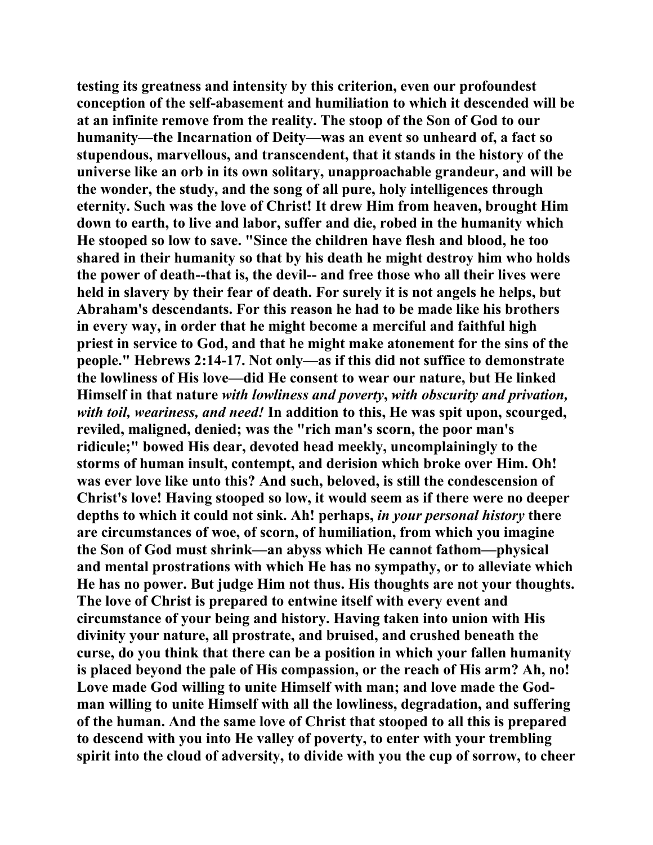**testing its greatness and intensity by this criterion, even our profoundest conception of the self-abasement and humiliation to which it descended will be at an infinite remove from the reality. The stoop of the Son of God to our humanity—the Incarnation of Deity—was an event so unheard of, a fact so stupendous, marvellous, and transcendent, that it stands in the history of the universe like an orb in its own solitary, unapproachable grandeur, and will be the wonder, the study, and the song of all pure, holy intelligences through eternity. Such was the love of Christ! It drew Him from heaven, brought Him down to earth, to live and labor, suffer and die, robed in the humanity which He stooped so low to save. "Since the children have flesh and blood, he too shared in their humanity so that by his death he might destroy him who holds the power of death--that is, the devil-- and free those who all their lives were held in slavery by their fear of death. For surely it is not angels he helps, but Abraham's descendants. For this reason he had to be made like his brothers in every way, in order that he might become a merciful and faithful high priest in service to God, and that he might make atonement for the sins of the people." Hebrews 2:14-17. Not only—as if this did not suffice to demonstrate the lowliness of His love—did He consent to wear our nature, but He linked Himself in that nature** *with lowliness and poverty***,** *with obscurity and privation, with toil, weariness, and need!* **In addition to this, He was spit upon, scourged, reviled, maligned, denied; was the "rich man's scorn, the poor man's ridicule;" bowed His dear, devoted head meekly, uncomplainingly to the storms of human insult, contempt, and derision which broke over Him. Oh! was ever love like unto this? And such, beloved, is still the condescension of Christ's love! Having stooped so low, it would seem as if there were no deeper depths to which it could not sink. Ah! perhaps,** *in your personal history* **there are circumstances of woe, of scorn, of humiliation, from which you imagine the Son of God must shrink—an abyss which He cannot fathom—physical and mental prostrations with which He has no sympathy, or to alleviate which He has no power. But judge Him not thus. His thoughts are not your thoughts. The love of Christ is prepared to entwine itself with every event and circumstance of your being and history. Having taken into union with His divinity your nature, all prostrate, and bruised, and crushed beneath the curse, do you think that there can be a position in which your fallen humanity is placed beyond the pale of His compassion, or the reach of His arm? Ah, no! Love made God willing to unite Himself with man; and love made the Godman willing to unite Himself with all the lowliness, degradation, and suffering of the human. And the same love of Christ that stooped to all this is prepared to descend with you into He valley of poverty, to enter with your trembling spirit into the cloud of adversity, to divide with you the cup of sorrow, to cheer**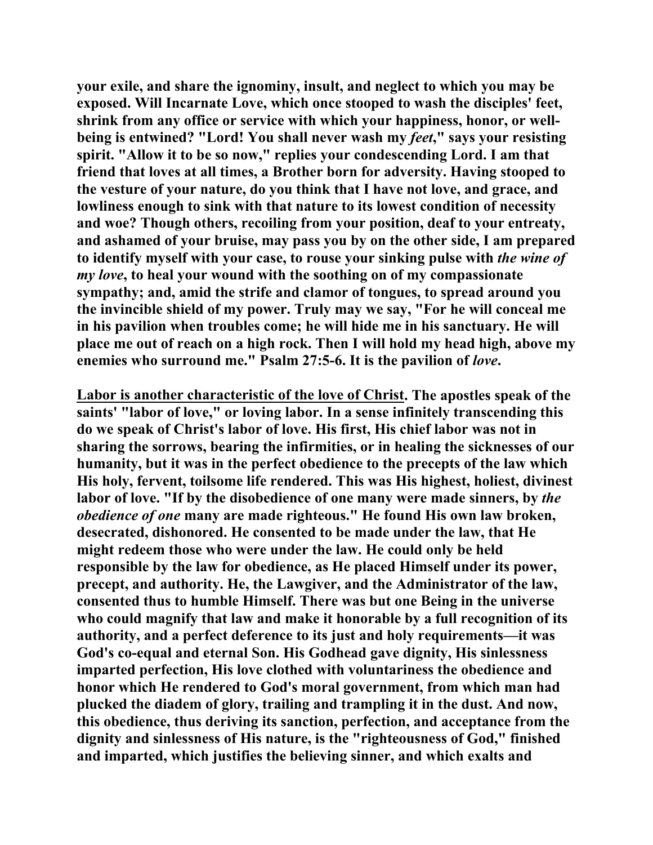**your exile, and share the ignominy, insult, and neglect to which you may be exposed. Will Incarnate Love, which once stooped to wash the disciples' feet, shrink from any office or service with which your happiness, honor, or wellbeing is entwined? "Lord! You shall never wash my** *feet***," says your resisting spirit. "Allow it to be so now," replies your condescending Lord. I am that friend that loves at all times, a Brother born for adversity. Having stooped to the vesture of your nature, do you think that I have not love, and grace, and lowliness enough to sink with that nature to its lowest condition of necessity and woe? Though others, recoiling from your position, deaf to your entreaty, and ashamed of your bruise, may pass you by on the other side, I am prepared to identify myself with your case, to rouse your sinking pulse with** *the wine of my love***, to heal your wound with the soothing on of my compassionate sympathy; and, amid the strife and clamor of tongues, to spread around you the invincible shield of my power. Truly may we say, "For he will conceal me in his pavilion when troubles come; he will hide me in his sanctuary. He will place me out of reach on a high rock. Then I will hold my head high, above my enemies who surround me." Psalm 27:5-6. It is the pavilion of** *love***.** 

**Labor is another characteristic of the love of Christ. The apostles speak of the saints' "labor of love," or loving labor. In a sense infinitely transcending this do we speak of Christ's labor of love. His first, His chief labor was not in sharing the sorrows, bearing the infirmities, or in healing the sicknesses of our humanity, but it was in the perfect obedience to the precepts of the law which His holy, fervent, toilsome life rendered. This was His highest, holiest, divinest labor of love. "If by the disobedience of one many were made sinners, by** *the obedience of one* **many are made righteous." He found His own law broken, desecrated, dishonored. He consented to be made under the law, that He might redeem those who were under the law. He could only be held responsible by the law for obedience, as He placed Himself under its power, precept, and authority. He, the Lawgiver, and the Administrator of the law, consented thus to humble Himself. There was but one Being in the universe who could magnify that law and make it honorable by a full recognition of its authority, and a perfect deference to its just and holy requirements—it was God's co-equal and eternal Son. His Godhead gave dignity, His sinlessness imparted perfection, His love clothed with voluntariness the obedience and honor which He rendered to God's moral government, from which man had plucked the diadem of glory, trailing and trampling it in the dust. And now, this obedience, thus deriving its sanction, perfection, and acceptance from the dignity and sinlessness of His nature, is the "righteousness of God," finished and imparted, which justifies the believing sinner, and which exalts and**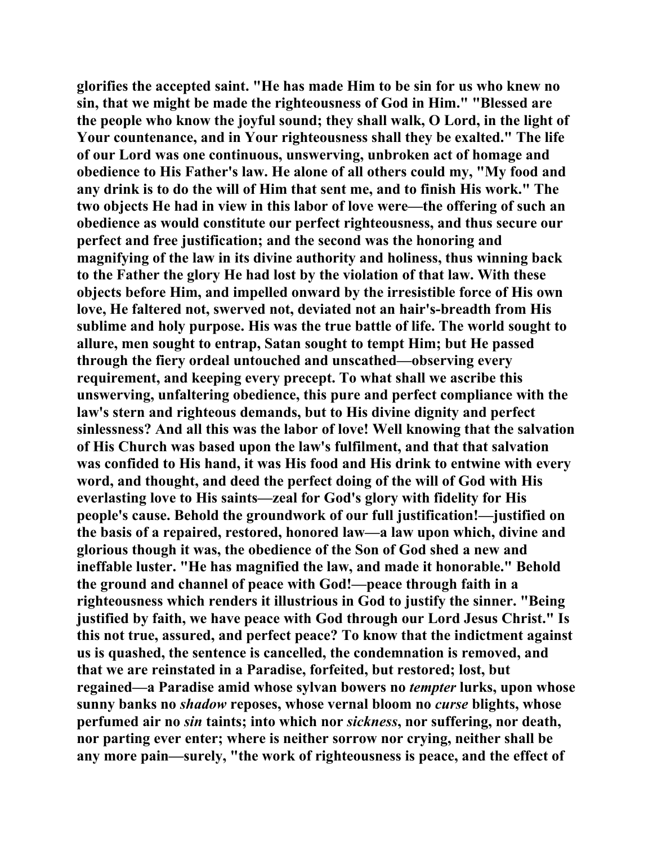**glorifies the accepted saint. "He has made Him to be sin for us who knew no sin, that we might be made the righteousness of God in Him." "Blessed are the people who know the joyful sound; they shall walk, O Lord, in the light of Your countenance, and in Your righteousness shall they be exalted." The life of our Lord was one continuous, unswerving, unbroken act of homage and obedience to His Father's law. He alone of all others could my, "My food and any drink is to do the will of Him that sent me, and to finish His work." The two objects He had in view in this labor of love were—the offering of such an obedience as would constitute our perfect righteousness, and thus secure our perfect and free justification; and the second was the honoring and magnifying of the law in its divine authority and holiness, thus winning back to the Father the glory He had lost by the violation of that law. With these objects before Him, and impelled onward by the irresistible force of His own love, He faltered not, swerved not, deviated not an hair's-breadth from His sublime and holy purpose. His was the true battle of life. The world sought to allure, men sought to entrap, Satan sought to tempt Him; but He passed through the fiery ordeal untouched and unscathed—observing every requirement, and keeping every precept. To what shall we ascribe this unswerving, unfaltering obedience, this pure and perfect compliance with the law's stern and righteous demands, but to His divine dignity and perfect sinlessness? And all this was the labor of love! Well knowing that the salvation of His Church was based upon the law's fulfilment, and that that salvation was confided to His hand, it was His food and His drink to entwine with every word, and thought, and deed the perfect doing of the will of God with His everlasting love to His saints—zeal for God's glory with fidelity for His people's cause. Behold the groundwork of our full justification!—justified on the basis of a repaired, restored, honored law—a law upon which, divine and glorious though it was, the obedience of the Son of God shed a new and ineffable luster. "He has magnified the law, and made it honorable." Behold the ground and channel of peace with God!—peace through faith in a righteousness which renders it illustrious in God to justify the sinner. "Being justified by faith, we have peace with God through our Lord Jesus Christ." Is this not true, assured, and perfect peace? To know that the indictment against us is quashed, the sentence is cancelled, the condemnation is removed, and that we are reinstated in a Paradise, forfeited, but restored; lost, but regained—a Paradise amid whose sylvan bowers no** *tempter* **lurks, upon whose sunny banks no** *shadow* **reposes, whose vernal bloom no** *curse* **blights, whose perfumed air no** *sin* **taints; into which nor** *sickness***, nor suffering, nor death, nor parting ever enter; where is neither sorrow nor crying, neither shall be any more pain—surely, "the work of righteousness is peace, and the effect of**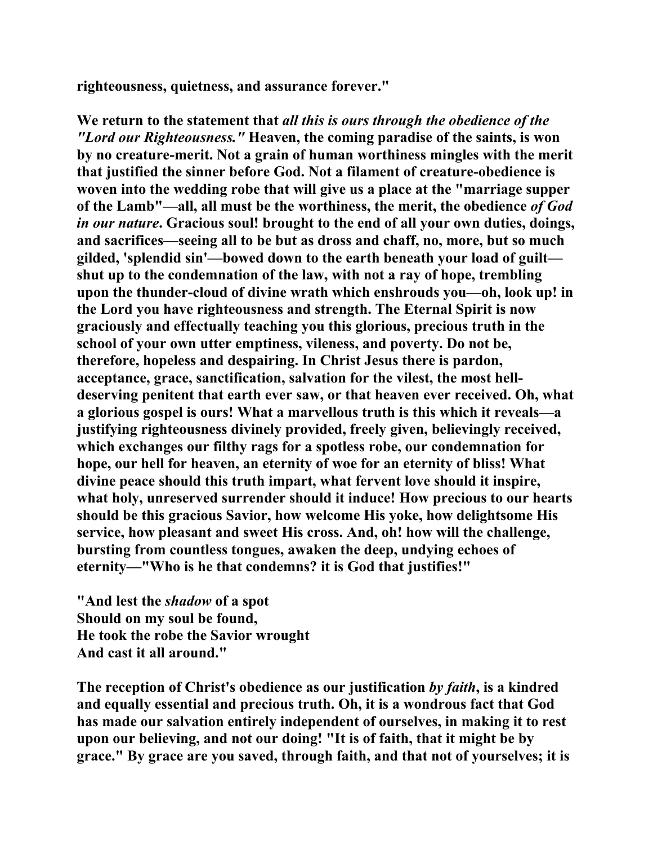**righteousness, quietness, and assurance forever."** 

**We return to the statement that** *all this is ours through the obedience of the "Lord our Righteousness."* **Heaven, the coming paradise of the saints, is won by no creature-merit. Not a grain of human worthiness mingles with the merit that justified the sinner before God. Not a filament of creature-obedience is woven into the wedding robe that will give us a place at the "marriage supper of the Lamb"—all, all must be the worthiness, the merit, the obedience** *of God in our nature***. Gracious soul! brought to the end of all your own duties, doings, and sacrifices—seeing all to be but as dross and chaff, no, more, but so much gilded, 'splendid sin'—bowed down to the earth beneath your load of guilt shut up to the condemnation of the law, with not a ray of hope, trembling upon the thunder-cloud of divine wrath which enshrouds you—oh, look up! in the Lord you have righteousness and strength. The Eternal Spirit is now graciously and effectually teaching you this glorious, precious truth in the school of your own utter emptiness, vileness, and poverty. Do not be, therefore, hopeless and despairing. In Christ Jesus there is pardon, acceptance, grace, sanctification, salvation for the vilest, the most helldeserving penitent that earth ever saw, or that heaven ever received. Oh, what a glorious gospel is ours! What a marvellous truth is this which it reveals—a justifying righteousness divinely provided, freely given, believingly received, which exchanges our filthy rags for a spotless robe, our condemnation for hope, our hell for heaven, an eternity of woe for an eternity of bliss! What divine peace should this truth impart, what fervent love should it inspire, what holy, unreserved surrender should it induce! How precious to our hearts should be this gracious Savior, how welcome His yoke, how delightsome His service, how pleasant and sweet His cross. And, oh! how will the challenge, bursting from countless tongues, awaken the deep, undying echoes of eternity—"Who is he that condemns? it is God that justifies!"** 

**"And lest the** *shadow* **of a spot Should on my soul be found, He took the robe the Savior wrought And cast it all around."** 

**The reception of Christ's obedience as our justification** *by faith***, is a kindred and equally essential and precious truth. Oh, it is a wondrous fact that God has made our salvation entirely independent of ourselves, in making it to rest upon our believing, and not our doing! "It is of faith, that it might be by grace." By grace are you saved, through faith, and that not of yourselves; it is**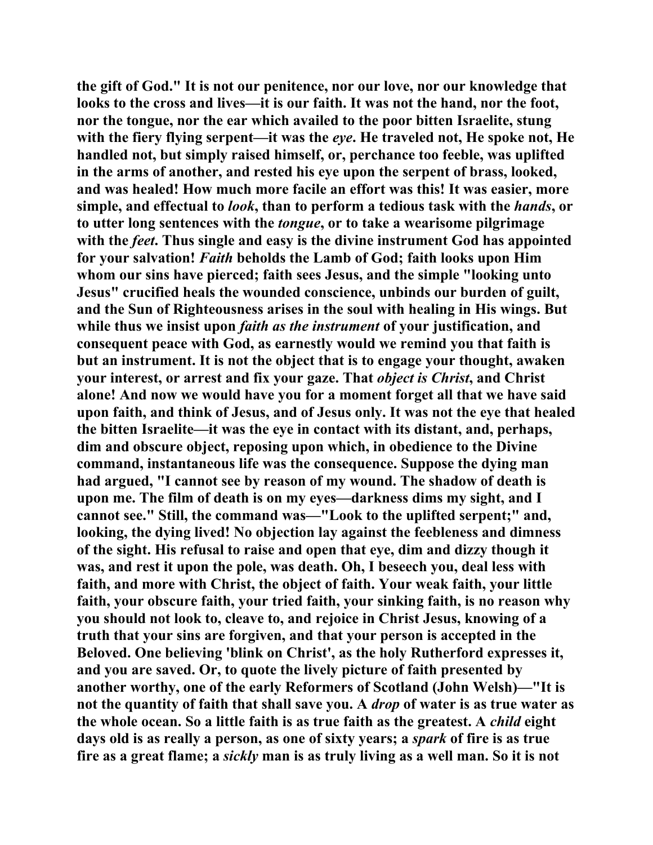**the gift of God." It is not our penitence, nor our love, nor our knowledge that looks to the cross and lives—it is our faith. It was not the hand, nor the foot, nor the tongue, nor the ear which availed to the poor bitten Israelite, stung with the fiery flying serpent—it was the** *eye***. He traveled not, He spoke not, He handled not, but simply raised himself, or, perchance too feeble, was uplifted in the arms of another, and rested his eye upon the serpent of brass, looked, and was healed! How much more facile an effort was this! It was easier, more simple, and effectual to** *look***, than to perform a tedious task with the** *hands***, or to utter long sentences with the** *tongue***, or to take a wearisome pilgrimage with the** *feet***. Thus single and easy is the divine instrument God has appointed for your salvation!** *Faith* **beholds the Lamb of God; faith looks upon Him whom our sins have pierced; faith sees Jesus, and the simple "looking unto Jesus" crucified heals the wounded conscience, unbinds our burden of guilt, and the Sun of Righteousness arises in the soul with healing in His wings. But while thus we insist upon** *faith as the instrument* **of your justification, and consequent peace with God, as earnestly would we remind you that faith is but an instrument. It is not the object that is to engage your thought, awaken your interest, or arrest and fix your gaze. That** *object is Christ***, and Christ alone! And now we would have you for a moment forget all that we have said upon faith, and think of Jesus, and of Jesus only. It was not the eye that healed the bitten Israelite—it was the eye in contact with its distant, and, perhaps, dim and obscure object, reposing upon which, in obedience to the Divine command, instantaneous life was the consequence. Suppose the dying man had argued, "I cannot see by reason of my wound. The shadow of death is upon me. The film of death is on my eyes—darkness dims my sight, and I cannot see." Still, the command was—"Look to the uplifted serpent;" and, looking, the dying lived! No objection lay against the feebleness and dimness of the sight. His refusal to raise and open that eye, dim and dizzy though it was, and rest it upon the pole, was death. Oh, I beseech you, deal less with faith, and more with Christ, the object of faith. Your weak faith, your little faith, your obscure faith, your tried faith, your sinking faith, is no reason why you should not look to, cleave to, and rejoice in Christ Jesus, knowing of a truth that your sins are forgiven, and that your person is accepted in the Beloved. One believing 'blink on Christ', as the holy Rutherford expresses it, and you are saved. Or, to quote the lively picture of faith presented by another worthy, one of the early Reformers of Scotland (John Welsh)—"It is not the quantity of faith that shall save you. A** *drop* **of water is as true water as the whole ocean. So a little faith is as true faith as the greatest. A** *child* **eight days old is as really a person, as one of sixty years; a** *spark* **of fire is as true fire as a great flame; a** *sickly* **man is as truly living as a well man. So it is not**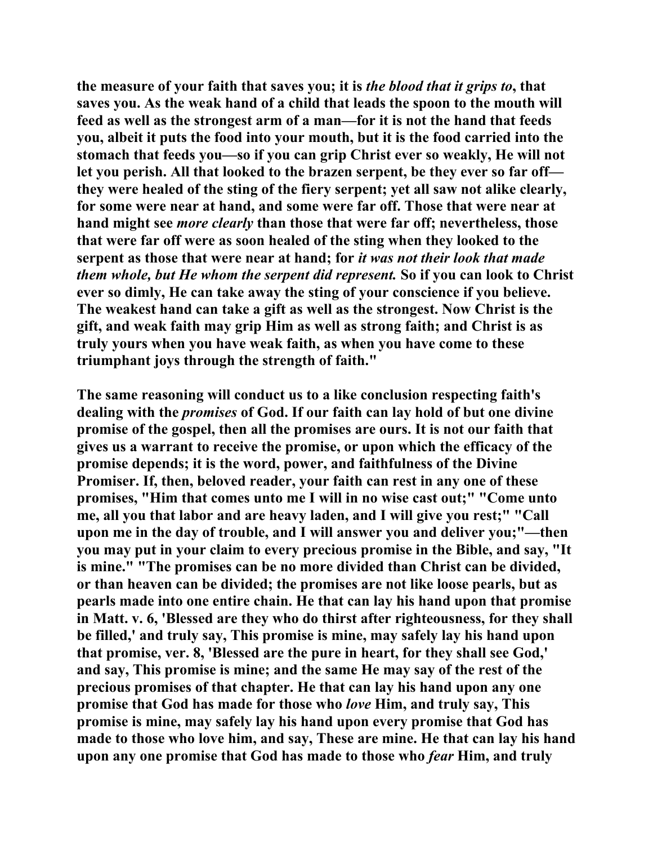**the measure of your faith that saves you; it is** *the blood that it grips to***, that saves you. As the weak hand of a child that leads the spoon to the mouth will feed as well as the strongest arm of a man—for it is not the hand that feeds you, albeit it puts the food into your mouth, but it is the food carried into the stomach that feeds you—so if you can grip Christ ever so weakly, He will not let you perish. All that looked to the brazen serpent, be they ever so far off they were healed of the sting of the fiery serpent; yet all saw not alike clearly, for some were near at hand, and some were far off. Those that were near at hand might see** *more clearly* **than those that were far off; nevertheless, those that were far off were as soon healed of the sting when they looked to the serpent as those that were near at hand; for** *it was not their look that made them whole, but He whom the serpent did represent.* **So if you can look to Christ ever so dimly, He can take away the sting of your conscience if you believe. The weakest hand can take a gift as well as the strongest. Now Christ is the gift, and weak faith may grip Him as well as strong faith; and Christ is as truly yours when you have weak faith, as when you have come to these triumphant joys through the strength of faith."** 

**The same reasoning will conduct us to a like conclusion respecting faith's dealing with the** *promises* **of God. If our faith can lay hold of but one divine promise of the gospel, then all the promises are ours. It is not our faith that gives us a warrant to receive the promise, or upon which the efficacy of the promise depends; it is the word, power, and faithfulness of the Divine Promiser. If, then, beloved reader, your faith can rest in any one of these promises, "Him that comes unto me I will in no wise cast out;" "Come unto me, all you that labor and are heavy laden, and I will give you rest;" "Call upon me in the day of trouble, and I will answer you and deliver you;"—then you may put in your claim to every precious promise in the Bible, and say, "It is mine." "The promises can be no more divided than Christ can be divided, or than heaven can be divided; the promises are not like loose pearls, but as pearls made into one entire chain. He that can lay his hand upon that promise in Matt. v. 6, 'Blessed are they who do thirst after righteousness, for they shall be filled,' and truly say, This promise is mine, may safely lay his hand upon that promise, ver. 8, 'Blessed are the pure in heart, for they shall see God,' and say, This promise is mine; and the same He may say of the rest of the precious promises of that chapter. He that can lay his hand upon any one promise that God has made for those who** *love* **Him, and truly say, This promise is mine, may safely lay his hand upon every promise that God has made to those who love him, and say, These are mine. He that can lay his hand upon any one promise that God has made to those who** *fear* **Him, and truly**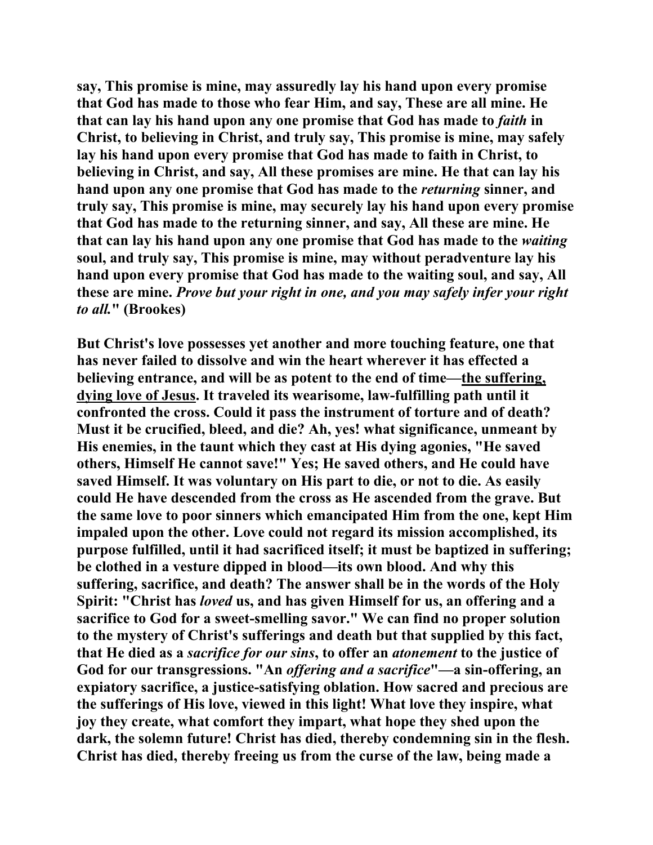**say, This promise is mine, may assuredly lay his hand upon every promise that God has made to those who fear Him, and say, These are all mine. He that can lay his hand upon any one promise that God has made to** *faith* **in Christ, to believing in Christ, and truly say, This promise is mine, may safely lay his hand upon every promise that God has made to faith in Christ, to believing in Christ, and say, All these promises are mine. He that can lay his hand upon any one promise that God has made to the** *returning* **sinner, and truly say, This promise is mine, may securely lay his hand upon every promise that God has made to the returning sinner, and say, All these are mine. He that can lay his hand upon any one promise that God has made to the** *waiting* **soul, and truly say, This promise is mine, may without peradventure lay his hand upon every promise that God has made to the waiting soul, and say, All these are mine.** *Prove but your right in one, and you may safely infer your right to all.***" (Brookes)** 

**But Christ's love possesses yet another and more touching feature, one that has never failed to dissolve and win the heart wherever it has effected a believing entrance, and will be as potent to the end of time—the suffering, dying love of Jesus. It traveled its wearisome, law-fulfilling path until it confronted the cross. Could it pass the instrument of torture and of death? Must it be crucified, bleed, and die? Ah, yes! what significance, unmeant by His enemies, in the taunt which they cast at His dying agonies, "He saved others, Himself He cannot save!" Yes; He saved others, and He could have saved Himself. It was voluntary on His part to die, or not to die. As easily could He have descended from the cross as He ascended from the grave. But the same love to poor sinners which emancipated Him from the one, kept Him impaled upon the other. Love could not regard its mission accomplished, its purpose fulfilled, until it had sacrificed itself; it must be baptized in suffering; be clothed in a vesture dipped in blood—its own blood. And why this suffering, sacrifice, and death? The answer shall be in the words of the Holy Spirit: "Christ has** *loved* **us, and has given Himself for us, an offering and a sacrifice to God for a sweet-smelling savor." We can find no proper solution to the mystery of Christ's sufferings and death but that supplied by this fact, that He died as a** *sacrifice for our sins***, to offer an** *atonement* **to the justice of God for our transgressions. "An** *offering and a sacrifice***"—a sin-offering, an expiatory sacrifice, a justice-satisfying oblation. How sacred and precious are the sufferings of His love, viewed in this light! What love they inspire, what joy they create, what comfort they impart, what hope they shed upon the dark, the solemn future! Christ has died, thereby condemning sin in the flesh. Christ has died, thereby freeing us from the curse of the law, being made a**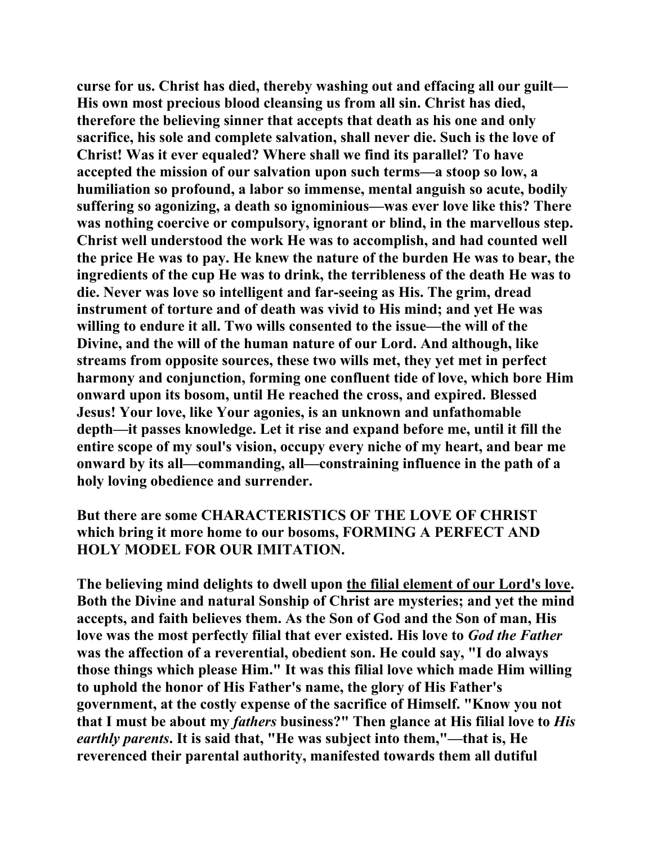**curse for us. Christ has died, thereby washing out and effacing all our guilt— His own most precious blood cleansing us from all sin. Christ has died, therefore the believing sinner that accepts that death as his one and only sacrifice, his sole and complete salvation, shall never die. Such is the love of Christ! Was it ever equaled? Where shall we find its parallel? To have accepted the mission of our salvation upon such terms—a stoop so low, a humiliation so profound, a labor so immense, mental anguish so acute, bodily suffering so agonizing, a death so ignominious—was ever love like this? There was nothing coercive or compulsory, ignorant or blind, in the marvellous step. Christ well understood the work He was to accomplish, and had counted well the price He was to pay. He knew the nature of the burden He was to bear, the ingredients of the cup He was to drink, the terribleness of the death He was to die. Never was love so intelligent and far-seeing as His. The grim, dread instrument of torture and of death was vivid to His mind; and yet He was willing to endure it all. Two wills consented to the issue—the will of the Divine, and the will of the human nature of our Lord. And although, like streams from opposite sources, these two wills met, they yet met in perfect harmony and conjunction, forming one confluent tide of love, which bore Him onward upon its bosom, until He reached the cross, and expired. Blessed Jesus! Your love, like Your agonies, is an unknown and unfathomable depth—it passes knowledge. Let it rise and expand before me, until it fill the entire scope of my soul's vision, occupy every niche of my heart, and bear me onward by its all—commanding, all—constraining influence in the path of a holy loving obedience and surrender.** 

**But there are some CHARACTERISTICS OF THE LOVE OF CHRIST which bring it more home to our bosoms, FORMING A PERFECT AND HOLY MODEL FOR OUR IMITATION.** 

**The believing mind delights to dwell upon the filial element of our Lord's love. Both the Divine and natural Sonship of Christ are mysteries; and yet the mind accepts, and faith believes them. As the Son of God and the Son of man, His love was the most perfectly filial that ever existed. His love to** *God the Father* **was the affection of a reverential, obedient son. He could say, "I do always those things which please Him." It was this filial love which made Him willing to uphold the honor of His Father's name, the glory of His Father's government, at the costly expense of the sacrifice of Himself. "Know you not that I must be about my** *fathers* **business?" Then glance at His filial love to** *His earthly parents***. It is said that, "He was subject into them,"—that is, He reverenced their parental authority, manifested towards them all dutiful**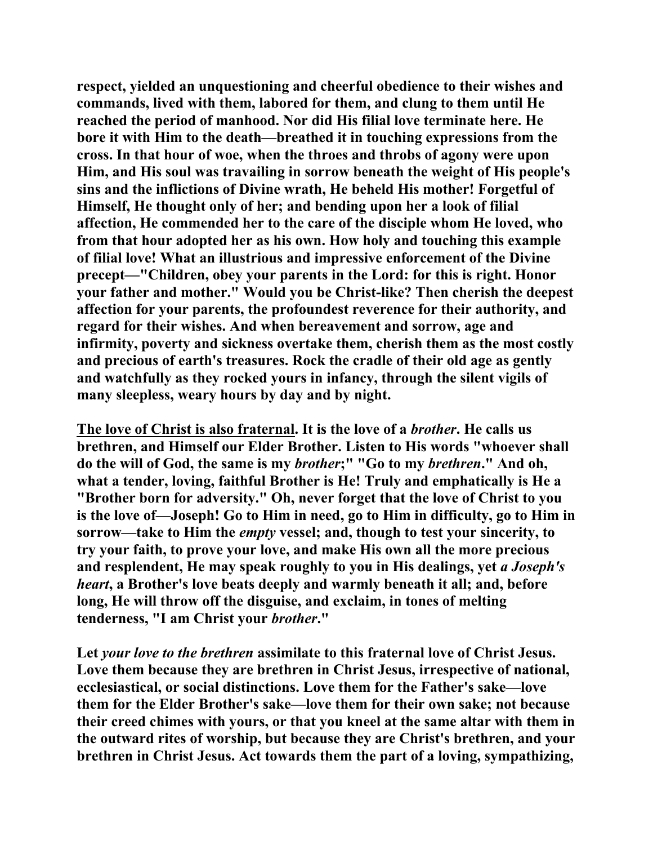**respect, yielded an unquestioning and cheerful obedience to their wishes and commands, lived with them, labored for them, and clung to them until He reached the period of manhood. Nor did His filial love terminate here. He bore it with Him to the death—breathed it in touching expressions from the cross. In that hour of woe, when the throes and throbs of agony were upon Him, and His soul was travailing in sorrow beneath the weight of His people's sins and the inflictions of Divine wrath, He beheld His mother! Forgetful of Himself, He thought only of her; and bending upon her a look of filial affection, He commended her to the care of the disciple whom He loved, who from that hour adopted her as his own. How holy and touching this example of filial love! What an illustrious and impressive enforcement of the Divine precept—"Children, obey your parents in the Lord: for this is right. Honor your father and mother." Would you be Christ-like? Then cherish the deepest affection for your parents, the profoundest reverence for their authority, and regard for their wishes. And when bereavement and sorrow, age and infirmity, poverty and sickness overtake them, cherish them as the most costly and precious of earth's treasures. Rock the cradle of their old age as gently and watchfully as they rocked yours in infancy, through the silent vigils of many sleepless, weary hours by day and by night.** 

**The love of Christ is also fraternal. It is the love of a** *brother***. He calls us brethren, and Himself our Elder Brother. Listen to His words "whoever shall do the will of God, the same is my** *brother***;" "Go to my** *brethren***." And oh, what a tender, loving, faithful Brother is He! Truly and emphatically is He a "Brother born for adversity." Oh, never forget that the love of Christ to you is the love of—Joseph! Go to Him in need, go to Him in difficulty, go to Him in sorrow—take to Him the** *empty* **vessel; and, though to test your sincerity, to try your faith, to prove your love, and make His own all the more precious**  and resplendent, He may speak roughly to you in His dealings, yet *a Joseph's heart***, a Brother's love beats deeply and warmly beneath it all; and, before long, He will throw off the disguise, and exclaim, in tones of melting tenderness, "I am Christ your** *brother***."** 

**Let** *your love to the brethren* **assimilate to this fraternal love of Christ Jesus. Love them because they are brethren in Christ Jesus, irrespective of national, ecclesiastical, or social distinctions. Love them for the Father's sake—love them for the Elder Brother's sake—love them for their own sake; not because their creed chimes with yours, or that you kneel at the same altar with them in the outward rites of worship, but because they are Christ's brethren, and your brethren in Christ Jesus. Act towards them the part of a loving, sympathizing,**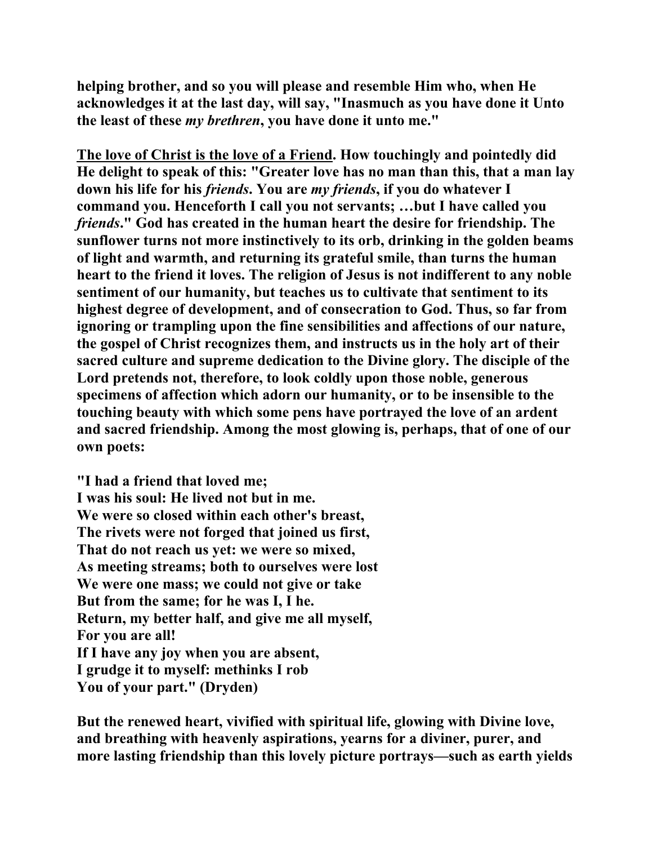**helping brother, and so you will please and resemble Him who, when He acknowledges it at the last day, will say, "Inasmuch as you have done it Unto the least of these** *my brethren***, you have done it unto me."** 

**The love of Christ is the love of a Friend. How touchingly and pointedly did He delight to speak of this: "Greater love has no man than this, that a man lay down his life for his** *friends***. You are** *my friends***, if you do whatever I command you. Henceforth I call you not servants; …but I have called you**  *friends***." God has created in the human heart the desire for friendship. The sunflower turns not more instinctively to its orb, drinking in the golden beams of light and warmth, and returning its grateful smile, than turns the human heart to the friend it loves. The religion of Jesus is not indifferent to any noble sentiment of our humanity, but teaches us to cultivate that sentiment to its highest degree of development, and of consecration to God. Thus, so far from ignoring or trampling upon the fine sensibilities and affections of our nature, the gospel of Christ recognizes them, and instructs us in the holy art of their sacred culture and supreme dedication to the Divine glory. The disciple of the Lord pretends not, therefore, to look coldly upon those noble, generous specimens of affection which adorn our humanity, or to be insensible to the touching beauty with which some pens have portrayed the love of an ardent and sacred friendship. Among the most glowing is, perhaps, that of one of our own poets:** 

**"I had a friend that loved me; I was his soul: He lived not but in me. We were so closed within each other's breast, The rivets were not forged that joined us first, That do not reach us yet: we were so mixed, As meeting streams; both to ourselves were lost We were one mass; we could not give or take But from the same; for he was I, I he. Return, my better half, and give me all myself, For you are all! If I have any joy when you are absent, I grudge it to myself: methinks I rob You of your part." (Dryden)** 

**But the renewed heart, vivified with spiritual life, glowing with Divine love, and breathing with heavenly aspirations, yearns for a diviner, purer, and more lasting friendship than this lovely picture portrays—such as earth yields**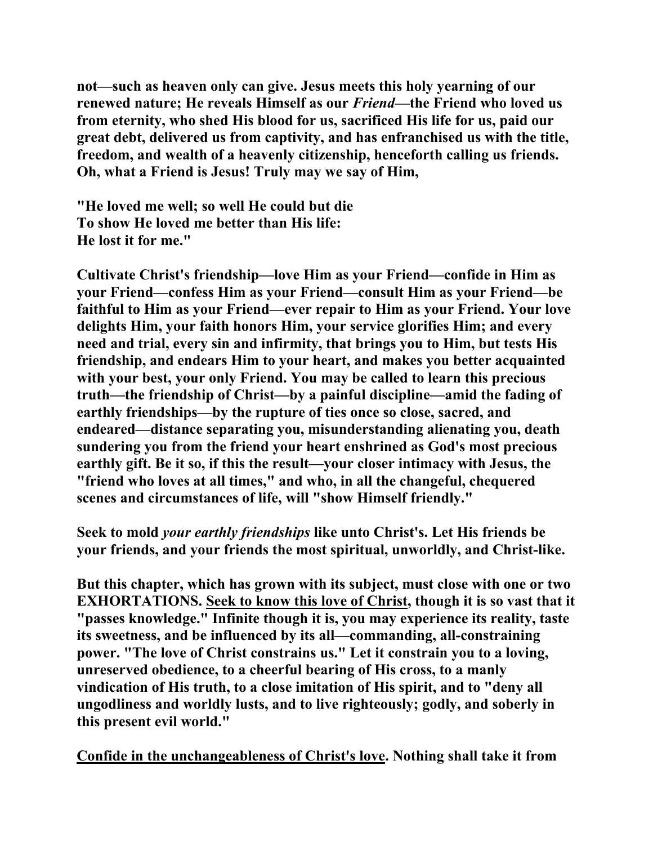**not—such as heaven only can give. Jesus meets this holy yearning of our renewed nature; He reveals Himself as our** *Friend***—the Friend who loved us from eternity, who shed His blood for us, sacrificed His life for us, paid our great debt, delivered us from captivity, and has enfranchised us with the title, freedom, and wealth of a heavenly citizenship, henceforth calling us friends. Oh, what a Friend is Jesus! Truly may we say of Him,** 

**"He loved me well; so well He could but die To show He loved me better than His life: He lost it for me."** 

**Cultivate Christ's friendship—love Him as your Friend—confide in Him as your Friend—confess Him as your Friend—consult Him as your Friend—be faithful to Him as your Friend—ever repair to Him as your Friend. Your love delights Him, your faith honors Him, your service glorifies Him; and every need and trial, every sin and infirmity, that brings you to Him, but tests His friendship, and endears Him to your heart, and makes you better acquainted with your best, your only Friend. You may be called to learn this precious truth—the friendship of Christ—by a painful discipline—amid the fading of earthly friendships—by the rupture of ties once so close, sacred, and endeared—distance separating you, misunderstanding alienating you, death sundering you from the friend your heart enshrined as God's most precious earthly gift. Be it so, if this the result—your closer intimacy with Jesus, the "friend who loves at all times," and who, in all the changeful, chequered scenes and circumstances of life, will "show Himself friendly."** 

**Seek to mold** *your earthly friendships* **like unto Christ's. Let His friends be your friends, and your friends the most spiritual, unworldly, and Christ-like.** 

**But this chapter, which has grown with its subject, must close with one or two EXHORTATIONS. Seek to know this love of Christ, though it is so vast that it "passes knowledge." Infinite though it is, you may experience its reality, taste its sweetness, and be influenced by its all—commanding, all-constraining power. "The love of Christ constrains us." Let it constrain you to a loving, unreserved obedience, to a cheerful bearing of His cross, to a manly vindication of His truth, to a close imitation of His spirit, and to "deny all ungodliness and worldly lusts, and to live righteously; godly, and soberly in this present evil world."** 

**Confide in the unchangeableness of Christ's love. Nothing shall take it from**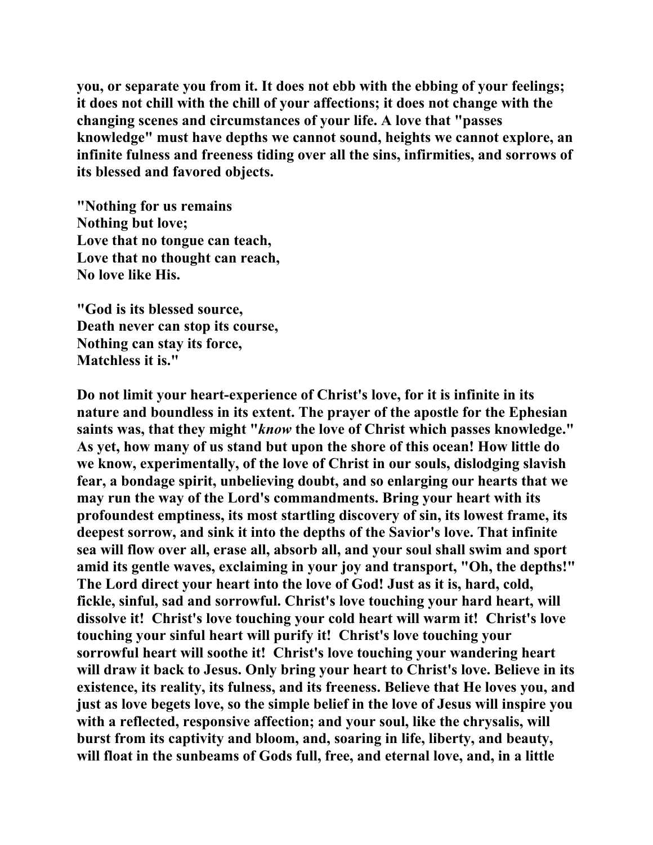**you, or separate you from it. It does not ebb with the ebbing of your feelings; it does not chill with the chill of your affections; it does not change with the changing scenes and circumstances of your life. A love that "passes knowledge" must have depths we cannot sound, heights we cannot explore, an infinite fulness and freeness tiding over all the sins, infirmities, and sorrows of its blessed and favored objects.** 

**"Nothing for us remains Nothing but love; Love that no tongue can teach, Love that no thought can reach, No love like His.** 

**"God is its blessed source, Death never can stop its course, Nothing can stay its force, Matchless it is."** 

**Do not limit your heart-experience of Christ's love, for it is infinite in its nature and boundless in its extent. The prayer of the apostle for the Ephesian saints was, that they might "***know* **the love of Christ which passes knowledge." As yet, how many of us stand but upon the shore of this ocean! How little do we know, experimentally, of the love of Christ in our souls, dislodging slavish fear, a bondage spirit, unbelieving doubt, and so enlarging our hearts that we may run the way of the Lord's commandments. Bring your heart with its profoundest emptiness, its most startling discovery of sin, its lowest frame, its deepest sorrow, and sink it into the depths of the Savior's love. That infinite sea will flow over all, erase all, absorb all, and your soul shall swim and sport amid its gentle waves, exclaiming in your joy and transport, "Oh, the depths!" The Lord direct your heart into the love of God! Just as it is, hard, cold, fickle, sinful, sad and sorrowful. Christ's love touching your hard heart, will dissolve it! Christ's love touching your cold heart will warm it! Christ's love touching your sinful heart will purify it! Christ's love touching your sorrowful heart will soothe it! Christ's love touching your wandering heart will draw it back to Jesus. Only bring your heart to Christ's love. Believe in its existence, its reality, its fulness, and its freeness. Believe that He loves you, and just as love begets love, so the simple belief in the love of Jesus will inspire you with a reflected, responsive affection; and your soul, like the chrysalis, will burst from its captivity and bloom, and, soaring in life, liberty, and beauty, will float in the sunbeams of Gods full, free, and eternal love, and, in a little**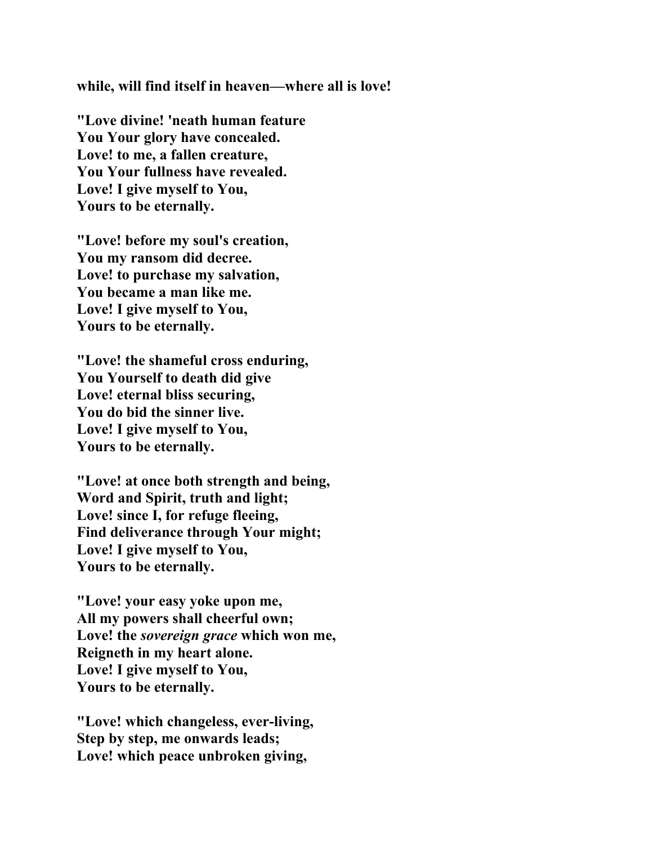**while, will find itself in heaven—where all is love!** 

**"Love divine! 'neath human feature You Your glory have concealed. Love! to me, a fallen creature, You Your fullness have revealed. Love! I give myself to You, Yours to be eternally.** 

**"Love! before my soul's creation, You my ransom did decree. Love! to purchase my salvation, You became a man like me. Love! I give myself to You, Yours to be eternally.** 

**"Love! the shameful cross enduring, You Yourself to death did give Love! eternal bliss securing, You do bid the sinner live. Love! I give myself to You, Yours to be eternally.** 

**"Love! at once both strength and being, Word and Spirit, truth and light; Love! since I, for refuge fleeing, Find deliverance through Your might; Love! I give myself to You, Yours to be eternally.** 

**"Love! your easy yoke upon me, All my powers shall cheerful own; Love! the** *sovereign grace* **which won me, Reigneth in my heart alone. Love! I give myself to You, Yours to be eternally.** 

**"Love! which changeless, ever-living, Step by step, me onwards leads; Love! which peace unbroken giving,**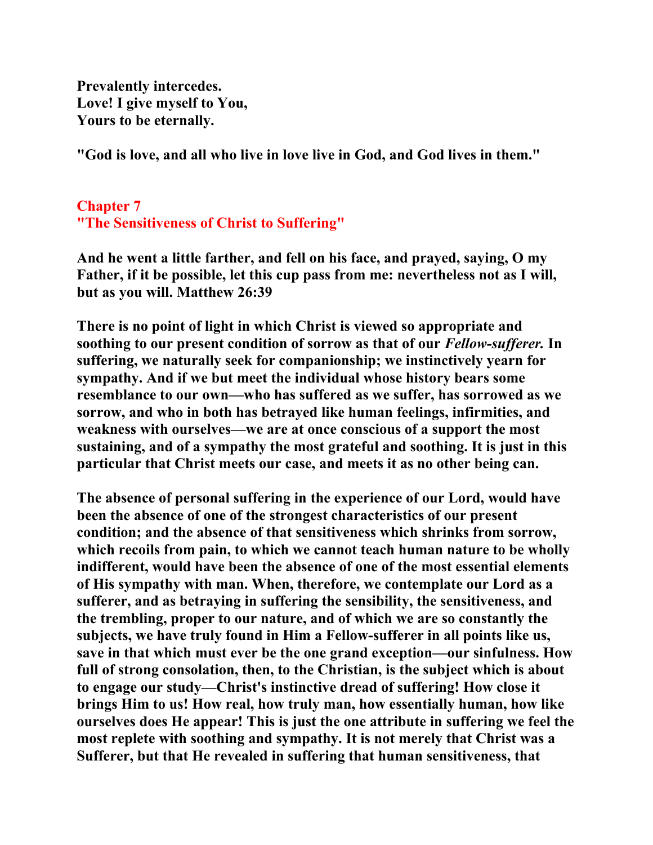**Prevalently intercedes. Love! I give myself to You, Yours to be eternally.** 

**"God is love, and all who live in love live in God, and God lives in them."** 

## **Chapter 7 "The Sensitiveness of Christ to Suffering"**

**And he went a little farther, and fell on his face, and prayed, saying, O my Father, if it be possible, let this cup pass from me: nevertheless not as I will, but as you will. Matthew 26:39** 

**There is no point of light in which Christ is viewed so appropriate and soothing to our present condition of sorrow as that of our** *Fellow-sufferer.* **In suffering, we naturally seek for companionship; we instinctively yearn for sympathy. And if we but meet the individual whose history bears some resemblance to our own—who has suffered as we suffer, has sorrowed as we sorrow, and who in both has betrayed like human feelings, infirmities, and weakness with ourselves—we are at once conscious of a support the most sustaining, and of a sympathy the most grateful and soothing. It is just in this particular that Christ meets our case, and meets it as no other being can.** 

**The absence of personal suffering in the experience of our Lord, would have been the absence of one of the strongest characteristics of our present condition; and the absence of that sensitiveness which shrinks from sorrow, which recoils from pain, to which we cannot teach human nature to be wholly indifferent, would have been the absence of one of the most essential elements of His sympathy with man. When, therefore, we contemplate our Lord as a sufferer, and as betraying in suffering the sensibility, the sensitiveness, and the trembling, proper to our nature, and of which we are so constantly the subjects, we have truly found in Him a Fellow-sufferer in all points like us, save in that which must ever be the one grand exception—our sinfulness. How full of strong consolation, then, to the Christian, is the subject which is about to engage our study—Christ's instinctive dread of suffering! How close it brings Him to us! How real, how truly man, how essentially human, how like ourselves does He appear! This is just the one attribute in suffering we feel the most replete with soothing and sympathy. It is not merely that Christ was a Sufferer, but that He revealed in suffering that human sensitiveness, that**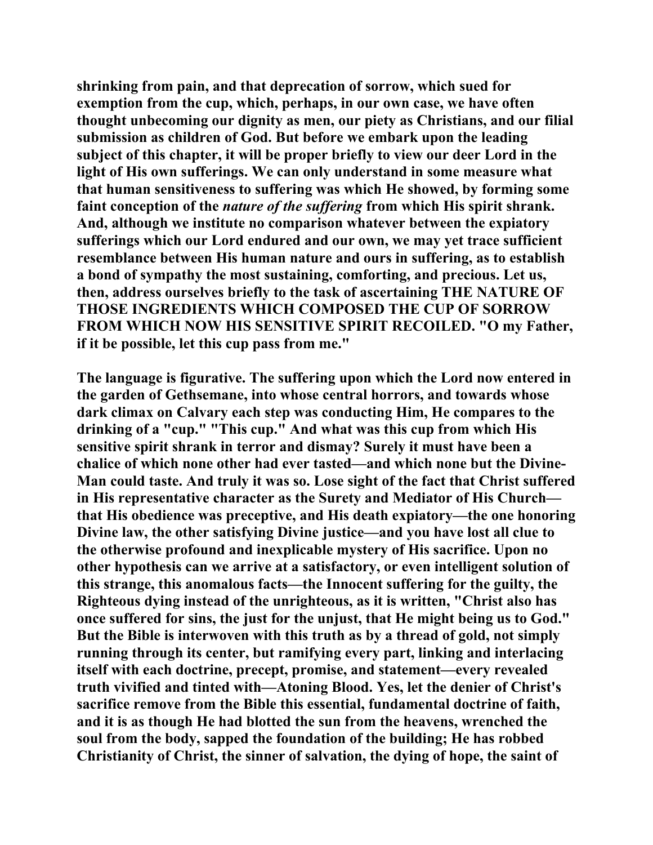**shrinking from pain, and that deprecation of sorrow, which sued for exemption from the cup, which, perhaps, in our own case, we have often thought unbecoming our dignity as men, our piety as Christians, and our filial submission as children of God. But before we embark upon the leading subject of this chapter, it will be proper briefly to view our deer Lord in the light of His own sufferings. We can only understand in some measure what that human sensitiveness to suffering was which He showed, by forming some faint conception of the** *nature of the suffering* **from which His spirit shrank. And, although we institute no comparison whatever between the expiatory sufferings which our Lord endured and our own, we may yet trace sufficient resemblance between His human nature and ours in suffering, as to establish a bond of sympathy the most sustaining, comforting, and precious. Let us, then, address ourselves briefly to the task of ascertaining THE NATURE OF THOSE INGREDIENTS WHICH COMPOSED THE CUP OF SORROW FROM WHICH NOW HIS SENSITIVE SPIRIT RECOILED. "O my Father, if it be possible, let this cup pass from me."** 

**The language is figurative. The suffering upon which the Lord now entered in the garden of Gethsemane, into whose central horrors, and towards whose dark climax on Calvary each step was conducting Him, He compares to the drinking of a "cup." "This cup." And what was this cup from which His sensitive spirit shrank in terror and dismay? Surely it must have been a chalice of which none other had ever tasted—and which none but the Divine-Man could taste. And truly it was so. Lose sight of the fact that Christ suffered in His representative character as the Surety and Mediator of His Church that His obedience was preceptive, and His death expiatory—the one honoring Divine law, the other satisfying Divine justice—and you have lost all clue to the otherwise profound and inexplicable mystery of His sacrifice. Upon no other hypothesis can we arrive at a satisfactory, or even intelligent solution of this strange, this anomalous facts—the Innocent suffering for the guilty, the Righteous dying instead of the unrighteous, as it is written, "Christ also has once suffered for sins, the just for the unjust, that He might being us to God." But the Bible is interwoven with this truth as by a thread of gold, not simply running through its center, but ramifying every part, linking and interlacing itself with each doctrine, precept, promise, and statement—every revealed truth vivified and tinted with—Atoning Blood. Yes, let the denier of Christ's sacrifice remove from the Bible this essential, fundamental doctrine of faith, and it is as though He had blotted the sun from the heavens, wrenched the soul from the body, sapped the foundation of the building; He has robbed Christianity of Christ, the sinner of salvation, the dying of hope, the saint of**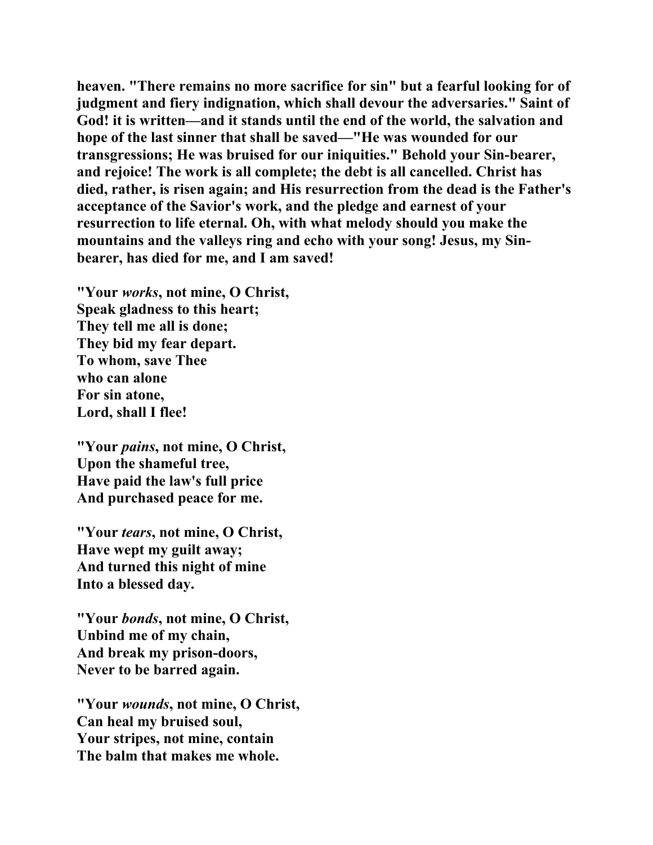**heaven. "There remains no more sacrifice for sin" but a fearful looking for of judgment and fiery indignation, which shall devour the adversaries." Saint of God! it is written—and it stands until the end of the world, the salvation and hope of the last sinner that shall be saved—"He was wounded for our transgressions; He was bruised for our iniquities." Behold your Sin-bearer, and rejoice! The work is all complete; the debt is all cancelled. Christ has died, rather, is risen again; and His resurrection from the dead is the Father's acceptance of the Savior's work, and the pledge and earnest of your resurrection to life eternal. Oh, with what melody should you make the mountains and the valleys ring and echo with your song! Jesus, my Sinbearer, has died for me, and I am saved!** 

**"Your** *works***, not mine, O Christ, Speak gladness to this heart; They tell me all is done; They bid my fear depart. To whom, save Thee who can alone For sin atone, Lord, shall I flee!** 

**"Your** *pains***, not mine, O Christ, Upon the shameful tree, Have paid the law's full price And purchased peace for me.** 

**"Your** *tears***, not mine, O Christ, Have wept my guilt away; And turned this night of mine Into a blessed day.** 

**"Your** *bonds***, not mine, O Christ, Unbind me of my chain, And break my prison-doors, Never to be barred again.** 

**"Your** *wounds***, not mine, O Christ, Can heal my bruised soul, Your stripes, not mine, contain The balm that makes me whole.**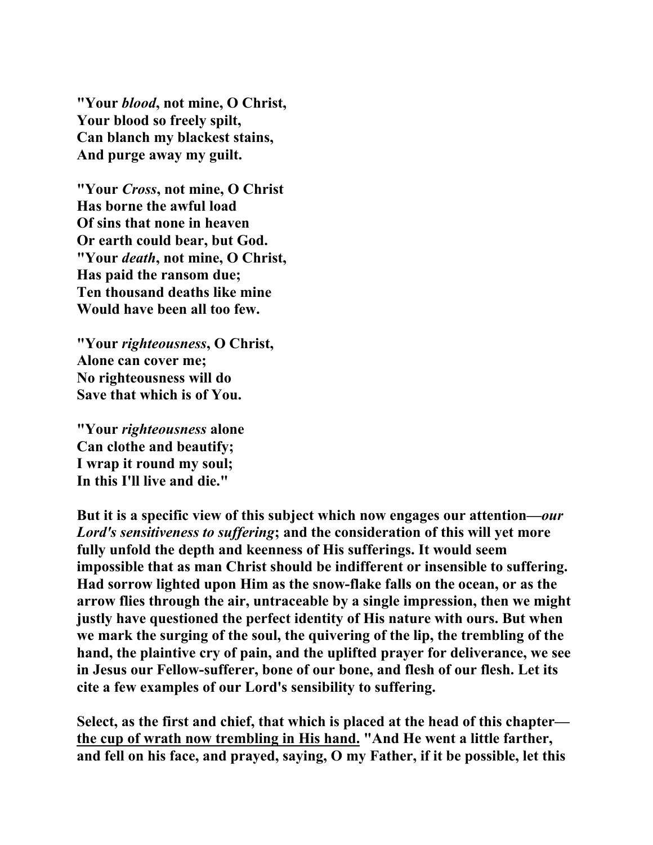**"Your** *blood***, not mine, O Christ, Your blood so freely spilt, Can blanch my blackest stains, And purge away my guilt.** 

**"Your** *Cross***, not mine, O Christ Has borne the awful load Of sins that none in heaven Or earth could bear, but God. "Your** *death***, not mine, O Christ, Has paid the ransom due; Ten thousand deaths like mine Would have been all too few.** 

**"Your** *righteousness***, O Christ, Alone can cover me; No righteousness will do Save that which is of You.** 

**"Your** *righteousness* **alone Can clothe and beautify; I wrap it round my soul; In this I'll live and die."** 

**But it is a specific view of this subject which now engages our attention—***our Lord's sensitiveness to suffering***; and the consideration of this will yet more fully unfold the depth and keenness of His sufferings. It would seem impossible that as man Christ should be indifferent or insensible to suffering. Had sorrow lighted upon Him as the snow-flake falls on the ocean, or as the arrow flies through the air, untraceable by a single impression, then we might justly have questioned the perfect identity of His nature with ours. But when we mark the surging of the soul, the quivering of the lip, the trembling of the hand, the plaintive cry of pain, and the uplifted prayer for deliverance, we see in Jesus our Fellow-sufferer, bone of our bone, and flesh of our flesh. Let its cite a few examples of our Lord's sensibility to suffering.** 

**Select, as the first and chief, that which is placed at the head of this chapter the cup of wrath now trembling in His hand. "And He went a little farther, and fell on his face, and prayed, saying, O my Father, if it be possible, let this**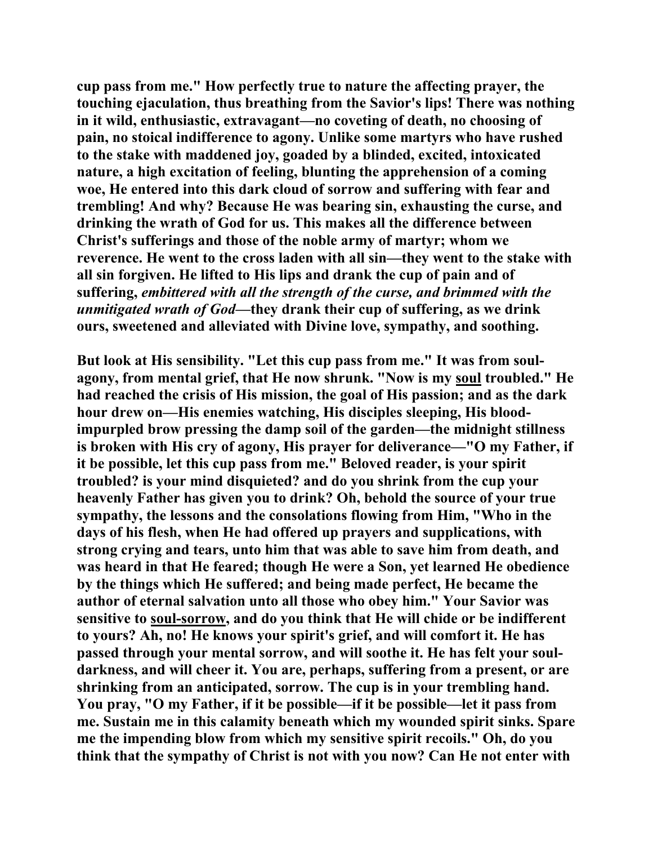**cup pass from me." How perfectly true to nature the affecting prayer, the touching ejaculation, thus breathing from the Savior's lips! There was nothing in it wild, enthusiastic, extravagant—no coveting of death, no choosing of pain, no stoical indifference to agony. Unlike some martyrs who have rushed to the stake with maddened joy, goaded by a blinded, excited, intoxicated nature, a high excitation of feeling, blunting the apprehension of a coming woe, He entered into this dark cloud of sorrow and suffering with fear and trembling! And why? Because He was bearing sin, exhausting the curse, and drinking the wrath of God for us. This makes all the difference between Christ's sufferings and those of the noble army of martyr; whom we reverence. He went to the cross laden with all sin—they went to the stake with all sin forgiven. He lifted to His lips and drank the cup of pain and of suffering,** *embittered with all the strength of the curse, and brimmed with the unmitigated wrath of God***—they drank their cup of suffering, as we drink ours, sweetened and alleviated with Divine love, sympathy, and soothing.** 

**But look at His sensibility. "Let this cup pass from me." It was from soulagony, from mental grief, that He now shrunk. "Now is my soul troubled." He had reached the crisis of His mission, the goal of His passion; and as the dark hour drew on—His enemies watching, His disciples sleeping, His bloodimpurpled brow pressing the damp soil of the garden—the midnight stillness is broken with His cry of agony, His prayer for deliverance—"O my Father, if it be possible, let this cup pass from me." Beloved reader, is your spirit troubled? is your mind disquieted? and do you shrink from the cup your heavenly Father has given you to drink? Oh, behold the source of your true sympathy, the lessons and the consolations flowing from Him, "Who in the days of his flesh, when He had offered up prayers and supplications, with strong crying and tears, unto him that was able to save him from death, and was heard in that He feared; though He were a Son, yet learned He obedience by the things which He suffered; and being made perfect, He became the author of eternal salvation unto all those who obey him." Your Savior was sensitive to soul-sorrow, and do you think that He will chide or be indifferent to yours? Ah, no! He knows your spirit's grief, and will comfort it. He has passed through your mental sorrow, and will soothe it. He has felt your souldarkness, and will cheer it. You are, perhaps, suffering from a present, or are shrinking from an anticipated, sorrow. The cup is in your trembling hand. You pray, "O my Father, if it be possible—if it be possible—let it pass from me. Sustain me in this calamity beneath which my wounded spirit sinks. Spare me the impending blow from which my sensitive spirit recoils." Oh, do you think that the sympathy of Christ is not with you now? Can He not enter with**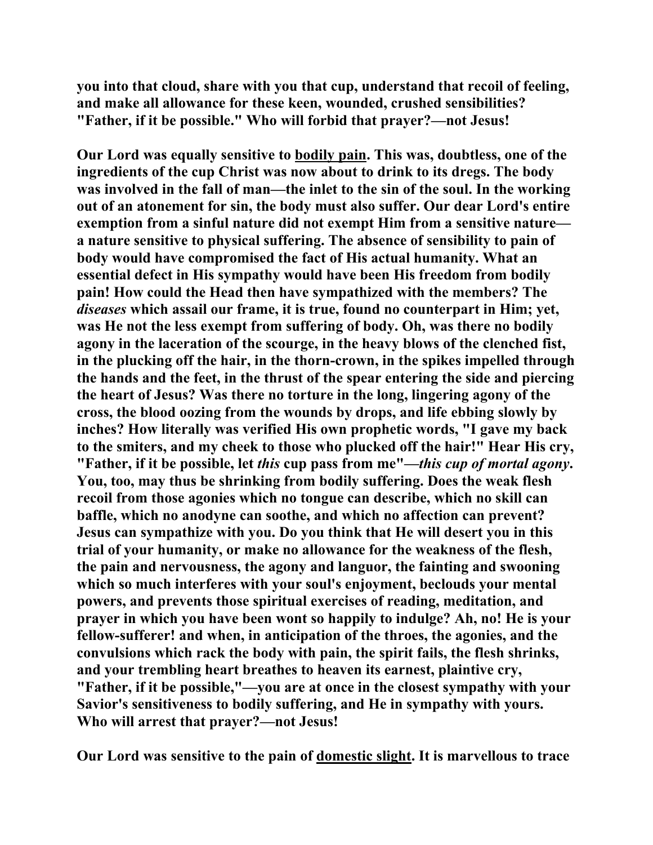**you into that cloud, share with you that cup, understand that recoil of feeling, and make all allowance for these keen, wounded, crushed sensibilities? "Father, if it be possible." Who will forbid that prayer?—not Jesus!** 

**Our Lord was equally sensitive to bodily pain. This was, doubtless, one of the ingredients of the cup Christ was now about to drink to its dregs. The body was involved in the fall of man—the inlet to the sin of the soul. In the working out of an atonement for sin, the body must also suffer. Our dear Lord's entire exemption from a sinful nature did not exempt Him from a sensitive nature a nature sensitive to physical suffering. The absence of sensibility to pain of body would have compromised the fact of His actual humanity. What an essential defect in His sympathy would have been His freedom from bodily pain! How could the Head then have sympathized with the members? The**  *diseases* **which assail our frame, it is true, found no counterpart in Him; yet, was He not the less exempt from suffering of body. Oh, was there no bodily agony in the laceration of the scourge, in the heavy blows of the clenched fist, in the plucking off the hair, in the thorn-crown, in the spikes impelled through the hands and the feet, in the thrust of the spear entering the side and piercing the heart of Jesus? Was there no torture in the long, lingering agony of the cross, the blood oozing from the wounds by drops, and life ebbing slowly by inches? How literally was verified His own prophetic words, "I gave my back to the smiters, and my cheek to those who plucked off the hair!" Hear His cry, "Father, if it be possible, let** *this* **cup pass from me"—***this cup of mortal agony***. You, too, may thus be shrinking from bodily suffering. Does the weak flesh recoil from those agonies which no tongue can describe, which no skill can baffle, which no anodyne can soothe, and which no affection can prevent? Jesus can sympathize with you. Do you think that He will desert you in this trial of your humanity, or make no allowance for the weakness of the flesh, the pain and nervousness, the agony and languor, the fainting and swooning which so much interferes with your soul's enjoyment, beclouds your mental powers, and prevents those spiritual exercises of reading, meditation, and prayer in which you have been wont so happily to indulge? Ah, no! He is your fellow-sufferer! and when, in anticipation of the throes, the agonies, and the convulsions which rack the body with pain, the spirit fails, the flesh shrinks, and your trembling heart breathes to heaven its earnest, plaintive cry, "Father, if it be possible,"—you are at once in the closest sympathy with your Savior's sensitiveness to bodily suffering, and He in sympathy with yours. Who will arrest that prayer?—not Jesus!** 

**Our Lord was sensitive to the pain of domestic slight. It is marvellous to trace**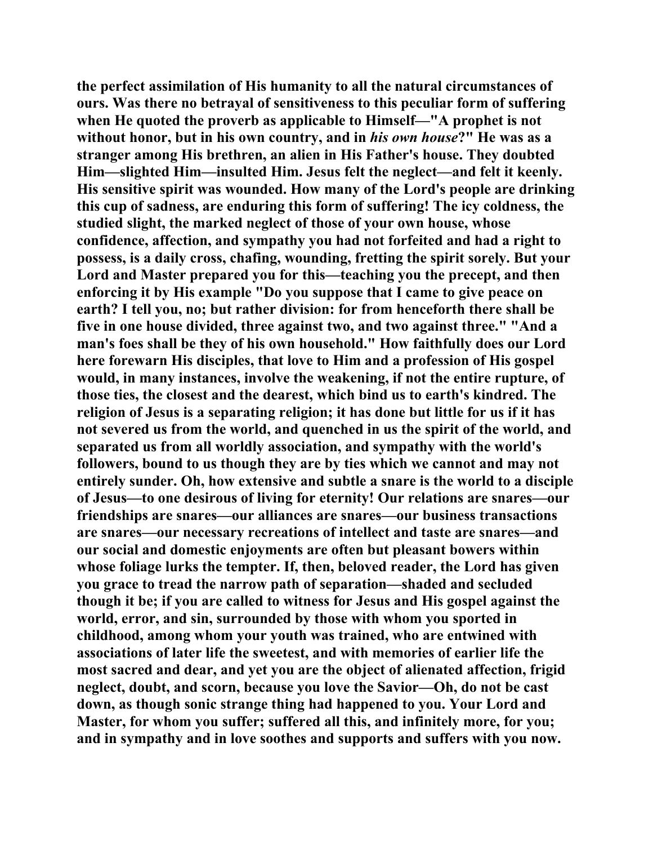**the perfect assimilation of His humanity to all the natural circumstances of ours. Was there no betrayal of sensitiveness to this peculiar form of suffering when He quoted the proverb as applicable to Himself—"A prophet is not without honor, but in his own country, and in** *his own house***?" He was as a stranger among His brethren, an alien in His Father's house. They doubted Him—slighted Him—insulted Him. Jesus felt the neglect—and felt it keenly. His sensitive spirit was wounded. How many of the Lord's people are drinking this cup of sadness, are enduring this form of suffering! The icy coldness, the studied slight, the marked neglect of those of your own house, whose confidence, affection, and sympathy you had not forfeited and had a right to possess, is a daily cross, chafing, wounding, fretting the spirit sorely. But your Lord and Master prepared you for this—teaching you the precept, and then enforcing it by His example "Do you suppose that I came to give peace on earth? I tell you, no; but rather division: for from henceforth there shall be five in one house divided, three against two, and two against three." "And a man's foes shall be they of his own household." How faithfully does our Lord here forewarn His disciples, that love to Him and a profession of His gospel would, in many instances, involve the weakening, if not the entire rupture, of those ties, the closest and the dearest, which bind us to earth's kindred. The religion of Jesus is a separating religion; it has done but little for us if it has not severed us from the world, and quenched in us the spirit of the world, and separated us from all worldly association, and sympathy with the world's followers, bound to us though they are by ties which we cannot and may not entirely sunder. Oh, how extensive and subtle a snare is the world to a disciple of Jesus—to one desirous of living for eternity! Our relations are snares—our friendships are snares—our alliances are snares—our business transactions are snares—our necessary recreations of intellect and taste are snares—and our social and domestic enjoyments are often but pleasant bowers within whose foliage lurks the tempter. If, then, beloved reader, the Lord has given you grace to tread the narrow path of separation—shaded and secluded though it be; if you are called to witness for Jesus and His gospel against the world, error, and sin, surrounded by those with whom you sported in childhood, among whom your youth was trained, who are entwined with associations of later life the sweetest, and with memories of earlier life the most sacred and dear, and yet you are the object of alienated affection, frigid neglect, doubt, and scorn, because you love the Savior—Oh, do not be cast down, as though sonic strange thing had happened to you. Your Lord and Master, for whom you suffer; suffered all this, and infinitely more, for you; and in sympathy and in love soothes and supports and suffers with you now.**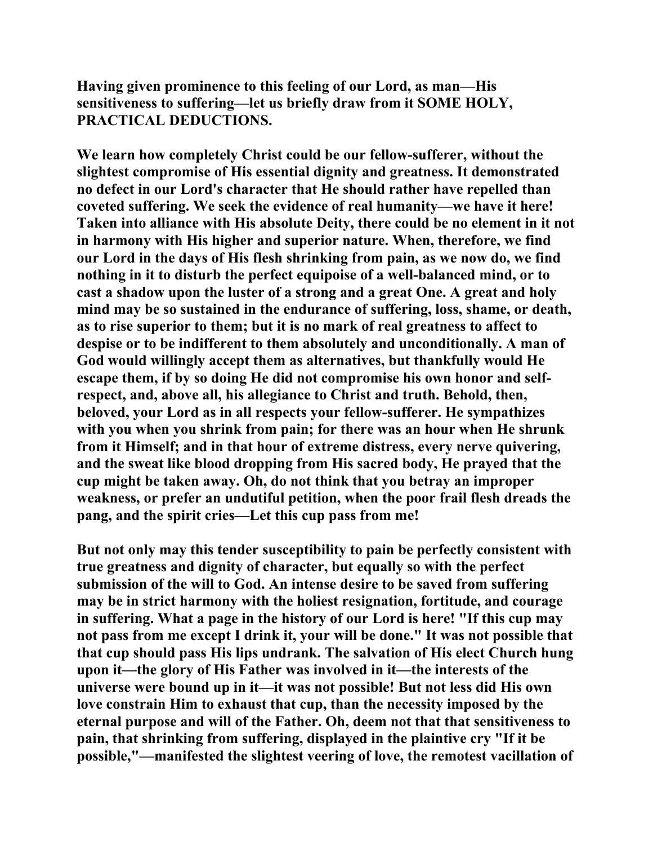**Having given prominence to this feeling of our Lord, as man—His sensitiveness to suffering—let us briefly draw from it SOME HOLY, PRACTICAL DEDUCTIONS.** 

**We learn how completely Christ could be our fellow-sufferer, without the slightest compromise of His essential dignity and greatness. It demonstrated no defect in our Lord's character that He should rather have repelled than coveted suffering. We seek the evidence of real humanity—we have it here! Taken into alliance with His absolute Deity, there could be no element in it not in harmony with His higher and superior nature. When, therefore, we find our Lord in the days of His flesh shrinking from pain, as we now do, we find nothing in it to disturb the perfect equipoise of a well-balanced mind, or to cast a shadow upon the luster of a strong and a great One. A great and holy mind may be so sustained in the endurance of suffering, loss, shame, or death, as to rise superior to them; but it is no mark of real greatness to affect to despise or to be indifferent to them absolutely and unconditionally. A man of God would willingly accept them as alternatives, but thankfully would He escape them, if by so doing He did not compromise his own honor and selfrespect, and, above all, his allegiance to Christ and truth. Behold, then, beloved, your Lord as in all respects your fellow-sufferer. He sympathizes with you when you shrink from pain; for there was an hour when He shrunk from it Himself; and in that hour of extreme distress, every nerve quivering, and the sweat like blood dropping from His sacred body, He prayed that the cup might be taken away. Oh, do not think that you betray an improper weakness, or prefer an undutiful petition, when the poor frail flesh dreads the pang, and the spirit cries—Let this cup pass from me!** 

**But not only may this tender susceptibility to pain be perfectly consistent with true greatness and dignity of character, but equally so with the perfect submission of the will to God. An intense desire to be saved from suffering may be in strict harmony with the holiest resignation, fortitude, and courage in suffering. What a page in the history of our Lord is here! "If this cup may not pass from me except I drink it, your will be done." It was not possible that that cup should pass His lips undrank. The salvation of His elect Church hung upon it—the glory of His Father was involved in it—the interests of the universe were bound up in it—it was not possible! But not less did His own love constrain Him to exhaust that cup, than the necessity imposed by the eternal purpose and will of the Father. Oh, deem not that that sensitiveness to pain, that shrinking from suffering, displayed in the plaintive cry "If it be possible,"—manifested the slightest veering of love, the remotest vacillation of**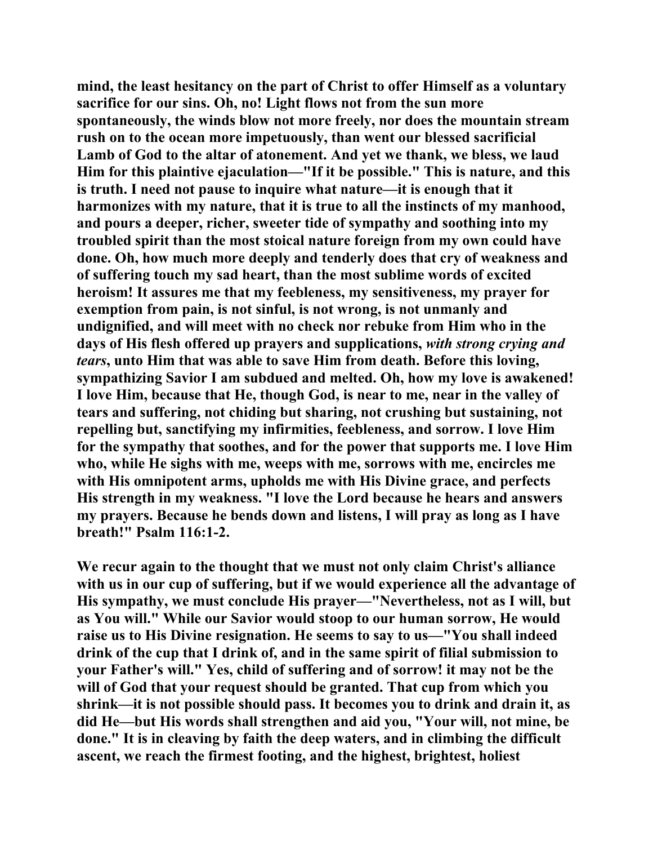**mind, the least hesitancy on the part of Christ to offer Himself as a voluntary sacrifice for our sins. Oh, no! Light flows not from the sun more spontaneously, the winds blow not more freely, nor does the mountain stream rush on to the ocean more impetuously, than went our blessed sacrificial Lamb of God to the altar of atonement. And yet we thank, we bless, we laud Him for this plaintive ejaculation—"If it be possible." This is nature, and this is truth. I need not pause to inquire what nature—it is enough that it harmonizes with my nature, that it is true to all the instincts of my manhood, and pours a deeper, richer, sweeter tide of sympathy and soothing into my troubled spirit than the most stoical nature foreign from my own could have done. Oh, how much more deeply and tenderly does that cry of weakness and of suffering touch my sad heart, than the most sublime words of excited heroism! It assures me that my feebleness, my sensitiveness, my prayer for exemption from pain, is not sinful, is not wrong, is not unmanly and undignified, and will meet with no check nor rebuke from Him who in the days of His flesh offered up prayers and supplications,** *with strong crying and tears***, unto Him that was able to save Him from death. Before this loving, sympathizing Savior I am subdued and melted. Oh, how my love is awakened! I love Him, because that He, though God, is near to me, near in the valley of tears and suffering, not chiding but sharing, not crushing but sustaining, not repelling but, sanctifying my infirmities, feebleness, and sorrow. I love Him for the sympathy that soothes, and for the power that supports me. I love Him who, while He sighs with me, weeps with me, sorrows with me, encircles me with His omnipotent arms, upholds me with His Divine grace, and perfects His strength in my weakness. "I love the Lord because he hears and answers my prayers. Because he bends down and listens, I will pray as long as I have breath!" Psalm 116:1-2.** 

**We recur again to the thought that we must not only claim Christ's alliance with us in our cup of suffering, but if we would experience all the advantage of His sympathy, we must conclude His prayer—"Nevertheless, not as I will, but as You will." While our Savior would stoop to our human sorrow, He would raise us to His Divine resignation. He seems to say to us—"You shall indeed drink of the cup that I drink of, and in the same spirit of filial submission to your Father's will." Yes, child of suffering and of sorrow! it may not be the will of God that your request should be granted. That cup from which you shrink—it is not possible should pass. It becomes you to drink and drain it, as did He—but His words shall strengthen and aid you, "Your will, not mine, be done." It is in cleaving by faith the deep waters, and in climbing the difficult ascent, we reach the firmest footing, and the highest, brightest, holiest**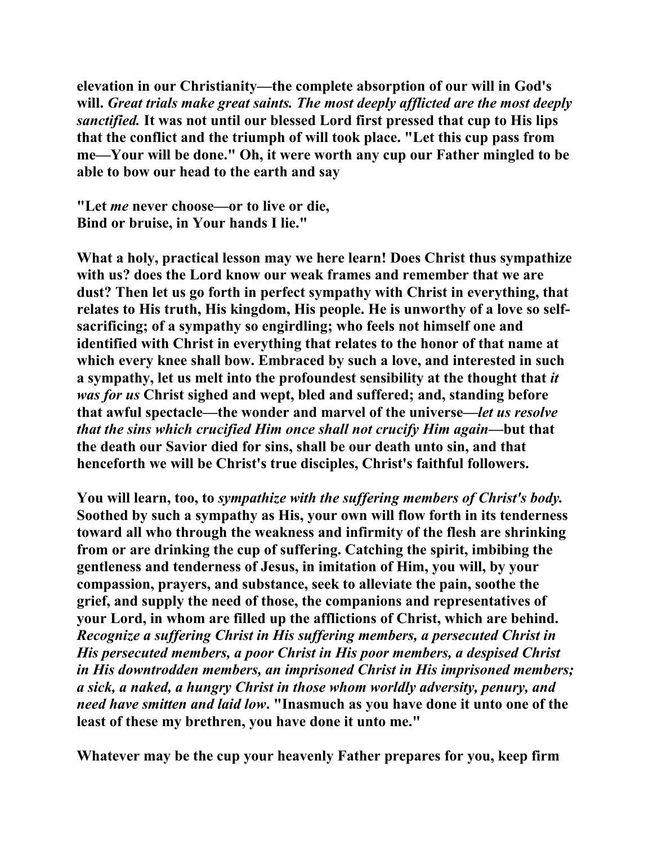**elevation in our Christianity—the complete absorption of our will in God's will.** *Great trials make great saints. The most deeply afflicted are the most deeply sanctified.* **It was not until our blessed Lord first pressed that cup to His lips that the conflict and the triumph of will took place. "Let this cup pass from me—Your will be done." Oh, it were worth any cup our Father mingled to be able to bow our head to the earth and say** 

**"Let** *me* **never choose—or to live or die, Bind or bruise, in Your hands I lie."** 

**What a holy, practical lesson may we here learn! Does Christ thus sympathize with us? does the Lord know our weak frames and remember that we are dust? Then let us go forth in perfect sympathy with Christ in everything, that relates to His truth, His kingdom, His people. He is unworthy of a love so selfsacrificing; of a sympathy so engirdling; who feels not himself one and identified with Christ in everything that relates to the honor of that name at which every knee shall bow. Embraced by such a love, and interested in such a sympathy, let us melt into the profoundest sensibility at the thought that** *it was for us* **Christ sighed and wept, bled and suffered; and, standing before that awful spectacle—the wonder and marvel of the universe—***let us resolve that the sins which crucified Him once shall not crucify Him again***—but that the death our Savior died for sins, shall be our death unto sin, and that henceforth we will be Christ's true disciples, Christ's faithful followers.** 

**You will learn, too, to** *sympathize with the suffering members of Christ's body.*  **Soothed by such a sympathy as His, your own will flow forth in its tenderness toward all who through the weakness and infirmity of the flesh are shrinking from or are drinking the cup of suffering. Catching the spirit, imbibing the gentleness and tenderness of Jesus, in imitation of Him, you will, by your compassion, prayers, and substance, seek to alleviate the pain, soothe the grief, and supply the need of those, the companions and representatives of your Lord, in whom are filled up the afflictions of Christ, which are behind.**  *Recognize a suffering Christ in His suffering members, a persecuted Christ in His persecuted members, a poor Christ in His poor members, a despised Christ in His downtrodden members, an imprisoned Christ in His imprisoned members; a sick, a naked, a hungry Christ in those whom worldly adversity, penury, and need have smitten and laid low***. "Inasmuch as you have done it unto one of the least of these my brethren, you have done it unto me."** 

**Whatever may be the cup your heavenly Father prepares for you, keep firm**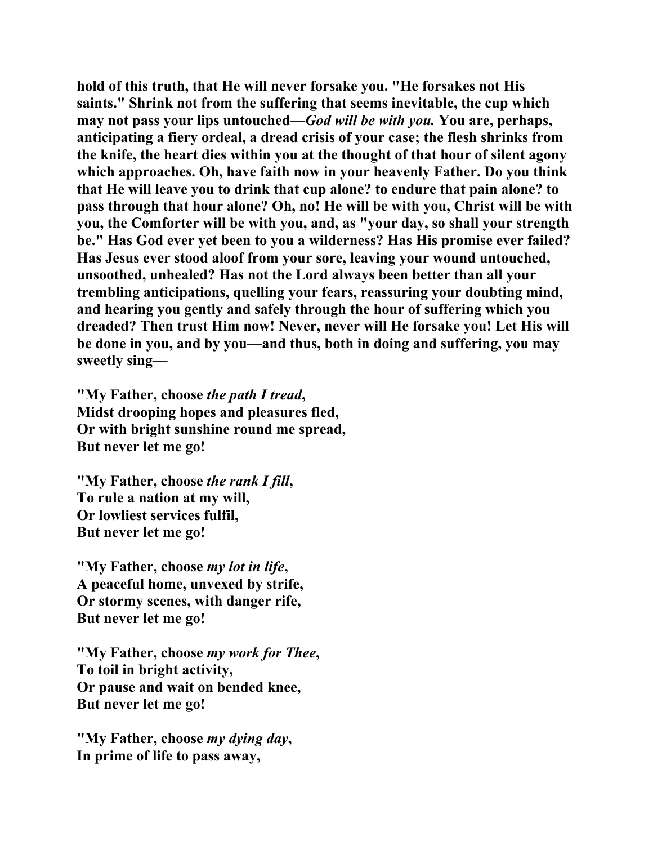**hold of this truth, that He will never forsake you. "He forsakes not His saints." Shrink not from the suffering that seems inevitable, the cup which may not pass your lips untouched—***God will be with you.* **You are, perhaps, anticipating a fiery ordeal, a dread crisis of your case; the flesh shrinks from the knife, the heart dies within you at the thought of that hour of silent agony which approaches. Oh, have faith now in your heavenly Father. Do you think that He will leave you to drink that cup alone? to endure that pain alone? to pass through that hour alone? Oh, no! He will be with you, Christ will be with you, the Comforter will be with you, and, as "your day, so shall your strength be." Has God ever yet been to you a wilderness? Has His promise ever failed? Has Jesus ever stood aloof from your sore, leaving your wound untouched, unsoothed, unhealed? Has not the Lord always been better than all your trembling anticipations, quelling your fears, reassuring your doubting mind, and hearing you gently and safely through the hour of suffering which you dreaded? Then trust Him now! Never, never will He forsake you! Let His will be done in you, and by you—and thus, both in doing and suffering, you may sweetly sing—** 

**"My Father, choose** *the path I tread***, Midst drooping hopes and pleasures fled, Or with bright sunshine round me spread, But never let me go!** 

**"My Father, choose** *the rank I fill***, To rule a nation at my will, Or lowliest services fulfil, But never let me go!** 

**"My Father, choose** *my lot in life***, A peaceful home, unvexed by strife, Or stormy scenes, with danger rife, But never let me go!** 

**"My Father, choose** *my work for Thee***, To toil in bright activity, Or pause and wait on bended knee, But never let me go!** 

**"My Father, choose** *my dying day***, In prime of life to pass away,**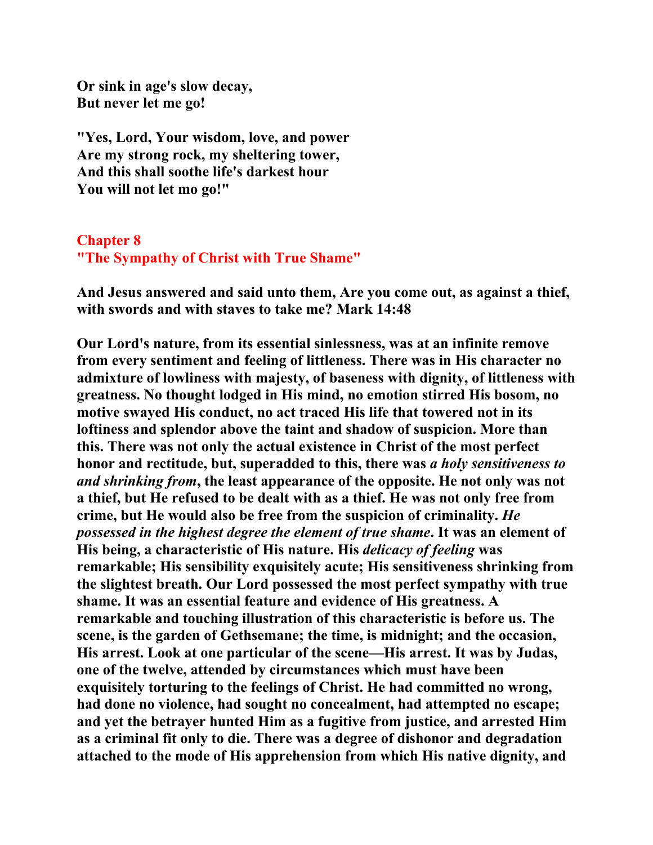**Or sink in age's slow decay, But never let me go!** 

**"Yes, Lord, Your wisdom, love, and power Are my strong rock, my sheltering tower, And this shall soothe life's darkest hour You will not let mo go!"** 

## **Chapter 8 "The Sympathy of Christ with True Shame"**

**And Jesus answered and said unto them, Are you come out, as against a thief, with swords and with staves to take me? Mark 14:48** 

**Our Lord's nature, from its essential sinlessness, was at an infinite remove from every sentiment and feeling of littleness. There was in His character no admixture of lowliness with majesty, of baseness with dignity, of littleness with greatness. No thought lodged in His mind, no emotion stirred His bosom, no motive swayed His conduct, no act traced His life that towered not in its loftiness and splendor above the taint and shadow of suspicion. More than this. There was not only the actual existence in Christ of the most perfect honor and rectitude, but, superadded to this, there was** *a holy sensitiveness to and shrinking from***, the least appearance of the opposite. He not only was not a thief, but He refused to be dealt with as a thief. He was not only free from crime, but He would also be free from the suspicion of criminality.** *He possessed in the highest degree the element of true shame***. It was an element of His being, a characteristic of His nature. His** *delicacy of feeling* **was remarkable; His sensibility exquisitely acute; His sensitiveness shrinking from the slightest breath. Our Lord possessed the most perfect sympathy with true shame. It was an essential feature and evidence of His greatness. A remarkable and touching illustration of this characteristic is before us. The scene, is the garden of Gethsemane; the time, is midnight; and the occasion, His arrest. Look at one particular of the scene—His arrest. It was by Judas, one of the twelve, attended by circumstances which must have been exquisitely torturing to the feelings of Christ. He had committed no wrong, had done no violence, had sought no concealment, had attempted no escape; and yet the betrayer hunted Him as a fugitive from justice, and arrested Him as a criminal fit only to die. There was a degree of dishonor and degradation attached to the mode of His apprehension from which His native dignity, and**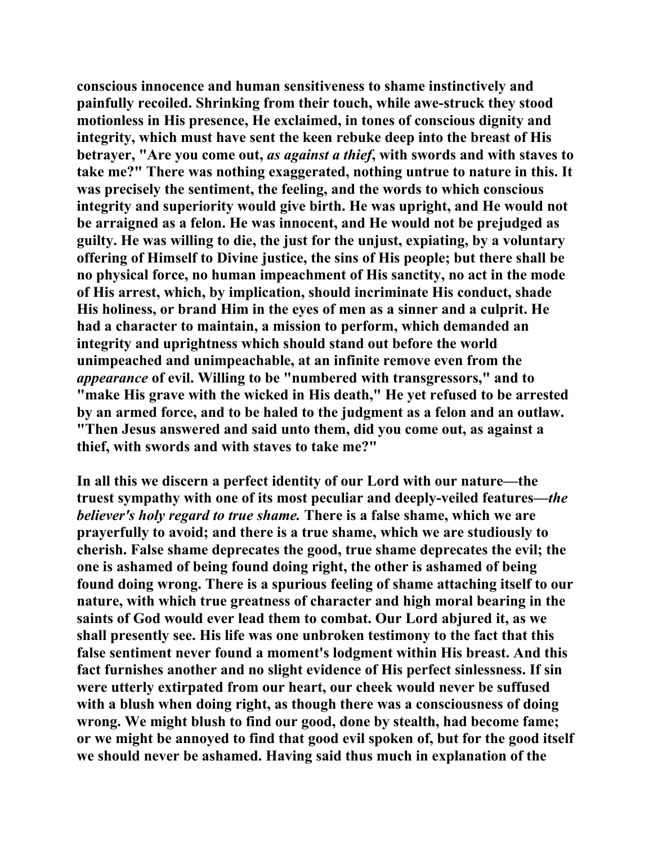**conscious innocence and human sensitiveness to shame instinctively and painfully recoiled. Shrinking from their touch, while awe-struck they stood motionless in His presence, He exclaimed, in tones of conscious dignity and integrity, which must have sent the keen rebuke deep into the breast of His betrayer, "Are you come out,** *as against a thief***, with swords and with staves to take me?" There was nothing exaggerated, nothing untrue to nature in this. It was precisely the sentiment, the feeling, and the words to which conscious integrity and superiority would give birth. He was upright, and He would not be arraigned as a felon. He was innocent, and He would not be prejudged as guilty. He was willing to die, the just for the unjust, expiating, by a voluntary offering of Himself to Divine justice, the sins of His people; but there shall be no physical force, no human impeachment of His sanctity, no act in the mode of His arrest, which, by implication, should incriminate His conduct, shade His holiness, or brand Him in the eyes of men as a sinner and a culprit. He had a character to maintain, a mission to perform, which demanded an integrity and uprightness which should stand out before the world unimpeached and unimpeachable, at an infinite remove even from the**  *appearance* **of evil. Willing to be "numbered with transgressors," and to "make His grave with the wicked in His death," He yet refused to be arrested by an armed force, and to be haled to the judgment as a felon and an outlaw. "Then Jesus answered and said unto them, did you come out, as against a thief, with swords and with staves to take me?"** 

**In all this we discern a perfect identity of our Lord with our nature—the truest sympathy with one of its most peculiar and deeply-veiled features—***the believer's holy regard to true shame.* **There is a false shame, which we are prayerfully to avoid; and there is a true shame, which we are studiously to cherish. False shame deprecates the good, true shame deprecates the evil; the one is ashamed of being found doing right, the other is ashamed of being found doing wrong. There is a spurious feeling of shame attaching itself to our nature, with which true greatness of character and high moral bearing in the saints of God would ever lead them to combat. Our Lord abjured it, as we shall presently see. His life was one unbroken testimony to the fact that this false sentiment never found a moment's lodgment within His breast. And this fact furnishes another and no slight evidence of His perfect sinlessness. If sin were utterly extirpated from our heart, our cheek would never be suffused with a blush when doing right, as though there was a consciousness of doing wrong. We might blush to find our good, done by stealth, had become fame; or we might be annoyed to find that good evil spoken of, but for the good itself we should never be ashamed. Having said thus much in explanation of the**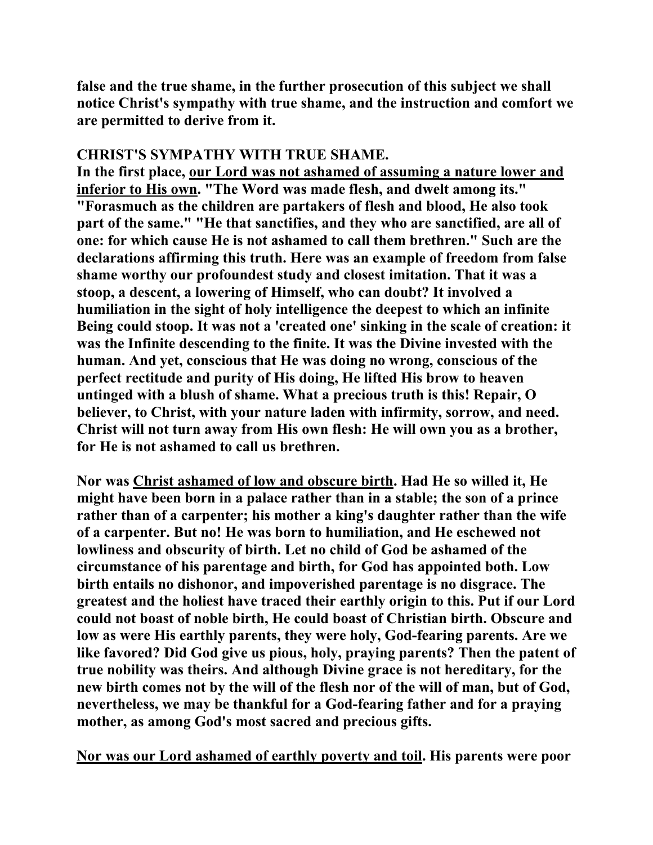**false and the true shame, in the further prosecution of this subject we shall notice Christ's sympathy with true shame, and the instruction and comfort we are permitted to derive from it.** 

## **CHRIST'S SYMPATHY WITH TRUE SHAME.**

**In the first place, our Lord was not ashamed of assuming a nature lower and inferior to His own. "The Word was made flesh, and dwelt among its." "Forasmuch as the children are partakers of flesh and blood, He also took part of the same." "He that sanctifies, and they who are sanctified, are all of one: for which cause He is not ashamed to call them brethren." Such are the declarations affirming this truth. Here was an example of freedom from false shame worthy our profoundest study and closest imitation. That it was a stoop, a descent, a lowering of Himself, who can doubt? It involved a humiliation in the sight of holy intelligence the deepest to which an infinite Being could stoop. It was not a 'created one' sinking in the scale of creation: it was the Infinite descending to the finite. It was the Divine invested with the human. And yet, conscious that He was doing no wrong, conscious of the perfect rectitude and purity of His doing, He lifted His brow to heaven untinged with a blush of shame. What a precious truth is this! Repair, O believer, to Christ, with your nature laden with infirmity, sorrow, and need. Christ will not turn away from His own flesh: He will own you as a brother, for He is not ashamed to call us brethren.** 

**Nor was Christ ashamed of low and obscure birth. Had He so willed it, He might have been born in a palace rather than in a stable; the son of a prince rather than of a carpenter; his mother a king's daughter rather than the wife of a carpenter. But no! He was born to humiliation, and He eschewed not lowliness and obscurity of birth. Let no child of God be ashamed of the circumstance of his parentage and birth, for God has appointed both. Low birth entails no dishonor, and impoverished parentage is no disgrace. The greatest and the holiest have traced their earthly origin to this. Put if our Lord could not boast of noble birth, He could boast of Christian birth. Obscure and low as were His earthly parents, they were holy, God-fearing parents. Are we like favored? Did God give us pious, holy, praying parents? Then the patent of true nobility was theirs. And although Divine grace is not hereditary, for the new birth comes not by the will of the flesh nor of the will of man, but of God, nevertheless, we may be thankful for a God-fearing father and for a praying mother, as among God's most sacred and precious gifts.** 

**Nor was our Lord ashamed of earthly poverty and toil. His parents were poor**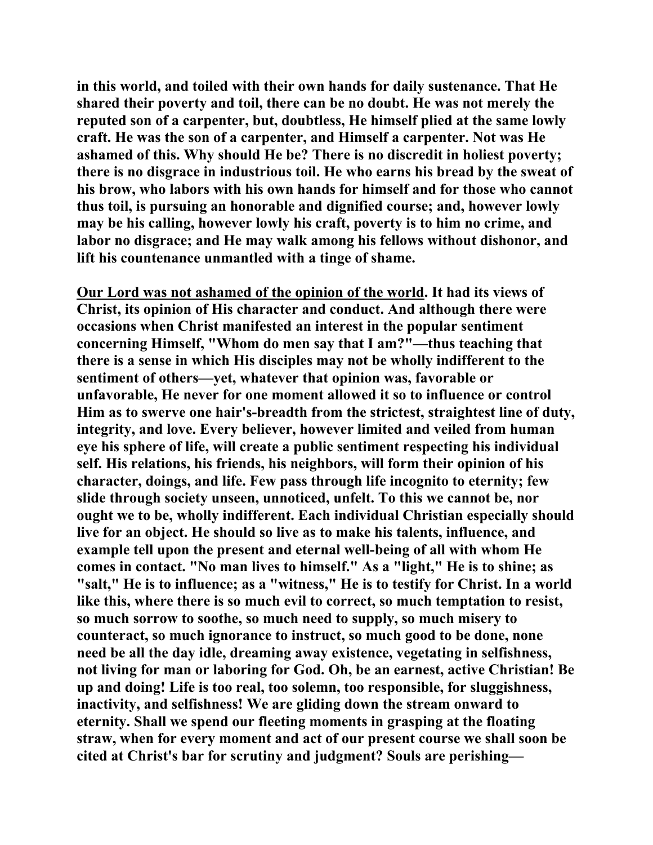**in this world, and toiled with their own hands for daily sustenance. That He shared their poverty and toil, there can be no doubt. He was not merely the reputed son of a carpenter, but, doubtless, He himself plied at the same lowly craft. He was the son of a carpenter, and Himself a carpenter. Not was He ashamed of this. Why should He be? There is no discredit in holiest poverty; there is no disgrace in industrious toil. He who earns his bread by the sweat of his brow, who labors with his own hands for himself and for those who cannot thus toil, is pursuing an honorable and dignified course; and, however lowly may be his calling, however lowly his craft, poverty is to him no crime, and labor no disgrace; and He may walk among his fellows without dishonor, and lift his countenance unmantled with a tinge of shame.** 

**Our Lord was not ashamed of the opinion of the world. It had its views of Christ, its opinion of His character and conduct. And although there were occasions when Christ manifested an interest in the popular sentiment concerning Himself, "Whom do men say that I am?"—thus teaching that there is a sense in which His disciples may not be wholly indifferent to the sentiment of others—yet, whatever that opinion was, favorable or unfavorable, He never for one moment allowed it so to influence or control Him as to swerve one hair's-breadth from the strictest, straightest line of duty, integrity, and love. Every believer, however limited and veiled from human eye his sphere of life, will create a public sentiment respecting his individual self. His relations, his friends, his neighbors, will form their opinion of his character, doings, and life. Few pass through life incognito to eternity; few slide through society unseen, unnoticed, unfelt. To this we cannot be, nor ought we to be, wholly indifferent. Each individual Christian especially should live for an object. He should so live as to make his talents, influence, and example tell upon the present and eternal well-being of all with whom He comes in contact. "No man lives to himself." As a "light," He is to shine; as "salt," He is to influence; as a "witness," He is to testify for Christ. In a world like this, where there is so much evil to correct, so much temptation to resist, so much sorrow to soothe, so much need to supply, so much misery to counteract, so much ignorance to instruct, so much good to be done, none need be all the day idle, dreaming away existence, vegetating in selfishness, not living for man or laboring for God. Oh, be an earnest, active Christian! Be up and doing! Life is too real, too solemn, too responsible, for sluggishness, inactivity, and selfishness! We are gliding down the stream onward to eternity. Shall we spend our fleeting moments in grasping at the floating straw, when for every moment and act of our present course we shall soon be cited at Christ's bar for scrutiny and judgment? Souls are perishing—**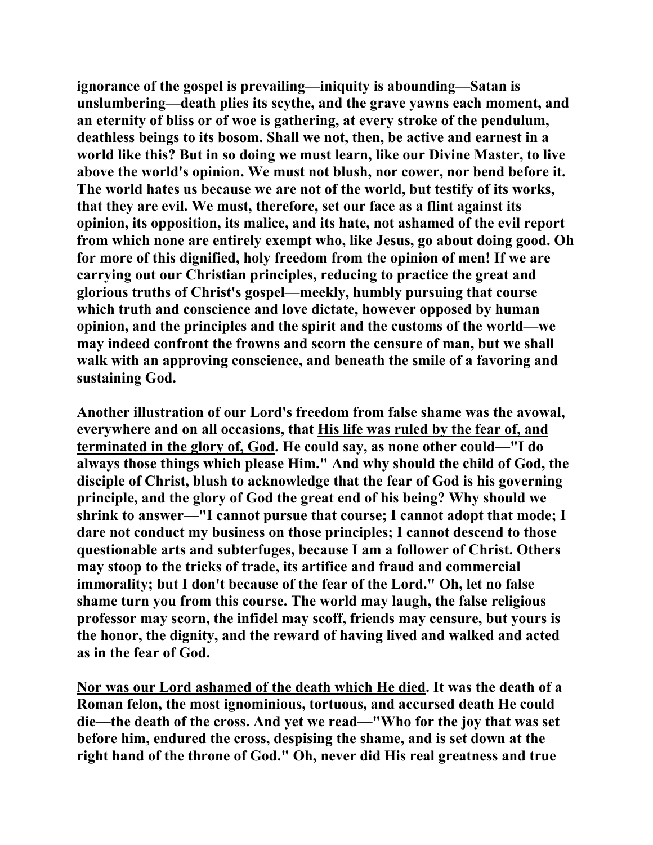**ignorance of the gospel is prevailing—iniquity is abounding—Satan is unslumbering—death plies its scythe, and the grave yawns each moment, and an eternity of bliss or of woe is gathering, at every stroke of the pendulum, deathless beings to its bosom. Shall we not, then, be active and earnest in a world like this? But in so doing we must learn, like our Divine Master, to live above the world's opinion. We must not blush, nor cower, nor bend before it. The world hates us because we are not of the world, but testify of its works, that they are evil. We must, therefore, set our face as a flint against its opinion, its opposition, its malice, and its hate, not ashamed of the evil report from which none are entirely exempt who, like Jesus, go about doing good. Oh for more of this dignified, holy freedom from the opinion of men! If we are carrying out our Christian principles, reducing to practice the great and glorious truths of Christ's gospel—meekly, humbly pursuing that course which truth and conscience and love dictate, however opposed by human opinion, and the principles and the spirit and the customs of the world—we may indeed confront the frowns and scorn the censure of man, but we shall walk with an approving conscience, and beneath the smile of a favoring and sustaining God.** 

**Another illustration of our Lord's freedom from false shame was the avowal, everywhere and on all occasions, that His life was ruled by the fear of, and terminated in the glory of, God. He could say, as none other could—"I do always those things which please Him." And why should the child of God, the disciple of Christ, blush to acknowledge that the fear of God is his governing principle, and the glory of God the great end of his being? Why should we shrink to answer—"I cannot pursue that course; I cannot adopt that mode; I dare not conduct my business on those principles; I cannot descend to those questionable arts and subterfuges, because I am a follower of Christ. Others may stoop to the tricks of trade, its artifice and fraud and commercial immorality; but I don't because of the fear of the Lord." Oh, let no false shame turn you from this course. The world may laugh, the false religious professor may scorn, the infidel may scoff, friends may censure, but yours is the honor, the dignity, and the reward of having lived and walked and acted as in the fear of God.** 

**Nor was our Lord ashamed of the death which He died. It was the death of a Roman felon, the most ignominious, tortuous, and accursed death He could die—the death of the cross. And yet we read—"Who for the joy that was set before him, endured the cross, despising the shame, and is set down at the right hand of the throne of God." Oh, never did His real greatness and true**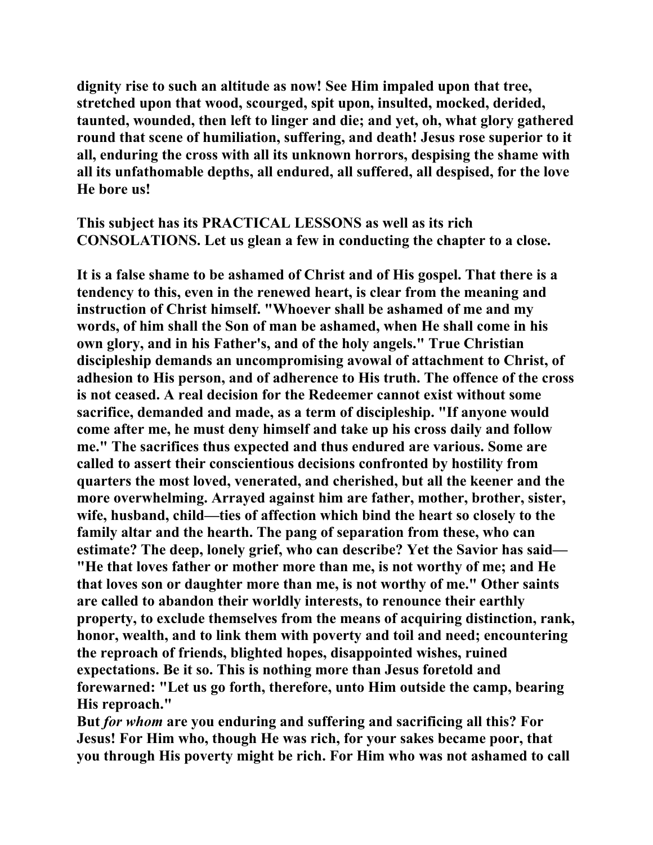**dignity rise to such an altitude as now! See Him impaled upon that tree, stretched upon that wood, scourged, spit upon, insulted, mocked, derided, taunted, wounded, then left to linger and die; and yet, oh, what glory gathered round that scene of humiliation, suffering, and death! Jesus rose superior to it all, enduring the cross with all its unknown horrors, despising the shame with all its unfathomable depths, all endured, all suffered, all despised, for the love He bore us!** 

**This subject has its PRACTICAL LESSONS as well as its rich CONSOLATIONS. Let us glean a few in conducting the chapter to a close.** 

**It is a false shame to be ashamed of Christ and of His gospel. That there is a tendency to this, even in the renewed heart, is clear from the meaning and instruction of Christ himself. "Whoever shall be ashamed of me and my words, of him shall the Son of man be ashamed, when He shall come in his own glory, and in his Father's, and of the holy angels." True Christian discipleship demands an uncompromising avowal of attachment to Christ, of adhesion to His person, and of adherence to His truth. The offence of the cross is not ceased. A real decision for the Redeemer cannot exist without some sacrifice, demanded and made, as a term of discipleship. "If anyone would come after me, he must deny himself and take up his cross daily and follow me." The sacrifices thus expected and thus endured are various. Some are called to assert their conscientious decisions confronted by hostility from quarters the most loved, venerated, and cherished, but all the keener and the more overwhelming. Arrayed against him are father, mother, brother, sister, wife, husband, child—ties of affection which bind the heart so closely to the family altar and the hearth. The pang of separation from these, who can estimate? The deep, lonely grief, who can describe? Yet the Savior has said— "He that loves father or mother more than me, is not worthy of me; and He that loves son or daughter more than me, is not worthy of me." Other saints are called to abandon their worldly interests, to renounce their earthly property, to exclude themselves from the means of acquiring distinction, rank, honor, wealth, and to link them with poverty and toil and need; encountering the reproach of friends, blighted hopes, disappointed wishes, ruined expectations. Be it so. This is nothing more than Jesus foretold and forewarned: "Let us go forth, therefore, unto Him outside the camp, bearing His reproach."** 

**But** *for whom* **are you enduring and suffering and sacrificing all this? For Jesus! For Him who, though He was rich, for your sakes became poor, that you through His poverty might be rich. For Him who was not ashamed to call**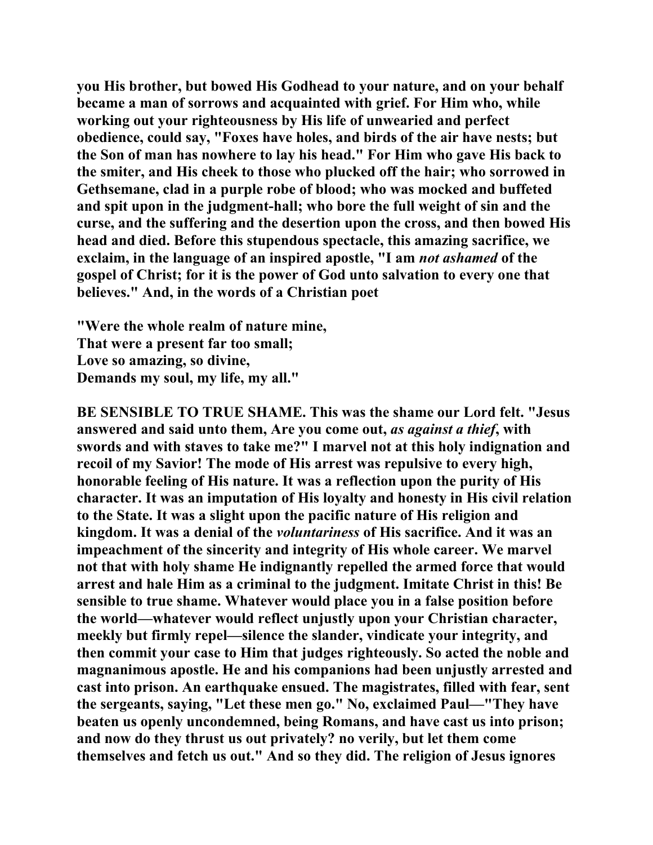**you His brother, but bowed His Godhead to your nature, and on your behalf became a man of sorrows and acquainted with grief. For Him who, while working out your righteousness by His life of unwearied and perfect obedience, could say, "Foxes have holes, and birds of the air have nests; but the Son of man has nowhere to lay his head." For Him who gave His back to the smiter, and His cheek to those who plucked off the hair; who sorrowed in Gethsemane, clad in a purple robe of blood; who was mocked and buffeted and spit upon in the judgment-hall; who bore the full weight of sin and the curse, and the suffering and the desertion upon the cross, and then bowed His head and died. Before this stupendous spectacle, this amazing sacrifice, we exclaim, in the language of an inspired apostle, "I am** *not ashamed* **of the gospel of Christ; for it is the power of God unto salvation to every one that believes." And, in the words of a Christian poet** 

**"Were the whole realm of nature mine, That were a present far too small; Love so amazing, so divine, Demands my soul, my life, my all."** 

**BE SENSIBLE TO TRUE SHAME. This was the shame our Lord felt. "Jesus answered and said unto them, Are you come out,** *as against a thief***, with swords and with staves to take me?" I marvel not at this holy indignation and recoil of my Savior! The mode of His arrest was repulsive to every high, honorable feeling of His nature. It was a reflection upon the purity of His character. It was an imputation of His loyalty and honesty in His civil relation to the State. It was a slight upon the pacific nature of His religion and kingdom. It was a denial of the** *voluntariness* **of His sacrifice. And it was an impeachment of the sincerity and integrity of His whole career. We marvel not that with holy shame He indignantly repelled the armed force that would arrest and hale Him as a criminal to the judgment. Imitate Christ in this! Be sensible to true shame. Whatever would place you in a false position before the world—whatever would reflect unjustly upon your Christian character, meekly but firmly repel—silence the slander, vindicate your integrity, and then commit your case to Him that judges righteously. So acted the noble and magnanimous apostle. He and his companions had been unjustly arrested and cast into prison. An earthquake ensued. The magistrates, filled with fear, sent the sergeants, saying, "Let these men go." No, exclaimed Paul—"They have beaten us openly uncondemned, being Romans, and have cast us into prison; and now do they thrust us out privately? no verily, but let them come themselves and fetch us out." And so they did. The religion of Jesus ignores**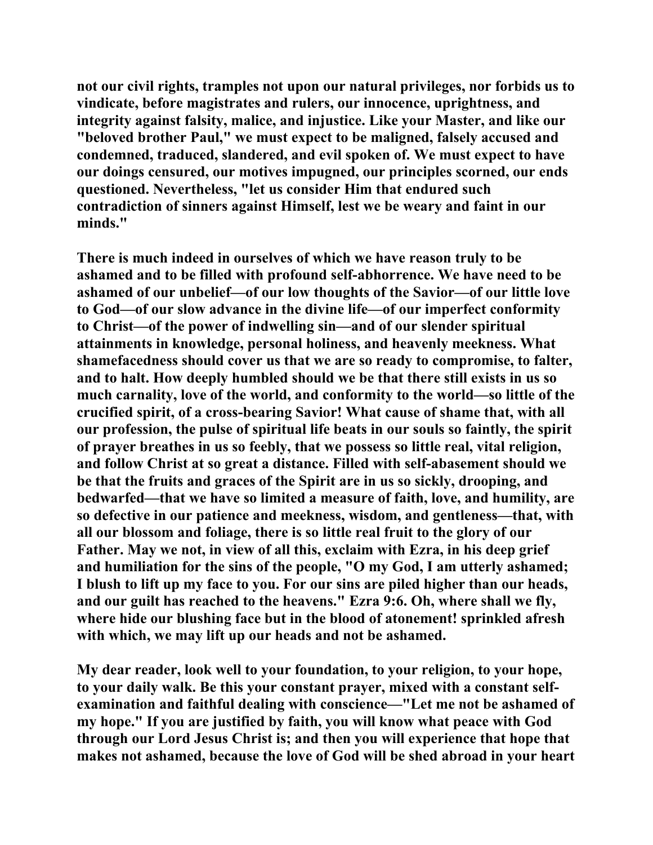**not our civil rights, tramples not upon our natural privileges, nor forbids us to vindicate, before magistrates and rulers, our innocence, uprightness, and integrity against falsity, malice, and injustice. Like your Master, and like our "beloved brother Paul," we must expect to be maligned, falsely accused and condemned, traduced, slandered, and evil spoken of. We must expect to have our doings censured, our motives impugned, our principles scorned, our ends questioned. Nevertheless, "let us consider Him that endured such contradiction of sinners against Himself, lest we be weary and faint in our minds."** 

**There is much indeed in ourselves of which we have reason truly to be ashamed and to be filled with profound self-abhorrence. We have need to be ashamed of our unbelief—of our low thoughts of the Savior—of our little love to God—of our slow advance in the divine life—of our imperfect conformity to Christ—of the power of indwelling sin—and of our slender spiritual attainments in knowledge, personal holiness, and heavenly meekness. What shamefacedness should cover us that we are so ready to compromise, to falter, and to halt. How deeply humbled should we be that there still exists in us so much carnality, love of the world, and conformity to the world—so little of the crucified spirit, of a cross-bearing Savior! What cause of shame that, with all our profession, the pulse of spiritual life beats in our souls so faintly, the spirit of prayer breathes in us so feebly, that we possess so little real, vital religion, and follow Christ at so great a distance. Filled with self-abasement should we be that the fruits and graces of the Spirit are in us so sickly, drooping, and bedwarfed—that we have so limited a measure of faith, love, and humility, are so defective in our patience and meekness, wisdom, and gentleness—that, with all our blossom and foliage, there is so little real fruit to the glory of our Father. May we not, in view of all this, exclaim with Ezra, in his deep grief and humiliation for the sins of the people, "O my God, I am utterly ashamed; I blush to lift up my face to you. For our sins are piled higher than our heads, and our guilt has reached to the heavens." Ezra 9:6. Oh, where shall we fly, where hide our blushing face but in the blood of atonement! sprinkled afresh with which, we may lift up our heads and not be ashamed.** 

**My dear reader, look well to your foundation, to your religion, to your hope, to your daily walk. Be this your constant prayer, mixed with a constant selfexamination and faithful dealing with conscience—"Let me not be ashamed of my hope." If you are justified by faith, you will know what peace with God through our Lord Jesus Christ is; and then you will experience that hope that makes not ashamed, because the love of God will be shed abroad in your heart**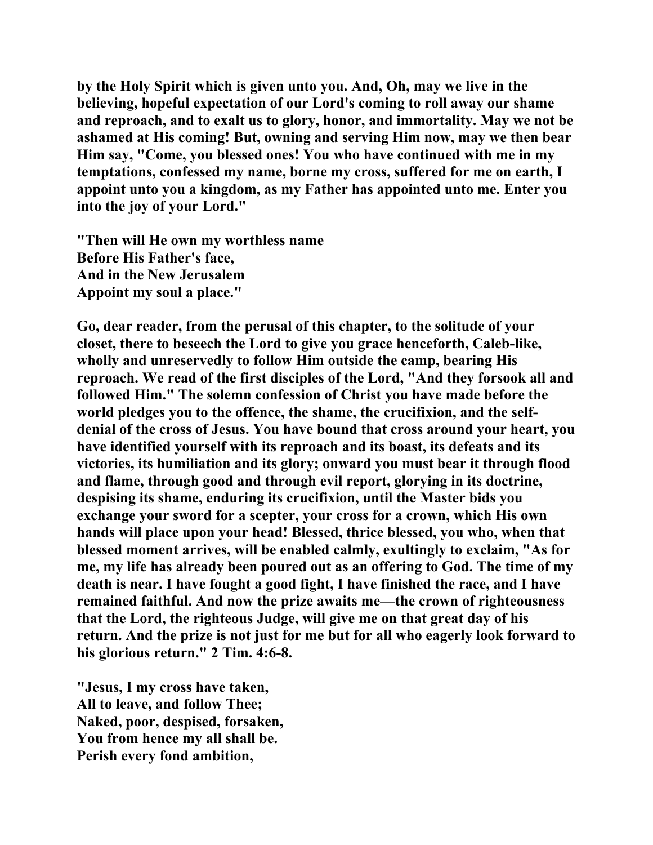**by the Holy Spirit which is given unto you. And, Oh, may we live in the believing, hopeful expectation of our Lord's coming to roll away our shame and reproach, and to exalt us to glory, honor, and immortality. May we not be ashamed at His coming! But, owning and serving Him now, may we then bear Him say, "Come, you blessed ones! You who have continued with me in my temptations, confessed my name, borne my cross, suffered for me on earth, I appoint unto you a kingdom, as my Father has appointed unto me. Enter you into the joy of your Lord."** 

**"Then will He own my worthless name Before His Father's face, And in the New Jerusalem Appoint my soul a place."** 

**Go, dear reader, from the perusal of this chapter, to the solitude of your closet, there to beseech the Lord to give you grace henceforth, Caleb-like, wholly and unreservedly to follow Him outside the camp, bearing His reproach. We read of the first disciples of the Lord, "And they forsook all and followed Him." The solemn confession of Christ you have made before the world pledges you to the offence, the shame, the crucifixion, and the selfdenial of the cross of Jesus. You have bound that cross around your heart, you have identified yourself with its reproach and its boast, its defeats and its victories, its humiliation and its glory; onward you must bear it through flood and flame, through good and through evil report, glorying in its doctrine, despising its shame, enduring its crucifixion, until the Master bids you exchange your sword for a scepter, your cross for a crown, which His own hands will place upon your head! Blessed, thrice blessed, you who, when that blessed moment arrives, will be enabled calmly, exultingly to exclaim, "As for me, my life has already been poured out as an offering to God. The time of my death is near. I have fought a good fight, I have finished the race, and I have remained faithful. And now the prize awaits me—the crown of righteousness that the Lord, the righteous Judge, will give me on that great day of his return. And the prize is not just for me but for all who eagerly look forward to his glorious return." 2 Tim. 4:6-8.** 

**"Jesus, I my cross have taken, All to leave, and follow Thee; Naked, poor, despised, forsaken, You from hence my all shall be. Perish every fond ambition,**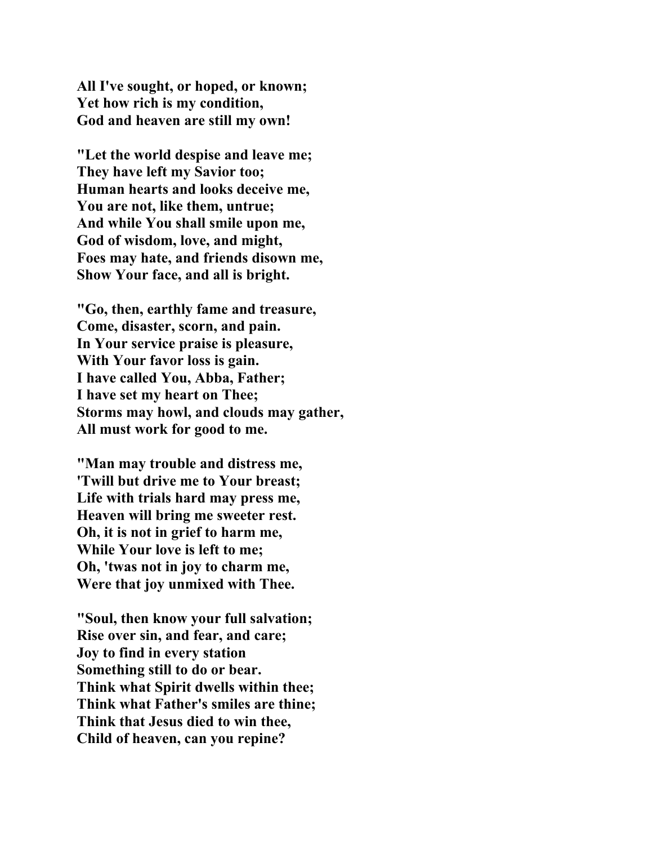**All I've sought, or hoped, or known; Yet how rich is my condition, God and heaven are still my own!** 

**"Let the world despise and leave me; They have left my Savior too; Human hearts and looks deceive me, You are not, like them, untrue; And while You shall smile upon me, God of wisdom, love, and might, Foes may hate, and friends disown me, Show Your face, and all is bright.** 

**"Go, then, earthly fame and treasure, Come, disaster, scorn, and pain. In Your service praise is pleasure, With Your favor loss is gain. I have called You, Abba, Father; I have set my heart on Thee; Storms may howl, and clouds may gather, All must work for good to me.** 

**"Man may trouble and distress me, 'Twill but drive me to Your breast; Life with trials hard may press me, Heaven will bring me sweeter rest. Oh, it is not in grief to harm me, While Your love is left to me; Oh, 'twas not in joy to charm me, Were that joy unmixed with Thee.** 

**"Soul, then know your full salvation; Rise over sin, and fear, and care; Joy to find in every station Something still to do or bear. Think what Spirit dwells within thee; Think what Father's smiles are thine; Think that Jesus died to win thee, Child of heaven, can you repine?**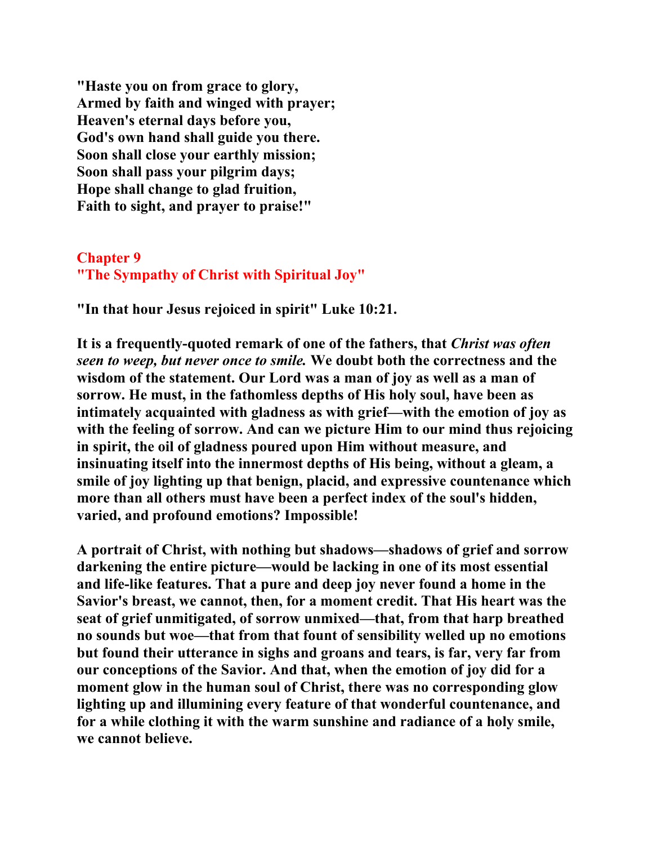**"Haste you on from grace to glory, Armed by faith and winged with prayer; Heaven's eternal days before you, God's own hand shall guide you there. Soon shall close your earthly mission; Soon shall pass your pilgrim days; Hope shall change to glad fruition, Faith to sight, and prayer to praise!"** 

## **Chapter 9 "The Sympathy of Christ with Spiritual Joy"**

**"In that hour Jesus rejoiced in spirit" Luke 10:21.** 

**It is a frequently-quoted remark of one of the fathers, that** *Christ was often seen to weep, but never once to smile.* **We doubt both the correctness and the wisdom of the statement. Our Lord was a man of joy as well as a man of sorrow. He must, in the fathomless depths of His holy soul, have been as intimately acquainted with gladness as with grief—with the emotion of joy as with the feeling of sorrow. And can we picture Him to our mind thus rejoicing in spirit, the oil of gladness poured upon Him without measure, and insinuating itself into the innermost depths of His being, without a gleam, a smile of joy lighting up that benign, placid, and expressive countenance which more than all others must have been a perfect index of the soul's hidden, varied, and profound emotions? Impossible!** 

**A portrait of Christ, with nothing but shadows—shadows of grief and sorrow darkening the entire picture—would be lacking in one of its most essential and life-like features. That a pure and deep joy never found a home in the Savior's breast, we cannot, then, for a moment credit. That His heart was the seat of grief unmitigated, of sorrow unmixed—that, from that harp breathed no sounds but woe—that from that fount of sensibility welled up no emotions but found their utterance in sighs and groans and tears, is far, very far from our conceptions of the Savior. And that, when the emotion of joy did for a moment glow in the human soul of Christ, there was no corresponding glow lighting up and illumining every feature of that wonderful countenance, and for a while clothing it with the warm sunshine and radiance of a holy smile, we cannot believe.**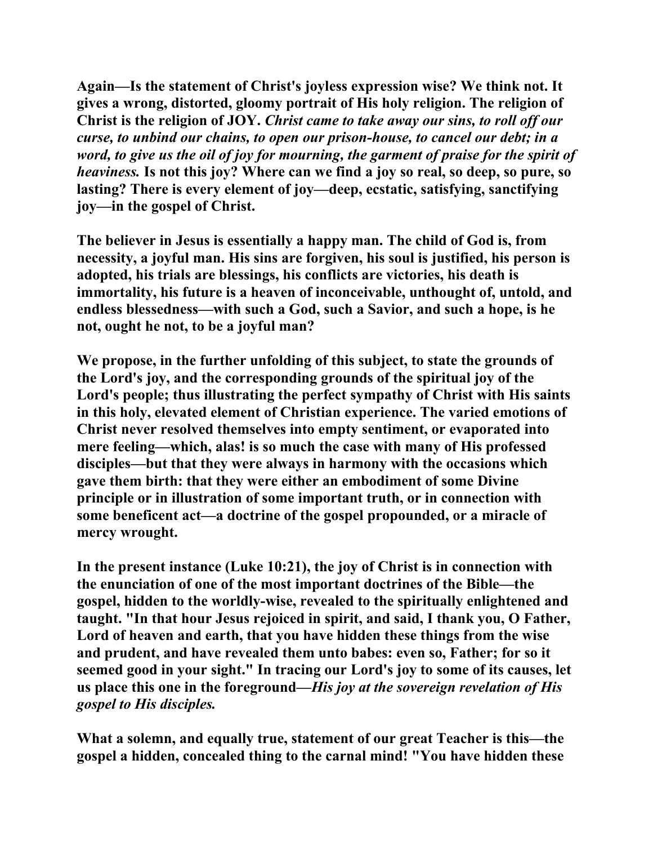**Again—Is the statement of Christ's joyless expression wise? We think not. It gives a wrong, distorted, gloomy portrait of His holy religion. The religion of Christ is the religion of JOY.** *Christ came to take away our sins, to roll off our curse, to unbind our chains, to open our prison-house, to cancel our debt; in a word, to give us the oil of joy for mourning, the garment of praise for the spirit of heaviness.* **Is not this joy? Where can we find a joy so real, so deep, so pure, so lasting? There is every element of joy—deep, ecstatic, satisfying, sanctifying joy—in the gospel of Christ.** 

**The believer in Jesus is essentially a happy man. The child of God is, from necessity, a joyful man. His sins are forgiven, his soul is justified, his person is adopted, his trials are blessings, his conflicts are victories, his death is immortality, his future is a heaven of inconceivable, unthought of, untold, and endless blessedness—with such a God, such a Savior, and such a hope, is he not, ought he not, to be a joyful man?** 

**We propose, in the further unfolding of this subject, to state the grounds of the Lord's joy, and the corresponding grounds of the spiritual joy of the Lord's people; thus illustrating the perfect sympathy of Christ with His saints in this holy, elevated element of Christian experience. The varied emotions of Christ never resolved themselves into empty sentiment, or evaporated into mere feeling—which, alas! is so much the case with many of His professed disciples—but that they were always in harmony with the occasions which gave them birth: that they were either an embodiment of some Divine principle or in illustration of some important truth, or in connection with some beneficent act—a doctrine of the gospel propounded, or a miracle of mercy wrought.** 

**In the present instance (Luke 10:21), the joy of Christ is in connection with the enunciation of one of the most important doctrines of the Bible—the gospel, hidden to the worldly-wise, revealed to the spiritually enlightened and taught. "In that hour Jesus rejoiced in spirit, and said, I thank you, O Father, Lord of heaven and earth, that you have hidden these things from the wise and prudent, and have revealed them unto babes: even so, Father; for so it seemed good in your sight." In tracing our Lord's joy to some of its causes, let us place this one in the foreground—***His joy at the sovereign revelation of His gospel to His disciples.*

**What a solemn, and equally true, statement of our great Teacher is this—the gospel a hidden, concealed thing to the carnal mind! "You have hidden these**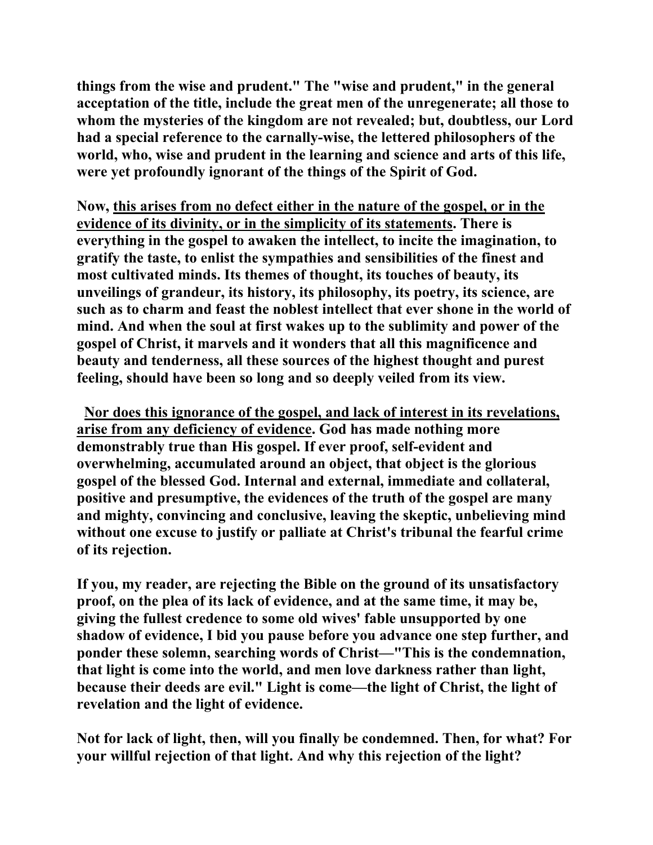**things from the wise and prudent." The "wise and prudent," in the general acceptation of the title, include the great men of the unregenerate; all those to whom the mysteries of the kingdom are not revealed; but, doubtless, our Lord had a special reference to the carnally-wise, the lettered philosophers of the world, who, wise and prudent in the learning and science and arts of this life, were yet profoundly ignorant of the things of the Spirit of God.** 

**Now, this arises from no defect either in the nature of the gospel, or in the evidence of its divinity, or in the simplicity of its statements. There is everything in the gospel to awaken the intellect, to incite the imagination, to gratify the taste, to enlist the sympathies and sensibilities of the finest and most cultivated minds. Its themes of thought, its touches of beauty, its unveilings of grandeur, its history, its philosophy, its poetry, its science, are such as to charm and feast the noblest intellect that ever shone in the world of mind. And when the soul at first wakes up to the sublimity and power of the gospel of Christ, it marvels and it wonders that all this magnificence and beauty and tenderness, all these sources of the highest thought and purest feeling, should have been so long and so deeply veiled from its view.** 

 **Nor does this ignorance of the gospel, and lack of interest in its revelations, arise from any deficiency of evidence. God has made nothing more demonstrably true than His gospel. If ever proof, self-evident and overwhelming, accumulated around an object, that object is the glorious gospel of the blessed God. Internal and external, immediate and collateral, positive and presumptive, the evidences of the truth of the gospel are many and mighty, convincing and conclusive, leaving the skeptic, unbelieving mind without one excuse to justify or palliate at Christ's tribunal the fearful crime of its rejection.** 

**If you, my reader, are rejecting the Bible on the ground of its unsatisfactory proof, on the plea of its lack of evidence, and at the same time, it may be, giving the fullest credence to some old wives' fable unsupported by one shadow of evidence, I bid you pause before you advance one step further, and ponder these solemn, searching words of Christ—"This is the condemnation, that light is come into the world, and men love darkness rather than light, because their deeds are evil." Light is come—the light of Christ, the light of revelation and the light of evidence.** 

**Not for lack of light, then, will you finally be condemned. Then, for what? For your willful rejection of that light. And why this rejection of the light?**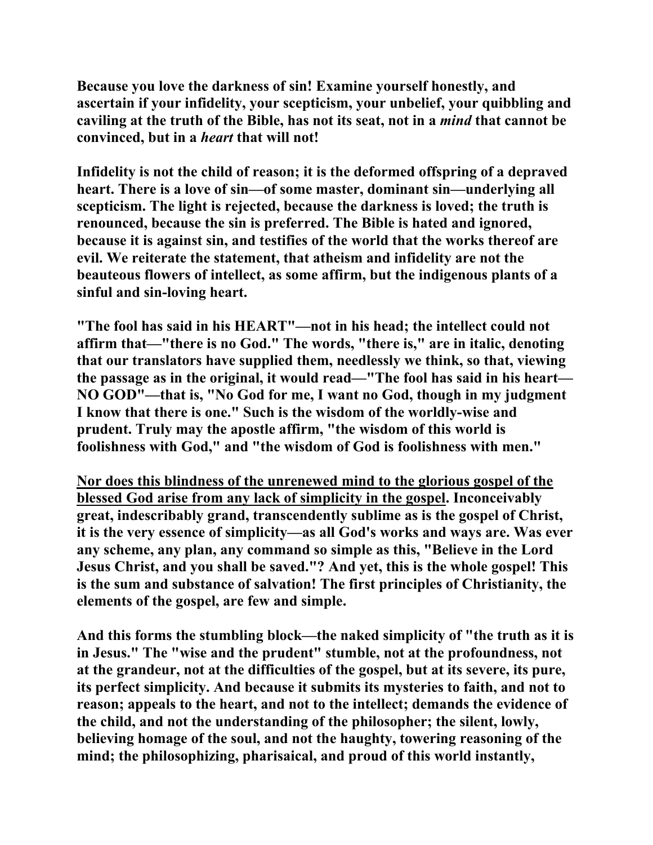**Because you love the darkness of sin! Examine yourself honestly, and ascertain if your infidelity, your scepticism, your unbelief, your quibbling and caviling at the truth of the Bible, has not its seat, not in a** *mind* **that cannot be convinced, but in a** *heart* **that will not!** 

**Infidelity is not the child of reason; it is the deformed offspring of a depraved heart. There is a love of sin—of some master, dominant sin—underlying all scepticism. The light is rejected, because the darkness is loved; the truth is renounced, because the sin is preferred. The Bible is hated and ignored, because it is against sin, and testifies of the world that the works thereof are evil. We reiterate the statement, that atheism and infidelity are not the beauteous flowers of intellect, as some affirm, but the indigenous plants of a sinful and sin-loving heart.** 

**"The fool has said in his HEART"—not in his head; the intellect could not affirm that—"there is no God." The words, "there is," are in italic, denoting that our translators have supplied them, needlessly we think, so that, viewing the passage as in the original, it would read—"The fool has said in his heart— NO GOD"—that is, "No God for me, I want no God, though in my judgment I know that there is one." Such is the wisdom of the worldly-wise and prudent. Truly may the apostle affirm, "the wisdom of this world is foolishness with God," and "the wisdom of God is foolishness with men."** 

**Nor does this blindness of the unrenewed mind to the glorious gospel of the blessed God arise from any lack of simplicity in the gospel. Inconceivably great, indescribably grand, transcendently sublime as is the gospel of Christ, it is the very essence of simplicity—as all God's works and ways are. Was ever any scheme, any plan, any command so simple as this, "Believe in the Lord Jesus Christ, and you shall be saved."? And yet, this is the whole gospel! This is the sum and substance of salvation! The first principles of Christianity, the elements of the gospel, are few and simple.** 

**And this forms the stumbling block—the naked simplicity of "the truth as it is in Jesus." The "wise and the prudent" stumble, not at the profoundness, not at the grandeur, not at the difficulties of the gospel, but at its severe, its pure, its perfect simplicity. And because it submits its mysteries to faith, and not to reason; appeals to the heart, and not to the intellect; demands the evidence of the child, and not the understanding of the philosopher; the silent, lowly, believing homage of the soul, and not the haughty, towering reasoning of the mind; the philosophizing, pharisaical, and proud of this world instantly,**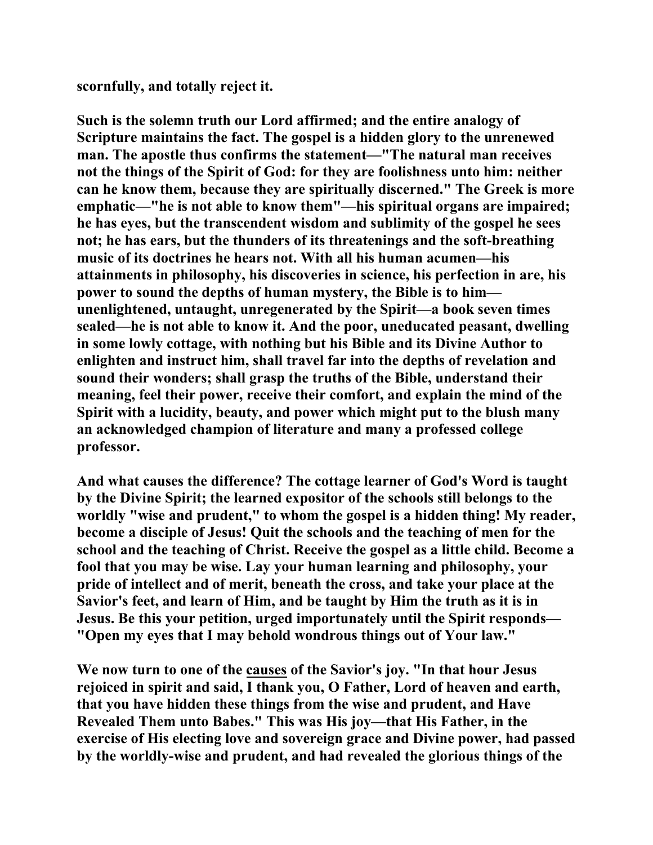**scornfully, and totally reject it.** 

**Such is the solemn truth our Lord affirmed; and the entire analogy of Scripture maintains the fact. The gospel is a hidden glory to the unrenewed man. The apostle thus confirms the statement—"The natural man receives not the things of the Spirit of God: for they are foolishness unto him: neither can he know them, because they are spiritually discerned." The Greek is more emphatic—"he is not able to know them"—his spiritual organs are impaired; he has eyes, but the transcendent wisdom and sublimity of the gospel he sees not; he has ears, but the thunders of its threatenings and the soft-breathing music of its doctrines he hears not. With all his human acumen—his attainments in philosophy, his discoveries in science, his perfection in are, his power to sound the depths of human mystery, the Bible is to him unenlightened, untaught, unregenerated by the Spirit—a book seven times sealed—he is not able to know it. And the poor, uneducated peasant, dwelling in some lowly cottage, with nothing but his Bible and its Divine Author to enlighten and instruct him, shall travel far into the depths of revelation and sound their wonders; shall grasp the truths of the Bible, understand their meaning, feel their power, receive their comfort, and explain the mind of the Spirit with a lucidity, beauty, and power which might put to the blush many an acknowledged champion of literature and many a professed college professor.** 

**And what causes the difference? The cottage learner of God's Word is taught by the Divine Spirit; the learned expositor of the schools still belongs to the worldly "wise and prudent," to whom the gospel is a hidden thing! My reader, become a disciple of Jesus! Quit the schools and the teaching of men for the school and the teaching of Christ. Receive the gospel as a little child. Become a fool that you may be wise. Lay your human learning and philosophy, your pride of intellect and of merit, beneath the cross, and take your place at the Savior's feet, and learn of Him, and be taught by Him the truth as it is in Jesus. Be this your petition, urged importunately until the Spirit responds— "Open my eyes that I may behold wondrous things out of Your law."** 

**We now turn to one of the causes of the Savior's joy. "In that hour Jesus rejoiced in spirit and said, I thank you, O Father, Lord of heaven and earth, that you have hidden these things from the wise and prudent, and Have Revealed Them unto Babes." This was His joy—that His Father, in the exercise of His electing love and sovereign grace and Divine power, had passed by the worldly-wise and prudent, and had revealed the glorious things of the**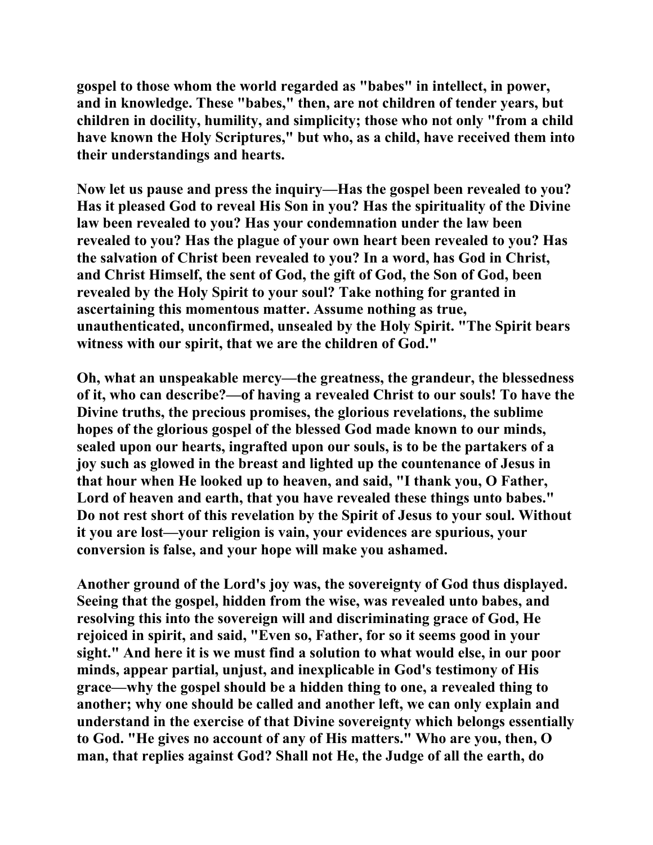**gospel to those whom the world regarded as "babes" in intellect, in power, and in knowledge. These "babes," then, are not children of tender years, but children in docility, humility, and simplicity; those who not only "from a child have known the Holy Scriptures," but who, as a child, have received them into their understandings and hearts.** 

**Now let us pause and press the inquiry—Has the gospel been revealed to you? Has it pleased God to reveal His Son in you? Has the spirituality of the Divine law been revealed to you? Has your condemnation under the law been revealed to you? Has the plague of your own heart been revealed to you? Has the salvation of Christ been revealed to you? In a word, has God in Christ, and Christ Himself, the sent of God, the gift of God, the Son of God, been revealed by the Holy Spirit to your soul? Take nothing for granted in ascertaining this momentous matter. Assume nothing as true, unauthenticated, unconfirmed, unsealed by the Holy Spirit. "The Spirit bears witness with our spirit, that we are the children of God."** 

**Oh, what an unspeakable mercy—the greatness, the grandeur, the blessedness of it, who can describe?—of having a revealed Christ to our souls! To have the Divine truths, the precious promises, the glorious revelations, the sublime hopes of the glorious gospel of the blessed God made known to our minds, sealed upon our hearts, ingrafted upon our souls, is to be the partakers of a joy such as glowed in the breast and lighted up the countenance of Jesus in that hour when He looked up to heaven, and said, "I thank you, O Father, Lord of heaven and earth, that you have revealed these things unto babes." Do not rest short of this revelation by the Spirit of Jesus to your soul. Without it you are lost—your religion is vain, your evidences are spurious, your conversion is false, and your hope will make you ashamed.** 

**Another ground of the Lord's joy was, the sovereignty of God thus displayed. Seeing that the gospel, hidden from the wise, was revealed unto babes, and resolving this into the sovereign will and discriminating grace of God, He rejoiced in spirit, and said, "Even so, Father, for so it seems good in your sight." And here it is we must find a solution to what would else, in our poor minds, appear partial, unjust, and inexplicable in God's testimony of His grace—why the gospel should be a hidden thing to one, a revealed thing to another; why one should be called and another left, we can only explain and understand in the exercise of that Divine sovereignty which belongs essentially to God. "He gives no account of any of His matters." Who are you, then, O man, that replies against God? Shall not He, the Judge of all the earth, do**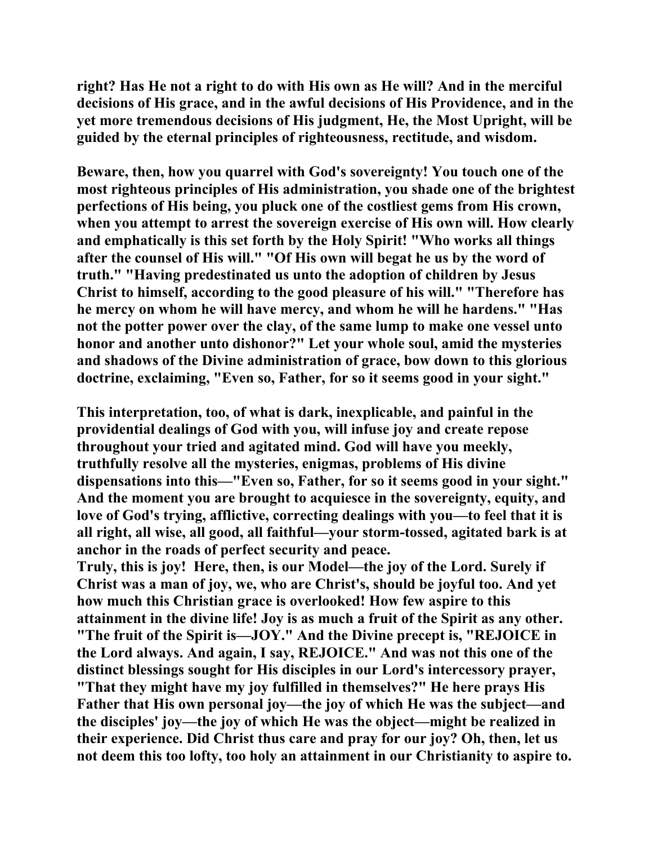**right? Has He not a right to do with His own as He will? And in the merciful decisions of His grace, and in the awful decisions of His Providence, and in the yet more tremendous decisions of His judgment, He, the Most Upright, will be guided by the eternal principles of righteousness, rectitude, and wisdom.** 

**Beware, then, how you quarrel with God's sovereignty! You touch one of the most righteous principles of His administration, you shade one of the brightest perfections of His being, you pluck one of the costliest gems from His crown, when you attempt to arrest the sovereign exercise of His own will. How clearly and emphatically is this set forth by the Holy Spirit! "Who works all things after the counsel of His will." "Of His own will begat he us by the word of truth." "Having predestinated us unto the adoption of children by Jesus Christ to himself, according to the good pleasure of his will." "Therefore has he mercy on whom he will have mercy, and whom he will he hardens." "Has not the potter power over the clay, of the same lump to make one vessel unto honor and another unto dishonor?" Let your whole soul, amid the mysteries and shadows of the Divine administration of grace, bow down to this glorious doctrine, exclaiming, "Even so, Father, for so it seems good in your sight."** 

**This interpretation, too, of what is dark, inexplicable, and painful in the providential dealings of God with you, will infuse joy and create repose throughout your tried and agitated mind. God will have you meekly, truthfully resolve all the mysteries, enigmas, problems of His divine dispensations into this—"Even so, Father, for so it seems good in your sight." And the moment you are brought to acquiesce in the sovereignty, equity, and love of God's trying, afflictive, correcting dealings with you—to feel that it is all right, all wise, all good, all faithful—your storm-tossed, agitated bark is at anchor in the roads of perfect security and peace.** 

**Truly, this is joy! Here, then, is our Model—the joy of the Lord. Surely if Christ was a man of joy, we, who are Christ's, should be joyful too. And yet how much this Christian grace is overlooked! How few aspire to this attainment in the divine life! Joy is as much a fruit of the Spirit as any other. "The fruit of the Spirit is—JOY." And the Divine precept is, "REJOICE in the Lord always. And again, I say, REJOICE." And was not this one of the distinct blessings sought for His disciples in our Lord's intercessory prayer, "That they might have my joy fulfilled in themselves?" He here prays His Father that His own personal joy—the joy of which He was the subject—and the disciples' joy—the joy of which He was the object—might be realized in their experience. Did Christ thus care and pray for our joy? Oh, then, let us not deem this too lofty, too holy an attainment in our Christianity to aspire to.**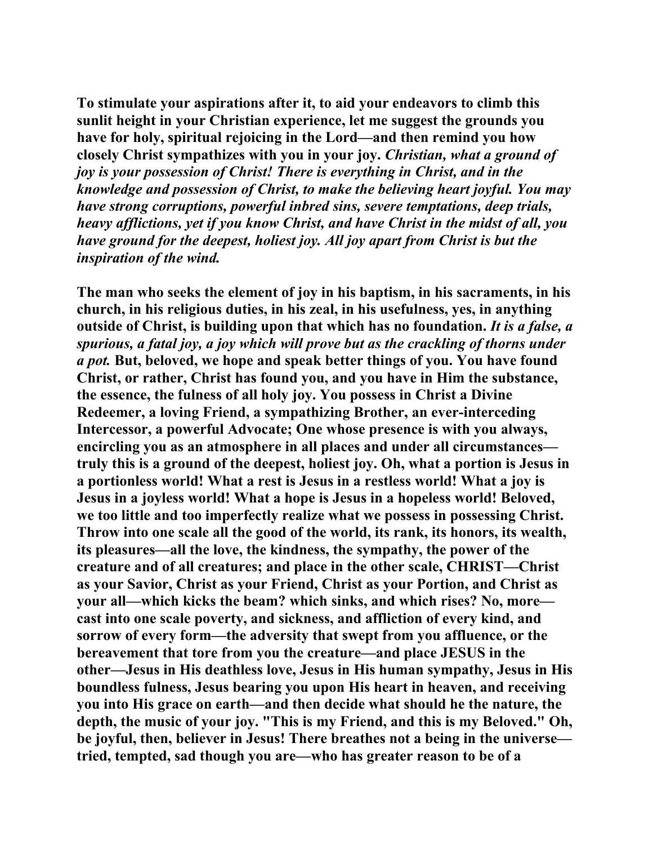**To stimulate your aspirations after it, to aid your endeavors to climb this sunlit height in your Christian experience, let me suggest the grounds you have for holy, spiritual rejoicing in the Lord—and then remind you how closely Christ sympathizes with you in your joy.** *Christian, what a ground of joy is your possession of Christ! There is everything in Christ, and in the knowledge and possession of Christ, to make the believing heart joyful. You may have strong corruptions, powerful inbred sins, severe temptations, deep trials, heavy afflictions, yet if you know Christ, and have Christ in the midst of all, you have ground for the deepest, holiest joy. All joy apart from Christ is but the inspiration of the wind.*

**The man who seeks the element of joy in his baptism, in his sacraments, in his church, in his religious duties, in his zeal, in his usefulness, yes, in anything outside of Christ, is building upon that which has no foundation.** *It is a false, a spurious, a fatal joy, a joy which will prove but as the crackling of thorns under a pot.* **But, beloved, we hope and speak better things of you. You have found Christ, or rather, Christ has found you, and you have in Him the substance, the essence, the fulness of all holy joy. You possess in Christ a Divine Redeemer, a loving Friend, a sympathizing Brother, an ever-interceding Intercessor, a powerful Advocate; One whose presence is with you always, encircling you as an atmosphere in all places and under all circumstances truly this is a ground of the deepest, holiest joy. Oh, what a portion is Jesus in a portionless world! What a rest is Jesus in a restless world! What a joy is Jesus in a joyless world! What a hope is Jesus in a hopeless world! Beloved, we too little and too imperfectly realize what we possess in possessing Christ. Throw into one scale all the good of the world, its rank, its honors, its wealth, its pleasures—all the love, the kindness, the sympathy, the power of the creature and of all creatures; and place in the other scale, CHRIST—Christ as your Savior, Christ as your Friend, Christ as your Portion, and Christ as your all—which kicks the beam? which sinks, and which rises? No, more cast into one scale poverty, and sickness, and affliction of every kind, and sorrow of every form—the adversity that swept from you affluence, or the bereavement that tore from you the creature—and place JESUS in the other—Jesus in His deathless love, Jesus in His human sympathy, Jesus in His boundless fulness, Jesus bearing you upon His heart in heaven, and receiving you into His grace on earth—and then decide what should he the nature, the depth, the music of your joy. "This is my Friend, and this is my Beloved." Oh, be joyful, then, believer in Jesus! There breathes not a being in the universe tried, tempted, sad though you are—who has greater reason to be of a**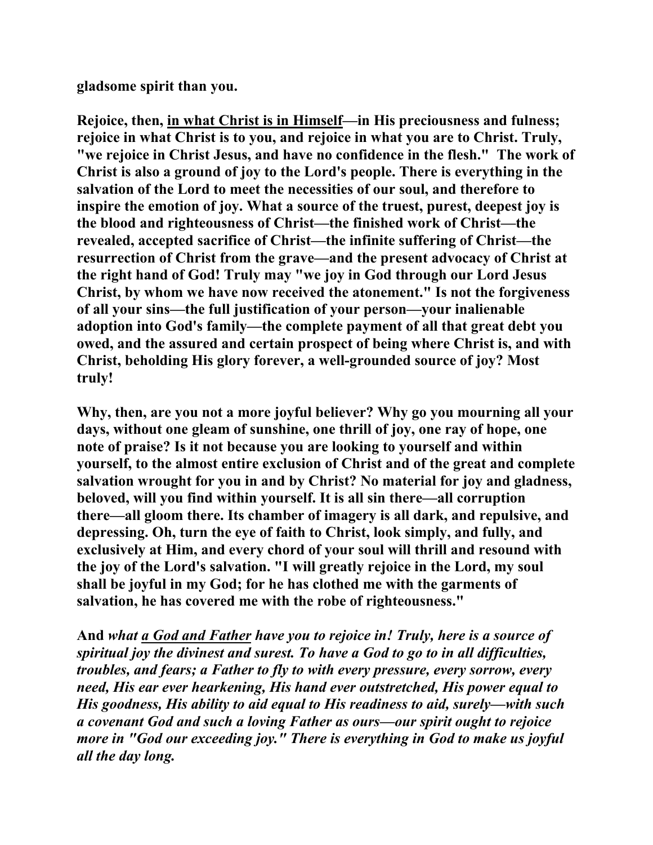**gladsome spirit than you.** 

**Rejoice, then, in what Christ is in Himself—in His preciousness and fulness; rejoice in what Christ is to you, and rejoice in what you are to Christ. Truly, "we rejoice in Christ Jesus, and have no confidence in the flesh." The work of Christ is also a ground of joy to the Lord's people. There is everything in the salvation of the Lord to meet the necessities of our soul, and therefore to inspire the emotion of joy. What a source of the truest, purest, deepest joy is the blood and righteousness of Christ—the finished work of Christ—the revealed, accepted sacrifice of Christ—the infinite suffering of Christ—the resurrection of Christ from the grave—and the present advocacy of Christ at the right hand of God! Truly may "we joy in God through our Lord Jesus Christ, by whom we have now received the atonement." Is not the forgiveness of all your sins—the full justification of your person—your inalienable adoption into God's family—the complete payment of all that great debt you owed, and the assured and certain prospect of being where Christ is, and with Christ, beholding His glory forever, a well-grounded source of joy? Most truly!** 

**Why, then, are you not a more joyful believer? Why go you mourning all your days, without one gleam of sunshine, one thrill of joy, one ray of hope, one note of praise? Is it not because you are looking to yourself and within yourself, to the almost entire exclusion of Christ and of the great and complete salvation wrought for you in and by Christ? No material for joy and gladness, beloved, will you find within yourself. It is all sin there—all corruption there—all gloom there. Its chamber of imagery is all dark, and repulsive, and depressing. Oh, turn the eye of faith to Christ, look simply, and fully, and exclusively at Him, and every chord of your soul will thrill and resound with the joy of the Lord's salvation. "I will greatly rejoice in the Lord, my soul shall be joyful in my God; for he has clothed me with the garments of salvation, he has covered me with the robe of righteousness."** 

**And** *what a God and Father have you to rejoice in! Truly, here is a source of spiritual joy the divinest and surest. To have a God to go to in all difficulties, troubles, and fears; a Father to fly to with every pressure, every sorrow, every need, His ear ever hearkening, His hand ever outstretched, His power equal to His goodness, His ability to aid equal to His readiness to aid, surely—with such a covenant God and such a loving Father as ours—our spirit ought to rejoice more in "God our exceeding joy." There is everything in God to make us joyful all the day long.*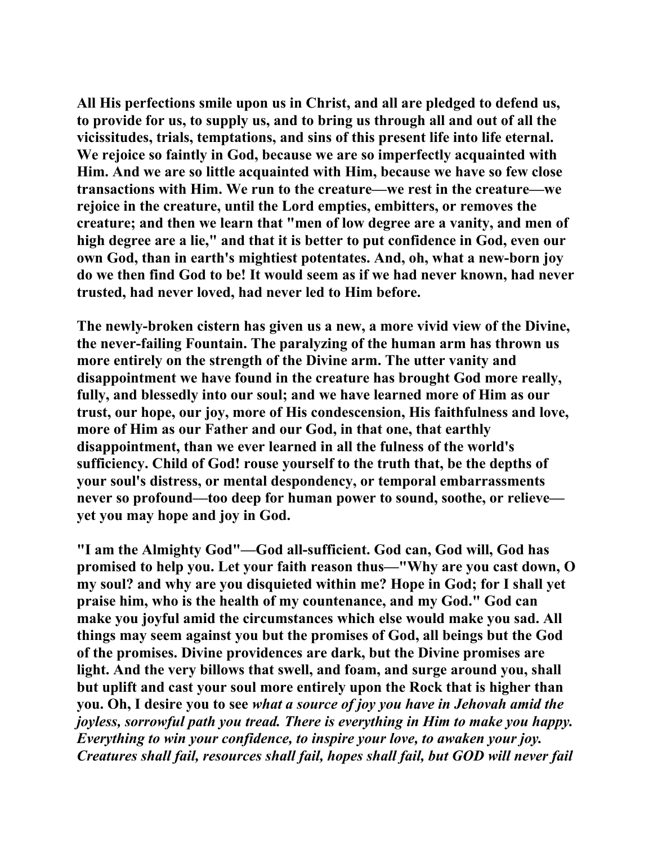**All His perfections smile upon us in Christ, and all are pledged to defend us, to provide for us, to supply us, and to bring us through all and out of all the vicissitudes, trials, temptations, and sins of this present life into life eternal. We rejoice so faintly in God, because we are so imperfectly acquainted with Him. And we are so little acquainted with Him, because we have so few close transactions with Him. We run to the creature—we rest in the creature—we rejoice in the creature, until the Lord empties, embitters, or removes the creature; and then we learn that "men of low degree are a vanity, and men of high degree are a lie," and that it is better to put confidence in God, even our own God, than in earth's mightiest potentates. And, oh, what a new-born joy do we then find God to be! It would seem as if we had never known, had never trusted, had never loved, had never led to Him before.** 

**The newly-broken cistern has given us a new, a more vivid view of the Divine, the never-failing Fountain. The paralyzing of the human arm has thrown us more entirely on the strength of the Divine arm. The utter vanity and disappointment we have found in the creature has brought God more really, fully, and blessedly into our soul; and we have learned more of Him as our trust, our hope, our joy, more of His condescension, His faithfulness and love, more of Him as our Father and our God, in that one, that earthly disappointment, than we ever learned in all the fulness of the world's sufficiency. Child of God! rouse yourself to the truth that, be the depths of your soul's distress, or mental despondency, or temporal embarrassments never so profound—too deep for human power to sound, soothe, or relieve yet you may hope and joy in God.** 

**"I am the Almighty God"—God all-sufficient. God can, God will, God has promised to help you. Let your faith reason thus—"Why are you cast down, O my soul? and why are you disquieted within me? Hope in God; for I shall yet praise him, who is the health of my countenance, and my God." God can make you joyful amid the circumstances which else would make you sad. All things may seem against you but the promises of God, all beings but the God of the promises. Divine providences are dark, but the Divine promises are light. And the very billows that swell, and foam, and surge around you, shall but uplift and cast your soul more entirely upon the Rock that is higher than you. Oh, I desire you to see** *what a source of joy you have in Jehovah amid the joyless, sorrowful path you tread. There is everything in Him to make you happy. Everything to win your confidence, to inspire your love, to awaken your joy. Creatures shall fail, resources shall fail, hopes shall fail, but GOD will never fail*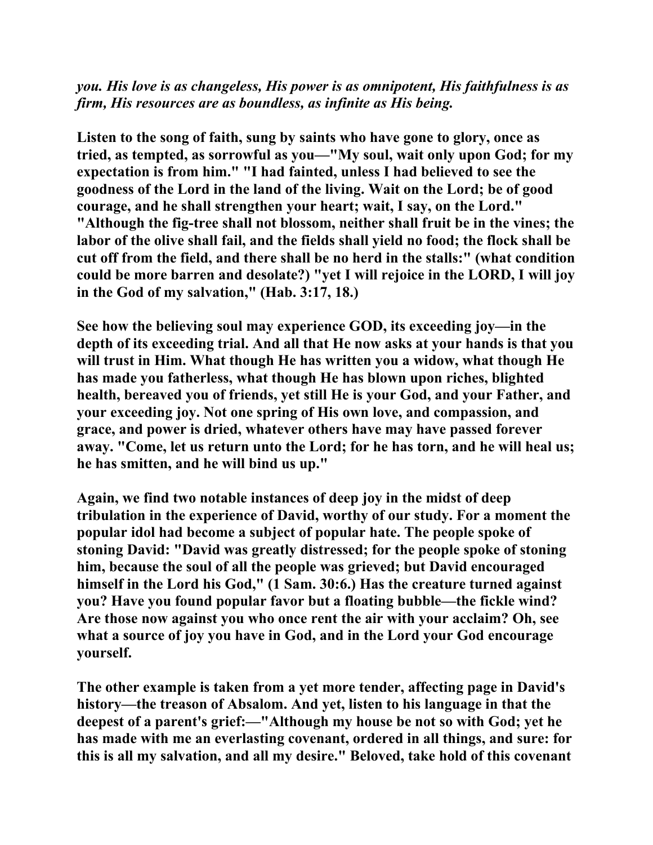*you. His love is as changeless, His power is as omnipotent, His faithfulness is as firm, His resources are as boundless, as infinite as His being.*

**Listen to the song of faith, sung by saints who have gone to glory, once as tried, as tempted, as sorrowful as you—"My soul, wait only upon God; for my expectation is from him." "I had fainted, unless I had believed to see the goodness of the Lord in the land of the living. Wait on the Lord; be of good courage, and he shall strengthen your heart; wait, I say, on the Lord." "Although the fig-tree shall not blossom, neither shall fruit be in the vines; the labor of the olive shall fail, and the fields shall yield no food; the flock shall be cut off from the field, and there shall be no herd in the stalls:" (what condition could be more barren and desolate?) "yet I will rejoice in the LORD, I will joy in the God of my salvation," (Hab. 3:17, 18.)** 

**See how the believing soul may experience GOD, its exceeding joy—in the depth of its exceeding trial. And all that He now asks at your hands is that you will trust in Him. What though He has written you a widow, what though He has made you fatherless, what though He has blown upon riches, blighted health, bereaved you of friends, yet still He is your God, and your Father, and your exceeding joy. Not one spring of His own love, and compassion, and grace, and power is dried, whatever others have may have passed forever away. "Come, let us return unto the Lord; for he has torn, and he will heal us; he has smitten, and he will bind us up."** 

**Again, we find two notable instances of deep joy in the midst of deep tribulation in the experience of David, worthy of our study. For a moment the popular idol had become a subject of popular hate. The people spoke of stoning David: "David was greatly distressed; for the people spoke of stoning him, because the soul of all the people was grieved; but David encouraged himself in the Lord his God," (1 Sam. 30:6.) Has the creature turned against you? Have you found popular favor but a floating bubble—the fickle wind? Are those now against you who once rent the air with your acclaim? Oh, see what a source of joy you have in God, and in the Lord your God encourage yourself.** 

**The other example is taken from a yet more tender, affecting page in David's history—the treason of Absalom. And yet, listen to his language in that the deepest of a parent's grief:—"Although my house be not so with God; yet he has made with me an everlasting covenant, ordered in all things, and sure: for this is all my salvation, and all my desire." Beloved, take hold of this covenant**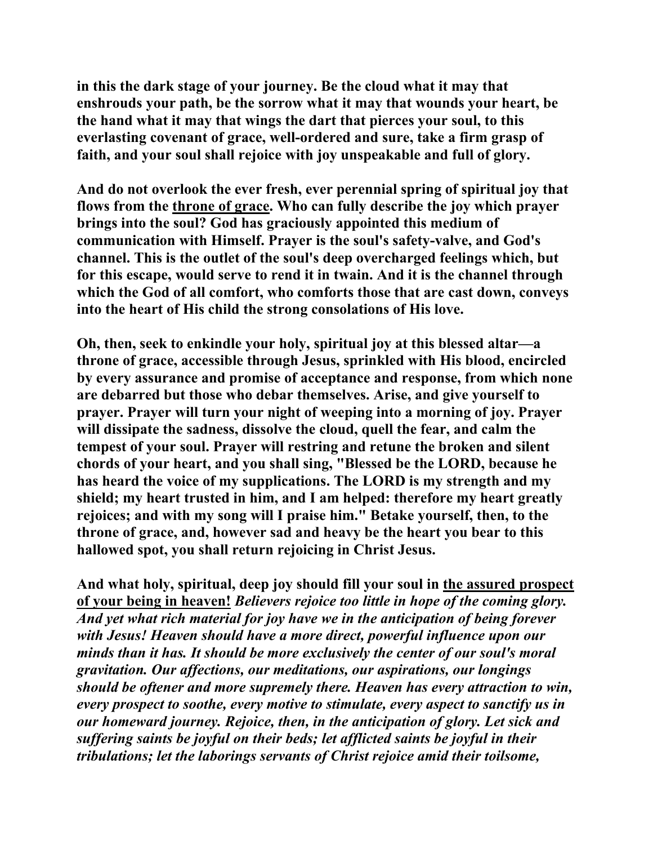**in this the dark stage of your journey. Be the cloud what it may that enshrouds your path, be the sorrow what it may that wounds your heart, be the hand what it may that wings the dart that pierces your soul, to this everlasting covenant of grace, well-ordered and sure, take a firm grasp of faith, and your soul shall rejoice with joy unspeakable and full of glory.** 

**And do not overlook the ever fresh, ever perennial spring of spiritual joy that flows from the throne of grace. Who can fully describe the joy which prayer brings into the soul? God has graciously appointed this medium of communication with Himself. Prayer is the soul's safety-valve, and God's channel. This is the outlet of the soul's deep overcharged feelings which, but for this escape, would serve to rend it in twain. And it is the channel through which the God of all comfort, who comforts those that are cast down, conveys into the heart of His child the strong consolations of His love.** 

**Oh, then, seek to enkindle your holy, spiritual joy at this blessed altar—a throne of grace, accessible through Jesus, sprinkled with His blood, encircled by every assurance and promise of acceptance and response, from which none are debarred but those who debar themselves. Arise, and give yourself to prayer. Prayer will turn your night of weeping into a morning of joy. Prayer will dissipate the sadness, dissolve the cloud, quell the fear, and calm the tempest of your soul. Prayer will restring and retune the broken and silent chords of your heart, and you shall sing, "Blessed be the LORD, because he has heard the voice of my supplications. The LORD is my strength and my shield; my heart trusted in him, and I am helped: therefore my heart greatly rejoices; and with my song will I praise him." Betake yourself, then, to the throne of grace, and, however sad and heavy be the heart you bear to this hallowed spot, you shall return rejoicing in Christ Jesus.** 

**And what holy, spiritual, deep joy should fill your soul in the assured prospect of your being in heaven!** *Believers rejoice too little in hope of the coming glory. And yet what rich material for joy have we in the anticipation of being forever with Jesus! Heaven should have a more direct, powerful influence upon our minds than it has. It should be more exclusively the center of our soul's moral gravitation. Our affections, our meditations, our aspirations, our longings should be oftener and more supremely there. Heaven has every attraction to win, every prospect to soothe, every motive to stimulate, every aspect to sanctify us in our homeward journey. Rejoice, then, in the anticipation of glory. Let sick and suffering saints be joyful on their beds; let afflicted saints be joyful in their tribulations; let the laborings servants of Christ rejoice amid their toilsome,*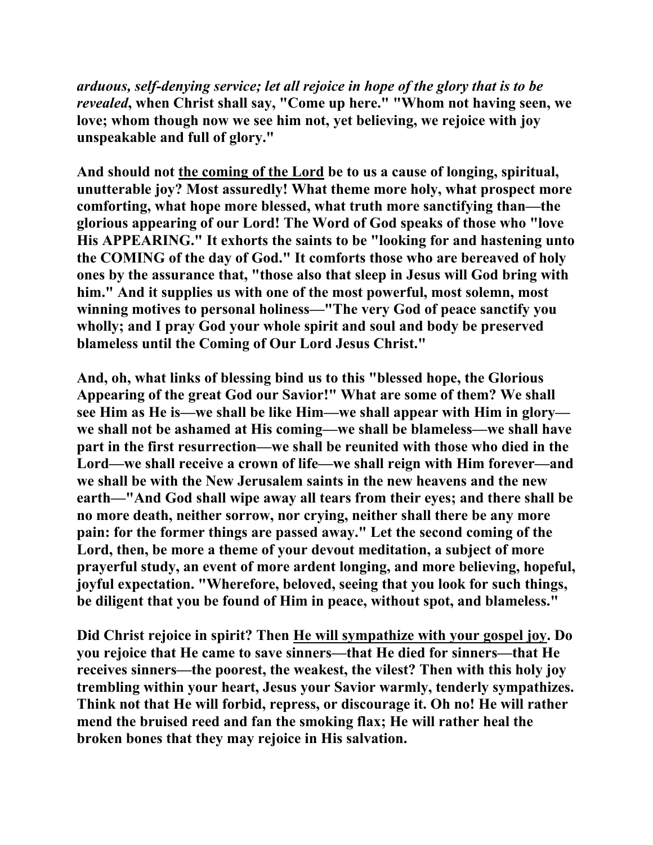*arduous, self-denying service; let all rejoice in hope of the glory that is to be revealed***, when Christ shall say, "Come up here." "Whom not having seen, we love; whom though now we see him not, yet believing, we rejoice with joy unspeakable and full of glory."** 

**And should not the coming of the Lord be to us a cause of longing, spiritual, unutterable joy? Most assuredly! What theme more holy, what prospect more comforting, what hope more blessed, what truth more sanctifying than—the glorious appearing of our Lord! The Word of God speaks of those who "love His APPEARING." It exhorts the saints to be "looking for and hastening unto the COMING of the day of God." It comforts those who are bereaved of holy ones by the assurance that, "those also that sleep in Jesus will God bring with him." And it supplies us with one of the most powerful, most solemn, most winning motives to personal holiness—"The very God of peace sanctify you wholly; and I pray God your whole spirit and soul and body be preserved blameless until the Coming of Our Lord Jesus Christ."** 

**And, oh, what links of blessing bind us to this "blessed hope, the Glorious Appearing of the great God our Savior!" What are some of them? We shall see Him as He is—we shall be like Him—we shall appear with Him in glory we shall not be ashamed at His coming—we shall be blameless—we shall have part in the first resurrection—we shall be reunited with those who died in the Lord—we shall receive a crown of life—we shall reign with Him forever—and we shall be with the New Jerusalem saints in the new heavens and the new earth—"And God shall wipe away all tears from their eyes; and there shall be no more death, neither sorrow, nor crying, neither shall there be any more pain: for the former things are passed away." Let the second coming of the Lord, then, be more a theme of your devout meditation, a subject of more prayerful study, an event of more ardent longing, and more believing, hopeful, joyful expectation. "Wherefore, beloved, seeing that you look for such things, be diligent that you be found of Him in peace, without spot, and blameless."** 

**Did Christ rejoice in spirit? Then He will sympathize with your gospel joy. Do you rejoice that He came to save sinners—that He died for sinners—that He receives sinners—the poorest, the weakest, the vilest? Then with this holy joy trembling within your heart, Jesus your Savior warmly, tenderly sympathizes. Think not that He will forbid, repress, or discourage it. Oh no! He will rather mend the bruised reed and fan the smoking flax; He will rather heal the broken bones that they may rejoice in His salvation.**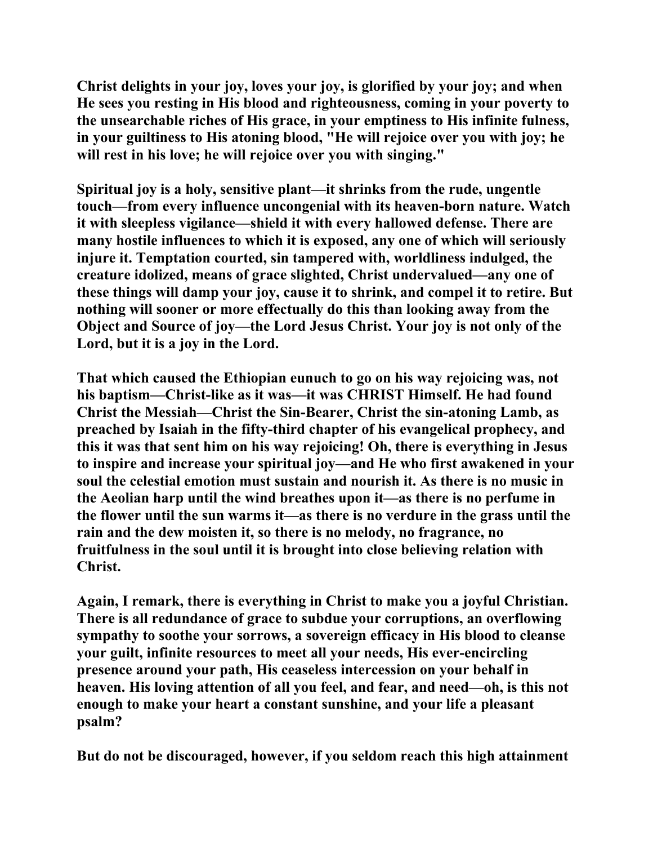**Christ delights in your joy, loves your joy, is glorified by your joy; and when He sees you resting in His blood and righteousness, coming in your poverty to the unsearchable riches of His grace, in your emptiness to His infinite fulness, in your guiltiness to His atoning blood, "He will rejoice over you with joy; he will rest in his love; he will rejoice over you with singing."** 

**Spiritual joy is a holy, sensitive plant—it shrinks from the rude, ungentle touch—from every influence uncongenial with its heaven-born nature. Watch it with sleepless vigilance—shield it with every hallowed defense. There are many hostile influences to which it is exposed, any one of which will seriously injure it. Temptation courted, sin tampered with, worldliness indulged, the creature idolized, means of grace slighted, Christ undervalued—any one of these things will damp your joy, cause it to shrink, and compel it to retire. But nothing will sooner or more effectually do this than looking away from the Object and Source of joy—the Lord Jesus Christ. Your joy is not only of the Lord, but it is a joy in the Lord.** 

**That which caused the Ethiopian eunuch to go on his way rejoicing was, not his baptism—Christ-like as it was—it was CHRIST Himself. He had found Christ the Messiah—Christ the Sin-Bearer, Christ the sin-atoning Lamb, as preached by Isaiah in the fifty-third chapter of his evangelical prophecy, and this it was that sent him on his way rejoicing! Oh, there is everything in Jesus to inspire and increase your spiritual joy—and He who first awakened in your soul the celestial emotion must sustain and nourish it. As there is no music in the Aeolian harp until the wind breathes upon it—as there is no perfume in the flower until the sun warms it—as there is no verdure in the grass until the rain and the dew moisten it, so there is no melody, no fragrance, no fruitfulness in the soul until it is brought into close believing relation with Christ.** 

**Again, I remark, there is everything in Christ to make you a joyful Christian. There is all redundance of grace to subdue your corruptions, an overflowing sympathy to soothe your sorrows, a sovereign efficacy in His blood to cleanse your guilt, infinite resources to meet all your needs, His ever-encircling presence around your path, His ceaseless intercession on your behalf in heaven. His loving attention of all you feel, and fear, and need—oh, is this not enough to make your heart a constant sunshine, and your life a pleasant psalm?** 

**But do not be discouraged, however, if you seldom reach this high attainment**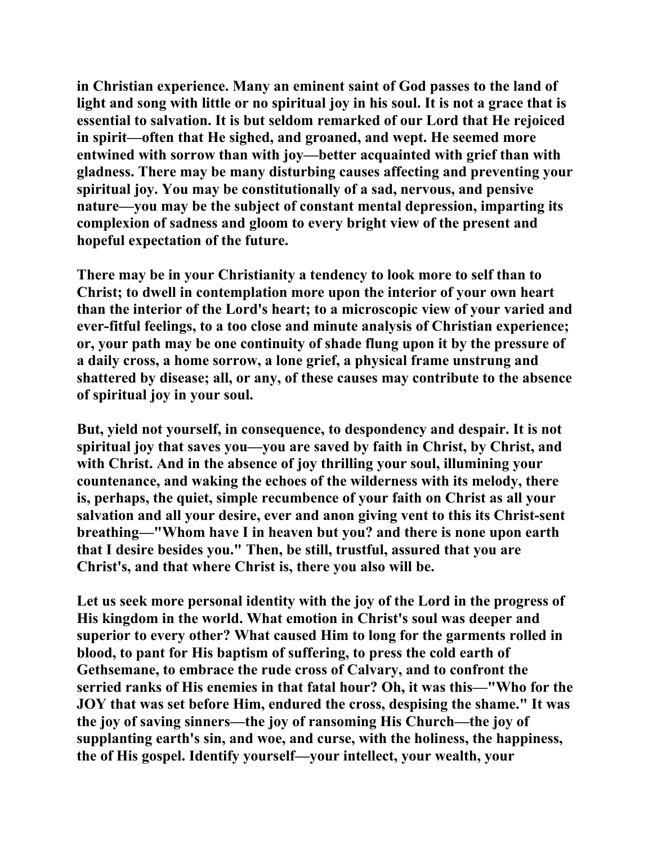**in Christian experience. Many an eminent saint of God passes to the land of light and song with little or no spiritual joy in his soul. It is not a grace that is essential to salvation. It is but seldom remarked of our Lord that He rejoiced in spirit—often that He sighed, and groaned, and wept. He seemed more entwined with sorrow than with joy—better acquainted with grief than with gladness. There may be many disturbing causes affecting and preventing your spiritual joy. You may be constitutionally of a sad, nervous, and pensive nature—you may be the subject of constant mental depression, imparting its complexion of sadness and gloom to every bright view of the present and hopeful expectation of the future.** 

**There may be in your Christianity a tendency to look more to self than to Christ; to dwell in contemplation more upon the interior of your own heart than the interior of the Lord's heart; to a microscopic view of your varied and ever-fitful feelings, to a too close and minute analysis of Christian experience; or, your path may be one continuity of shade flung upon it by the pressure of a daily cross, a home sorrow, a lone grief, a physical frame unstrung and shattered by disease; all, or any, of these causes may contribute to the absence of spiritual joy in your soul.** 

**But, yield not yourself, in consequence, to despondency and despair. It is not spiritual joy that saves you—you are saved by faith in Christ, by Christ, and with Christ. And in the absence of joy thrilling your soul, illumining your countenance, and waking the echoes of the wilderness with its melody, there is, perhaps, the quiet, simple recumbence of your faith on Christ as all your salvation and all your desire, ever and anon giving vent to this its Christ-sent breathing—"Whom have I in heaven but you? and there is none upon earth that I desire besides you." Then, be still, trustful, assured that you are Christ's, and that where Christ is, there you also will be.** 

**Let us seek more personal identity with the joy of the Lord in the progress of His kingdom in the world. What emotion in Christ's soul was deeper and superior to every other? What caused Him to long for the garments rolled in blood, to pant for His baptism of suffering, to press the cold earth of Gethsemane, to embrace the rude cross of Calvary, and to confront the serried ranks of His enemies in that fatal hour? Oh, it was this—"Who for the JOY that was set before Him, endured the cross, despising the shame." It was the joy of saving sinners—the joy of ransoming His Church—the joy of supplanting earth's sin, and woe, and curse, with the holiness, the happiness, the of His gospel. Identify yourself—your intellect, your wealth, your**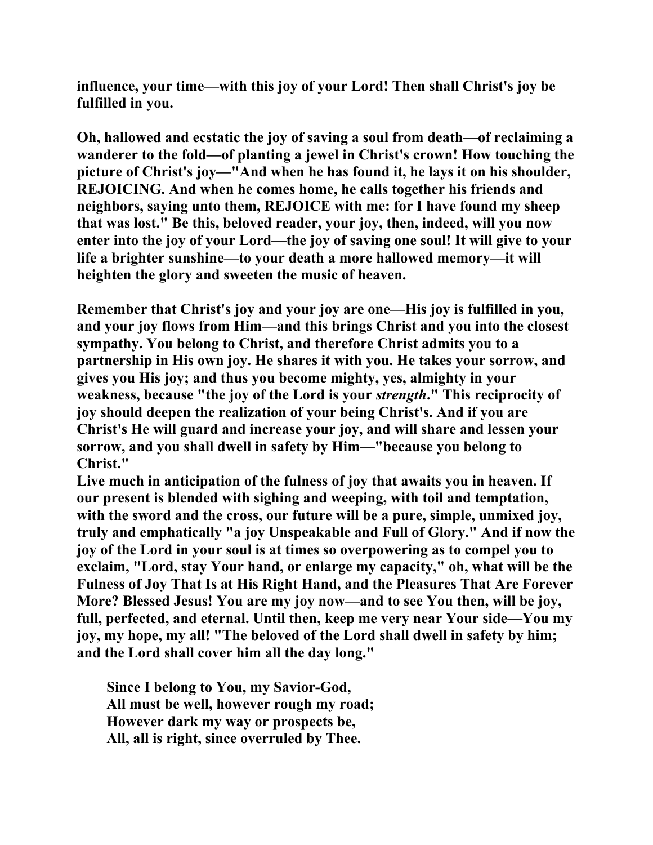**influence, your time—with this joy of your Lord! Then shall Christ's joy be fulfilled in you.** 

**Oh, hallowed and ecstatic the joy of saving a soul from death—of reclaiming a wanderer to the fold—of planting a jewel in Christ's crown! How touching the picture of Christ's joy—"And when he has found it, he lays it on his shoulder, REJOICING. And when he comes home, he calls together his friends and neighbors, saying unto them, REJOICE with me: for I have found my sheep that was lost." Be this, beloved reader, your joy, then, indeed, will you now enter into the joy of your Lord—the joy of saving one soul! It will give to your life a brighter sunshine—to your death a more hallowed memory—it will heighten the glory and sweeten the music of heaven.** 

**Remember that Christ's joy and your joy are one—His joy is fulfilled in you, and your joy flows from Him—and this brings Christ and you into the closest sympathy. You belong to Christ, and therefore Christ admits you to a partnership in His own joy. He shares it with you. He takes your sorrow, and gives you His joy; and thus you become mighty, yes, almighty in your weakness, because "the joy of the Lord is your** *strength***." This reciprocity of joy should deepen the realization of your being Christ's. And if you are Christ's He will guard and increase your joy, and will share and lessen your sorrow, and you shall dwell in safety by Him—"because you belong to Christ."** 

**Live much in anticipation of the fulness of joy that awaits you in heaven. If our present is blended with sighing and weeping, with toil and temptation, with the sword and the cross, our future will be a pure, simple, unmixed joy, truly and emphatically "a joy Unspeakable and Full of Glory." And if now the joy of the Lord in your soul is at times so overpowering as to compel you to exclaim, "Lord, stay Your hand, or enlarge my capacity," oh, what will be the Fulness of Joy That Is at His Right Hand, and the Pleasures That Are Forever More? Blessed Jesus! You are my joy now—and to see You then, will be joy, full, perfected, and eternal. Until then, keep me very near Your side—You my joy, my hope, my all! "The beloved of the Lord shall dwell in safety by him; and the Lord shall cover him all the day long."** 

 **Since I belong to You, my Savior-God, All must be well, however rough my road; However dark my way or prospects be, All, all is right, since overruled by Thee.**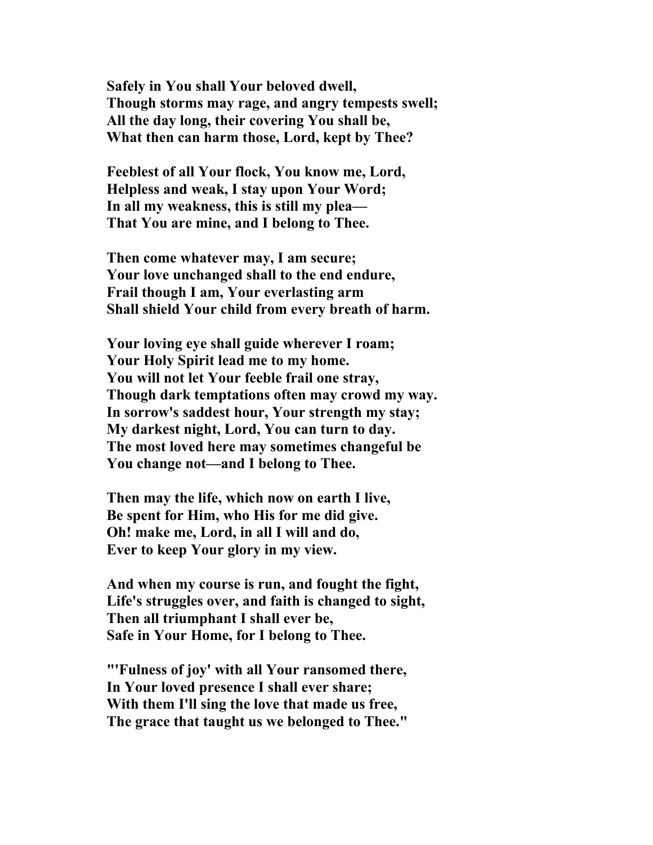**Safely in You shall Your beloved dwell, Though storms may rage, and angry tempests swell; All the day long, their covering You shall be, What then can harm those, Lord, kept by Thee?** 

 **Feeblest of all Your flock, You know me, Lord, Helpless and weak, I stay upon Your Word; In all my weakness, this is still my plea— That You are mine, and I belong to Thee.** 

 **Then come whatever may, I am secure; Your love unchanged shall to the end endure, Frail though I am, Your everlasting arm Shall shield Your child from every breath of harm.** 

 **Your loving eye shall guide wherever I roam; Your Holy Spirit lead me to my home. You will not let Your feeble frail one stray, Though dark temptations often may crowd my way. In sorrow's saddest hour, Your strength my stay; My darkest night, Lord, You can turn to day. The most loved here may sometimes changeful be You change not—and I belong to Thee.** 

 **Then may the life, which now on earth I live, Be spent for Him, who His for me did give. Oh! make me, Lord, in all I will and do, Ever to keep Your glory in my view.** 

 **And when my course is run, and fought the fight, Life's struggles over, and faith is changed to sight, Then all triumphant I shall ever be, Safe in Your Home, for I belong to Thee.** 

 **"'Fulness of joy' with all Your ransomed there, In Your loved presence I shall ever share; With them I'll sing the love that made us free, The grace that taught us we belonged to Thee."**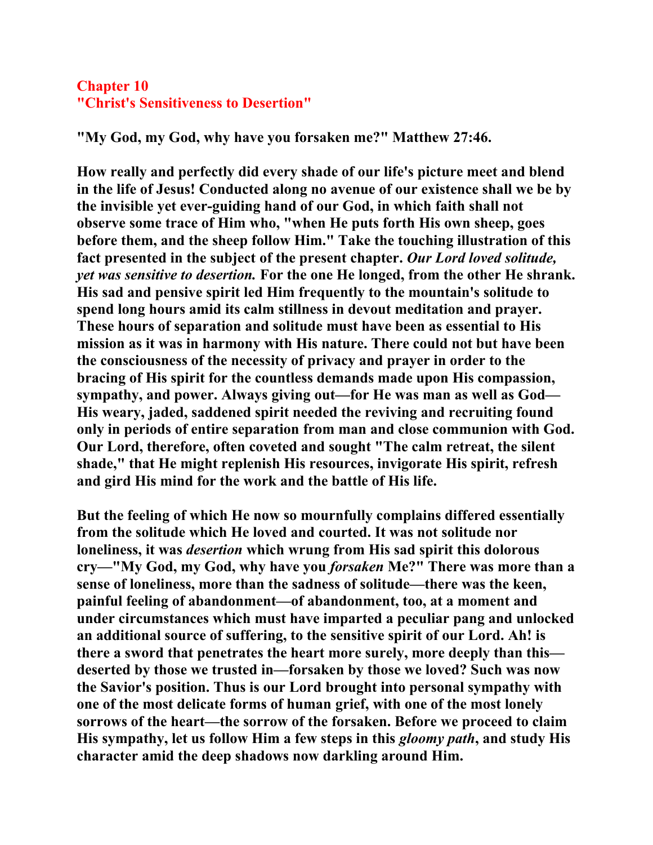## **Chapter 10 "Christ's Sensitiveness to Desertion"**

**"My God, my God, why have you forsaken me?" Matthew 27:46.** 

**How really and perfectly did every shade of our life's picture meet and blend in the life of Jesus! Conducted along no avenue of our existence shall we be by the invisible yet ever-guiding hand of our God, in which faith shall not observe some trace of Him who, "when He puts forth His own sheep, goes before them, and the sheep follow Him." Take the touching illustration of this fact presented in the subject of the present chapter.** *Our Lord loved solitude, yet was sensitive to desertion.* **For the one He longed, from the other He shrank. His sad and pensive spirit led Him frequently to the mountain's solitude to spend long hours amid its calm stillness in devout meditation and prayer. These hours of separation and solitude must have been as essential to His mission as it was in harmony with His nature. There could not but have been the consciousness of the necessity of privacy and prayer in order to the bracing of His spirit for the countless demands made upon His compassion, sympathy, and power. Always giving out—for He was man as well as God— His weary, jaded, saddened spirit needed the reviving and recruiting found only in periods of entire separation from man and close communion with God. Our Lord, therefore, often coveted and sought "The calm retreat, the silent shade," that He might replenish His resources, invigorate His spirit, refresh and gird His mind for the work and the battle of His life.** 

**But the feeling of which He now so mournfully complains differed essentially from the solitude which He loved and courted. It was not solitude nor loneliness, it was** *desertion* **which wrung from His sad spirit this dolorous cry—"My God, my God, why have you** *forsaken* **Me?" There was more than a sense of loneliness, more than the sadness of solitude—there was the keen, painful feeling of abandonment—of abandonment, too, at a moment and under circumstances which must have imparted a peculiar pang and unlocked an additional source of suffering, to the sensitive spirit of our Lord. Ah! is there a sword that penetrates the heart more surely, more deeply than this deserted by those we trusted in—forsaken by those we loved? Such was now the Savior's position. Thus is our Lord brought into personal sympathy with one of the most delicate forms of human grief, with one of the most lonely sorrows of the heart—the sorrow of the forsaken. Before we proceed to claim His sympathy, let us follow Him a few steps in this** *gloomy path***, and study His character amid the deep shadows now darkling around Him.**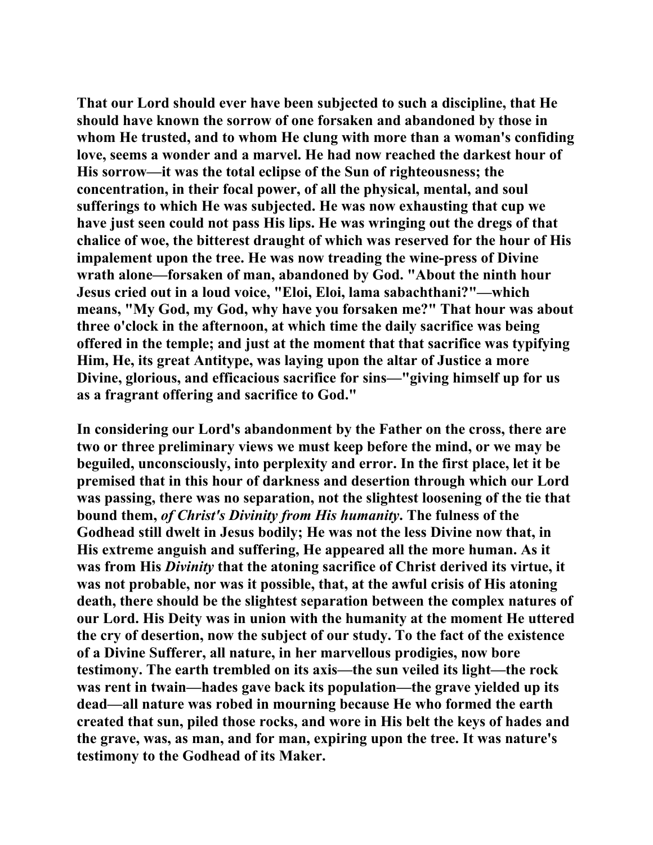**That our Lord should ever have been subjected to such a discipline, that He should have known the sorrow of one forsaken and abandoned by those in whom He trusted, and to whom He clung with more than a woman's confiding love, seems a wonder and a marvel. He had now reached the darkest hour of His sorrow—it was the total eclipse of the Sun of righteousness; the concentration, in their focal power, of all the physical, mental, and soul sufferings to which He was subjected. He was now exhausting that cup we have just seen could not pass His lips. He was wringing out the dregs of that chalice of woe, the bitterest draught of which was reserved for the hour of His impalement upon the tree. He was now treading the wine-press of Divine wrath alone—forsaken of man, abandoned by God. "About the ninth hour Jesus cried out in a loud voice, "Eloi, Eloi, lama sabachthani?"—which means, "My God, my God, why have you forsaken me?" That hour was about three o'clock in the afternoon, at which time the daily sacrifice was being offered in the temple; and just at the moment that that sacrifice was typifying Him, He, its great Antitype, was laying upon the altar of Justice a more Divine, glorious, and efficacious sacrifice for sins—"giving himself up for us as a fragrant offering and sacrifice to God."** 

**In considering our Lord's abandonment by the Father on the cross, there are two or three preliminary views we must keep before the mind, or we may be beguiled, unconsciously, into perplexity and error. In the first place, let it be premised that in this hour of darkness and desertion through which our Lord was passing, there was no separation, not the slightest loosening of the tie that bound them,** *of Christ's Divinity from His humanity***. The fulness of the Godhead still dwelt in Jesus bodily; He was not the less Divine now that, in His extreme anguish and suffering, He appeared all the more human. As it was from His** *Divinity* **that the atoning sacrifice of Christ derived its virtue, it was not probable, nor was it possible, that, at the awful crisis of His atoning death, there should be the slightest separation between the complex natures of our Lord. His Deity was in union with the humanity at the moment He uttered the cry of desertion, now the subject of our study. To the fact of the existence of a Divine Sufferer, all nature, in her marvellous prodigies, now bore testimony. The earth trembled on its axis—the sun veiled its light—the rock was rent in twain—hades gave back its population—the grave yielded up its dead—all nature was robed in mourning because He who formed the earth created that sun, piled those rocks, and wore in His belt the keys of hades and the grave, was, as man, and for man, expiring upon the tree. It was nature's testimony to the Godhead of its Maker.**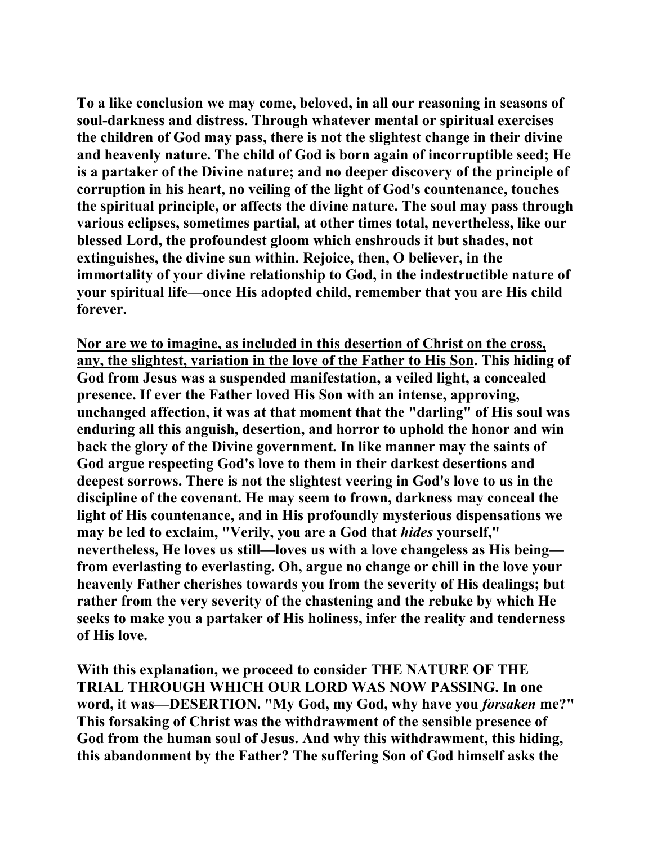**To a like conclusion we may come, beloved, in all our reasoning in seasons of soul-darkness and distress. Through whatever mental or spiritual exercises the children of God may pass, there is not the slightest change in their divine and heavenly nature. The child of God is born again of incorruptible seed; He is a partaker of the Divine nature; and no deeper discovery of the principle of corruption in his heart, no veiling of the light of God's countenance, touches the spiritual principle, or affects the divine nature. The soul may pass through various eclipses, sometimes partial, at other times total, nevertheless, like our blessed Lord, the profoundest gloom which enshrouds it but shades, not extinguishes, the divine sun within. Rejoice, then, O believer, in the immortality of your divine relationship to God, in the indestructible nature of your spiritual life—once His adopted child, remember that you are His child forever.** 

**Nor are we to imagine, as included in this desertion of Christ on the cross, any, the slightest, variation in the love of the Father to His Son. This hiding of God from Jesus was a suspended manifestation, a veiled light, a concealed presence. If ever the Father loved His Son with an intense, approving, unchanged affection, it was at that moment that the "darling" of His soul was enduring all this anguish, desertion, and horror to uphold the honor and win back the glory of the Divine government. In like manner may the saints of God argue respecting God's love to them in their darkest desertions and deepest sorrows. There is not the slightest veering in God's love to us in the discipline of the covenant. He may seem to frown, darkness may conceal the light of His countenance, and in His profoundly mysterious dispensations we may be led to exclaim, "Verily, you are a God that** *hides* **yourself," nevertheless, He loves us still—loves us with a love changeless as His being from everlasting to everlasting. Oh, argue no change or chill in the love your heavenly Father cherishes towards you from the severity of His dealings; but rather from the very severity of the chastening and the rebuke by which He seeks to make you a partaker of His holiness, infer the reality and tenderness of His love.** 

**With this explanation, we proceed to consider THE NATURE OF THE TRIAL THROUGH WHICH OUR LORD WAS NOW PASSING. In one word, it was—DESERTION. "My God, my God, why have you** *forsaken* **me?" This forsaking of Christ was the withdrawment of the sensible presence of God from the human soul of Jesus. And why this withdrawment, this hiding, this abandonment by the Father? The suffering Son of God himself asks the**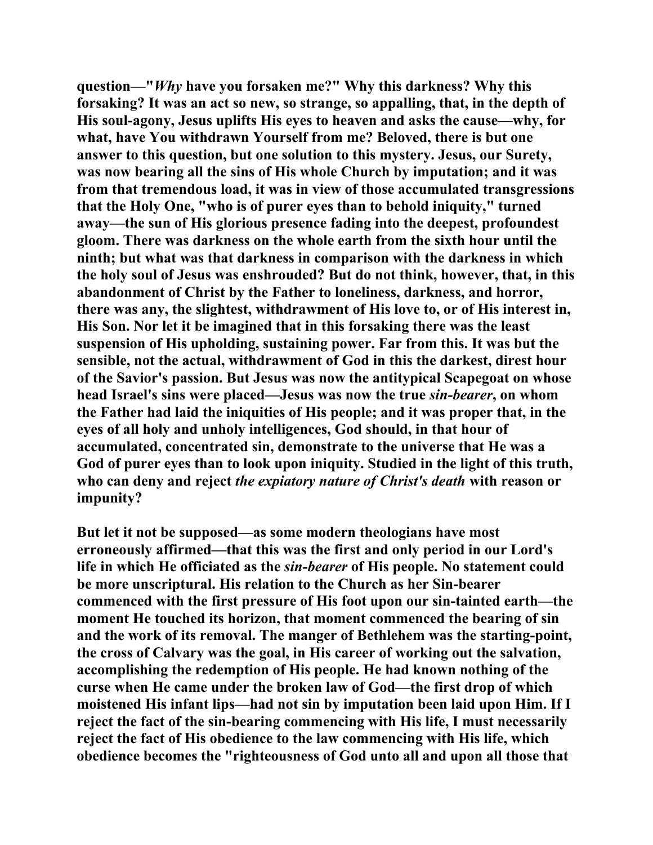**question—"***Why* **have you forsaken me?" Why this darkness? Why this forsaking? It was an act so new, so strange, so appalling, that, in the depth of His soul-agony, Jesus uplifts His eyes to heaven and asks the cause—why, for what, have You withdrawn Yourself from me? Beloved, there is but one answer to this question, but one solution to this mystery. Jesus, our Surety, was now bearing all the sins of His whole Church by imputation; and it was from that tremendous load, it was in view of those accumulated transgressions that the Holy One, "who is of purer eyes than to behold iniquity," turned away—the sun of His glorious presence fading into the deepest, profoundest gloom. There was darkness on the whole earth from the sixth hour until the ninth; but what was that darkness in comparison with the darkness in which the holy soul of Jesus was enshrouded? But do not think, however, that, in this abandonment of Christ by the Father to loneliness, darkness, and horror, there was any, the slightest, withdrawment of His love to, or of His interest in, His Son. Nor let it be imagined that in this forsaking there was the least suspension of His upholding, sustaining power. Far from this. It was but the sensible, not the actual, withdrawment of God in this the darkest, direst hour of the Savior's passion. But Jesus was now the antitypical Scapegoat on whose head Israel's sins were placed—Jesus was now the true** *sin-bearer***, on whom the Father had laid the iniquities of His people; and it was proper that, in the eyes of all holy and unholy intelligences, God should, in that hour of accumulated, concentrated sin, demonstrate to the universe that He was a God of purer eyes than to look upon iniquity. Studied in the light of this truth, who can deny and reject** *the expiatory nature of Christ's death* **with reason or impunity?** 

**But let it not be supposed—as some modern theologians have most erroneously affirmed—that this was the first and only period in our Lord's life in which He officiated as the** *sin-bearer* **of His people. No statement could be more unscriptural. His relation to the Church as her Sin-bearer commenced with the first pressure of His foot upon our sin-tainted earth—the moment He touched its horizon, that moment commenced the bearing of sin and the work of its removal. The manger of Bethlehem was the starting-point, the cross of Calvary was the goal, in His career of working out the salvation, accomplishing the redemption of His people. He had known nothing of the curse when He came under the broken law of God—the first drop of which moistened His infant lips—had not sin by imputation been laid upon Him. If I reject the fact of the sin-bearing commencing with His life, I must necessarily reject the fact of His obedience to the law commencing with His life, which obedience becomes the "righteousness of God unto all and upon all those that**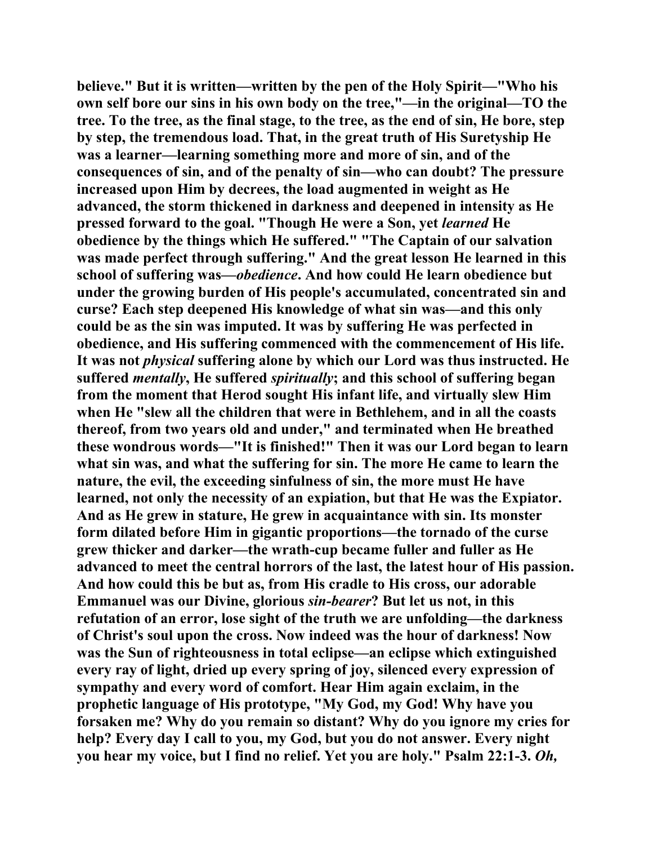**believe." But it is written—written by the pen of the Holy Spirit—"Who his own self bore our sins in his own body on the tree,"—in the original—TO the tree. To the tree, as the final stage, to the tree, as the end of sin, He bore, step by step, the tremendous load. That, in the great truth of His Suretyship He was a learner—learning something more and more of sin, and of the consequences of sin, and of the penalty of sin—who can doubt? The pressure increased upon Him by decrees, the load augmented in weight as He advanced, the storm thickened in darkness and deepened in intensity as He pressed forward to the goal. "Though He were a Son, yet** *learned* **He obedience by the things which He suffered." "The Captain of our salvation was made perfect through suffering." And the great lesson He learned in this school of suffering was—***obedience***. And how could He learn obedience but under the growing burden of His people's accumulated, concentrated sin and curse? Each step deepened His knowledge of what sin was—and this only could be as the sin was imputed. It was by suffering He was perfected in obedience, and His suffering commenced with the commencement of His life. It was not** *physical* **suffering alone by which our Lord was thus instructed. He suffered** *mentally***, He suffered** *spiritually***; and this school of suffering began from the moment that Herod sought His infant life, and virtually slew Him when He "slew all the children that were in Bethlehem, and in all the coasts thereof, from two years old and under," and terminated when He breathed these wondrous words—"It is finished!" Then it was our Lord began to learn what sin was, and what the suffering for sin. The more He came to learn the nature, the evil, the exceeding sinfulness of sin, the more must He have learned, not only the necessity of an expiation, but that He was the Expiator. And as He grew in stature, He grew in acquaintance with sin. Its monster form dilated before Him in gigantic proportions—the tornado of the curse grew thicker and darker—the wrath-cup became fuller and fuller as He advanced to meet the central horrors of the last, the latest hour of His passion. And how could this be but as, from His cradle to His cross, our adorable Emmanuel was our Divine, glorious** *sin-bearer***? But let us not, in this refutation of an error, lose sight of the truth we are unfolding—the darkness of Christ's soul upon the cross. Now indeed was the hour of darkness! Now was the Sun of righteousness in total eclipse—an eclipse which extinguished every ray of light, dried up every spring of joy, silenced every expression of sympathy and every word of comfort. Hear Him again exclaim, in the prophetic language of His prototype, "My God, my God! Why have you forsaken me? Why do you remain so distant? Why do you ignore my cries for help? Every day I call to you, my God, but you do not answer. Every night you hear my voice, but I find no relief. Yet you are holy." Psalm 22:1-3.** *Oh,*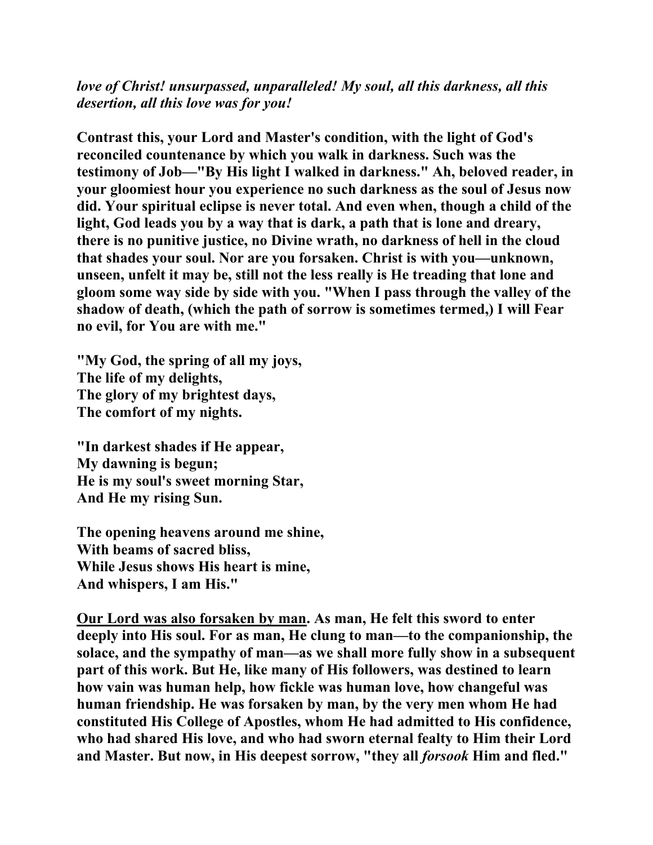*love of Christ! unsurpassed, unparalleled! My soul, all this darkness, all this desertion, all this love was for you!*

**Contrast this, your Lord and Master's condition, with the light of God's reconciled countenance by which you walk in darkness. Such was the testimony of Job—"By His light I walked in darkness." Ah, beloved reader, in your gloomiest hour you experience no such darkness as the soul of Jesus now did. Your spiritual eclipse is never total. And even when, though a child of the light, God leads you by a way that is dark, a path that is lone and dreary, there is no punitive justice, no Divine wrath, no darkness of hell in the cloud that shades your soul. Nor are you forsaken. Christ is with you—unknown, unseen, unfelt it may be, still not the less really is He treading that lone and gloom some way side by side with you. "When I pass through the valley of the shadow of death, (which the path of sorrow is sometimes termed,) I will Fear no evil, for You are with me."** 

**"My God, the spring of all my joys, The life of my delights, The glory of my brightest days, The comfort of my nights.** 

**"In darkest shades if He appear, My dawning is begun; He is my soul's sweet morning Star, And He my rising Sun.** 

**The opening heavens around me shine, With beams of sacred bliss, While Jesus shows His heart is mine, And whispers, I am His."** 

**Our Lord was also forsaken by man. As man, He felt this sword to enter deeply into His soul. For as man, He clung to man—to the companionship, the solace, and the sympathy of man—as we shall more fully show in a subsequent part of this work. But He, like many of His followers, was destined to learn how vain was human help, how fickle was human love, how changeful was human friendship. He was forsaken by man, by the very men whom He had constituted His College of Apostles, whom He had admitted to His confidence, who had shared His love, and who had sworn eternal fealty to Him their Lord and Master. But now, in His deepest sorrow, "they all** *forsook* **Him and fled."**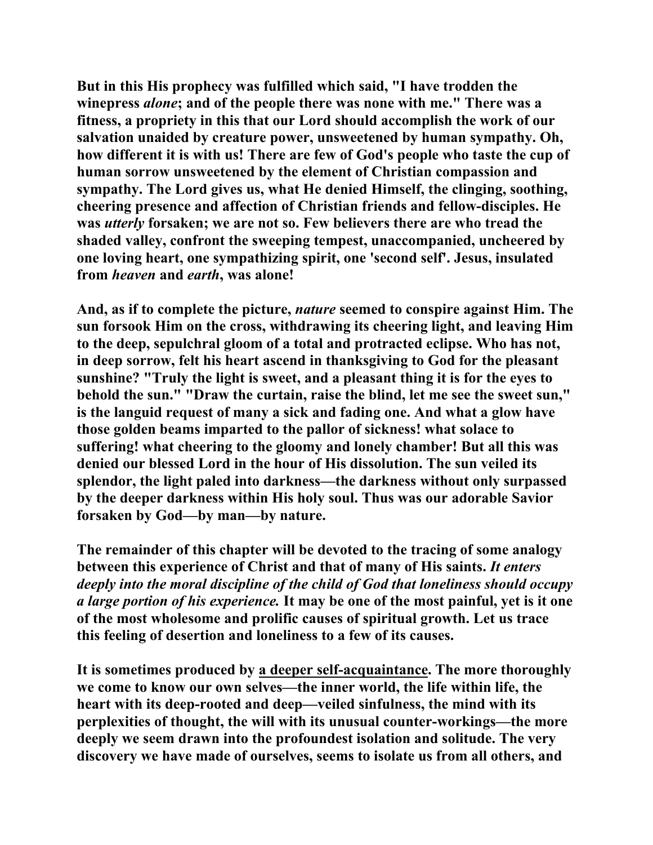**But in this His prophecy was fulfilled which said, "I have trodden the winepress** *alone***; and of the people there was none with me." There was a fitness, a propriety in this that our Lord should accomplish the work of our salvation unaided by creature power, unsweetened by human sympathy. Oh, how different it is with us! There are few of God's people who taste the cup of human sorrow unsweetened by the element of Christian compassion and sympathy. The Lord gives us, what He denied Himself, the clinging, soothing, cheering presence and affection of Christian friends and fellow-disciples. He was** *utterly* **forsaken; we are not so. Few believers there are who tread the shaded valley, confront the sweeping tempest, unaccompanied, uncheered by one loving heart, one sympathizing spirit, one 'second self'. Jesus, insulated from** *heaven* **and** *earth***, was alone!** 

**And, as if to complete the picture,** *nature* **seemed to conspire against Him. The sun forsook Him on the cross, withdrawing its cheering light, and leaving Him to the deep, sepulchral gloom of a total and protracted eclipse. Who has not, in deep sorrow, felt his heart ascend in thanksgiving to God for the pleasant sunshine? "Truly the light is sweet, and a pleasant thing it is for the eyes to behold the sun." "Draw the curtain, raise the blind, let me see the sweet sun," is the languid request of many a sick and fading one. And what a glow have those golden beams imparted to the pallor of sickness! what solace to suffering! what cheering to the gloomy and lonely chamber! But all this was denied our blessed Lord in the hour of His dissolution. The sun veiled its splendor, the light paled into darkness—the darkness without only surpassed by the deeper darkness within His holy soul. Thus was our adorable Savior forsaken by God—by man—by nature.** 

**The remainder of this chapter will be devoted to the tracing of some analogy between this experience of Christ and that of many of His saints.** *It enters deeply into the moral discipline of the child of God that loneliness should occupy a large portion of his experience.* **It may be one of the most painful, yet is it one of the most wholesome and prolific causes of spiritual growth. Let us trace this feeling of desertion and loneliness to a few of its causes.** 

**It is sometimes produced by a deeper self-acquaintance. The more thoroughly we come to know our own selves—the inner world, the life within life, the heart with its deep-rooted and deep—veiled sinfulness, the mind with its perplexities of thought, the will with its unusual counter-workings—the more deeply we seem drawn into the profoundest isolation and solitude. The very discovery we have made of ourselves, seems to isolate us from all others, and**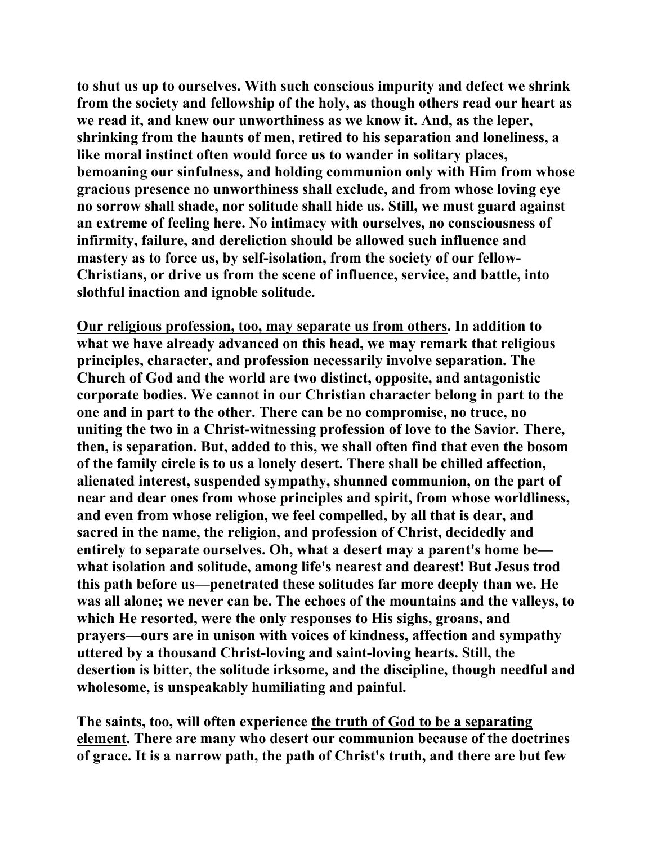**to shut us up to ourselves. With such conscious impurity and defect we shrink from the society and fellowship of the holy, as though others read our heart as we read it, and knew our unworthiness as we know it. And, as the leper, shrinking from the haunts of men, retired to his separation and loneliness, a like moral instinct often would force us to wander in solitary places, bemoaning our sinfulness, and holding communion only with Him from whose gracious presence no unworthiness shall exclude, and from whose loving eye no sorrow shall shade, nor solitude shall hide us. Still, we must guard against an extreme of feeling here. No intimacy with ourselves, no consciousness of infirmity, failure, and dereliction should be allowed such influence and mastery as to force us, by self-isolation, from the society of our fellow-Christians, or drive us from the scene of influence, service, and battle, into slothful inaction and ignoble solitude.** 

**Our religious profession, too, may separate us from others. In addition to what we have already advanced on this head, we may remark that religious principles, character, and profession necessarily involve separation. The Church of God and the world are two distinct, opposite, and antagonistic corporate bodies. We cannot in our Christian character belong in part to the one and in part to the other. There can be no compromise, no truce, no uniting the two in a Christ-witnessing profession of love to the Savior. There, then, is separation. But, added to this, we shall often find that even the bosom of the family circle is to us a lonely desert. There shall be chilled affection, alienated interest, suspended sympathy, shunned communion, on the part of near and dear ones from whose principles and spirit, from whose worldliness, and even from whose religion, we feel compelled, by all that is dear, and sacred in the name, the religion, and profession of Christ, decidedly and entirely to separate ourselves. Oh, what a desert may a parent's home be what isolation and solitude, among life's nearest and dearest! But Jesus trod this path before us—penetrated these solitudes far more deeply than we. He was all alone; we never can be. The echoes of the mountains and the valleys, to which He resorted, were the only responses to His sighs, groans, and prayers—ours are in unison with voices of kindness, affection and sympathy uttered by a thousand Christ-loving and saint-loving hearts. Still, the desertion is bitter, the solitude irksome, and the discipline, though needful and wholesome, is unspeakably humiliating and painful.** 

**The saints, too, will often experience the truth of God to be a separating element. There are many who desert our communion because of the doctrines of grace. It is a narrow path, the path of Christ's truth, and there are but few**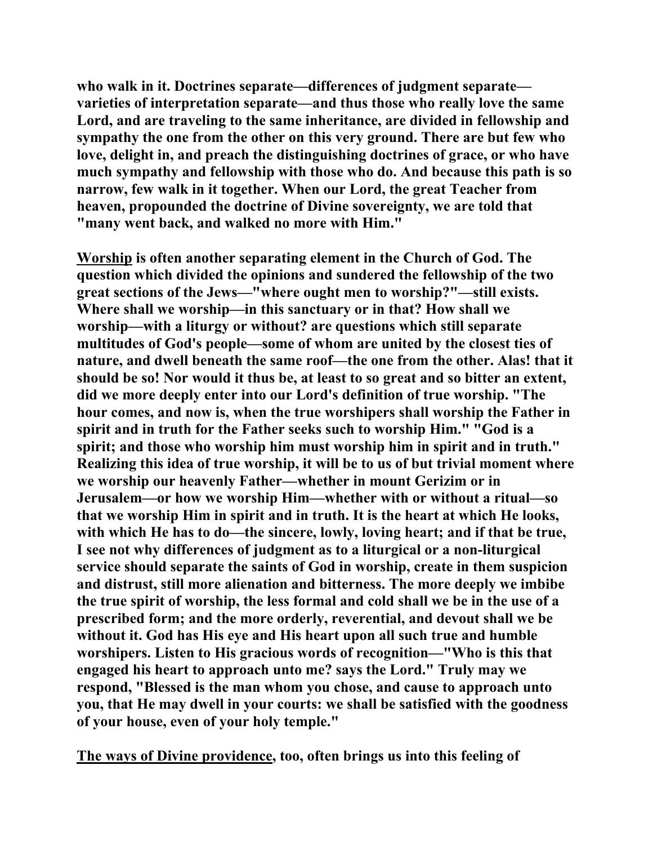**who walk in it. Doctrines separate—differences of judgment separate varieties of interpretation separate—and thus those who really love the same Lord, and are traveling to the same inheritance, are divided in fellowship and sympathy the one from the other on this very ground. There are but few who love, delight in, and preach the distinguishing doctrines of grace, or who have much sympathy and fellowship with those who do. And because this path is so narrow, few walk in it together. When our Lord, the great Teacher from heaven, propounded the doctrine of Divine sovereignty, we are told that "many went back, and walked no more with Him."** 

**Worship is often another separating element in the Church of God. The question which divided the opinions and sundered the fellowship of the two great sections of the Jews—"where ought men to worship?"—still exists. Where shall we worship—in this sanctuary or in that? How shall we worship—with a liturgy or without? are questions which still separate multitudes of God's people—some of whom are united by the closest ties of nature, and dwell beneath the same roof—the one from the other. Alas! that it should be so! Nor would it thus be, at least to so great and so bitter an extent, did we more deeply enter into our Lord's definition of true worship. "The hour comes, and now is, when the true worshipers shall worship the Father in spirit and in truth for the Father seeks such to worship Him." "God is a spirit; and those who worship him must worship him in spirit and in truth." Realizing this idea of true worship, it will be to us of but trivial moment where we worship our heavenly Father—whether in mount Gerizim or in Jerusalem—or how we worship Him—whether with or without a ritual—so that we worship Him in spirit and in truth. It is the heart at which He looks, with which He has to do—the sincere, lowly, loving heart; and if that be true, I see not why differences of judgment as to a liturgical or a non-liturgical service should separate the saints of God in worship, create in them suspicion and distrust, still more alienation and bitterness. The more deeply we imbibe the true spirit of worship, the less formal and cold shall we be in the use of a prescribed form; and the more orderly, reverential, and devout shall we be without it. God has His eye and His heart upon all such true and humble worshipers. Listen to His gracious words of recognition—"Who is this that engaged his heart to approach unto me? says the Lord." Truly may we respond, "Blessed is the man whom you chose, and cause to approach unto you, that He may dwell in your courts: we shall be satisfied with the goodness of your house, even of your holy temple."** 

**The ways of Divine providence, too, often brings us into this feeling of**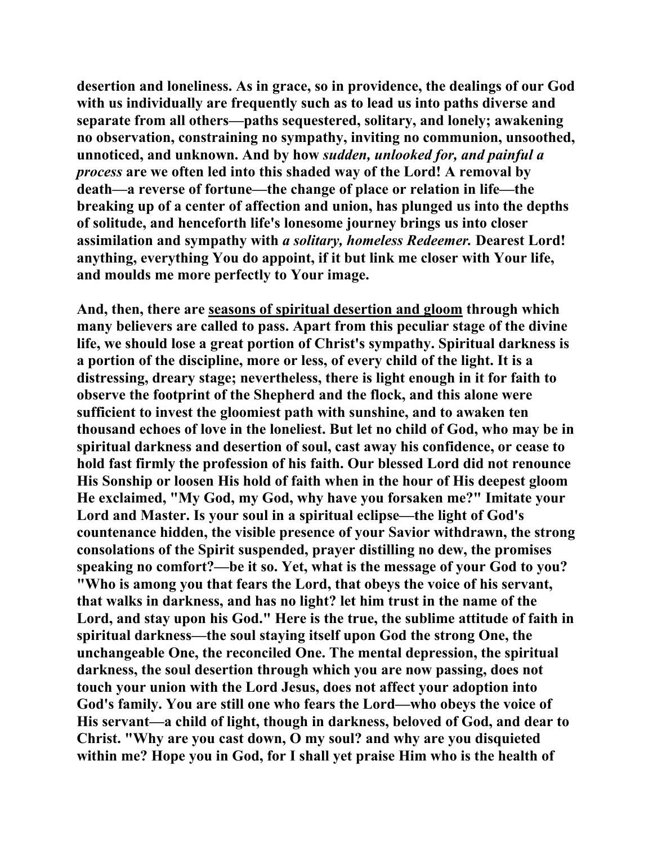**desertion and loneliness. As in grace, so in providence, the dealings of our God with us individually are frequently such as to lead us into paths diverse and separate from all others—paths sequestered, solitary, and lonely; awakening no observation, constraining no sympathy, inviting no communion, unsoothed, unnoticed, and unknown. And by how** *sudden, unlooked for, and painful a process* **are we often led into this shaded way of the Lord! A removal by death—a reverse of fortune—the change of place or relation in life—the breaking up of a center of affection and union, has plunged us into the depths of solitude, and henceforth life's lonesome journey brings us into closer assimilation and sympathy with** *a solitary, homeless Redeemer.* **Dearest Lord! anything, everything You do appoint, if it but link me closer with Your life, and moulds me more perfectly to Your image.** 

**And, then, there are seasons of spiritual desertion and gloom through which many believers are called to pass. Apart from this peculiar stage of the divine life, we should lose a great portion of Christ's sympathy. Spiritual darkness is a portion of the discipline, more or less, of every child of the light. It is a distressing, dreary stage; nevertheless, there is light enough in it for faith to observe the footprint of the Shepherd and the flock, and this alone were sufficient to invest the gloomiest path with sunshine, and to awaken ten thousand echoes of love in the loneliest. But let no child of God, who may be in spiritual darkness and desertion of soul, cast away his confidence, or cease to hold fast firmly the profession of his faith. Our blessed Lord did not renounce His Sonship or loosen His hold of faith when in the hour of His deepest gloom He exclaimed, "My God, my God, why have you forsaken me?" Imitate your Lord and Master. Is your soul in a spiritual eclipse—the light of God's countenance hidden, the visible presence of your Savior withdrawn, the strong consolations of the Spirit suspended, prayer distilling no dew, the promises speaking no comfort?—be it so. Yet, what is the message of your God to you? "Who is among you that fears the Lord, that obeys the voice of his servant, that walks in darkness, and has no light? let him trust in the name of the Lord, and stay upon his God." Here is the true, the sublime attitude of faith in spiritual darkness—the soul staying itself upon God the strong One, the unchangeable One, the reconciled One. The mental depression, the spiritual darkness, the soul desertion through which you are now passing, does not touch your union with the Lord Jesus, does not affect your adoption into God's family. You are still one who fears the Lord—who obeys the voice of His servant—a child of light, though in darkness, beloved of God, and dear to Christ. "Why are you cast down, O my soul? and why are you disquieted within me? Hope you in God, for I shall yet praise Him who is the health of**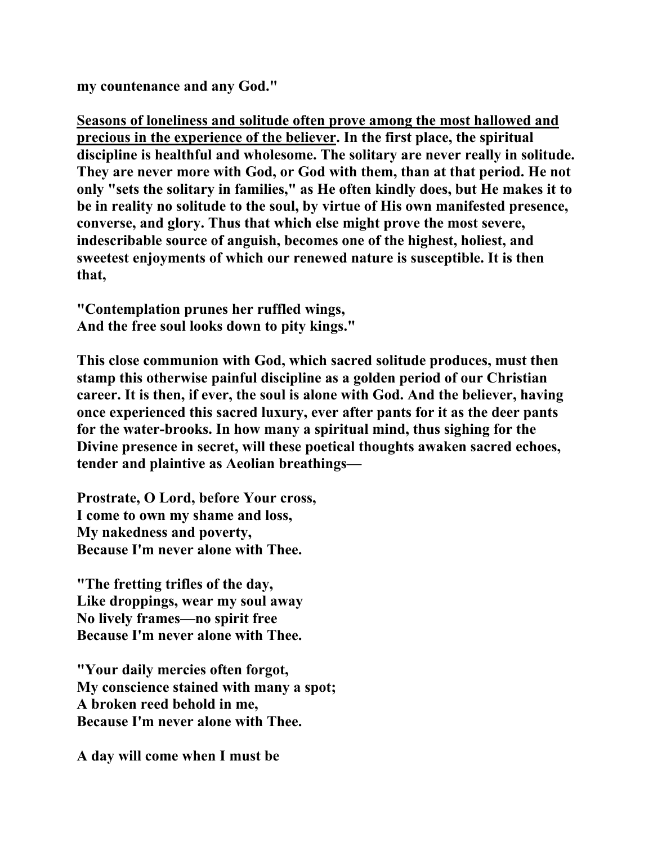**my countenance and any God."** 

**Seasons of loneliness and solitude often prove among the most hallowed and precious in the experience of the believer. In the first place, the spiritual discipline is healthful and wholesome. The solitary are never really in solitude. They are never more with God, or God with them, than at that period. He not only "sets the solitary in families," as He often kindly does, but He makes it to be in reality no solitude to the soul, by virtue of His own manifested presence, converse, and glory. Thus that which else might prove the most severe, indescribable source of anguish, becomes one of the highest, holiest, and sweetest enjoyments of which our renewed nature is susceptible. It is then that,** 

**"Contemplation prunes her ruffled wings, And the free soul looks down to pity kings."** 

**This close communion with God, which sacred solitude produces, must then stamp this otherwise painful discipline as a golden period of our Christian career. It is then, if ever, the soul is alone with God. And the believer, having once experienced this sacred luxury, ever after pants for it as the deer pants for the water-brooks. In how many a spiritual mind, thus sighing for the Divine presence in secret, will these poetical thoughts awaken sacred echoes, tender and plaintive as Aeolian breathings—** 

**Prostrate, O Lord, before Your cross, I come to own my shame and loss, My nakedness and poverty, Because I'm never alone with Thee.** 

**"The fretting trifles of the day, Like droppings, wear my soul away No lively frames—no spirit free Because I'm never alone with Thee.** 

**"Your daily mercies often forgot, My conscience stained with many a spot; A broken reed behold in me, Because I'm never alone with Thee.** 

**A day will come when I must be**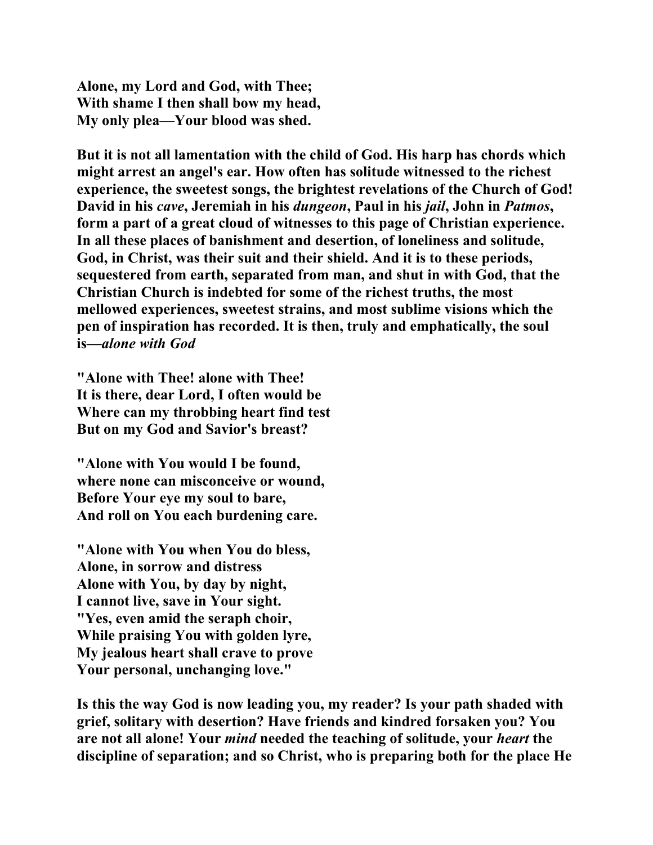**Alone, my Lord and God, with Thee; With shame I then shall bow my head, My only plea—Your blood was shed.** 

**But it is not all lamentation with the child of God. His harp has chords which might arrest an angel's ear. How often has solitude witnessed to the richest experience, the sweetest songs, the brightest revelations of the Church of God! David in his** *cave***, Jeremiah in his** *dungeon***, Paul in his** *jail***, John in** *Patmos***, form a part of a great cloud of witnesses to this page of Christian experience. In all these places of banishment and desertion, of loneliness and solitude, God, in Christ, was their suit and their shield. And it is to these periods, sequestered from earth, separated from man, and shut in with God, that the Christian Church is indebted for some of the richest truths, the most mellowed experiences, sweetest strains, and most sublime visions which the pen of inspiration has recorded. It is then, truly and emphatically, the soul is—***alone with God*

**"Alone with Thee! alone with Thee! It is there, dear Lord, I often would be Where can my throbbing heart find test But on my God and Savior's breast?** 

**"Alone with You would I be found, where none can misconceive or wound, Before Your eye my soul to bare, And roll on You each burdening care.** 

**"Alone with You when You do bless, Alone, in sorrow and distress Alone with You, by day by night, I cannot live, save in Your sight. "Yes, even amid the seraph choir, While praising You with golden lyre, My jealous heart shall crave to prove Your personal, unchanging love."** 

**Is this the way God is now leading you, my reader? Is your path shaded with grief, solitary with desertion? Have friends and kindred forsaken you? You are not all alone! Your** *mind* **needed the teaching of solitude, your** *heart* **the discipline of separation; and so Christ, who is preparing both for the place He**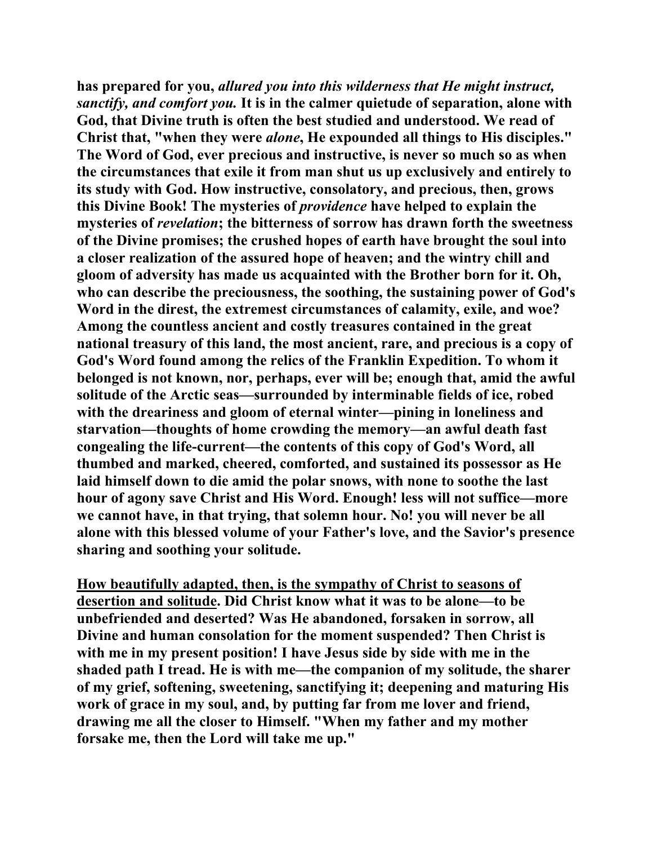**has prepared for you,** *allured you into this wilderness that He might instruct, sanctify, and comfort you.* **It is in the calmer quietude of separation, alone with God, that Divine truth is often the best studied and understood. We read of Christ that, "when they were** *alone***, He expounded all things to His disciples." The Word of God, ever precious and instructive, is never so much so as when the circumstances that exile it from man shut us up exclusively and entirely to its study with God. How instructive, consolatory, and precious, then, grows this Divine Book! The mysteries of** *providence* **have helped to explain the mysteries of** *revelation***; the bitterness of sorrow has drawn forth the sweetness of the Divine promises; the crushed hopes of earth have brought the soul into a closer realization of the assured hope of heaven; and the wintry chill and gloom of adversity has made us acquainted with the Brother born for it. Oh, who can describe the preciousness, the soothing, the sustaining power of God's Word in the direst, the extremest circumstances of calamity, exile, and woe? Among the countless ancient and costly treasures contained in the great national treasury of this land, the most ancient, rare, and precious is a copy of God's Word found among the relics of the Franklin Expedition. To whom it belonged is not known, nor, perhaps, ever will be; enough that, amid the awful solitude of the Arctic seas—surrounded by interminable fields of ice, robed with the dreariness and gloom of eternal winter—pining in loneliness and starvation—thoughts of home crowding the memory—an awful death fast congealing the life-current—the contents of this copy of God's Word, all thumbed and marked, cheered, comforted, and sustained its possessor as He laid himself down to die amid the polar snows, with none to soothe the last hour of agony save Christ and His Word. Enough! less will not suffice—more we cannot have, in that trying, that solemn hour. No! you will never be all alone with this blessed volume of your Father's love, and the Savior's presence sharing and soothing your solitude.** 

**How beautifully adapted, then, is the sympathy of Christ to seasons of desertion and solitude. Did Christ know what it was to be alone—to be unbefriended and deserted? Was He abandoned, forsaken in sorrow, all Divine and human consolation for the moment suspended? Then Christ is with me in my present position! I have Jesus side by side with me in the shaded path I tread. He is with me—the companion of my solitude, the sharer of my grief, softening, sweetening, sanctifying it; deepening and maturing His work of grace in my soul, and, by putting far from me lover and friend, drawing me all the closer to Himself. "When my father and my mother forsake me, then the Lord will take me up."**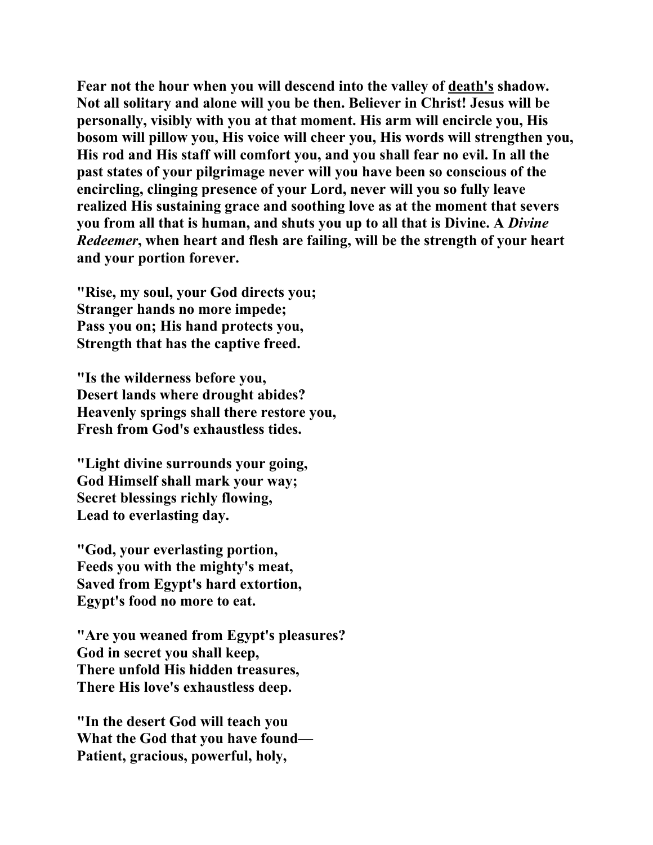**Fear not the hour when you will descend into the valley of death's shadow. Not all solitary and alone will you be then. Believer in Christ! Jesus will be personally, visibly with you at that moment. His arm will encircle you, His bosom will pillow you, His voice will cheer you, His words will strengthen you, His rod and His staff will comfort you, and you shall fear no evil. In all the past states of your pilgrimage never will you have been so conscious of the encircling, clinging presence of your Lord, never will you so fully leave realized His sustaining grace and soothing love as at the moment that severs you from all that is human, and shuts you up to all that is Divine. A** *Divine Redeemer***, when heart and flesh are failing, will be the strength of your heart and your portion forever.** 

**"Rise, my soul, your God directs you; Stranger hands no more impede; Pass you on; His hand protects you, Strength that has the captive freed.** 

**"Is the wilderness before you, Desert lands where drought abides? Heavenly springs shall there restore you, Fresh from God's exhaustless tides.** 

**"Light divine surrounds your going, God Himself shall mark your way; Secret blessings richly flowing, Lead to everlasting day.** 

**"God, your everlasting portion, Feeds you with the mighty's meat, Saved from Egypt's hard extortion, Egypt's food no more to eat.** 

**"Are you weaned from Egypt's pleasures? God in secret you shall keep, There unfold His hidden treasures, There His love's exhaustless deep.** 

**"In the desert God will teach you What the God that you have found— Patient, gracious, powerful, holy,**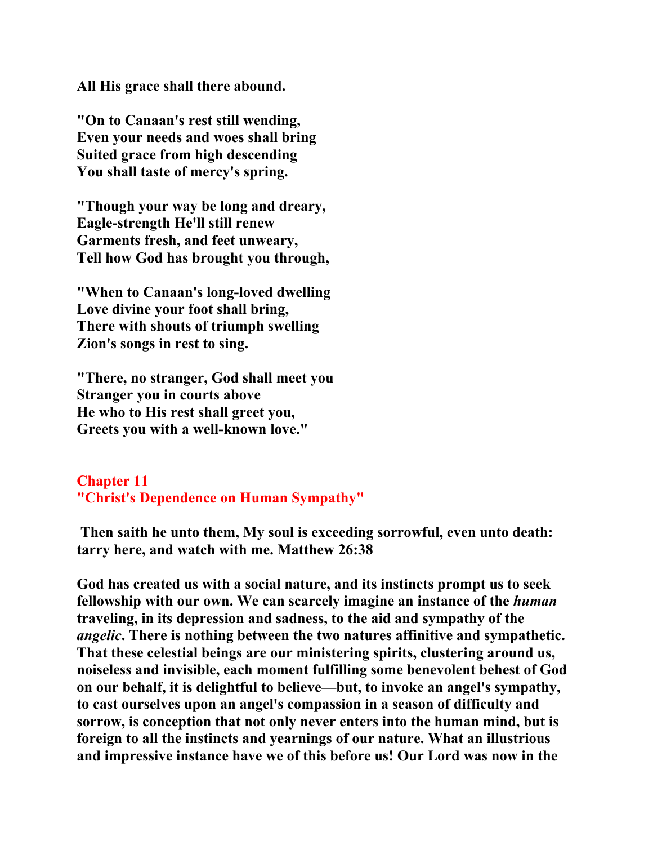**All His grace shall there abound.** 

**"On to Canaan's rest still wending, Even your needs and woes shall bring Suited grace from high descending You shall taste of mercy's spring.** 

**"Though your way be long and dreary, Eagle-strength He'll still renew Garments fresh, and feet unweary, Tell how God has brought you through,** 

**"When to Canaan's long-loved dwelling Love divine your foot shall bring, There with shouts of triumph swelling Zion's songs in rest to sing.** 

**"There, no stranger, God shall meet you Stranger you in courts above He who to His rest shall greet you, Greets you with a well-known love."** 

## **Chapter 11 "Christ's Dependence on Human Sympathy"**

 **Then saith he unto them, My soul is exceeding sorrowful, even unto death: tarry here, and watch with me. Matthew 26:38** 

**God has created us with a social nature, and its instincts prompt us to seek fellowship with our own. We can scarcely imagine an instance of the** *human* **traveling, in its depression and sadness, to the aid and sympathy of the**  *angelic***. There is nothing between the two natures affinitive and sympathetic. That these celestial beings are our ministering spirits, clustering around us, noiseless and invisible, each moment fulfilling some benevolent behest of God on our behalf, it is delightful to believe—but, to invoke an angel's sympathy, to cast ourselves upon an angel's compassion in a season of difficulty and sorrow, is conception that not only never enters into the human mind, but is foreign to all the instincts and yearnings of our nature. What an illustrious and impressive instance have we of this before us! Our Lord was now in the**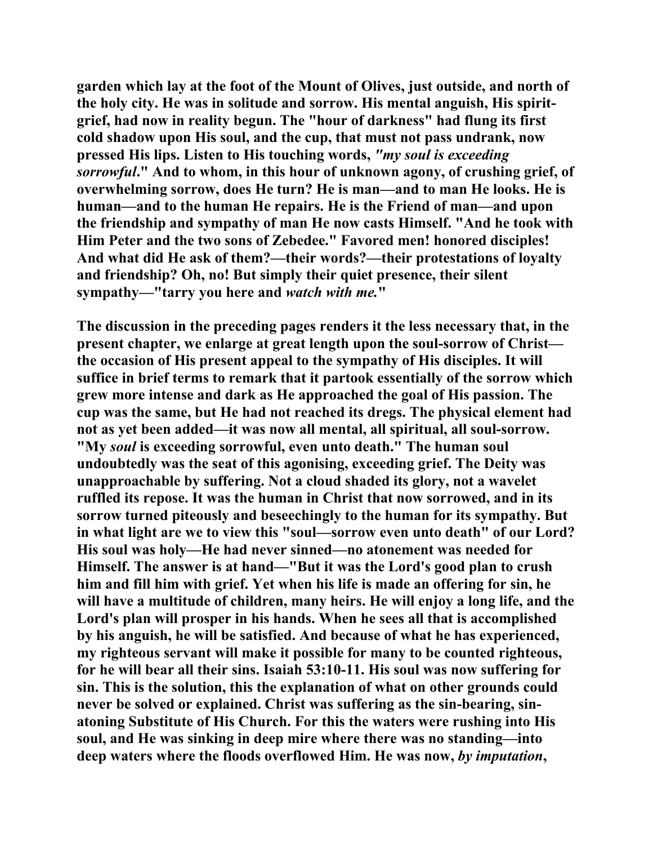**garden which lay at the foot of the Mount of Olives, just outside, and north of the holy city. He was in solitude and sorrow. His mental anguish, His spiritgrief, had now in reality begun. The "hour of darkness" had flung its first cold shadow upon His soul, and the cup, that must not pass undrank, now pressed His lips. Listen to His touching words,** *"my soul is exceeding sorrowful***." And to whom, in this hour of unknown agony, of crushing grief, of overwhelming sorrow, does He turn? He is man—and to man He looks. He is human—and to the human He repairs. He is the Friend of man—and upon the friendship and sympathy of man He now casts Himself. "And he took with Him Peter and the two sons of Zebedee." Favored men! honored disciples! And what did He ask of them?—their words?—their protestations of loyalty and friendship? Oh, no! But simply their quiet presence, their silent sympathy—"tarry you here and** *watch with me.***"** 

**The discussion in the preceding pages renders it the less necessary that, in the present chapter, we enlarge at great length upon the soul-sorrow of Christ the occasion of His present appeal to the sympathy of His disciples. It will suffice in brief terms to remark that it partook essentially of the sorrow which grew more intense and dark as He approached the goal of His passion. The cup was the same, but He had not reached its dregs. The physical element had not as yet been added—it was now all mental, all spiritual, all soul-sorrow. "My** *soul* **is exceeding sorrowful, even unto death." The human soul undoubtedly was the seat of this agonising, exceeding grief. The Deity was unapproachable by suffering. Not a cloud shaded its glory, not a wavelet ruffled its repose. It was the human in Christ that now sorrowed, and in its sorrow turned piteously and beseechingly to the human for its sympathy. But in what light are we to view this "soul—sorrow even unto death" of our Lord? His soul was holy—He had never sinned—no atonement was needed for Himself. The answer is at hand—"But it was the Lord's good plan to crush him and fill him with grief. Yet when his life is made an offering for sin, he will have a multitude of children, many heirs. He will enjoy a long life, and the Lord's plan will prosper in his hands. When he sees all that is accomplished by his anguish, he will be satisfied. And because of what he has experienced, my righteous servant will make it possible for many to be counted righteous, for he will bear all their sins. Isaiah 53:10-11. His soul was now suffering for sin. This is the solution, this the explanation of what on other grounds could never be solved or explained. Christ was suffering as the sin-bearing, sinatoning Substitute of His Church. For this the waters were rushing into His soul, and He was sinking in deep mire where there was no standing—into deep waters where the floods overflowed Him. He was now,** *by imputation***,**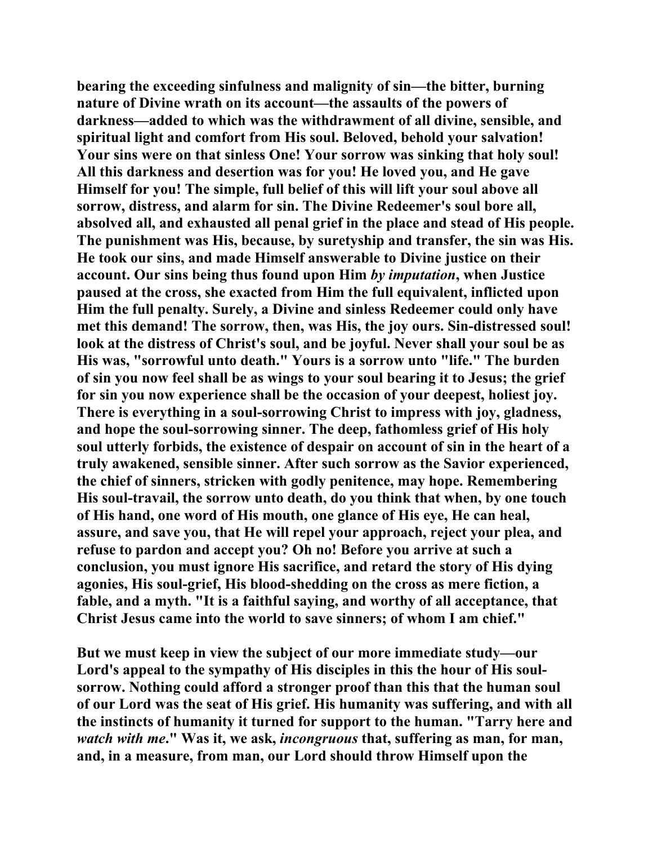**bearing the exceeding sinfulness and malignity of sin—the bitter, burning nature of Divine wrath on its account—the assaults of the powers of darkness—added to which was the withdrawment of all divine, sensible, and spiritual light and comfort from His soul. Beloved, behold your salvation! Your sins were on that sinless One! Your sorrow was sinking that holy soul! All this darkness and desertion was for you! He loved you, and He gave Himself for you! The simple, full belief of this will lift your soul above all sorrow, distress, and alarm for sin. The Divine Redeemer's soul bore all, absolved all, and exhausted all penal grief in the place and stead of His people. The punishment was His, because, by suretyship and transfer, the sin was His. He took our sins, and made Himself answerable to Divine justice on their account. Our sins being thus found upon Him** *by imputation***, when Justice paused at the cross, she exacted from Him the full equivalent, inflicted upon Him the full penalty. Surely, a Divine and sinless Redeemer could only have met this demand! The sorrow, then, was His, the joy ours. Sin-distressed soul! look at the distress of Christ's soul, and be joyful. Never shall your soul be as His was, "sorrowful unto death." Yours is a sorrow unto "life." The burden of sin you now feel shall be as wings to your soul bearing it to Jesus; the grief for sin you now experience shall be the occasion of your deepest, holiest joy. There is everything in a soul-sorrowing Christ to impress with joy, gladness, and hope the soul-sorrowing sinner. The deep, fathomless grief of His holy soul utterly forbids, the existence of despair on account of sin in the heart of a truly awakened, sensible sinner. After such sorrow as the Savior experienced, the chief of sinners, stricken with godly penitence, may hope. Remembering His soul-travail, the sorrow unto death, do you think that when, by one touch of His hand, one word of His mouth, one glance of His eye, He can heal, assure, and save you, that He will repel your approach, reject your plea, and refuse to pardon and accept you? Oh no! Before you arrive at such a conclusion, you must ignore His sacrifice, and retard the story of His dying agonies, His soul-grief, His blood-shedding on the cross as mere fiction, a fable, and a myth. "It is a faithful saying, and worthy of all acceptance, that Christ Jesus came into the world to save sinners; of whom I am chief."** 

**But we must keep in view the subject of our more immediate study—our Lord's appeal to the sympathy of His disciples in this the hour of His soulsorrow. Nothing could afford a stronger proof than this that the human soul of our Lord was the seat of His grief. His humanity was suffering, and with all the instincts of humanity it turned for support to the human. "Tarry here and**  *watch with me***." Was it, we ask,** *incongruous* **that, suffering as man, for man, and, in a measure, from man, our Lord should throw Himself upon the**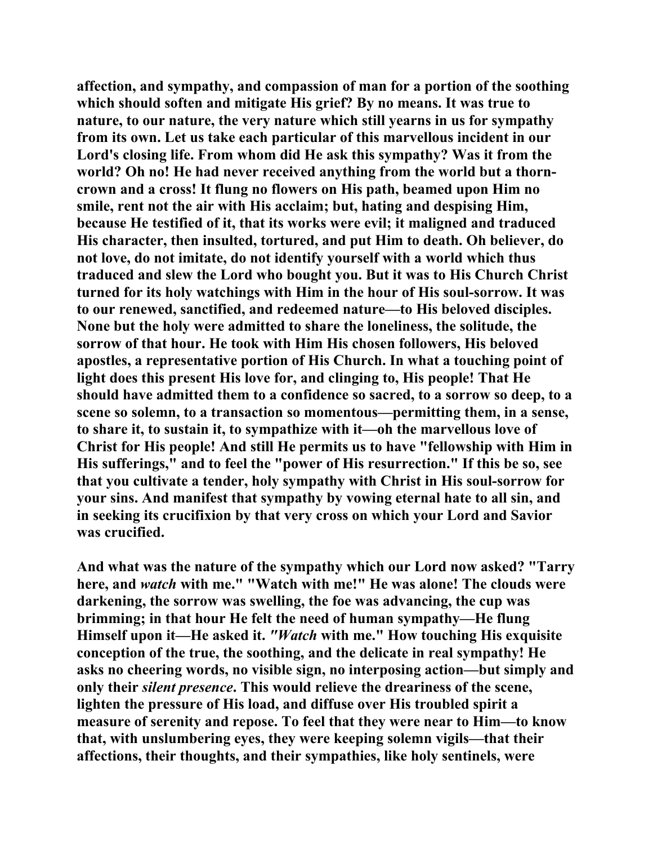**affection, and sympathy, and compassion of man for a portion of the soothing which should soften and mitigate His grief? By no means. It was true to nature, to our nature, the very nature which still yearns in us for sympathy from its own. Let us take each particular of this marvellous incident in our Lord's closing life. From whom did He ask this sympathy? Was it from the world? Oh no! He had never received anything from the world but a thorncrown and a cross! It flung no flowers on His path, beamed upon Him no smile, rent not the air with His acclaim; but, hating and despising Him, because He testified of it, that its works were evil; it maligned and traduced His character, then insulted, tortured, and put Him to death. Oh believer, do not love, do not imitate, do not identify yourself with a world which thus traduced and slew the Lord who bought you. But it was to His Church Christ turned for its holy watchings with Him in the hour of His soul-sorrow. It was to our renewed, sanctified, and redeemed nature—to His beloved disciples. None but the holy were admitted to share the loneliness, the solitude, the sorrow of that hour. He took with Him His chosen followers, His beloved apostles, a representative portion of His Church. In what a touching point of light does this present His love for, and clinging to, His people! That He should have admitted them to a confidence so sacred, to a sorrow so deep, to a scene so solemn, to a transaction so momentous—permitting them, in a sense, to share it, to sustain it, to sympathize with it—oh the marvellous love of Christ for His people! And still He permits us to have "fellowship with Him in His sufferings," and to feel the "power of His resurrection." If this be so, see that you cultivate a tender, holy sympathy with Christ in His soul-sorrow for your sins. And manifest that sympathy by vowing eternal hate to all sin, and in seeking its crucifixion by that very cross on which your Lord and Savior was crucified.** 

**And what was the nature of the sympathy which our Lord now asked? "Tarry here, and** *watch* **with me." "Watch with me!" He was alone! The clouds were darkening, the sorrow was swelling, the foe was advancing, the cup was brimming; in that hour He felt the need of human sympathy—He flung Himself upon it—He asked it.** *"Watch* **with me." How touching His exquisite conception of the true, the soothing, and the delicate in real sympathy! He asks no cheering words, no visible sign, no interposing action—but simply and only their** *silent presence***. This would relieve the dreariness of the scene, lighten the pressure of His load, and diffuse over His troubled spirit a measure of serenity and repose. To feel that they were near to Him—to know that, with unslumbering eyes, they were keeping solemn vigils—that their affections, their thoughts, and their sympathies, like holy sentinels, were**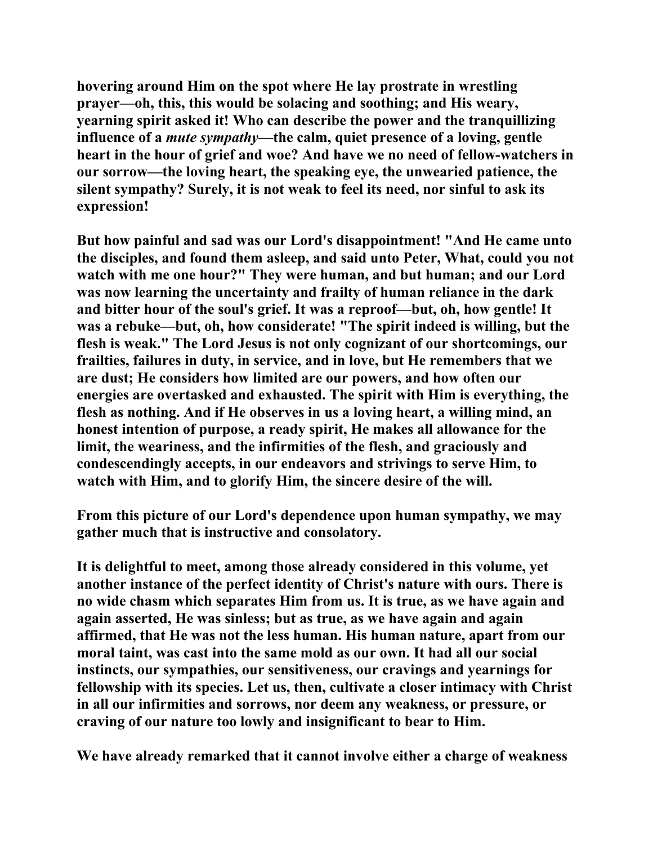**hovering around Him on the spot where He lay prostrate in wrestling prayer—oh, this, this would be solacing and soothing; and His weary, yearning spirit asked it! Who can describe the power and the tranquillizing influence of a** *mute sympathy***—the calm, quiet presence of a loving, gentle heart in the hour of grief and woe? And have we no need of fellow-watchers in our sorrow—the loving heart, the speaking eye, the unwearied patience, the silent sympathy? Surely, it is not weak to feel its need, nor sinful to ask its expression!** 

**But how painful and sad was our Lord's disappointment! "And He came unto the disciples, and found them asleep, and said unto Peter, What, could you not watch with me one hour?" They were human, and but human; and our Lord was now learning the uncertainty and frailty of human reliance in the dark and bitter hour of the soul's grief. It was a reproof—but, oh, how gentle! It was a rebuke—but, oh, how considerate! "The spirit indeed is willing, but the flesh is weak." The Lord Jesus is not only cognizant of our shortcomings, our frailties, failures in duty, in service, and in love, but He remembers that we are dust; He considers how limited are our powers, and how often our energies are overtasked and exhausted. The spirit with Him is everything, the flesh as nothing. And if He observes in us a loving heart, a willing mind, an honest intention of purpose, a ready spirit, He makes all allowance for the limit, the weariness, and the infirmities of the flesh, and graciously and condescendingly accepts, in our endeavors and strivings to serve Him, to watch with Him, and to glorify Him, the sincere desire of the will.** 

**From this picture of our Lord's dependence upon human sympathy, we may gather much that is instructive and consolatory.** 

**It is delightful to meet, among those already considered in this volume, yet another instance of the perfect identity of Christ's nature with ours. There is no wide chasm which separates Him from us. It is true, as we have again and again asserted, He was sinless; but as true, as we have again and again affirmed, that He was not the less human. His human nature, apart from our moral taint, was cast into the same mold as our own. It had all our social instincts, our sympathies, our sensitiveness, our cravings and yearnings for fellowship with its species. Let us, then, cultivate a closer intimacy with Christ in all our infirmities and sorrows, nor deem any weakness, or pressure, or craving of our nature too lowly and insignificant to bear to Him.** 

**We have already remarked that it cannot involve either a charge of weakness**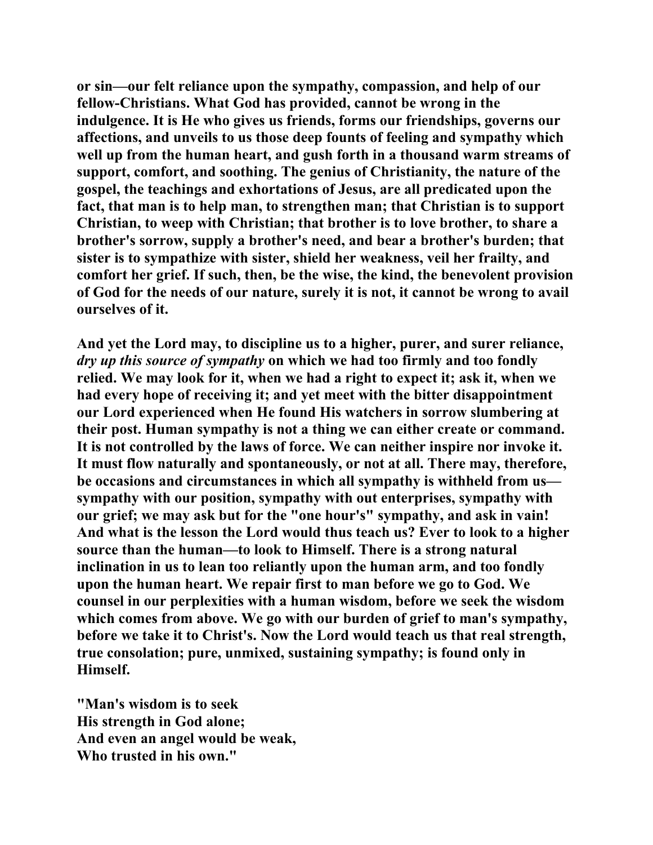**or sin—our felt reliance upon the sympathy, compassion, and help of our fellow-Christians. What God has provided, cannot be wrong in the indulgence. It is He who gives us friends, forms our friendships, governs our affections, and unveils to us those deep founts of feeling and sympathy which well up from the human heart, and gush forth in a thousand warm streams of support, comfort, and soothing. The genius of Christianity, the nature of the gospel, the teachings and exhortations of Jesus, are all predicated upon the fact, that man is to help man, to strengthen man; that Christian is to support Christian, to weep with Christian; that brother is to love brother, to share a brother's sorrow, supply a brother's need, and bear a brother's burden; that sister is to sympathize with sister, shield her weakness, veil her frailty, and comfort her grief. If such, then, be the wise, the kind, the benevolent provision of God for the needs of our nature, surely it is not, it cannot be wrong to avail ourselves of it.** 

**And yet the Lord may, to discipline us to a higher, purer, and surer reliance,**  *dry up this source of sympathy* **on which we had too firmly and too fondly relied. We may look for it, when we had a right to expect it; ask it, when we had every hope of receiving it; and yet meet with the bitter disappointment our Lord experienced when He found His watchers in sorrow slumbering at their post. Human sympathy is not a thing we can either create or command. It is not controlled by the laws of force. We can neither inspire nor invoke it. It must flow naturally and spontaneously, or not at all. There may, therefore, be occasions and circumstances in which all sympathy is withheld from us sympathy with our position, sympathy with out enterprises, sympathy with our grief; we may ask but for the "one hour's" sympathy, and ask in vain! And what is the lesson the Lord would thus teach us? Ever to look to a higher source than the human—to look to Himself. There is a strong natural inclination in us to lean too reliantly upon the human arm, and too fondly upon the human heart. We repair first to man before we go to God. We counsel in our perplexities with a human wisdom, before we seek the wisdom which comes from above. We go with our burden of grief to man's sympathy, before we take it to Christ's. Now the Lord would teach us that real strength, true consolation; pure, unmixed, sustaining sympathy; is found only in Himself.** 

**"Man's wisdom is to seek His strength in God alone; And even an angel would be weak, Who trusted in his own."**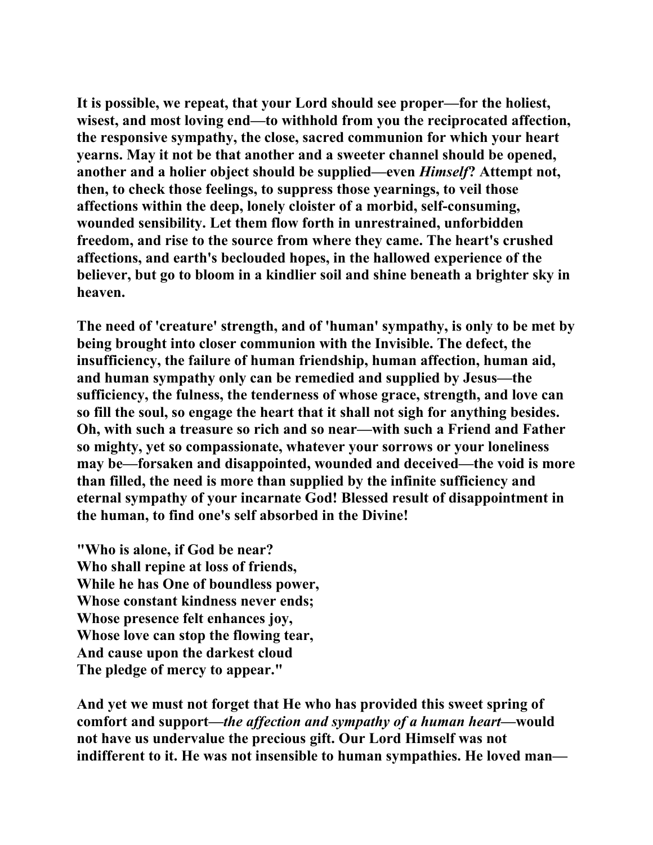**It is possible, we repeat, that your Lord should see proper—for the holiest, wisest, and most loving end—to withhold from you the reciprocated affection, the responsive sympathy, the close, sacred communion for which your heart yearns. May it not be that another and a sweeter channel should be opened, another and a holier object should be supplied—even** *Himself***? Attempt not, then, to check those feelings, to suppress those yearnings, to veil those affections within the deep, lonely cloister of a morbid, self-consuming, wounded sensibility. Let them flow forth in unrestrained, unforbidden freedom, and rise to the source from where they came. The heart's crushed affections, and earth's beclouded hopes, in the hallowed experience of the believer, but go to bloom in a kindlier soil and shine beneath a brighter sky in heaven.** 

**The need of 'creature' strength, and of 'human' sympathy, is only to be met by being brought into closer communion with the Invisible. The defect, the insufficiency, the failure of human friendship, human affection, human aid, and human sympathy only can be remedied and supplied by Jesus—the sufficiency, the fulness, the tenderness of whose grace, strength, and love can so fill the soul, so engage the heart that it shall not sigh for anything besides. Oh, with such a treasure so rich and so near—with such a Friend and Father so mighty, yet so compassionate, whatever your sorrows or your loneliness may be—forsaken and disappointed, wounded and deceived—the void is more than filled, the need is more than supplied by the infinite sufficiency and eternal sympathy of your incarnate God! Blessed result of disappointment in the human, to find one's self absorbed in the Divine!** 

**"Who is alone, if God be near? Who shall repine at loss of friends, While he has One of boundless power, Whose constant kindness never ends; Whose presence felt enhances joy, Whose love can stop the flowing tear, And cause upon the darkest cloud The pledge of mercy to appear."** 

**And yet we must not forget that He who has provided this sweet spring of comfort and support—***the affection and sympathy of a human heart—***would not have us undervalue the precious gift. Our Lord Himself was not indifferent to it. He was not insensible to human sympathies. He loved man—**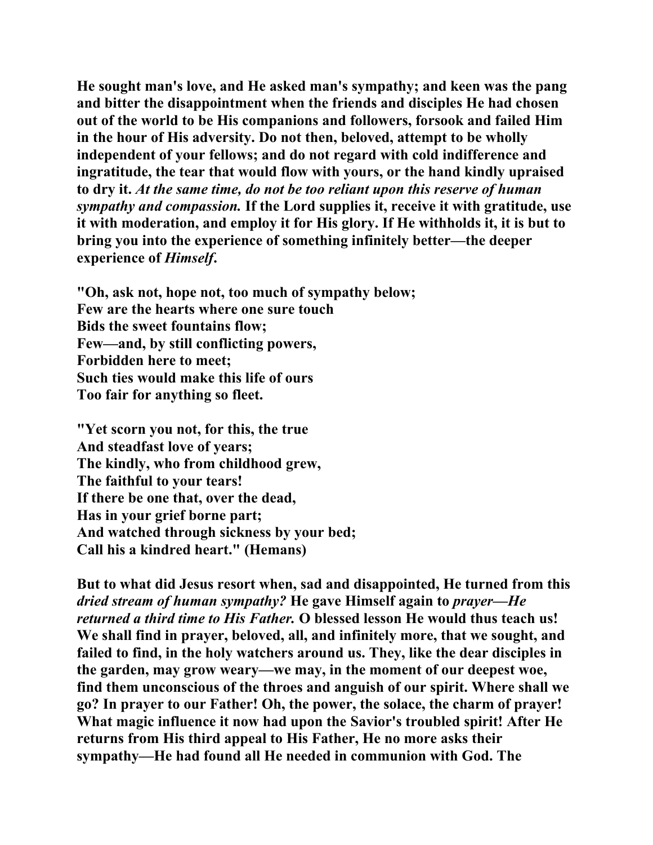**He sought man's love, and He asked man's sympathy; and keen was the pang and bitter the disappointment when the friends and disciples He had chosen out of the world to be His companions and followers, forsook and failed Him in the hour of His adversity. Do not then, beloved, attempt to be wholly independent of your fellows; and do not regard with cold indifference and ingratitude, the tear that would flow with yours, or the hand kindly upraised to dry it.** *At the same time, do not be too reliant upon this reserve of human sympathy and compassion.* **If the Lord supplies it, receive it with gratitude, use it with moderation, and employ it for His glory. If He withholds it, it is but to bring you into the experience of something infinitely better—the deeper experience of** *Himself***.** 

**"Oh, ask not, hope not, too much of sympathy below; Few are the hearts where one sure touch Bids the sweet fountains flow; Few—and, by still conflicting powers, Forbidden here to meet; Such ties would make this life of ours Too fair for anything so fleet.** 

**"Yet scorn you not, for this, the true And steadfast love of years; The kindly, who from childhood grew, The faithful to your tears! If there be one that, over the dead, Has in your grief borne part; And watched through sickness by your bed; Call his a kindred heart." (Hemans)** 

**But to what did Jesus resort when, sad and disappointed, He turned from this**  *dried stream of human sympathy?* **He gave Himself again to** *prayer—He returned a third time to His Father.* **O blessed lesson He would thus teach us! We shall find in prayer, beloved, all, and infinitely more, that we sought, and failed to find, in the holy watchers around us. They, like the dear disciples in the garden, may grow weary—we may, in the moment of our deepest woe, find them unconscious of the throes and anguish of our spirit. Where shall we go? In prayer to our Father! Oh, the power, the solace, the charm of prayer! What magic influence it now had upon the Savior's troubled spirit! After He returns from His third appeal to His Father, He no more asks their sympathy—He had found all He needed in communion with God. The**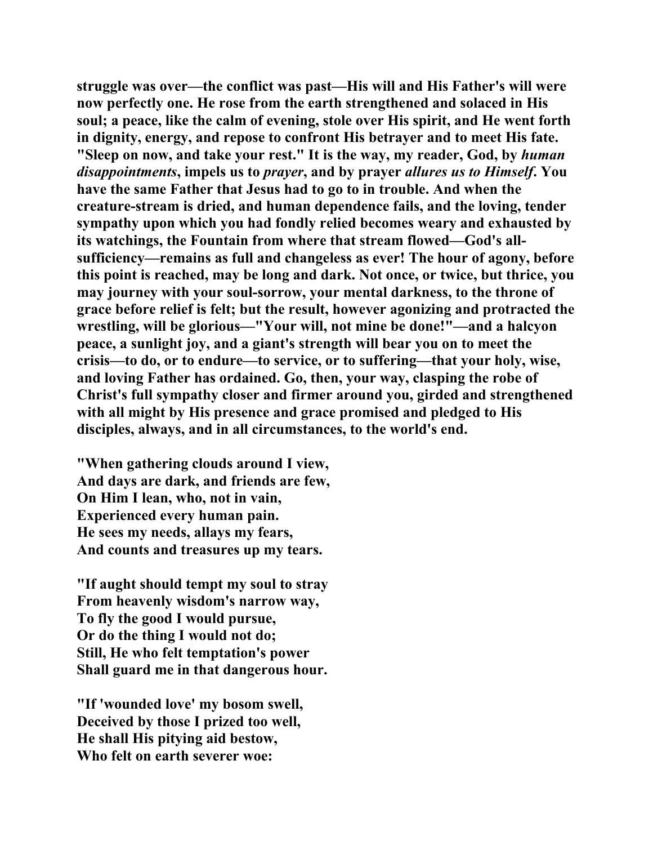**struggle was over—the conflict was past—His will and His Father's will were now perfectly one. He rose from the earth strengthened and solaced in His soul; a peace, like the calm of evening, stole over His spirit, and He went forth in dignity, energy, and repose to confront His betrayer and to meet His fate. "Sleep on now, and take your rest." It is the way, my reader, God, by** *human disappointments***, impels us to** *prayer***, and by prayer** *allures us to Himself***. You have the same Father that Jesus had to go to in trouble. And when the creature-stream is dried, and human dependence fails, and the loving, tender sympathy upon which you had fondly relied becomes weary and exhausted by its watchings, the Fountain from where that stream flowed—God's allsufficiency—remains as full and changeless as ever! The hour of agony, before this point is reached, may be long and dark. Not once, or twice, but thrice, you may journey with your soul-sorrow, your mental darkness, to the throne of grace before relief is felt; but the result, however agonizing and protracted the wrestling, will be glorious—"Your will, not mine be done!"—and a halcyon peace, a sunlight joy, and a giant's strength will bear you on to meet the crisis—to do, or to endure—to service, or to suffering—that your holy, wise, and loving Father has ordained. Go, then, your way, clasping the robe of Christ's full sympathy closer and firmer around you, girded and strengthened with all might by His presence and grace promised and pledged to His disciples, always, and in all circumstances, to the world's end.** 

**"When gathering clouds around I view, And days are dark, and friends are few, On Him I lean, who, not in vain, Experienced every human pain. He sees my needs, allays my fears, And counts and treasures up my tears.** 

**"If aught should tempt my soul to stray From heavenly wisdom's narrow way, To fly the good I would pursue, Or do the thing I would not do; Still, He who felt temptation's power Shall guard me in that dangerous hour.** 

**"If 'wounded love' my bosom swell, Deceived by those I prized too well, He shall His pitying aid bestow, Who felt on earth severer woe:**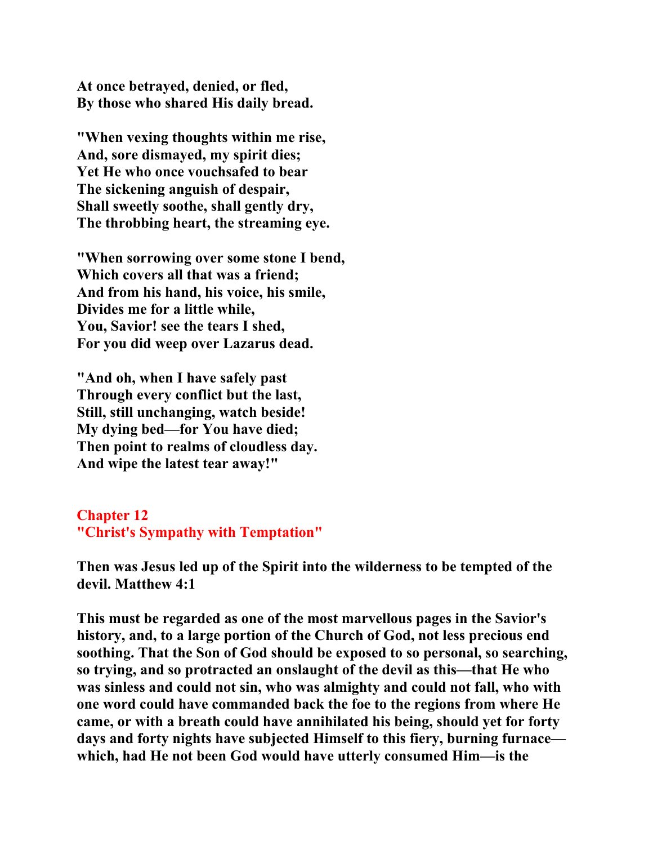**At once betrayed, denied, or fled, By those who shared His daily bread.** 

**"When vexing thoughts within me rise, And, sore dismayed, my spirit dies; Yet He who once vouchsafed to bear The sickening anguish of despair, Shall sweetly soothe, shall gently dry, The throbbing heart, the streaming eye.** 

**"When sorrowing over some stone I bend, Which covers all that was a friend; And from his hand, his voice, his smile, Divides me for a little while, You, Savior! see the tears I shed, For you did weep over Lazarus dead.** 

**"And oh, when I have safely past Through every conflict but the last, Still, still unchanging, watch beside! My dying bed—for You have died; Then point to realms of cloudless day. And wipe the latest tear away!"** 

## **Chapter 12 "Christ's Sympathy with Temptation"**

**Then was Jesus led up of the Spirit into the wilderness to be tempted of the devil. Matthew 4:1** 

**This must be regarded as one of the most marvellous pages in the Savior's history, and, to a large portion of the Church of God, not less precious end soothing. That the Son of God should be exposed to so personal, so searching, so trying, and so protracted an onslaught of the devil as this—that He who was sinless and could not sin, who was almighty and could not fall, who with one word could have commanded back the foe to the regions from where He came, or with a breath could have annihilated his being, should yet for forty days and forty nights have subjected Himself to this fiery, burning furnace which, had He not been God would have utterly consumed Him—is the**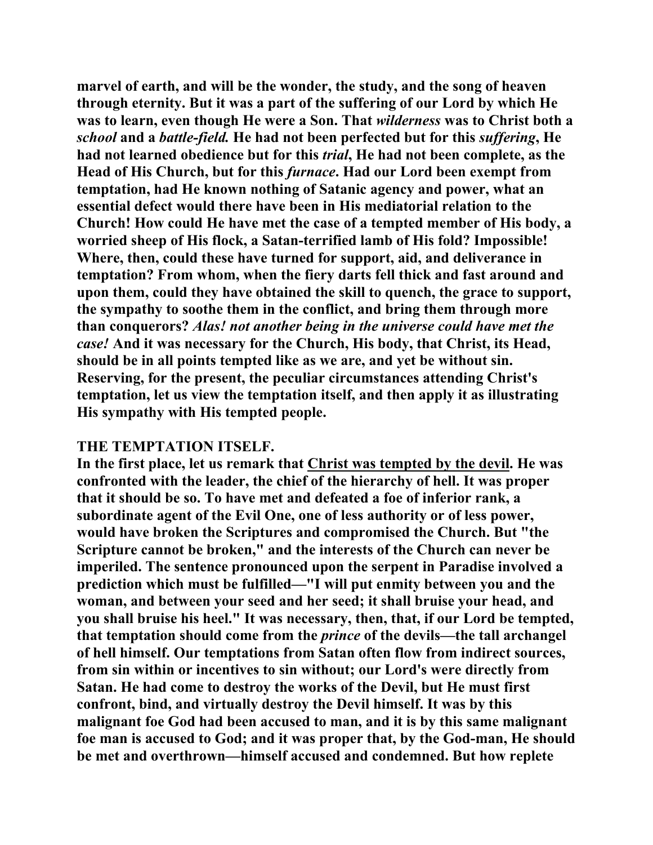**marvel of earth, and will be the wonder, the study, and the song of heaven through eternity. But it was a part of the suffering of our Lord by which He was to learn, even though He were a Son. That** *wilderness* **was to Christ both a**  *school* **and a** *battle-field.* **He had not been perfected but for this** *suffering***, He had not learned obedience but for this** *trial***, He had not been complete, as the Head of His Church, but for this** *furnace***. Had our Lord been exempt from temptation, had He known nothing of Satanic agency and power, what an essential defect would there have been in His mediatorial relation to the Church! How could He have met the case of a tempted member of His body, a worried sheep of His flock, a Satan-terrified lamb of His fold? Impossible! Where, then, could these have turned for support, aid, and deliverance in temptation? From whom, when the fiery darts fell thick and fast around and upon them, could they have obtained the skill to quench, the grace to support, the sympathy to soothe them in the conflict, and bring them through more than conquerors?** *Alas! not another being in the universe could have met the case!* **And it was necessary for the Church, His body, that Christ, its Head, should be in all points tempted like as we are, and yet be without sin. Reserving, for the present, the peculiar circumstances attending Christ's temptation, let us view the temptation itself, and then apply it as illustrating His sympathy with His tempted people.** 

## **THE TEMPTATION ITSELF.**

**In the first place, let us remark that Christ was tempted by the devil. He was confronted with the leader, the chief of the hierarchy of hell. It was proper that it should be so. To have met and defeated a foe of inferior rank, a subordinate agent of the Evil One, one of less authority or of less power, would have broken the Scriptures and compromised the Church. But "the Scripture cannot be broken," and the interests of the Church can never be imperiled. The sentence pronounced upon the serpent in Paradise involved a prediction which must be fulfilled—"I will put enmity between you and the woman, and between your seed and her seed; it shall bruise your head, and you shall bruise his heel." It was necessary, then, that, if our Lord be tempted, that temptation should come from the** *prince* **of the devils—the tall archangel of hell himself. Our temptations from Satan often flow from indirect sources, from sin within or incentives to sin without; our Lord's were directly from Satan. He had come to destroy the works of the Devil, but He must first confront, bind, and virtually destroy the Devil himself. It was by this malignant foe God had been accused to man, and it is by this same malignant foe man is accused to God; and it was proper that, by the God-man, He should be met and overthrown—himself accused and condemned. But how replete**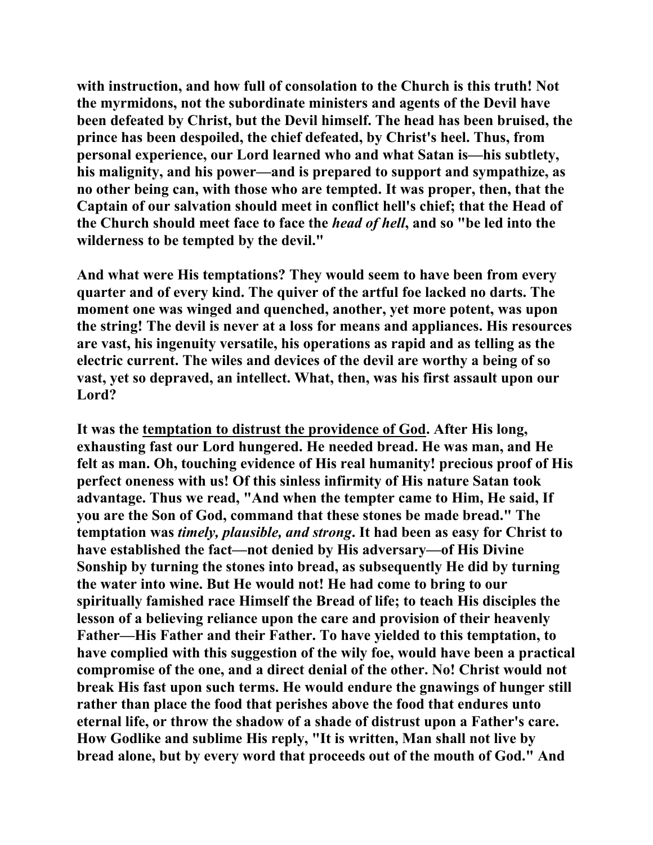**with instruction, and how full of consolation to the Church is this truth! Not the myrmidons, not the subordinate ministers and agents of the Devil have been defeated by Christ, but the Devil himself. The head has been bruised, the prince has been despoiled, the chief defeated, by Christ's heel. Thus, from personal experience, our Lord learned who and what Satan is—his subtlety, his malignity, and his power—and is prepared to support and sympathize, as no other being can, with those who are tempted. It was proper, then, that the Captain of our salvation should meet in conflict hell's chief; that the Head of the Church should meet face to face the** *head of hell***, and so "be led into the wilderness to be tempted by the devil."** 

**And what were His temptations? They would seem to have been from every quarter and of every kind. The quiver of the artful foe lacked no darts. The moment one was winged and quenched, another, yet more potent, was upon the string! The devil is never at a loss for means and appliances. His resources are vast, his ingenuity versatile, his operations as rapid and as telling as the electric current. The wiles and devices of the devil are worthy a being of so vast, yet so depraved, an intellect. What, then, was his first assault upon our Lord?** 

**It was the temptation to distrust the providence of God. After His long, exhausting fast our Lord hungered. He needed bread. He was man, and He felt as man. Oh, touching evidence of His real humanity! precious proof of His perfect oneness with us! Of this sinless infirmity of His nature Satan took advantage. Thus we read, "And when the tempter came to Him, He said, If you are the Son of God, command that these stones be made bread." The temptation was** *timely, plausible, and strong***. It had been as easy for Christ to have established the fact—not denied by His adversary—of His Divine Sonship by turning the stones into bread, as subsequently He did by turning the water into wine. But He would not! He had come to bring to our spiritually famished race Himself the Bread of life; to teach His disciples the lesson of a believing reliance upon the care and provision of their heavenly Father—His Father and their Father. To have yielded to this temptation, to have complied with this suggestion of the wily foe, would have been a practical compromise of the one, and a direct denial of the other. No! Christ would not break His fast upon such terms. He would endure the gnawings of hunger still rather than place the food that perishes above the food that endures unto eternal life, or throw the shadow of a shade of distrust upon a Father's care. How Godlike and sublime His reply, "It is written, Man shall not live by bread alone, but by every word that proceeds out of the mouth of God." And**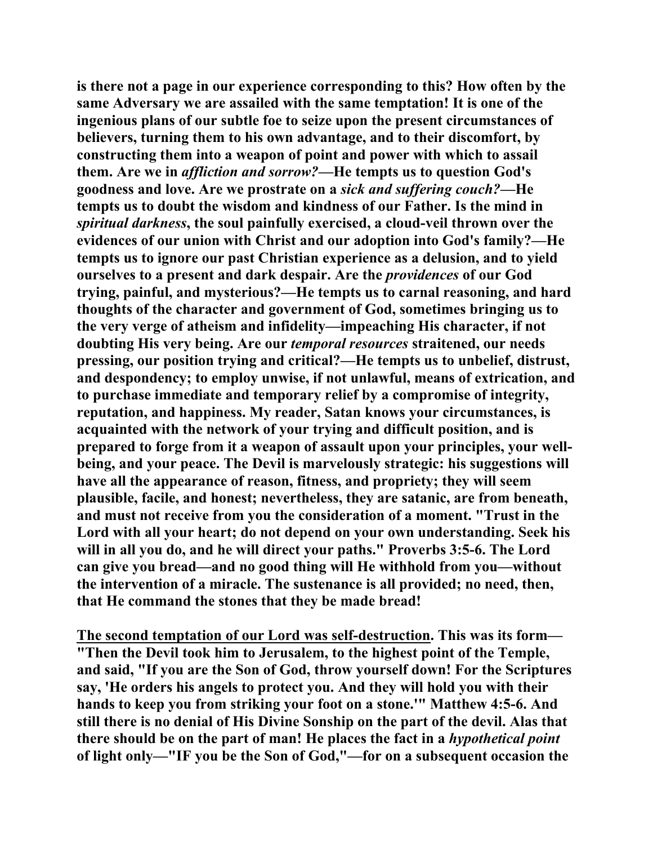**is there not a page in our experience corresponding to this? How often by the same Adversary we are assailed with the same temptation! It is one of the ingenious plans of our subtle foe to seize upon the present circumstances of believers, turning them to his own advantage, and to their discomfort, by constructing them into a weapon of point and power with which to assail them. Are we in** *affliction and sorrow?***—He tempts us to question God's goodness and love. Are we prostrate on a** *sick and suffering couch?***—He tempts us to doubt the wisdom and kindness of our Father. Is the mind in**  *spiritual darkness***, the soul painfully exercised, a cloud-veil thrown over the evidences of our union with Christ and our adoption into God's family?—He tempts us to ignore our past Christian experience as a delusion, and to yield ourselves to a present and dark despair. Are the** *providences* **of our God trying, painful, and mysterious?—He tempts us to carnal reasoning, and hard thoughts of the character and government of God, sometimes bringing us to the very verge of atheism and infidelity—impeaching His character, if not doubting His very being. Are our** *temporal resources* **straitened, our needs pressing, our position trying and critical?—He tempts us to unbelief, distrust, and despondency; to employ unwise, if not unlawful, means of extrication, and to purchase immediate and temporary relief by a compromise of integrity, reputation, and happiness. My reader, Satan knows your circumstances, is acquainted with the network of your trying and difficult position, and is prepared to forge from it a weapon of assault upon your principles, your wellbeing, and your peace. The Devil is marvelously strategic: his suggestions will have all the appearance of reason, fitness, and propriety; they will seem plausible, facile, and honest; nevertheless, they are satanic, are from beneath, and must not receive from you the consideration of a moment. "Trust in the Lord with all your heart; do not depend on your own understanding. Seek his will in all you do, and he will direct your paths." Proverbs 3:5-6. The Lord can give you bread—and no good thing will He withhold from you—without the intervention of a miracle. The sustenance is all provided; no need, then, that He command the stones that they be made bread!** 

**The second temptation of our Lord was self-destruction. This was its form— "Then the Devil took him to Jerusalem, to the highest point of the Temple, and said, "If you are the Son of God, throw yourself down! For the Scriptures say, 'He orders his angels to protect you. And they will hold you with their hands to keep you from striking your foot on a stone.'" Matthew 4:5-6. And still there is no denial of His Divine Sonship on the part of the devil. Alas that there should be on the part of man! He places the fact in a** *hypothetical point* **of light only—"IF you be the Son of God,"—for on a subsequent occasion the**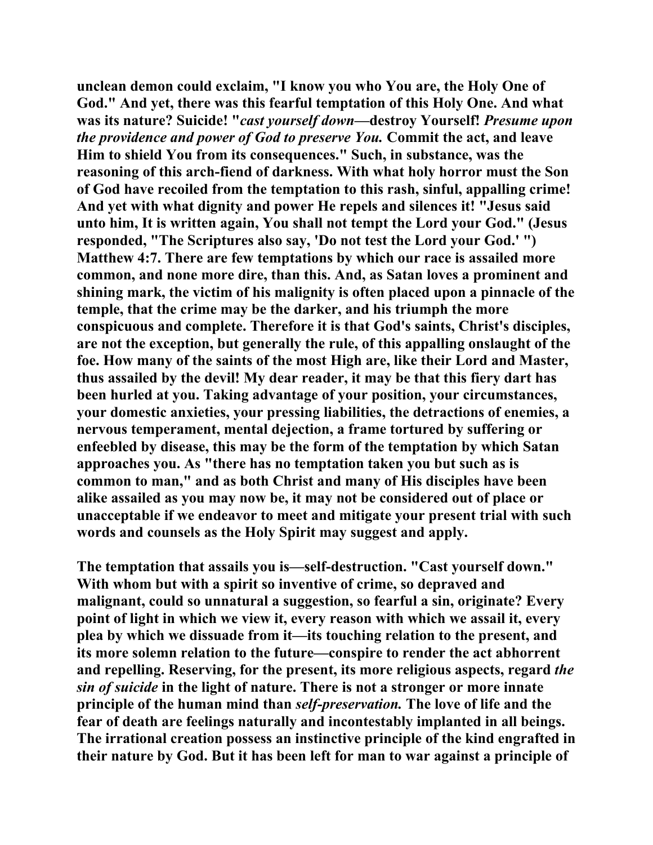**unclean demon could exclaim, "I know you who You are, the Holy One of God." And yet, there was this fearful temptation of this Holy One. And what was its nature? Suicide! "***cast yourself down***—destroy Yourself!** *Presume upon the providence and power of God to preserve You.* **Commit the act, and leave Him to shield You from its consequences." Such, in substance, was the reasoning of this arch-fiend of darkness. With what holy horror must the Son of God have recoiled from the temptation to this rash, sinful, appalling crime! And yet with what dignity and power He repels and silences it! "Jesus said unto him, It is written again, You shall not tempt the Lord your God." (Jesus responded, "The Scriptures also say, 'Do not test the Lord your God.' ") Matthew 4:7. There are few temptations by which our race is assailed more common, and none more dire, than this. And, as Satan loves a prominent and shining mark, the victim of his malignity is often placed upon a pinnacle of the temple, that the crime may be the darker, and his triumph the more conspicuous and complete. Therefore it is that God's saints, Christ's disciples, are not the exception, but generally the rule, of this appalling onslaught of the foe. How many of the saints of the most High are, like their Lord and Master, thus assailed by the devil! My dear reader, it may be that this fiery dart has been hurled at you. Taking advantage of your position, your circumstances, your domestic anxieties, your pressing liabilities, the detractions of enemies, a nervous temperament, mental dejection, a frame tortured by suffering or enfeebled by disease, this may be the form of the temptation by which Satan approaches you. As "there has no temptation taken you but such as is common to man," and as both Christ and many of His disciples have been alike assailed as you may now be, it may not be considered out of place or unacceptable if we endeavor to meet and mitigate your present trial with such words and counsels as the Holy Spirit may suggest and apply.** 

**The temptation that assails you is—self-destruction. "Cast yourself down." With whom but with a spirit so inventive of crime, so depraved and malignant, could so unnatural a suggestion, so fearful a sin, originate? Every point of light in which we view it, every reason with which we assail it, every plea by which we dissuade from it—its touching relation to the present, and its more solemn relation to the future—conspire to render the act abhorrent and repelling. Reserving, for the present, its more religious aspects, regard** *the sin of suicide* **in the light of nature. There is not a stronger or more innate principle of the human mind than** *self-preservation.* **The love of life and the fear of death are feelings naturally and incontestably implanted in all beings. The irrational creation possess an instinctive principle of the kind engrafted in their nature by God. But it has been left for man to war against a principle of**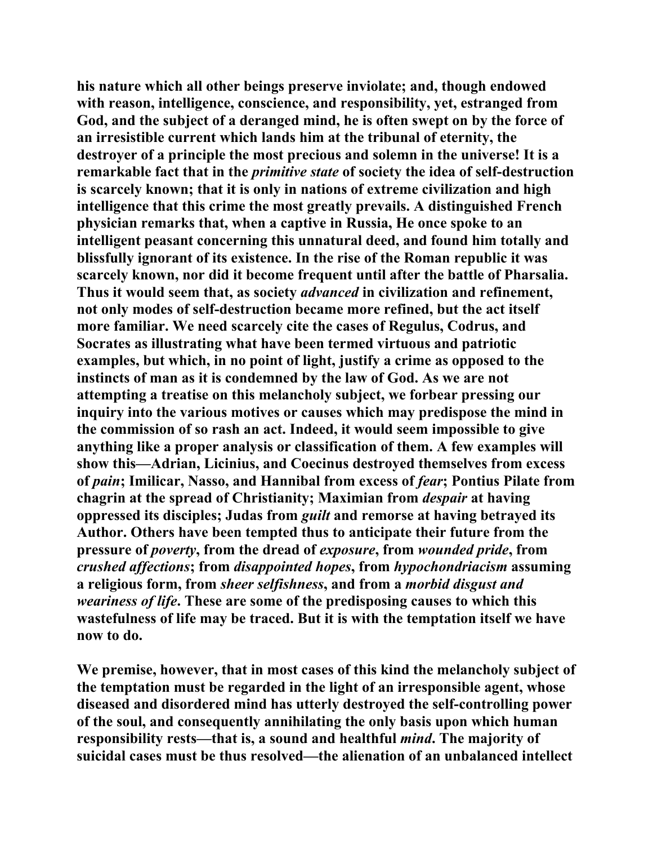**his nature which all other beings preserve inviolate; and, though endowed with reason, intelligence, conscience, and responsibility, yet, estranged from God, and the subject of a deranged mind, he is often swept on by the force of an irresistible current which lands him at the tribunal of eternity, the destroyer of a principle the most precious and solemn in the universe! It is a remarkable fact that in the** *primitive state* **of society the idea of self-destruction is scarcely known; that it is only in nations of extreme civilization and high intelligence that this crime the most greatly prevails. A distinguished French physician remarks that, when a captive in Russia, He once spoke to an intelligent peasant concerning this unnatural deed, and found him totally and blissfully ignorant of its existence. In the rise of the Roman republic it was scarcely known, nor did it become frequent until after the battle of Pharsalia. Thus it would seem that, as society** *advanced* **in civilization and refinement, not only modes of self-destruction became more refined, but the act itself more familiar. We need scarcely cite the cases of Regulus, Codrus, and Socrates as illustrating what have been termed virtuous and patriotic examples, but which, in no point of light, justify a crime as opposed to the instincts of man as it is condemned by the law of God. As we are not attempting a treatise on this melancholy subject, we forbear pressing our inquiry into the various motives or causes which may predispose the mind in the commission of so rash an act. Indeed, it would seem impossible to give anything like a proper analysis or classification of them. A few examples will show this—Adrian, Licinius, and Coecinus destroyed themselves from excess of** *pain***; Imilicar, Nasso, and Hannibal from excess of** *fear***; Pontius Pilate from chagrin at the spread of Christianity; Maximian from** *despair* **at having oppressed its disciples; Judas from** *guilt* **and remorse at having betrayed its Author. Others have been tempted thus to anticipate their future from the pressure of** *poverty***, from the dread of** *exposure***, from** *wounded pride***, from**  *crushed affections***; from** *disappointed hopes***, from** *hypochondriacism* **assuming a religious form, from** *sheer selfishness***, and from a** *morbid disgust and weariness of life***. These are some of the predisposing causes to which this wastefulness of life may be traced. But it is with the temptation itself we have now to do.** 

**We premise, however, that in most cases of this kind the melancholy subject of the temptation must be regarded in the light of an irresponsible agent, whose diseased and disordered mind has utterly destroyed the self-controlling power of the soul, and consequently annihilating the only basis upon which human responsibility rests—that is, a sound and healthful** *mind***. The majority of suicidal cases must be thus resolved—the alienation of an unbalanced intellect**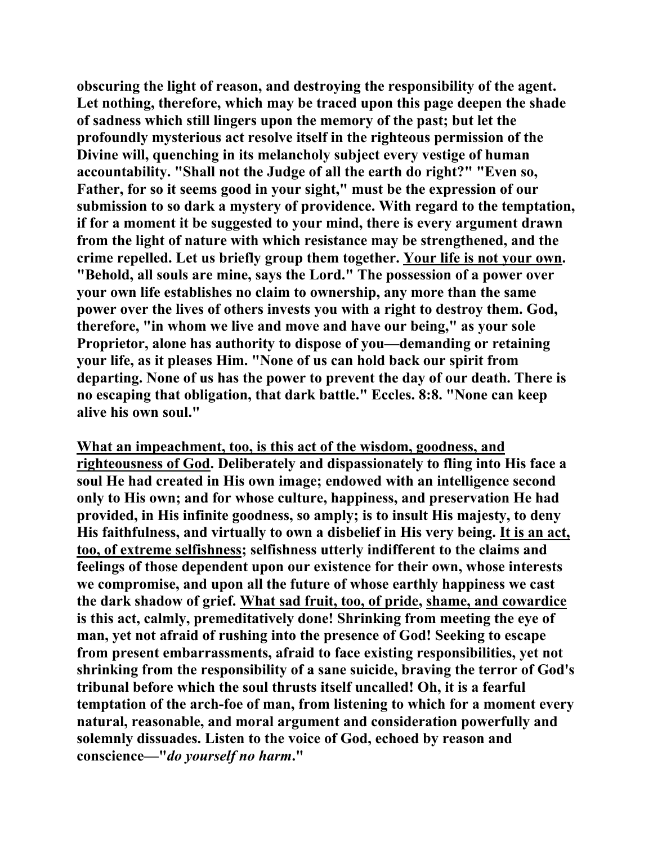**obscuring the light of reason, and destroying the responsibility of the agent. Let nothing, therefore, which may be traced upon this page deepen the shade of sadness which still lingers upon the memory of the past; but let the profoundly mysterious act resolve itself in the righteous permission of the Divine will, quenching in its melancholy subject every vestige of human accountability. "Shall not the Judge of all the earth do right?" "Even so, Father, for so it seems good in your sight," must be the expression of our submission to so dark a mystery of providence. With regard to the temptation, if for a moment it be suggested to your mind, there is every argument drawn from the light of nature with which resistance may be strengthened, and the crime repelled. Let us briefly group them together. Your life is not your own. "Behold, all souls are mine, says the Lord." The possession of a power over your own life establishes no claim to ownership, any more than the same power over the lives of others invests you with a right to destroy them. God, therefore, "in whom we live and move and have our being," as your sole Proprietor, alone has authority to dispose of you—demanding or retaining your life, as it pleases Him. "None of us can hold back our spirit from departing. None of us has the power to prevent the day of our death. There is no escaping that obligation, that dark battle." Eccles. 8:8. "None can keep alive his own soul."** 

**What an impeachment, too, is this act of the wisdom, goodness, and righteousness of God. Deliberately and dispassionately to fling into His face a soul He had created in His own image; endowed with an intelligence second only to His own; and for whose culture, happiness, and preservation He had provided, in His infinite goodness, so amply; is to insult His majesty, to deny His faithfulness, and virtually to own a disbelief in His very being. It is an act, too, of extreme selfishness; selfishness utterly indifferent to the claims and feelings of those dependent upon our existence for their own, whose interests we compromise, and upon all the future of whose earthly happiness we cast the dark shadow of grief. What sad fruit, too, of pride, shame, and cowardice is this act, calmly, premeditatively done! Shrinking from meeting the eye of man, yet not afraid of rushing into the presence of God! Seeking to escape from present embarrassments, afraid to face existing responsibilities, yet not shrinking from the responsibility of a sane suicide, braving the terror of God's tribunal before which the soul thrusts itself uncalled! Oh, it is a fearful temptation of the arch-foe of man, from listening to which for a moment every natural, reasonable, and moral argument and consideration powerfully and solemnly dissuades. Listen to the voice of God, echoed by reason and conscience—"***do yourself no harm***."**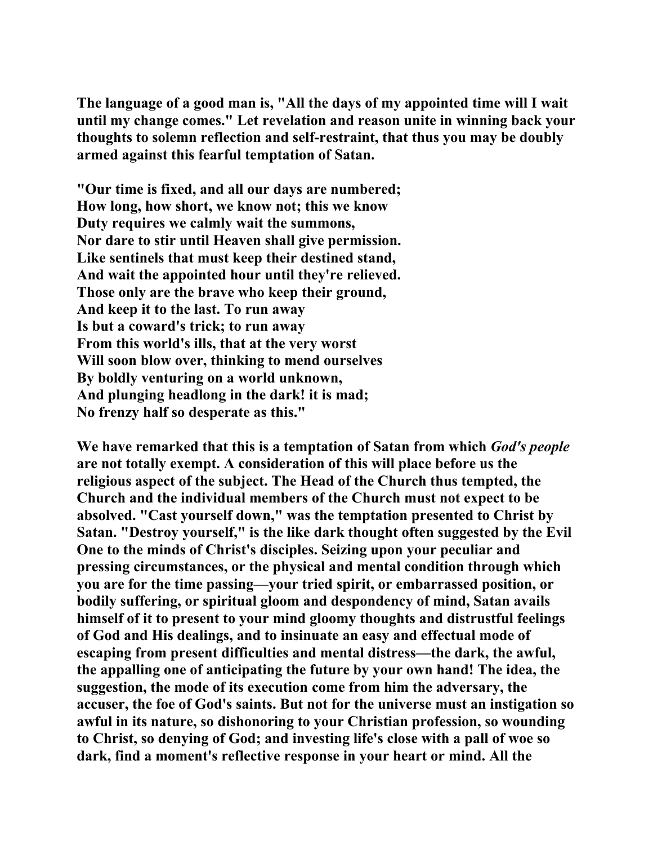**The language of a good man is, "All the days of my appointed time will I wait until my change comes." Let revelation and reason unite in winning back your thoughts to solemn reflection and self-restraint, that thus you may be doubly armed against this fearful temptation of Satan.** 

**"Our time is fixed, and all our days are numbered; How long, how short, we know not; this we know Duty requires we calmly wait the summons, Nor dare to stir until Heaven shall give permission. Like sentinels that must keep their destined stand, And wait the appointed hour until they're relieved. Those only are the brave who keep their ground, And keep it to the last. To run away Is but a coward's trick; to run away From this world's ills, that at the very worst Will soon blow over, thinking to mend ourselves By boldly venturing on a world unknown, And plunging headlong in the dark! it is mad; No frenzy half so desperate as this."** 

**We have remarked that this is a temptation of Satan from which** *God's people* **are not totally exempt. A consideration of this will place before us the religious aspect of the subject. The Head of the Church thus tempted, the Church and the individual members of the Church must not expect to be absolved. "Cast yourself down," was the temptation presented to Christ by Satan. "Destroy yourself," is the like dark thought often suggested by the Evil One to the minds of Christ's disciples. Seizing upon your peculiar and pressing circumstances, or the physical and mental condition through which you are for the time passing—your tried spirit, or embarrassed position, or bodily suffering, or spiritual gloom and despondency of mind, Satan avails himself of it to present to your mind gloomy thoughts and distrustful feelings of God and His dealings, and to insinuate an easy and effectual mode of escaping from present difficulties and mental distress—the dark, the awful, the appalling one of anticipating the future by your own hand! The idea, the suggestion, the mode of its execution come from him the adversary, the accuser, the foe of God's saints. But not for the universe must an instigation so awful in its nature, so dishonoring to your Christian profession, so wounding to Christ, so denying of God; and investing life's close with a pall of woe so dark, find a moment's reflective response in your heart or mind. All the**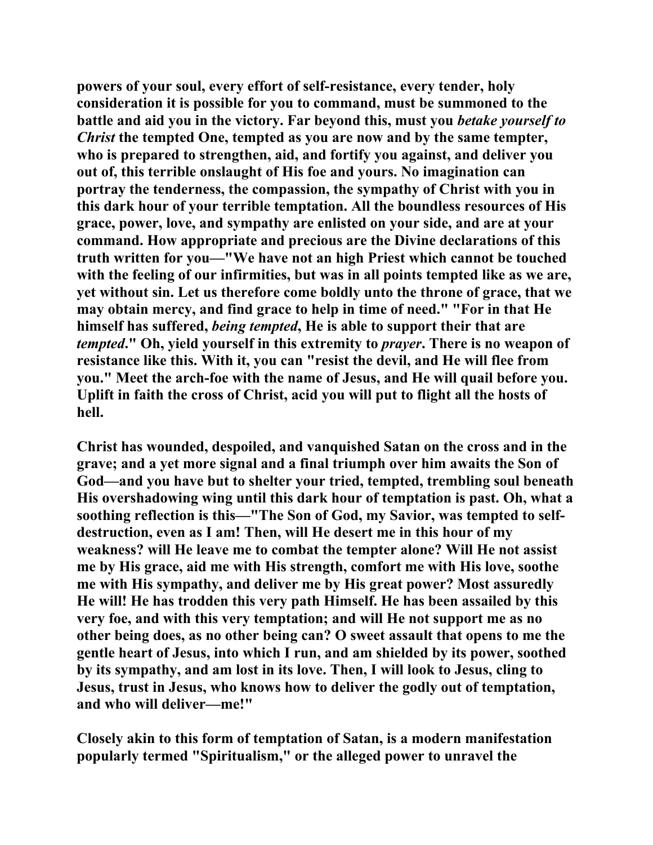**powers of your soul, every effort of self-resistance, every tender, holy consideration it is possible for you to command, must be summoned to the battle and aid you in the victory. Far beyond this, must you** *betake yourself to Christ* **the tempted One, tempted as you are now and by the same tempter, who is prepared to strengthen, aid, and fortify you against, and deliver you out of, this terrible onslaught of His foe and yours. No imagination can portray the tenderness, the compassion, the sympathy of Christ with you in this dark hour of your terrible temptation. All the boundless resources of His grace, power, love, and sympathy are enlisted on your side, and are at your command. How appropriate and precious are the Divine declarations of this truth written for you—"We have not an high Priest which cannot be touched with the feeling of our infirmities, but was in all points tempted like as we are, yet without sin. Let us therefore come boldly unto the throne of grace, that we may obtain mercy, and find grace to help in time of need." "For in that He himself has suffered,** *being tempted***, He is able to support their that are**  *tempted***." Oh, yield yourself in this extremity to** *prayer***. There is no weapon of resistance like this. With it, you can "resist the devil, and He will flee from you." Meet the arch-foe with the name of Jesus, and He will quail before you. Uplift in faith the cross of Christ, acid you will put to flight all the hosts of hell.** 

**Christ has wounded, despoiled, and vanquished Satan on the cross and in the grave; and a yet more signal and a final triumph over him awaits the Son of God—and you have but to shelter your tried, tempted, trembling soul beneath His overshadowing wing until this dark hour of temptation is past. Oh, what a soothing reflection is this—"The Son of God, my Savior, was tempted to selfdestruction, even as I am! Then, will He desert me in this hour of my weakness? will He leave me to combat the tempter alone? Will He not assist me by His grace, aid me with His strength, comfort me with His love, soothe me with His sympathy, and deliver me by His great power? Most assuredly He will! He has trodden this very path Himself. He has been assailed by this very foe, and with this very temptation; and will He not support me as no other being does, as no other being can? O sweet assault that opens to me the gentle heart of Jesus, into which I run, and am shielded by its power, soothed by its sympathy, and am lost in its love. Then, I will look to Jesus, cling to Jesus, trust in Jesus, who knows how to deliver the godly out of temptation, and who will deliver—me!"** 

**Closely akin to this form of temptation of Satan, is a modern manifestation popularly termed "Spiritualism," or the alleged power to unravel the**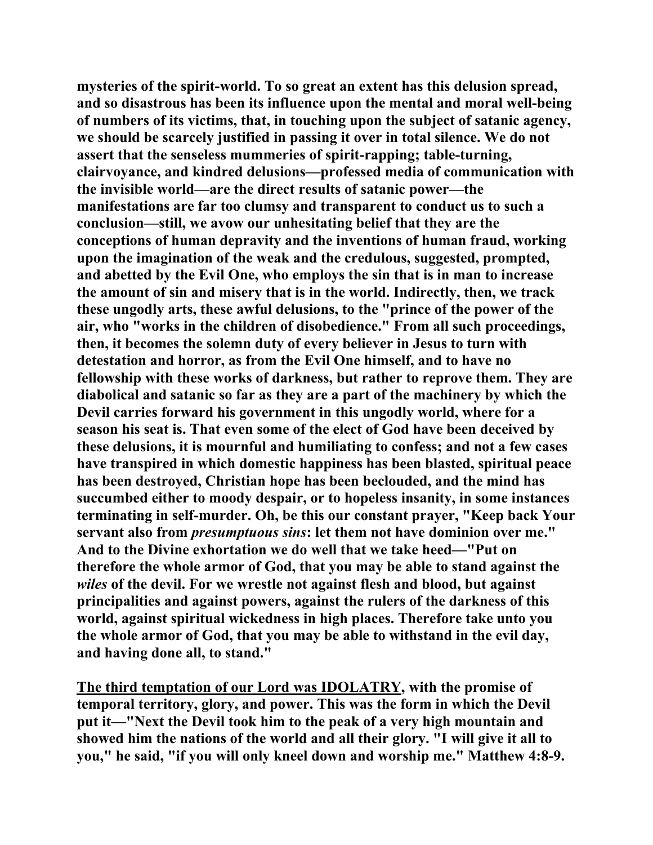**mysteries of the spirit-world. To so great an extent has this delusion spread, and so disastrous has been its influence upon the mental and moral well-being of numbers of its victims, that, in touching upon the subject of satanic agency, we should be scarcely justified in passing it over in total silence. We do not assert that the senseless mummeries of spirit-rapping; table-turning, clairvoyance, and kindred delusions—professed media of communication with the invisible world—are the direct results of satanic power—the manifestations are far too clumsy and transparent to conduct us to such a conclusion—still, we avow our unhesitating belief that they are the conceptions of human depravity and the inventions of human fraud, working upon the imagination of the weak and the credulous, suggested, prompted, and abetted by the Evil One, who employs the sin that is in man to increase the amount of sin and misery that is in the world. Indirectly, then, we track these ungodly arts, these awful delusions, to the "prince of the power of the air, who "works in the children of disobedience." From all such proceedings, then, it becomes the solemn duty of every believer in Jesus to turn with detestation and horror, as from the Evil One himself, and to have no fellowship with these works of darkness, but rather to reprove them. They are diabolical and satanic so far as they are a part of the machinery by which the Devil carries forward his government in this ungodly world, where for a season his seat is. That even some of the elect of God have been deceived by these delusions, it is mournful and humiliating to confess; and not a few cases have transpired in which domestic happiness has been blasted, spiritual peace has been destroyed, Christian hope has been beclouded, and the mind has succumbed either to moody despair, or to hopeless insanity, in some instances terminating in self-murder. Oh, be this our constant prayer, "Keep back Your servant also from** *presumptuous sins***: let them not have dominion over me." And to the Divine exhortation we do well that we take heed—"Put on therefore the whole armor of God, that you may be able to stand against the**  *wiles* **of the devil. For we wrestle not against flesh and blood, but against principalities and against powers, against the rulers of the darkness of this world, against spiritual wickedness in high places. Therefore take unto you the whole armor of God, that you may be able to withstand in the evil day, and having done all, to stand."** 

**The third temptation of our Lord was IDOLATRY, with the promise of temporal territory, glory, and power. This was the form in which the Devil put it—"Next the Devil took him to the peak of a very high mountain and showed him the nations of the world and all their glory. "I will give it all to you," he said, "if you will only kneel down and worship me." Matthew 4:8-9.**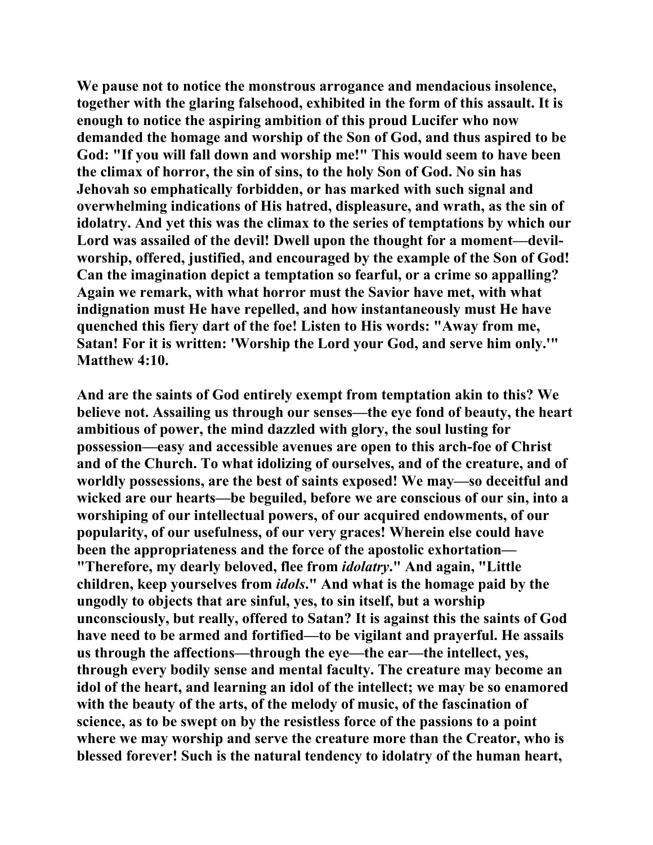**We pause not to notice the monstrous arrogance and mendacious insolence, together with the glaring falsehood, exhibited in the form of this assault. It is enough to notice the aspiring ambition of this proud Lucifer who now demanded the homage and worship of the Son of God, and thus aspired to be God: "If you will fall down and worship me!" This would seem to have been the climax of horror, the sin of sins, to the holy Son of God. No sin has Jehovah so emphatically forbidden, or has marked with such signal and overwhelming indications of His hatred, displeasure, and wrath, as the sin of idolatry. And yet this was the climax to the series of temptations by which our Lord was assailed of the devil! Dwell upon the thought for a moment—devilworship, offered, justified, and encouraged by the example of the Son of God! Can the imagination depict a temptation so fearful, or a crime so appalling? Again we remark, with what horror must the Savior have met, with what indignation must He have repelled, and how instantaneously must He have quenched this fiery dart of the foe! Listen to His words: "Away from me, Satan! For it is written: 'Worship the Lord your God, and serve him only.'" Matthew 4:10.** 

**And are the saints of God entirely exempt from temptation akin to this? We believe not. Assailing us through our senses—the eye fond of beauty, the heart ambitious of power, the mind dazzled with glory, the soul lusting for possession—easy and accessible avenues are open to this arch-foe of Christ and of the Church. To what idolizing of ourselves, and of the creature, and of worldly possessions, are the best of saints exposed! We may—so deceitful and wicked are our hearts—be beguiled, before we are conscious of our sin, into a worshiping of our intellectual powers, of our acquired endowments, of our popularity, of our usefulness, of our very graces! Wherein else could have been the appropriateness and the force of the apostolic exhortation— "Therefore, my dearly beloved, flee from** *idolatry***." And again, "Little children, keep yourselves from** *idols***." And what is the homage paid by the ungodly to objects that are sinful, yes, to sin itself, but a worship unconsciously, but really, offered to Satan? It is against this the saints of God have need to be armed and fortified—to be vigilant and prayerful. He assails us through the affections—through the eye—the ear—the intellect, yes, through every bodily sense and mental faculty. The creature may become an idol of the heart, and learning an idol of the intellect; we may be so enamored with the beauty of the arts, of the melody of music, of the fascination of science, as to be swept on by the resistless force of the passions to a point where we may worship and serve the creature more than the Creator, who is blessed forever! Such is the natural tendency to idolatry of the human heart,**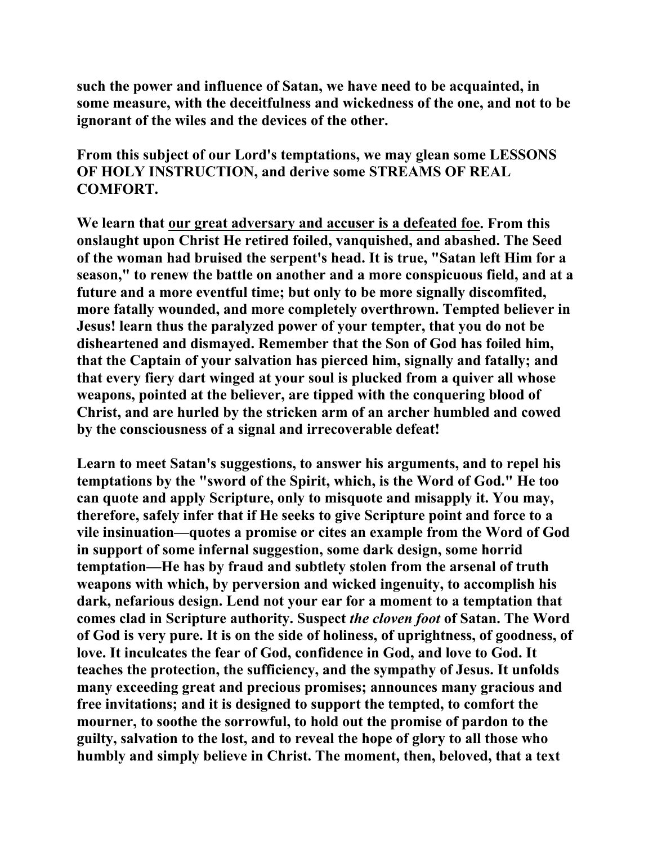**such the power and influence of Satan, we have need to be acquainted, in some measure, with the deceitfulness and wickedness of the one, and not to be ignorant of the wiles and the devices of the other.** 

**From this subject of our Lord's temptations, we may glean some LESSONS OF HOLY INSTRUCTION, and derive some STREAMS OF REAL COMFORT.** 

**We learn that our great adversary and accuser is a defeated foe. From this onslaught upon Christ He retired foiled, vanquished, and abashed. The Seed of the woman had bruised the serpent's head. It is true, "Satan left Him for a season," to renew the battle on another and a more conspicuous field, and at a future and a more eventful time; but only to be more signally discomfited, more fatally wounded, and more completely overthrown. Tempted believer in Jesus! learn thus the paralyzed power of your tempter, that you do not be disheartened and dismayed. Remember that the Son of God has foiled him, that the Captain of your salvation has pierced him, signally and fatally; and that every fiery dart winged at your soul is plucked from a quiver all whose weapons, pointed at the believer, are tipped with the conquering blood of Christ, and are hurled by the stricken arm of an archer humbled and cowed by the consciousness of a signal and irrecoverable defeat!** 

**Learn to meet Satan's suggestions, to answer his arguments, and to repel his temptations by the "sword of the Spirit, which, is the Word of God." He too can quote and apply Scripture, only to misquote and misapply it. You may, therefore, safely infer that if He seeks to give Scripture point and force to a vile insinuation—quotes a promise or cites an example from the Word of God in support of some infernal suggestion, some dark design, some horrid temptation—He has by fraud and subtlety stolen from the arsenal of truth weapons with which, by perversion and wicked ingenuity, to accomplish his dark, nefarious design. Lend not your ear for a moment to a temptation that comes clad in Scripture authority. Suspect** *the cloven foot* **of Satan. The Word of God is very pure. It is on the side of holiness, of uprightness, of goodness, of love. It inculcates the fear of God, confidence in God, and love to God. It teaches the protection, the sufficiency, and the sympathy of Jesus. It unfolds many exceeding great and precious promises; announces many gracious and free invitations; and it is designed to support the tempted, to comfort the mourner, to soothe the sorrowful, to hold out the promise of pardon to the guilty, salvation to the lost, and to reveal the hope of glory to all those who humbly and simply believe in Christ. The moment, then, beloved, that a text**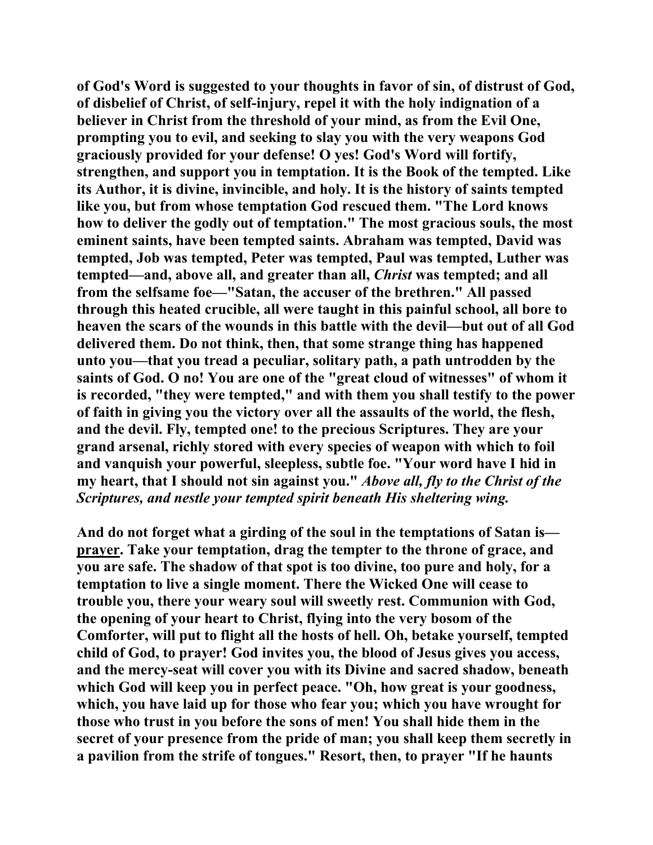**of God's Word is suggested to your thoughts in favor of sin, of distrust of God, of disbelief of Christ, of self-injury, repel it with the holy indignation of a believer in Christ from the threshold of your mind, as from the Evil One, prompting you to evil, and seeking to slay you with the very weapons God graciously provided for your defense! O yes! God's Word will fortify, strengthen, and support you in temptation. It is the Book of the tempted. Like its Author, it is divine, invincible, and holy. It is the history of saints tempted like you, but from whose temptation God rescued them. "The Lord knows how to deliver the godly out of temptation." The most gracious souls, the most eminent saints, have been tempted saints. Abraham was tempted, David was tempted, Job was tempted, Peter was tempted, Paul was tempted, Luther was tempted—and, above all, and greater than all,** *Christ* **was tempted; and all from the selfsame foe—"Satan, the accuser of the brethren." All passed through this heated crucible, all were taught in this painful school, all bore to heaven the scars of the wounds in this battle with the devil—but out of all God delivered them. Do not think, then, that some strange thing has happened unto you—that you tread a peculiar, solitary path, a path untrodden by the saints of God. O no! You are one of the "great cloud of witnesses" of whom it is recorded, "they were tempted," and with them you shall testify to the power of faith in giving you the victory over all the assaults of the world, the flesh, and the devil. Fly, tempted one! to the precious Scriptures. They are your grand arsenal, richly stored with every species of weapon with which to foil and vanquish your powerful, sleepless, subtle foe. "Your word have I hid in my heart, that I should not sin against you."** *Above all, fly to the Christ of the Scriptures, and nestle your tempted spirit beneath His sheltering wing.*

**And do not forget what a girding of the soul in the temptations of Satan is prayer. Take your temptation, drag the tempter to the throne of grace, and you are safe. The shadow of that spot is too divine, too pure and holy, for a temptation to live a single moment. There the Wicked One will cease to trouble you, there your weary soul will sweetly rest. Communion with God, the opening of your heart to Christ, flying into the very bosom of the Comforter, will put to flight all the hosts of hell. Oh, betake yourself, tempted child of God, to prayer! God invites you, the blood of Jesus gives you access, and the mercy-seat will cover you with its Divine and sacred shadow, beneath which God will keep you in perfect peace. "Oh, how great is your goodness, which, you have laid up for those who fear you; which you have wrought for those who trust in you before the sons of men! You shall hide them in the secret of your presence from the pride of man; you shall keep them secretly in a pavilion from the strife of tongues." Resort, then, to prayer "If he haunts**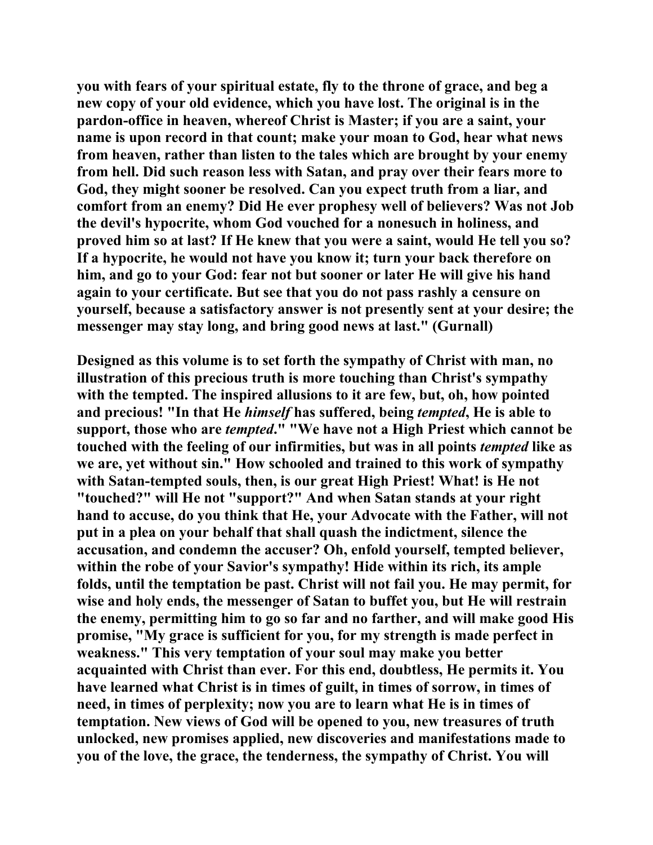**you with fears of your spiritual estate, fly to the throne of grace, and beg a new copy of your old evidence, which you have lost. The original is in the pardon-office in heaven, whereof Christ is Master; if you are a saint, your name is upon record in that count; make your moan to God, hear what news from heaven, rather than listen to the tales which are brought by your enemy from hell. Did such reason less with Satan, and pray over their fears more to God, they might sooner be resolved. Can you expect truth from a liar, and comfort from an enemy? Did He ever prophesy well of believers? Was not Job the devil's hypocrite, whom God vouched for a nonesuch in holiness, and proved him so at last? If He knew that you were a saint, would He tell you so? If a hypocrite, he would not have you know it; turn your back therefore on him, and go to your God: fear not but sooner or later He will give his hand again to your certificate. But see that you do not pass rashly a censure on yourself, because a satisfactory answer is not presently sent at your desire; the messenger may stay long, and bring good news at last." (Gurnall)** 

**Designed as this volume is to set forth the sympathy of Christ with man, no illustration of this precious truth is more touching than Christ's sympathy with the tempted. The inspired allusions to it are few, but, oh, how pointed and precious! "In that He** *himself* **has suffered, being** *tempted***, He is able to support, those who are** *tempted***." "We have not a High Priest which cannot be touched with the feeling of our infirmities, but was in all points** *tempted* **like as we are, yet without sin." How schooled and trained to this work of sympathy with Satan-tempted souls, then, is our great High Priest! What! is He not "touched?" will He not "support?" And when Satan stands at your right hand to accuse, do you think that He, your Advocate with the Father, will not put in a plea on your behalf that shall quash the indictment, silence the accusation, and condemn the accuser? Oh, enfold yourself, tempted believer, within the robe of your Savior's sympathy! Hide within its rich, its ample folds, until the temptation be past. Christ will not fail you. He may permit, for wise and holy ends, the messenger of Satan to buffet you, but He will restrain the enemy, permitting him to go so far and no farther, and will make good His promise, "My grace is sufficient for you, for my strength is made perfect in weakness." This very temptation of your soul may make you better acquainted with Christ than ever. For this end, doubtless, He permits it. You have learned what Christ is in times of guilt, in times of sorrow, in times of need, in times of perplexity; now you are to learn what He is in times of temptation. New views of God will be opened to you, new treasures of truth unlocked, new promises applied, new discoveries and manifestations made to you of the love, the grace, the tenderness, the sympathy of Christ. You will**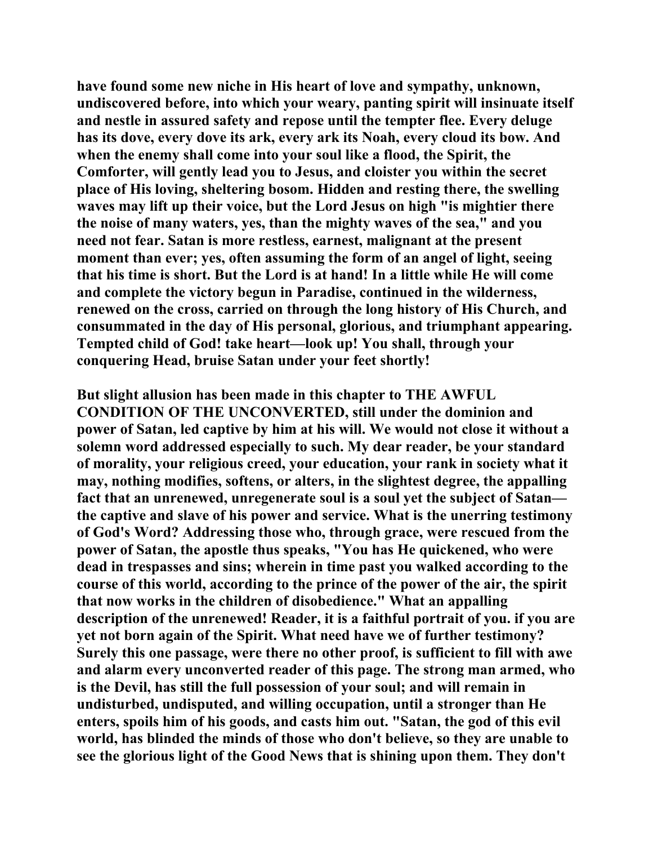**have found some new niche in His heart of love and sympathy, unknown, undiscovered before, into which your weary, panting spirit will insinuate itself and nestle in assured safety and repose until the tempter flee. Every deluge has its dove, every dove its ark, every ark its Noah, every cloud its bow. And when the enemy shall come into your soul like a flood, the Spirit, the Comforter, will gently lead you to Jesus, and cloister you within the secret place of His loving, sheltering bosom. Hidden and resting there, the swelling waves may lift up their voice, but the Lord Jesus on high "is mightier there the noise of many waters, yes, than the mighty waves of the sea," and you need not fear. Satan is more restless, earnest, malignant at the present moment than ever; yes, often assuming the form of an angel of light, seeing that his time is short. But the Lord is at hand! In a little while He will come and complete the victory begun in Paradise, continued in the wilderness, renewed on the cross, carried on through the long history of His Church, and consummated in the day of His personal, glorious, and triumphant appearing. Tempted child of God! take heart—look up! You shall, through your conquering Head, bruise Satan under your feet shortly!** 

**But slight allusion has been made in this chapter to THE AWFUL CONDITION OF THE UNCONVERTED, still under the dominion and power of Satan, led captive by him at his will. We would not close it without a solemn word addressed especially to such. My dear reader, be your standard of morality, your religious creed, your education, your rank in society what it may, nothing modifies, softens, or alters, in the slightest degree, the appalling fact that an unrenewed, unregenerate soul is a soul yet the subject of Satan the captive and slave of his power and service. What is the unerring testimony of God's Word? Addressing those who, through grace, were rescued from the power of Satan, the apostle thus speaks, "You has He quickened, who were dead in trespasses and sins; wherein in time past you walked according to the course of this world, according to the prince of the power of the air, the spirit that now works in the children of disobedience." What an appalling description of the unrenewed! Reader, it is a faithful portrait of you. if you are yet not born again of the Spirit. What need have we of further testimony? Surely this one passage, were there no other proof, is sufficient to fill with awe and alarm every unconverted reader of this page. The strong man armed, who is the Devil, has still the full possession of your soul; and will remain in undisturbed, undisputed, and willing occupation, until a stronger than He enters, spoils him of his goods, and casts him out. "Satan, the god of this evil world, has blinded the minds of those who don't believe, so they are unable to see the glorious light of the Good News that is shining upon them. They don't**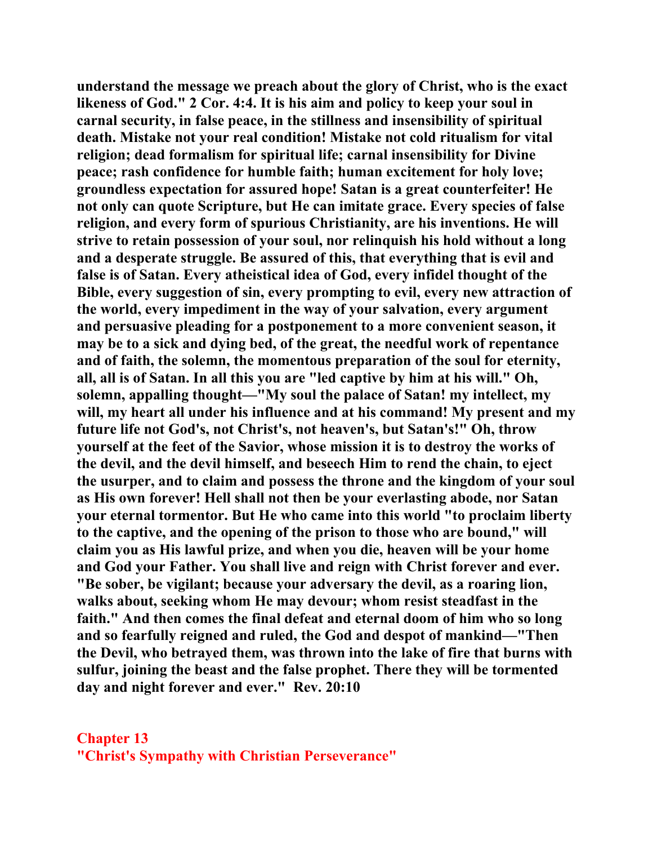**understand the message we preach about the glory of Christ, who is the exact likeness of God." 2 Cor. 4:4. It is his aim and policy to keep your soul in carnal security, in false peace, in the stillness and insensibility of spiritual death. Mistake not your real condition! Mistake not cold ritualism for vital religion; dead formalism for spiritual life; carnal insensibility for Divine peace; rash confidence for humble faith; human excitement for holy love; groundless expectation for assured hope! Satan is a great counterfeiter! He not only can quote Scripture, but He can imitate grace. Every species of false religion, and every form of spurious Christianity, are his inventions. He will strive to retain possession of your soul, nor relinquish his hold without a long and a desperate struggle. Be assured of this, that everything that is evil and false is of Satan. Every atheistical idea of God, every infidel thought of the Bible, every suggestion of sin, every prompting to evil, every new attraction of the world, every impediment in the way of your salvation, every argument and persuasive pleading for a postponement to a more convenient season, it may be to a sick and dying bed, of the great, the needful work of repentance and of faith, the solemn, the momentous preparation of the soul for eternity, all, all is of Satan. In all this you are "led captive by him at his will." Oh, solemn, appalling thought—"My soul the palace of Satan! my intellect, my will, my heart all under his influence and at his command! My present and my future life not God's, not Christ's, not heaven's, but Satan's!" Oh, throw yourself at the feet of the Savior, whose mission it is to destroy the works of the devil, and the devil himself, and beseech Him to rend the chain, to eject the usurper, and to claim and possess the throne and the kingdom of your soul as His own forever! Hell shall not then be your everlasting abode, nor Satan your eternal tormentor. But He who came into this world "to proclaim liberty to the captive, and the opening of the prison to those who are bound," will claim you as His lawful prize, and when you die, heaven will be your home and God your Father. You shall live and reign with Christ forever and ever. "Be sober, be vigilant; because your adversary the devil, as a roaring lion, walks about, seeking whom He may devour; whom resist steadfast in the faith." And then comes the final defeat and eternal doom of him who so long and so fearfully reigned and ruled, the God and despot of mankind—"Then the Devil, who betrayed them, was thrown into the lake of fire that burns with sulfur, joining the beast and the false prophet. There they will be tormented day and night forever and ever." Rev. 20:10** 

## **Chapter 13 "Christ's Sympathy with Christian Perseverance"**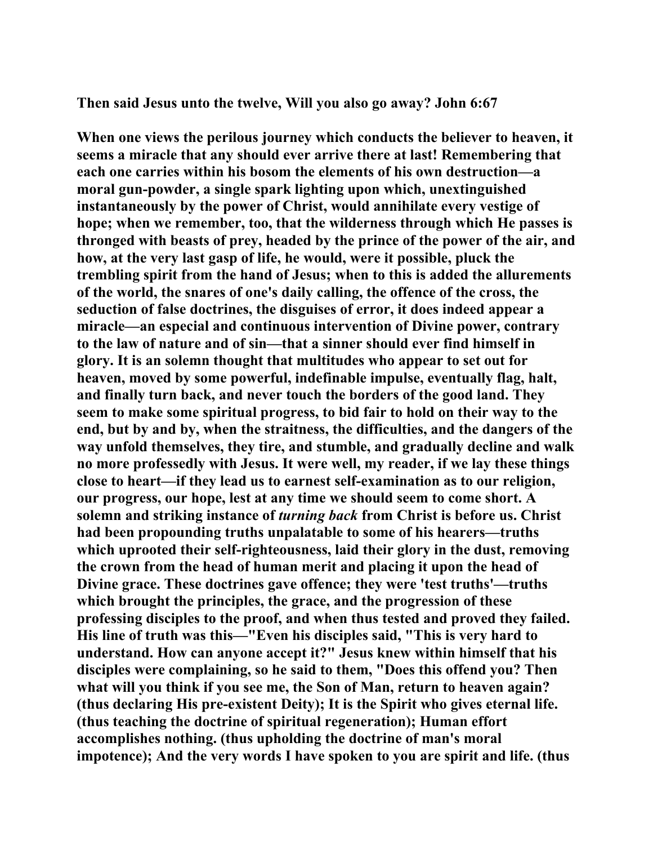**Then said Jesus unto the twelve, Will you also go away? John 6:67** 

**When one views the perilous journey which conducts the believer to heaven, it seems a miracle that any should ever arrive there at last! Remembering that each one carries within his bosom the elements of his own destruction—a moral gun-powder, a single spark lighting upon which, unextinguished instantaneously by the power of Christ, would annihilate every vestige of hope; when we remember, too, that the wilderness through which He passes is thronged with beasts of prey, headed by the prince of the power of the air, and how, at the very last gasp of life, he would, were it possible, pluck the trembling spirit from the hand of Jesus; when to this is added the allurements of the world, the snares of one's daily calling, the offence of the cross, the seduction of false doctrines, the disguises of error, it does indeed appear a miracle—an especial and continuous intervention of Divine power, contrary to the law of nature and of sin—that a sinner should ever find himself in glory. It is an solemn thought that multitudes who appear to set out for heaven, moved by some powerful, indefinable impulse, eventually flag, halt, and finally turn back, and never touch the borders of the good land. They seem to make some spiritual progress, to bid fair to hold on their way to the end, but by and by, when the straitness, the difficulties, and the dangers of the way unfold themselves, they tire, and stumble, and gradually decline and walk no more professedly with Jesus. It were well, my reader, if we lay these things close to heart—if they lead us to earnest self-examination as to our religion, our progress, our hope, lest at any time we should seem to come short. A solemn and striking instance of** *turning back* **from Christ is before us. Christ had been propounding truths unpalatable to some of his hearers—truths which uprooted their self-righteousness, laid their glory in the dust, removing the crown from the head of human merit and placing it upon the head of Divine grace. These doctrines gave offence; they were 'test truths'—truths which brought the principles, the grace, and the progression of these professing disciples to the proof, and when thus tested and proved they failed. His line of truth was this—"Even his disciples said, "This is very hard to understand. How can anyone accept it?" Jesus knew within himself that his disciples were complaining, so he said to them, "Does this offend you? Then what will you think if you see me, the Son of Man, return to heaven again? (thus declaring His pre-existent Deity); It is the Spirit who gives eternal life. (thus teaching the doctrine of spiritual regeneration); Human effort accomplishes nothing. (thus upholding the doctrine of man's moral impotence); And the very words I have spoken to you are spirit and life. (thus**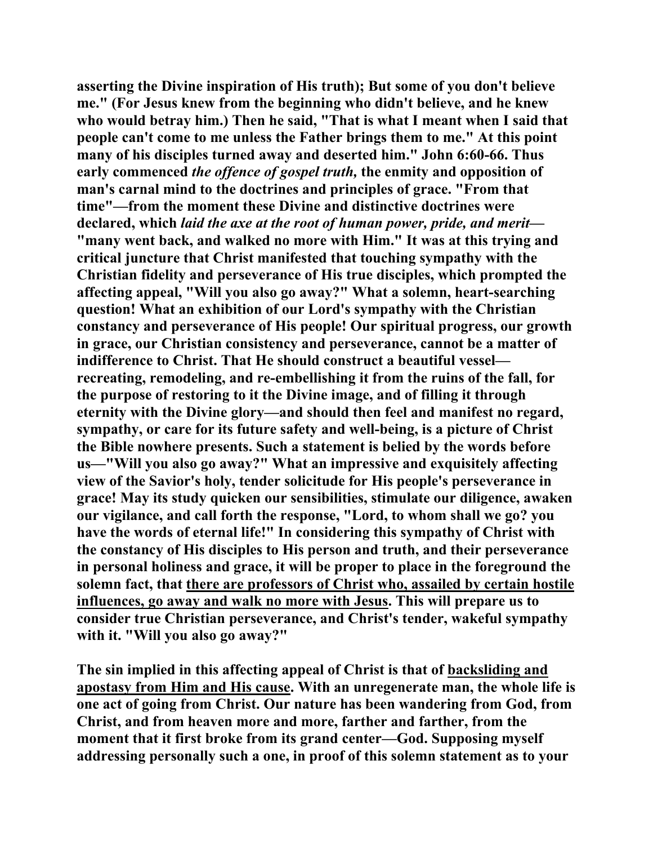**asserting the Divine inspiration of His truth); But some of you don't believe me." (For Jesus knew from the beginning who didn't believe, and he knew who would betray him.) Then he said, "That is what I meant when I said that people can't come to me unless the Father brings them to me." At this point many of his disciples turned away and deserted him." John 6:60-66. Thus early commenced** *the offence of gospel truth,* **the enmity and opposition of man's carnal mind to the doctrines and principles of grace. "From that time"—from the moment these Divine and distinctive doctrines were declared, which** *laid the axe at the root of human power, pride, and merit***— "many went back, and walked no more with Him." It was at this trying and critical juncture that Christ manifested that touching sympathy with the Christian fidelity and perseverance of His true disciples, which prompted the affecting appeal, "Will you also go away?" What a solemn, heart-searching question! What an exhibition of our Lord's sympathy with the Christian constancy and perseverance of His people! Our spiritual progress, our growth in grace, our Christian consistency and perseverance, cannot be a matter of indifference to Christ. That He should construct a beautiful vessel recreating, remodeling, and re-embellishing it from the ruins of the fall, for the purpose of restoring to it the Divine image, and of filling it through eternity with the Divine glory—and should then feel and manifest no regard, sympathy, or care for its future safety and well-being, is a picture of Christ the Bible nowhere presents. Such a statement is belied by the words before us—"Will you also go away?" What an impressive and exquisitely affecting view of the Savior's holy, tender solicitude for His people's perseverance in grace! May its study quicken our sensibilities, stimulate our diligence, awaken our vigilance, and call forth the response, "Lord, to whom shall we go? you have the words of eternal life!" In considering this sympathy of Christ with the constancy of His disciples to His person and truth, and their perseverance in personal holiness and grace, it will be proper to place in the foreground the solemn fact, that there are professors of Christ who, assailed by certain hostile influences, go away and walk no more with Jesus. This will prepare us to consider true Christian perseverance, and Christ's tender, wakeful sympathy with it. "Will you also go away?"** 

**The sin implied in this affecting appeal of Christ is that of backsliding and apostasy from Him and His cause. With an unregenerate man, the whole life is one act of going from Christ. Our nature has been wandering from God, from Christ, and from heaven more and more, farther and farther, from the moment that it first broke from its grand center—God. Supposing myself addressing personally such a one, in proof of this solemn statement as to your**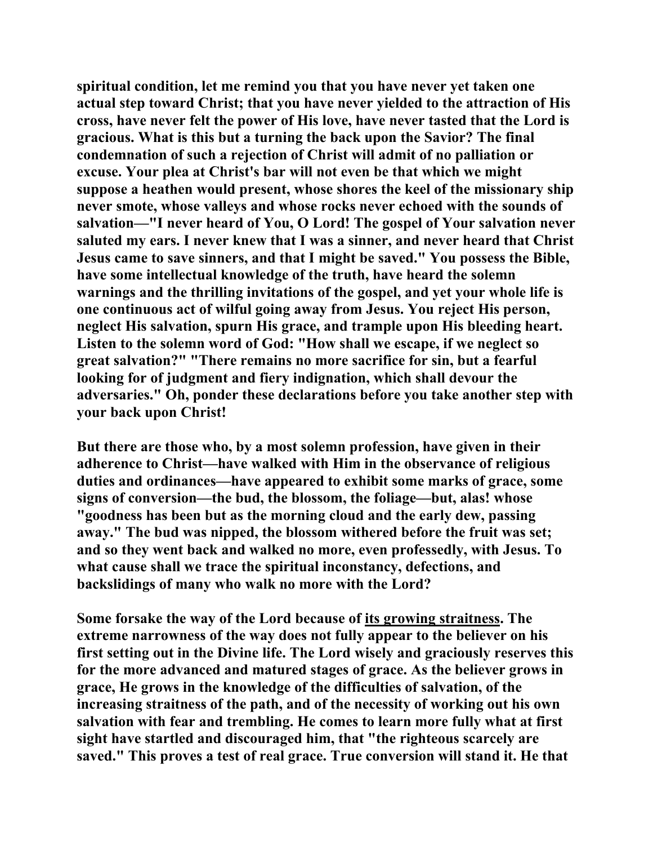**spiritual condition, let me remind you that you have never yet taken one actual step toward Christ; that you have never yielded to the attraction of His cross, have never felt the power of His love, have never tasted that the Lord is gracious. What is this but a turning the back upon the Savior? The final condemnation of such a rejection of Christ will admit of no palliation or excuse. Your plea at Christ's bar will not even be that which we might suppose a heathen would present, whose shores the keel of the missionary ship never smote, whose valleys and whose rocks never echoed with the sounds of salvation—"I never heard of You, O Lord! The gospel of Your salvation never saluted my ears. I never knew that I was a sinner, and never heard that Christ Jesus came to save sinners, and that I might be saved." You possess the Bible, have some intellectual knowledge of the truth, have heard the solemn warnings and the thrilling invitations of the gospel, and yet your whole life is one continuous act of wilful going away from Jesus. You reject His person, neglect His salvation, spurn His grace, and trample upon His bleeding heart. Listen to the solemn word of God: "How shall we escape, if we neglect so great salvation?" "There remains no more sacrifice for sin, but a fearful looking for of judgment and fiery indignation, which shall devour the adversaries." Oh, ponder these declarations before you take another step with your back upon Christ!** 

**But there are those who, by a most solemn profession, have given in their adherence to Christ—have walked with Him in the observance of religious duties and ordinances—have appeared to exhibit some marks of grace, some signs of conversion—the bud, the blossom, the foliage—but, alas! whose "goodness has been but as the morning cloud and the early dew, passing away." The bud was nipped, the blossom withered before the fruit was set; and so they went back and walked no more, even professedly, with Jesus. To what cause shall we trace the spiritual inconstancy, defections, and backslidings of many who walk no more with the Lord?** 

**Some forsake the way of the Lord because of its growing straitness. The extreme narrowness of the way does not fully appear to the believer on his first setting out in the Divine life. The Lord wisely and graciously reserves this for the more advanced and matured stages of grace. As the believer grows in grace, He grows in the knowledge of the difficulties of salvation, of the increasing straitness of the path, and of the necessity of working out his own salvation with fear and trembling. He comes to learn more fully what at first sight have startled and discouraged him, that "the righteous scarcely are saved." This proves a test of real grace. True conversion will stand it. He that**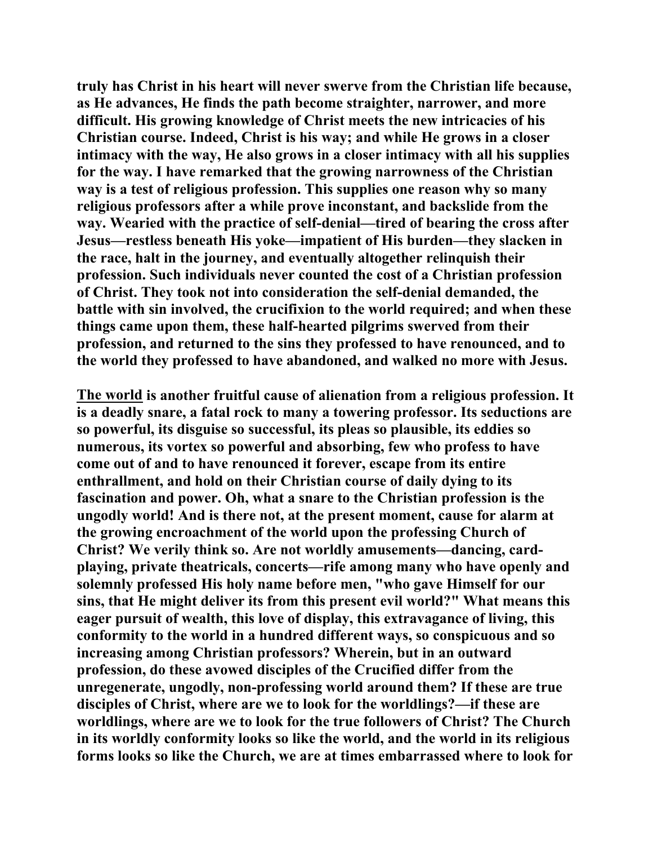**truly has Christ in his heart will never swerve from the Christian life because, as He advances, He finds the path become straighter, narrower, and more difficult. His growing knowledge of Christ meets the new intricacies of his Christian course. Indeed, Christ is his way; and while He grows in a closer intimacy with the way, He also grows in a closer intimacy with all his supplies for the way. I have remarked that the growing narrowness of the Christian way is a test of religious profession. This supplies one reason why so many religious professors after a while prove inconstant, and backslide from the way. Wearied with the practice of self-denial—tired of bearing the cross after Jesus—restless beneath His yoke—impatient of His burden—they slacken in the race, halt in the journey, and eventually altogether relinquish their profession. Such individuals never counted the cost of a Christian profession of Christ. They took not into consideration the self-denial demanded, the battle with sin involved, the crucifixion to the world required; and when these things came upon them, these half-hearted pilgrims swerved from their profession, and returned to the sins they professed to have renounced, and to the world they professed to have abandoned, and walked no more with Jesus.** 

**The world is another fruitful cause of alienation from a religious profession. It is a deadly snare, a fatal rock to many a towering professor. Its seductions are so powerful, its disguise so successful, its pleas so plausible, its eddies so numerous, its vortex so powerful and absorbing, few who profess to have come out of and to have renounced it forever, escape from its entire enthrallment, and hold on their Christian course of daily dying to its fascination and power. Oh, what a snare to the Christian profession is the ungodly world! And is there not, at the present moment, cause for alarm at the growing encroachment of the world upon the professing Church of Christ? We verily think so. Are not worldly amusements—dancing, cardplaying, private theatricals, concerts—rife among many who have openly and solemnly professed His holy name before men, "who gave Himself for our sins, that He might deliver its from this present evil world?" What means this eager pursuit of wealth, this love of display, this extravagance of living, this conformity to the world in a hundred different ways, so conspicuous and so increasing among Christian professors? Wherein, but in an outward profession, do these avowed disciples of the Crucified differ from the unregenerate, ungodly, non-professing world around them? If these are true disciples of Christ, where are we to look for the worldlings?—if these are worldlings, where are we to look for the true followers of Christ? The Church in its worldly conformity looks so like the world, and the world in its religious forms looks so like the Church, we are at times embarrassed where to look for**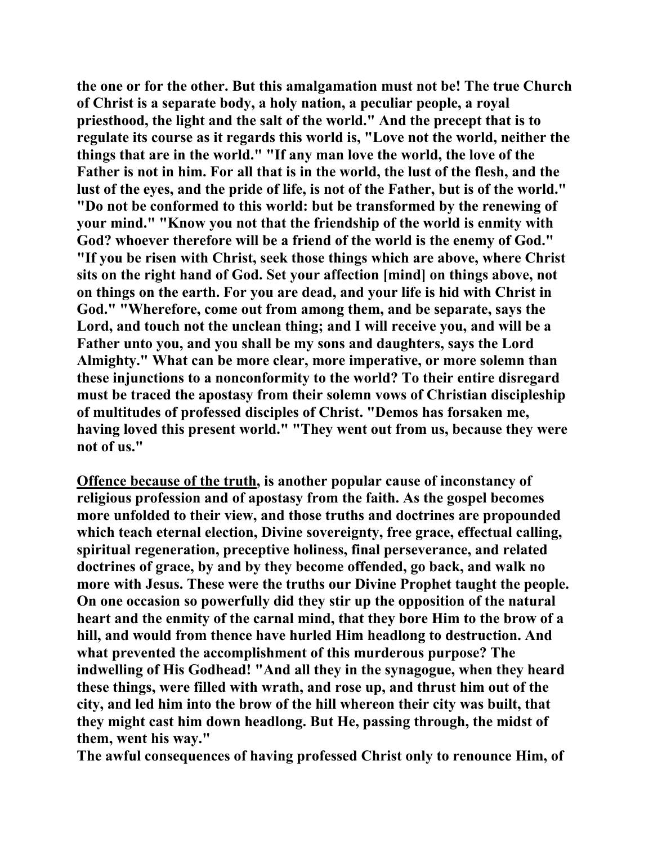**the one or for the other. But this amalgamation must not be! The true Church of Christ is a separate body, a holy nation, a peculiar people, a royal priesthood, the light and the salt of the world." And the precept that is to regulate its course as it regards this world is, "Love not the world, neither the things that are in the world." "If any man love the world, the love of the Father is not in him. For all that is in the world, the lust of the flesh, and the lust of the eyes, and the pride of life, is not of the Father, but is of the world." "Do not be conformed to this world: but be transformed by the renewing of your mind." "Know you not that the friendship of the world is enmity with God? whoever therefore will be a friend of the world is the enemy of God." "If you be risen with Christ, seek those things which are above, where Christ sits on the right hand of God. Set your affection [mind] on things above, not on things on the earth. For you are dead, and your life is hid with Christ in God." "Wherefore, come out from among them, and be separate, says the Lord, and touch not the unclean thing; and I will receive you, and will be a Father unto you, and you shall be my sons and daughters, says the Lord Almighty." What can be more clear, more imperative, or more solemn than these injunctions to a nonconformity to the world? To their entire disregard must be traced the apostasy from their solemn vows of Christian discipleship of multitudes of professed disciples of Christ. "Demos has forsaken me, having loved this present world." "They went out from us, because they were not of us."** 

**Offence because of the truth, is another popular cause of inconstancy of religious profession and of apostasy from the faith. As the gospel becomes more unfolded to their view, and those truths and doctrines are propounded which teach eternal election, Divine sovereignty, free grace, effectual calling, spiritual regeneration, preceptive holiness, final perseverance, and related doctrines of grace, by and by they become offended, go back, and walk no more with Jesus. These were the truths our Divine Prophet taught the people. On one occasion so powerfully did they stir up the opposition of the natural heart and the enmity of the carnal mind, that they bore Him to the brow of a hill, and would from thence have hurled Him headlong to destruction. And what prevented the accomplishment of this murderous purpose? The indwelling of His Godhead! "And all they in the synagogue, when they heard these things, were filled with wrath, and rose up, and thrust him out of the city, and led him into the brow of the hill whereon their city was built, that they might cast him down headlong. But He, passing through, the midst of them, went his way."** 

**The awful consequences of having professed Christ only to renounce Him, of**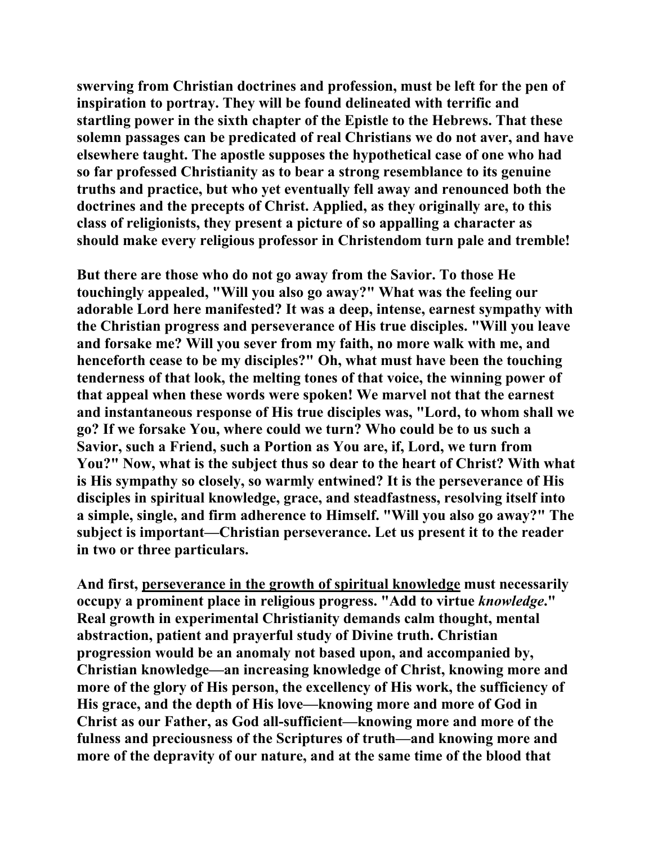**swerving from Christian doctrines and profession, must be left for the pen of inspiration to portray. They will be found delineated with terrific and startling power in the sixth chapter of the Epistle to the Hebrews. That these solemn passages can be predicated of real Christians we do not aver, and have elsewhere taught. The apostle supposes the hypothetical case of one who had so far professed Christianity as to bear a strong resemblance to its genuine truths and practice, but who yet eventually fell away and renounced both the doctrines and the precepts of Christ. Applied, as they originally are, to this class of religionists, they present a picture of so appalling a character as should make every religious professor in Christendom turn pale and tremble!** 

**But there are those who do not go away from the Savior. To those He touchingly appealed, "Will you also go away?" What was the feeling our adorable Lord here manifested? It was a deep, intense, earnest sympathy with the Christian progress and perseverance of His true disciples. "Will you leave and forsake me? Will you sever from my faith, no more walk with me, and henceforth cease to be my disciples?" Oh, what must have been the touching tenderness of that look, the melting tones of that voice, the winning power of that appeal when these words were spoken! We marvel not that the earnest and instantaneous response of His true disciples was, "Lord, to whom shall we go? If we forsake You, where could we turn? Who could be to us such a Savior, such a Friend, such a Portion as You are, if, Lord, we turn from You?" Now, what is the subject thus so dear to the heart of Christ? With what is His sympathy so closely, so warmly entwined? It is the perseverance of His disciples in spiritual knowledge, grace, and steadfastness, resolving itself into a simple, single, and firm adherence to Himself. "Will you also go away?" The subject is important—Christian perseverance. Let us present it to the reader in two or three particulars.** 

**And first, perseverance in the growth of spiritual knowledge must necessarily occupy a prominent place in religious progress. "Add to virtue** *knowledge***." Real growth in experimental Christianity demands calm thought, mental abstraction, patient and prayerful study of Divine truth. Christian progression would be an anomaly not based upon, and accompanied by, Christian knowledge—an increasing knowledge of Christ, knowing more and more of the glory of His person, the excellency of His work, the sufficiency of His grace, and the depth of His love—knowing more and more of God in Christ as our Father, as God all-sufficient—knowing more and more of the fulness and preciousness of the Scriptures of truth—and knowing more and more of the depravity of our nature, and at the same time of the blood that**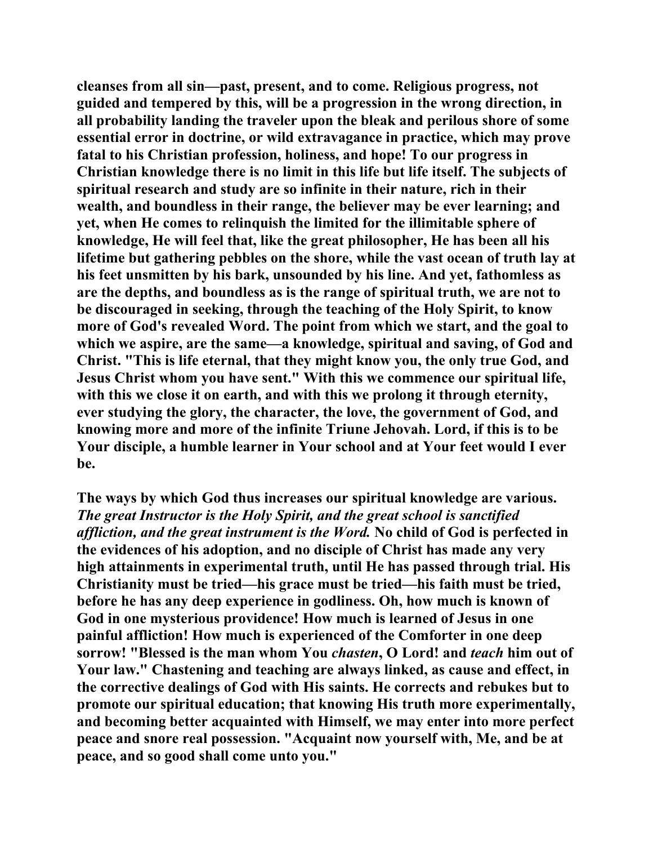**cleanses from all sin—past, present, and to come. Religious progress, not guided and tempered by this, will be a progression in the wrong direction, in all probability landing the traveler upon the bleak and perilous shore of some essential error in doctrine, or wild extravagance in practice, which may prove fatal to his Christian profession, holiness, and hope! To our progress in Christian knowledge there is no limit in this life but life itself. The subjects of spiritual research and study are so infinite in their nature, rich in their wealth, and boundless in their range, the believer may be ever learning; and yet, when He comes to relinquish the limited for the illimitable sphere of knowledge, He will feel that, like the great philosopher, He has been all his lifetime but gathering pebbles on the shore, while the vast ocean of truth lay at his feet unsmitten by his bark, unsounded by his line. And yet, fathomless as are the depths, and boundless as is the range of spiritual truth, we are not to be discouraged in seeking, through the teaching of the Holy Spirit, to know more of God's revealed Word. The point from which we start, and the goal to which we aspire, are the same—a knowledge, spiritual and saving, of God and Christ. "This is life eternal, that they might know you, the only true God, and Jesus Christ whom you have sent." With this we commence our spiritual life, with this we close it on earth, and with this we prolong it through eternity, ever studying the glory, the character, the love, the government of God, and knowing more and more of the infinite Triune Jehovah. Lord, if this is to be Your disciple, a humble learner in Your school and at Your feet would I ever be.** 

**The ways by which God thus increases our spiritual knowledge are various.**  *The great Instructor is the Holy Spirit, and the great school is sanctified affliction, and the great instrument is the Word.* **No child of God is perfected in the evidences of his adoption, and no disciple of Christ has made any very high attainments in experimental truth, until He has passed through trial. His Christianity must be tried—his grace must be tried—his faith must be tried, before he has any deep experience in godliness. Oh, how much is known of God in one mysterious providence! How much is learned of Jesus in one painful affliction! How much is experienced of the Comforter in one deep sorrow! "Blessed is the man whom You** *chasten***, O Lord! and** *teach* **him out of Your law." Chastening and teaching are always linked, as cause and effect, in the corrective dealings of God with His saints. He corrects and rebukes but to promote our spiritual education; that knowing His truth more experimentally, and becoming better acquainted with Himself, we may enter into more perfect peace and snore real possession. "Acquaint now yourself with, Me, and be at peace, and so good shall come unto you."**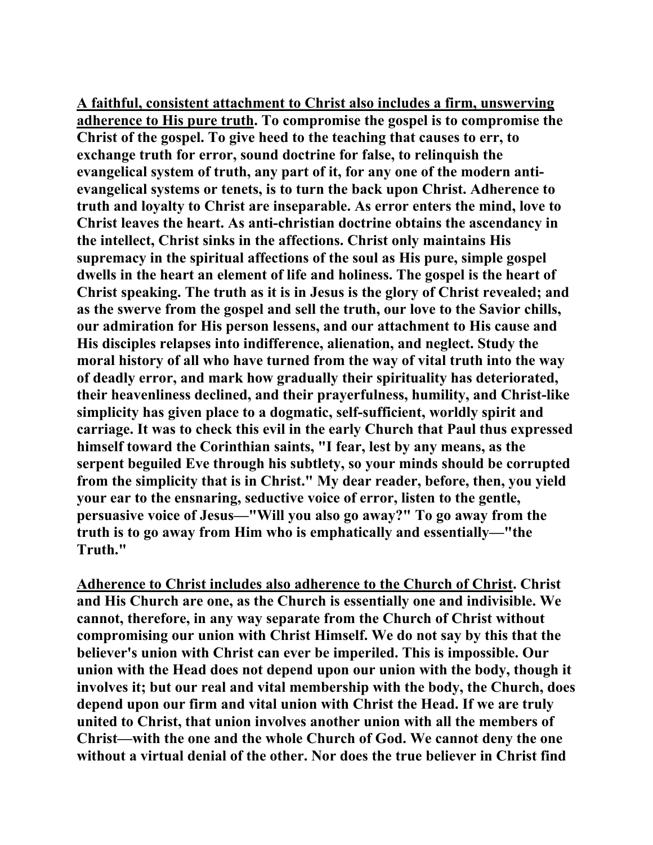**A faithful, consistent attachment to Christ also includes a firm, unswerving adherence to His pure truth. To compromise the gospel is to compromise the Christ of the gospel. To give heed to the teaching that causes to err, to exchange truth for error, sound doctrine for false, to relinquish the evangelical system of truth, any part of it, for any one of the modern antievangelical systems or tenets, is to turn the back upon Christ. Adherence to truth and loyalty to Christ are inseparable. As error enters the mind, love to Christ leaves the heart. As anti-christian doctrine obtains the ascendancy in the intellect, Christ sinks in the affections. Christ only maintains His supremacy in the spiritual affections of the soul as His pure, simple gospel dwells in the heart an element of life and holiness. The gospel is the heart of Christ speaking. The truth as it is in Jesus is the glory of Christ revealed; and as the swerve from the gospel and sell the truth, our love to the Savior chills, our admiration for His person lessens, and our attachment to His cause and His disciples relapses into indifference, alienation, and neglect. Study the moral history of all who have turned from the way of vital truth into the way of deadly error, and mark how gradually their spirituality has deteriorated, their heavenliness declined, and their prayerfulness, humility, and Christ-like simplicity has given place to a dogmatic, self-sufficient, worldly spirit and carriage. It was to check this evil in the early Church that Paul thus expressed himself toward the Corinthian saints, "I fear, lest by any means, as the serpent beguiled Eve through his subtlety, so your minds should be corrupted from the simplicity that is in Christ." My dear reader, before, then, you yield your ear to the ensnaring, seductive voice of error, listen to the gentle, persuasive voice of Jesus—"Will you also go away?" To go away from the truth is to go away from Him who is emphatically and essentially—"the Truth."** 

**Adherence to Christ includes also adherence to the Church of Christ. Christ and His Church are one, as the Church is essentially one and indivisible. We cannot, therefore, in any way separate from the Church of Christ without compromising our union with Christ Himself. We do not say by this that the believer's union with Christ can ever be imperiled. This is impossible. Our union with the Head does not depend upon our union with the body, though it involves it; but our real and vital membership with the body, the Church, does depend upon our firm and vital union with Christ the Head. If we are truly united to Christ, that union involves another union with all the members of Christ—with the one and the whole Church of God. We cannot deny the one without a virtual denial of the other. Nor does the true believer in Christ find**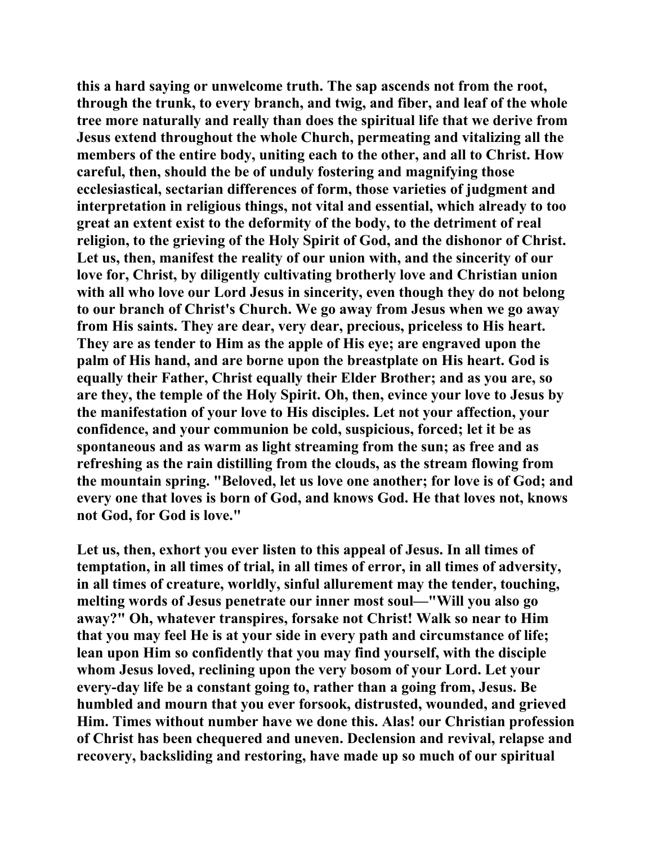**this a hard saying or unwelcome truth. The sap ascends not from the root, through the trunk, to every branch, and twig, and fiber, and leaf of the whole tree more naturally and really than does the spiritual life that we derive from Jesus extend throughout the whole Church, permeating and vitalizing all the members of the entire body, uniting each to the other, and all to Christ. How careful, then, should the be of unduly fostering and magnifying those ecclesiastical, sectarian differences of form, those varieties of judgment and interpretation in religious things, not vital and essential, which already to too great an extent exist to the deformity of the body, to the detriment of real religion, to the grieving of the Holy Spirit of God, and the dishonor of Christ. Let us, then, manifest the reality of our union with, and the sincerity of our love for, Christ, by diligently cultivating brotherly love and Christian union with all who love our Lord Jesus in sincerity, even though they do not belong to our branch of Christ's Church. We go away from Jesus when we go away from His saints. They are dear, very dear, precious, priceless to His heart. They are as tender to Him as the apple of His eye; are engraved upon the palm of His hand, and are borne upon the breastplate on His heart. God is equally their Father, Christ equally their Elder Brother; and as you are, so are they, the temple of the Holy Spirit. Oh, then, evince your love to Jesus by the manifestation of your love to His disciples. Let not your affection, your confidence, and your communion be cold, suspicious, forced; let it be as spontaneous and as warm as light streaming from the sun; as free and as refreshing as the rain distilling from the clouds, as the stream flowing from the mountain spring. "Beloved, let us love one another; for love is of God; and every one that loves is born of God, and knows God. He that loves not, knows not God, for God is love."** 

**Let us, then, exhort you ever listen to this appeal of Jesus. In all times of temptation, in all times of trial, in all times of error, in all times of adversity, in all times of creature, worldly, sinful allurement may the tender, touching, melting words of Jesus penetrate our inner most soul—"Will you also go away?" Oh, whatever transpires, forsake not Christ! Walk so near to Him that you may feel He is at your side in every path and circumstance of life; lean upon Him so confidently that you may find yourself, with the disciple whom Jesus loved, reclining upon the very bosom of your Lord. Let your every-day life be a constant going to, rather than a going from, Jesus. Be humbled and mourn that you ever forsook, distrusted, wounded, and grieved Him. Times without number have we done this. Alas! our Christian profession of Christ has been chequered and uneven. Declension and revival, relapse and recovery, backsliding and restoring, have made up so much of our spiritual**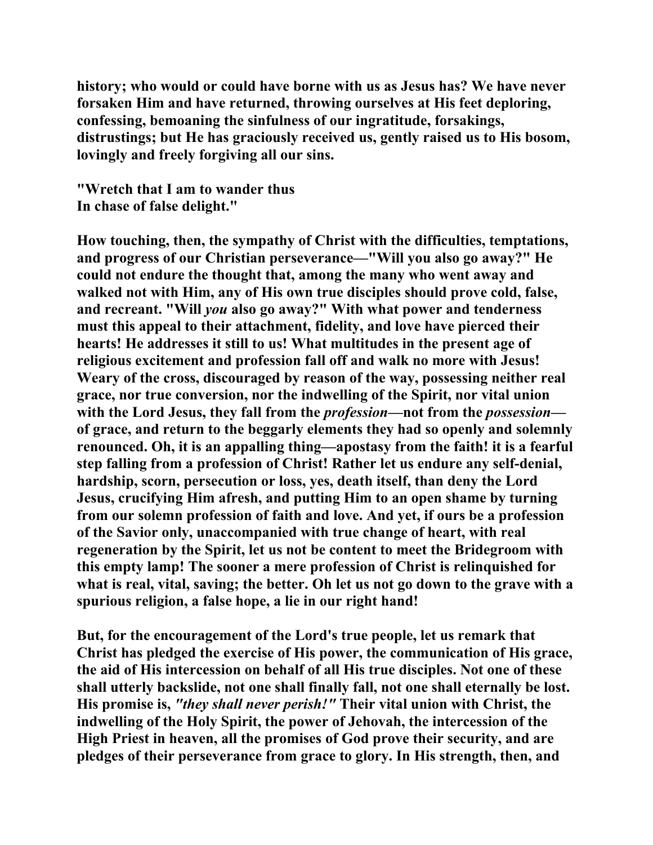**history; who would or could have borne with us as Jesus has? We have never forsaken Him and have returned, throwing ourselves at His feet deploring, confessing, bemoaning the sinfulness of our ingratitude, forsakings, distrustings; but He has graciously received us, gently raised us to His bosom, lovingly and freely forgiving all our sins.** 

**"Wretch that I am to wander thus In chase of false delight."** 

**How touching, then, the sympathy of Christ with the difficulties, temptations, and progress of our Christian perseverance—"Will you also go away?" He could not endure the thought that, among the many who went away and walked not with Him, any of His own true disciples should prove cold, false, and recreant. "Will** *you* **also go away?" With what power and tenderness must this appeal to their attachment, fidelity, and love have pierced their hearts! He addresses it still to us! What multitudes in the present age of religious excitement and profession fall off and walk no more with Jesus! Weary of the cross, discouraged by reason of the way, possessing neither real grace, nor true conversion, nor the indwelling of the Spirit, nor vital union with the Lord Jesus, they fall from the** *profession***—not from the** *possession* **of grace, and return to the beggarly elements they had so openly and solemnly renounced. Oh, it is an appalling thing—apostasy from the faith! it is a fearful step falling from a profession of Christ! Rather let us endure any self-denial, hardship, scorn, persecution or loss, yes, death itself, than deny the Lord Jesus, crucifying Him afresh, and putting Him to an open shame by turning from our solemn profession of faith and love. And yet, if ours be a profession of the Savior only, unaccompanied with true change of heart, with real regeneration by the Spirit, let us not be content to meet the Bridegroom with this empty lamp! The sooner a mere profession of Christ is relinquished for what is real, vital, saving; the better. Oh let us not go down to the grave with a spurious religion, a false hope, a lie in our right hand!** 

**But, for the encouragement of the Lord's true people, let us remark that Christ has pledged the exercise of His power, the communication of His grace, the aid of His intercession on behalf of all His true disciples. Not one of these shall utterly backslide, not one shall finally fall, not one shall eternally be lost. His promise is,** *"they shall never perish!"* **Their vital union with Christ, the indwelling of the Holy Spirit, the power of Jehovah, the intercession of the High Priest in heaven, all the promises of God prove their security, and are pledges of their perseverance from grace to glory. In His strength, then, and**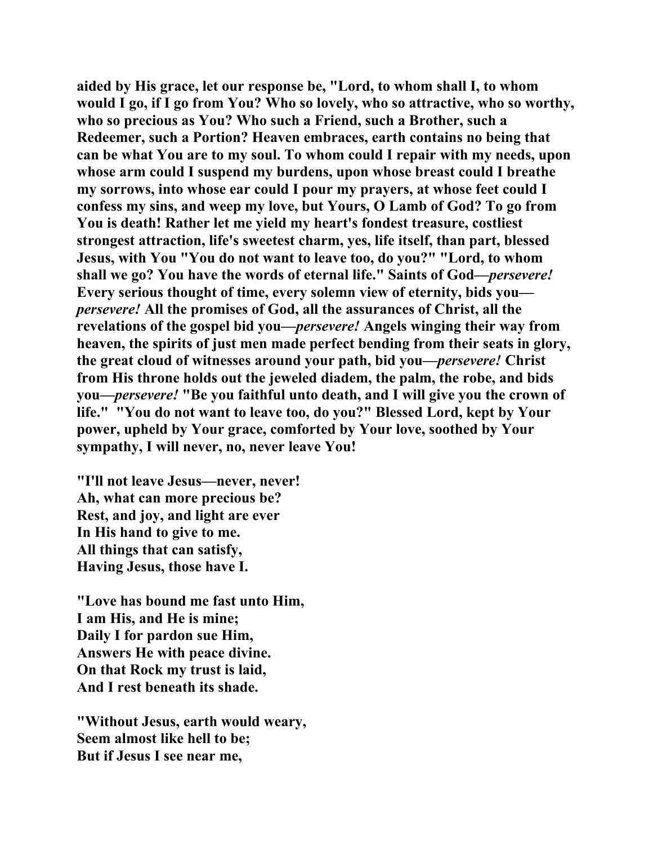**aided by His grace, let our response be, "Lord, to whom shall I, to whom would I go, if I go from You? Who so lovely, who so attractive, who so worthy, who so precious as You? Who such a Friend, such a Brother, such a Redeemer, such a Portion? Heaven embraces, earth contains no being that can be what You are to my soul. To whom could I repair with my needs, upon whose arm could I suspend my burdens, upon whose breast could I breathe my sorrows, into whose ear could I pour my prayers, at whose feet could I confess my sins, and weep my love, but Yours, O Lamb of God? To go from You is death! Rather let me yield my heart's fondest treasure, costliest strongest attraction, life's sweetest charm, yes, life itself, than part, blessed Jesus, with You "You do not want to leave too, do you?" "Lord, to whom shall we go? You have the words of eternal life." Saints of God—***persevere!*  **Every serious thought of time, every solemn view of eternity, bids you** *persevere!* **All the promises of God, all the assurances of Christ, all the revelations of the gospel bid you—***persevere!* **Angels winging their way from heaven, the spirits of just men made perfect bending from their seats in glory, the great cloud of witnesses around your path, bid you—***persevere!* **Christ from His throne holds out the jeweled diadem, the palm, the robe, and bids you—***persevere!* **"Be you faithful unto death, and I will give you the crown of life." "You do not want to leave too, do you?" Blessed Lord, kept by Your power, upheld by Your grace, comforted by Your love, soothed by Your sympathy, I will never, no, never leave You!** 

**"I'll not leave Jesus—never, never! Ah, what can more precious be? Rest, and joy, and light are ever In His hand to give to me. All things that can satisfy, Having Jesus, those have I.** 

**"Love has bound me fast unto Him, I am His, and He is mine; Daily I for pardon sue Him, Answers He with peace divine. On that Rock my trust is laid, And I rest beneath its shade.** 

**"Without Jesus, earth would weary, Seem almost like hell to be; But if Jesus I see near me,**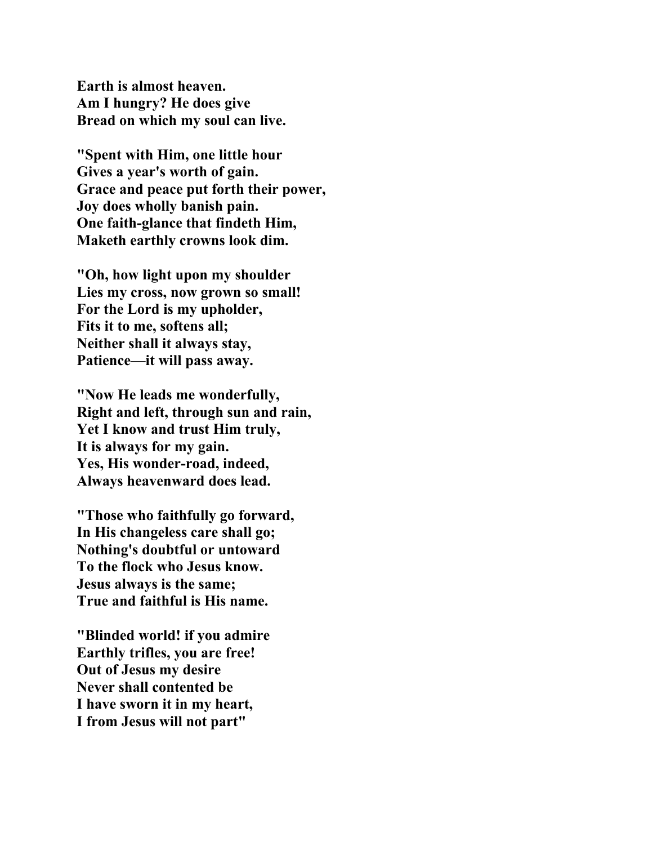**Earth is almost heaven. Am I hungry? He does give Bread on which my soul can live.** 

**"Spent with Him, one little hour Gives a year's worth of gain. Grace and peace put forth their power, Joy does wholly banish pain. One faith-glance that findeth Him, Maketh earthly crowns look dim.** 

**"Oh, how light upon my shoulder Lies my cross, now grown so small! For the Lord is my upholder, Fits it to me, softens all; Neither shall it always stay, Patience—it will pass away.** 

**"Now He leads me wonderfully, Right and left, through sun and rain, Yet I know and trust Him truly, It is always for my gain. Yes, His wonder-road, indeed, Always heavenward does lead.** 

**"Those who faithfully go forward, In His changeless care shall go; Nothing's doubtful or untoward To the flock who Jesus know. Jesus always is the same; True and faithful is His name.** 

**"Blinded world! if you admire Earthly trifles, you are free! Out of Jesus my desire Never shall contented be I have sworn it in my heart, I from Jesus will not part"**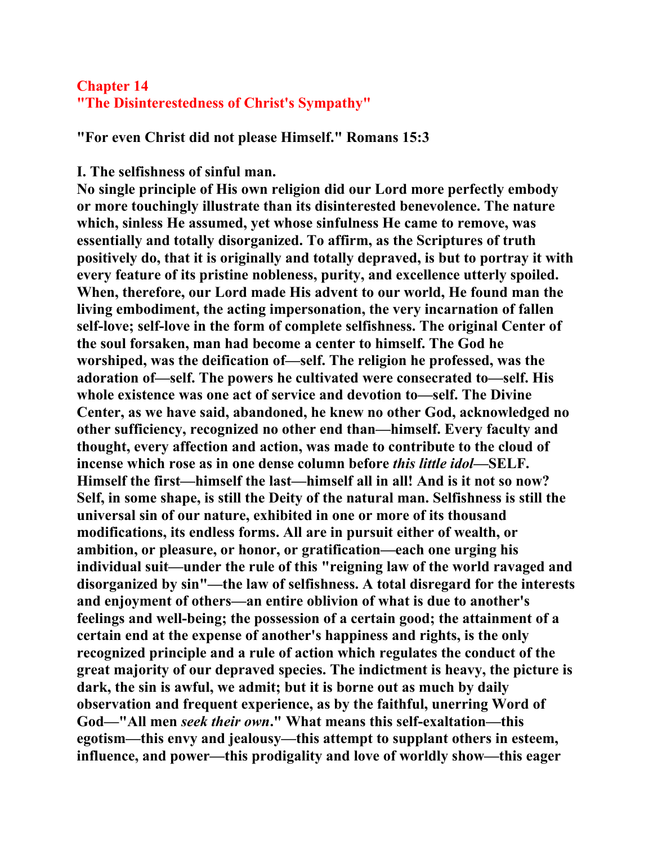## **Chapter 14 "The Disinterestedness of Christ's Sympathy"**

**"For even Christ did not please Himself." Romans 15:3** 

## **I. The selfishness of sinful man.**

**No single principle of His own religion did our Lord more perfectly embody or more touchingly illustrate than its disinterested benevolence. The nature which, sinless He assumed, yet whose sinfulness He came to remove, was essentially and totally disorganized. To affirm, as the Scriptures of truth positively do, that it is originally and totally depraved, is but to portray it with every feature of its pristine nobleness, purity, and excellence utterly spoiled. When, therefore, our Lord made His advent to our world, He found man the living embodiment, the acting impersonation, the very incarnation of fallen self-love; self-love in the form of complete selfishness. The original Center of the soul forsaken, man had become a center to himself. The God he worshiped, was the deification of—self. The religion he professed, was the adoration of—self. The powers he cultivated were consecrated to—self. His whole existence was one act of service and devotion to—self. The Divine Center, as we have said, abandoned, he knew no other God, acknowledged no other sufficiency, recognized no other end than—himself. Every faculty and thought, every affection and action, was made to contribute to the cloud of incense which rose as in one dense column before** *this little idol***—SELF. Himself the first—himself the last—himself all in all! And is it not so now? Self, in some shape, is still the Deity of the natural man. Selfishness is still the universal sin of our nature, exhibited in one or more of its thousand modifications, its endless forms. All are in pursuit either of wealth, or ambition, or pleasure, or honor, or gratification—each one urging his individual suit—under the rule of this "reigning law of the world ravaged and disorganized by sin"—the law of selfishness. A total disregard for the interests and enjoyment of others—an entire oblivion of what is due to another's feelings and well-being; the possession of a certain good; the attainment of a certain end at the expense of another's happiness and rights, is the only recognized principle and a rule of action which regulates the conduct of the great majority of our depraved species. The indictment is heavy, the picture is dark, the sin is awful, we admit; but it is borne out as much by daily observation and frequent experience, as by the faithful, unerring Word of God—"All men** *seek their own***." What means this self-exaltation—this egotism—this envy and jealousy—this attempt to supplant others in esteem, influence, and power—this prodigality and love of worldly show—this eager**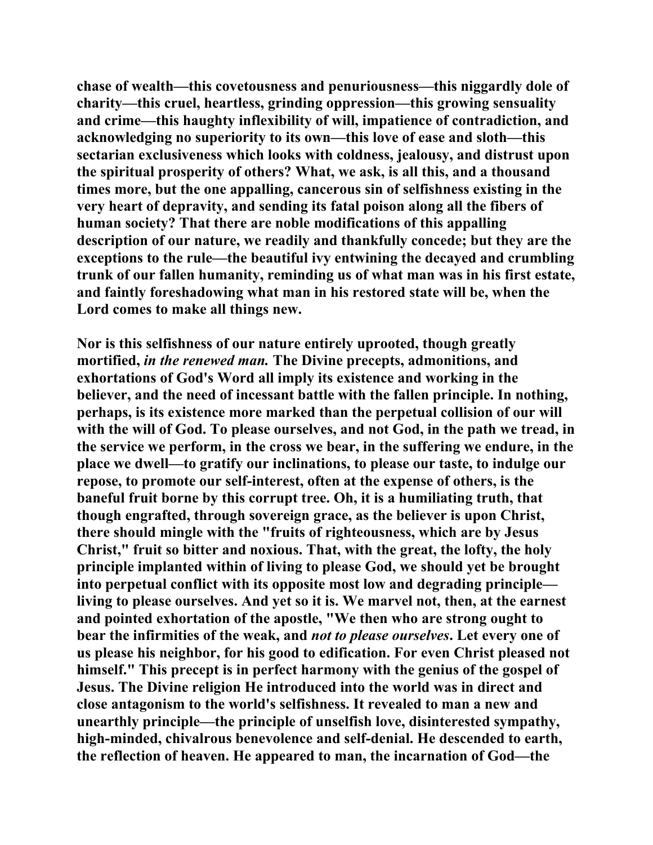**chase of wealth—this covetousness and penuriousness—this niggardly dole of charity—this cruel, heartless, grinding oppression—this growing sensuality and crime—this haughty inflexibility of will, impatience of contradiction, and acknowledging no superiority to its own—this love of ease and sloth—this sectarian exclusiveness which looks with coldness, jealousy, and distrust upon the spiritual prosperity of others? What, we ask, is all this, and a thousand times more, but the one appalling, cancerous sin of selfishness existing in the very heart of depravity, and sending its fatal poison along all the fibers of human society? That there are noble modifications of this appalling description of our nature, we readily and thankfully concede; but they are the exceptions to the rule—the beautiful ivy entwining the decayed and crumbling trunk of our fallen humanity, reminding us of what man was in his first estate, and faintly foreshadowing what man in his restored state will be, when the Lord comes to make all things new.** 

**Nor is this selfishness of our nature entirely uprooted, though greatly mortified,** *in the renewed man.* **The Divine precepts, admonitions, and exhortations of God's Word all imply its existence and working in the believer, and the need of incessant battle with the fallen principle. In nothing, perhaps, is its existence more marked than the perpetual collision of our will with the will of God. To please ourselves, and not God, in the path we tread, in the service we perform, in the cross we bear, in the suffering we endure, in the place we dwell—to gratify our inclinations, to please our taste, to indulge our repose, to promote our self-interest, often at the expense of others, is the baneful fruit borne by this corrupt tree. Oh, it is a humiliating truth, that though engrafted, through sovereign grace, as the believer is upon Christ, there should mingle with the "fruits of righteousness, which are by Jesus Christ," fruit so bitter and noxious. That, with the great, the lofty, the holy principle implanted within of living to please God, we should yet be brought into perpetual conflict with its opposite most low and degrading principle living to please ourselves. And yet so it is. We marvel not, then, at the earnest and pointed exhortation of the apostle, "We then who are strong ought to bear the infirmities of the weak, and** *not to please ourselves***. Let every one of us please his neighbor, for his good to edification. For even Christ pleased not himself." This precept is in perfect harmony with the genius of the gospel of Jesus. The Divine religion He introduced into the world was in direct and close antagonism to the world's selfishness. It revealed to man a new and unearthly principle—the principle of unselfish love, disinterested sympathy, high-minded, chivalrous benevolence and self-denial. He descended to earth, the reflection of heaven. He appeared to man, the incarnation of God—the**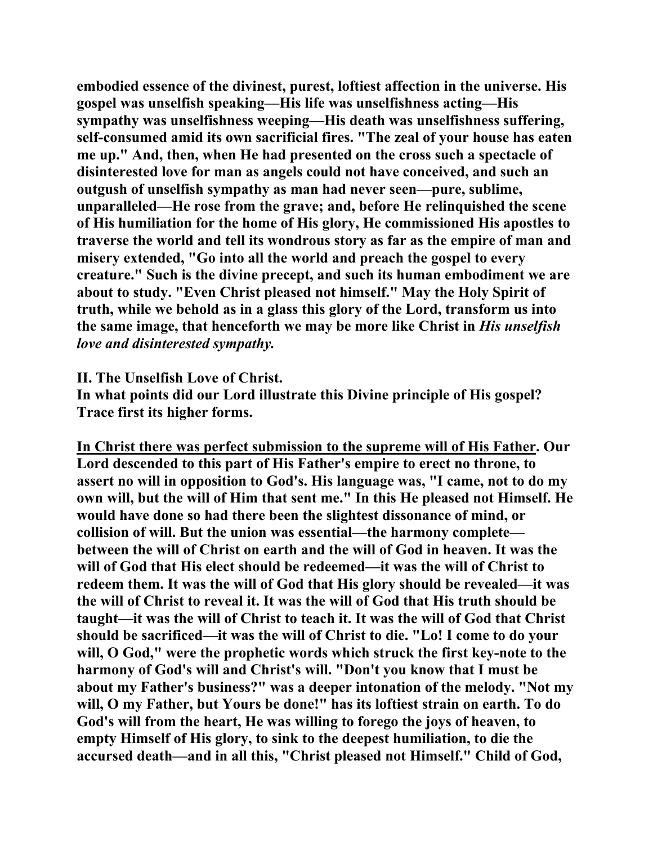**embodied essence of the divinest, purest, loftiest affection in the universe. His gospel was unselfish speaking—His life was unselfishness acting—His sympathy was unselfishness weeping—His death was unselfishness suffering, self-consumed amid its own sacrificial fires. "The zeal of your house has eaten me up." And, then, when He had presented on the cross such a spectacle of disinterested love for man as angels could not have conceived, and such an outgush of unselfish sympathy as man had never seen—pure, sublime, unparalleled—He rose from the grave; and, before He relinquished the scene of His humiliation for the home of His glory, He commissioned His apostles to traverse the world and tell its wondrous story as far as the empire of man and misery extended, "Go into all the world and preach the gospel to every creature." Such is the divine precept, and such its human embodiment we are about to study. "Even Christ pleased not himself." May the Holy Spirit of truth, while we behold as in a glass this glory of the Lord, transform us into the same image, that henceforth we may be more like Christ in** *His unselfish love and disinterested sympathy.*

**II. The Unselfish Love of Christ.** 

**In what points did our Lord illustrate this Divine principle of His gospel? Trace first its higher forms.** 

**In Christ there was perfect submission to the supreme will of His Father. Our Lord descended to this part of His Father's empire to erect no throne, to assert no will in opposition to God's. His language was, "I came, not to do my own will, but the will of Him that sent me." In this He pleased not Himself. He would have done so had there been the slightest dissonance of mind, or collision of will. But the union was essential—the harmony complete between the will of Christ on earth and the will of God in heaven. It was the will of God that His elect should be redeemed—it was the will of Christ to redeem them. It was the will of God that His glory should be revealed—it was the will of Christ to reveal it. It was the will of God that His truth should be taught—it was the will of Christ to teach it. It was the will of God that Christ should be sacrificed—it was the will of Christ to die. "Lo! I come to do your will, O God," were the prophetic words which struck the first key-note to the harmony of God's will and Christ's will. "Don't you know that I must be about my Father's business?" was a deeper intonation of the melody. "Not my will, O my Father, but Yours be done!" has its loftiest strain on earth. To do God's will from the heart, He was willing to forego the joys of heaven, to empty Himself of His glory, to sink to the deepest humiliation, to die the accursed death—and in all this, "Christ pleased not Himself." Child of God,**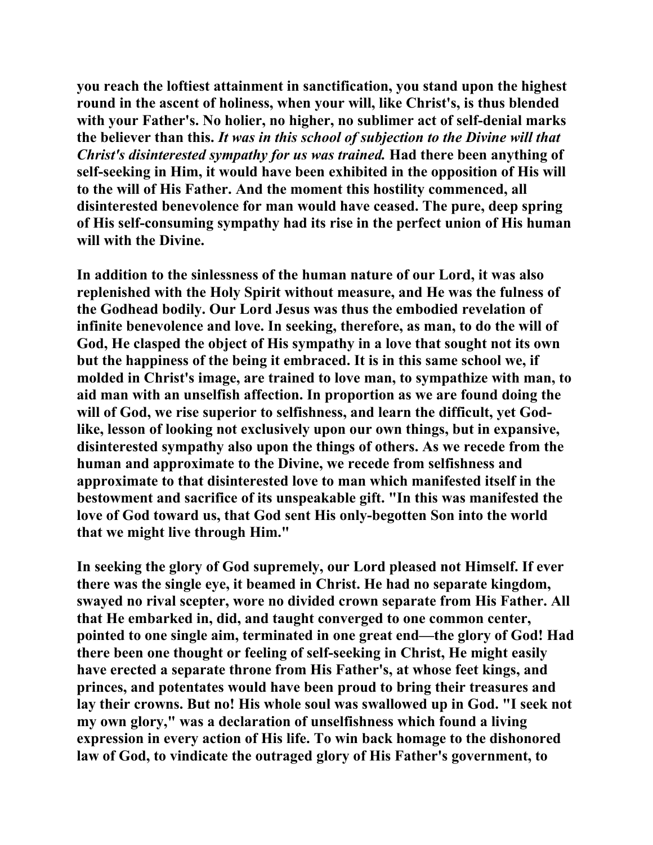**you reach the loftiest attainment in sanctification, you stand upon the highest round in the ascent of holiness, when your will, like Christ's, is thus blended with your Father's. No holier, no higher, no sublimer act of self-denial marks the believer than this.** *It was in this school of subjection to the Divine will that Christ's disinterested sympathy for us was trained.* **Had there been anything of self-seeking in Him, it would have been exhibited in the opposition of His will to the will of His Father. And the moment this hostility commenced, all disinterested benevolence for man would have ceased. The pure, deep spring of His self-consuming sympathy had its rise in the perfect union of His human will with the Divine.** 

**In addition to the sinlessness of the human nature of our Lord, it was also replenished with the Holy Spirit without measure, and He was the fulness of the Godhead bodily. Our Lord Jesus was thus the embodied revelation of infinite benevolence and love. In seeking, therefore, as man, to do the will of God, He clasped the object of His sympathy in a love that sought not its own but the happiness of the being it embraced. It is in this same school we, if molded in Christ's image, are trained to love man, to sympathize with man, to aid man with an unselfish affection. In proportion as we are found doing the will of God, we rise superior to selfishness, and learn the difficult, yet Godlike, lesson of looking not exclusively upon our own things, but in expansive, disinterested sympathy also upon the things of others. As we recede from the human and approximate to the Divine, we recede from selfishness and approximate to that disinterested love to man which manifested itself in the bestowment and sacrifice of its unspeakable gift. "In this was manifested the love of God toward us, that God sent His only-begotten Son into the world that we might live through Him."** 

**In seeking the glory of God supremely, our Lord pleased not Himself. If ever there was the single eye, it beamed in Christ. He had no separate kingdom, swayed no rival scepter, wore no divided crown separate from His Father. All that He embarked in, did, and taught converged to one common center, pointed to one single aim, terminated in one great end—the glory of God! Had there been one thought or feeling of self-seeking in Christ, He might easily have erected a separate throne from His Father's, at whose feet kings, and princes, and potentates would have been proud to bring their treasures and lay their crowns. But no! His whole soul was swallowed up in God. "I seek not my own glory," was a declaration of unselfishness which found a living expression in every action of His life. To win back homage to the dishonored law of God, to vindicate the outraged glory of His Father's government, to**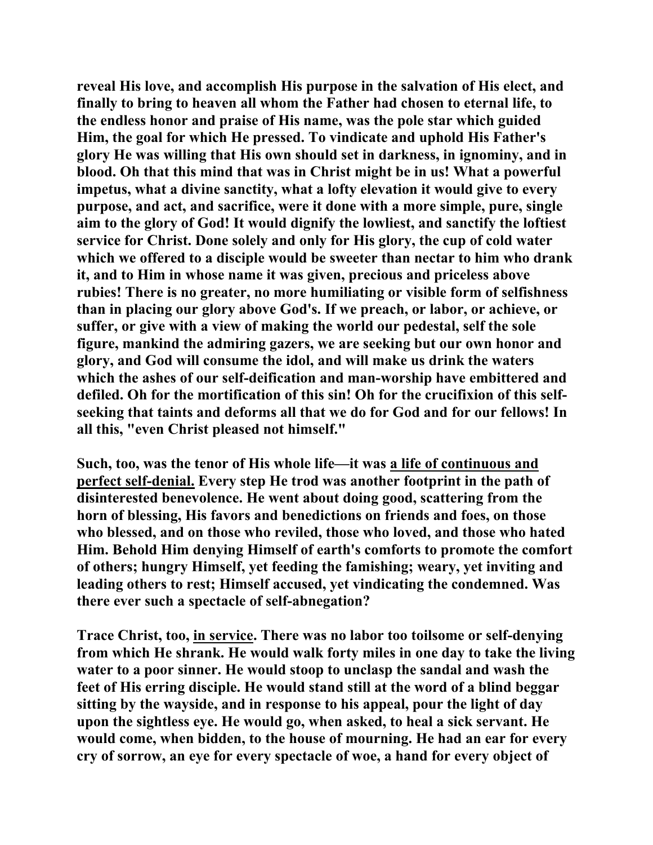**reveal His love, and accomplish His purpose in the salvation of His elect, and finally to bring to heaven all whom the Father had chosen to eternal life, to the endless honor and praise of His name, was the pole star which guided Him, the goal for which He pressed. To vindicate and uphold His Father's glory He was willing that His own should set in darkness, in ignominy, and in blood. Oh that this mind that was in Christ might be in us! What a powerful impetus, what a divine sanctity, what a lofty elevation it would give to every purpose, and act, and sacrifice, were it done with a more simple, pure, single aim to the glory of God! It would dignify the lowliest, and sanctify the loftiest service for Christ. Done solely and only for His glory, the cup of cold water which we offered to a disciple would be sweeter than nectar to him who drank it, and to Him in whose name it was given, precious and priceless above rubies! There is no greater, no more humiliating or visible form of selfishness than in placing our glory above God's. If we preach, or labor, or achieve, or suffer, or give with a view of making the world our pedestal, self the sole figure, mankind the admiring gazers, we are seeking but our own honor and glory, and God will consume the idol, and will make us drink the waters which the ashes of our self-deification and man-worship have embittered and defiled. Oh for the mortification of this sin! Oh for the crucifixion of this selfseeking that taints and deforms all that we do for God and for our fellows! In all this, "even Christ pleased not himself."** 

**Such, too, was the tenor of His whole life—it was a life of continuous and perfect self-denial. Every step He trod was another footprint in the path of disinterested benevolence. He went about doing good, scattering from the horn of blessing, His favors and benedictions on friends and foes, on those who blessed, and on those who reviled, those who loved, and those who hated Him. Behold Him denying Himself of earth's comforts to promote the comfort of others; hungry Himself, yet feeding the famishing; weary, yet inviting and leading others to rest; Himself accused, yet vindicating the condemned. Was there ever such a spectacle of self-abnegation?** 

**Trace Christ, too, in service. There was no labor too toilsome or self-denying from which He shrank. He would walk forty miles in one day to take the living water to a poor sinner. He would stoop to unclasp the sandal and wash the feet of His erring disciple. He would stand still at the word of a blind beggar sitting by the wayside, and in response to his appeal, pour the light of day upon the sightless eye. He would go, when asked, to heal a sick servant. He would come, when bidden, to the house of mourning. He had an ear for every cry of sorrow, an eye for every spectacle of woe, a hand for every object of**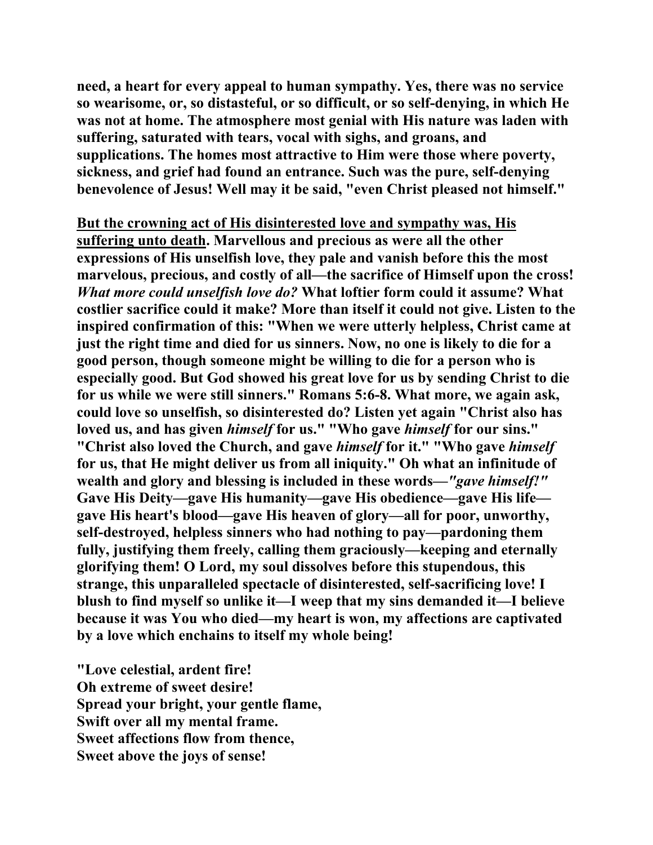**need, a heart for every appeal to human sympathy. Yes, there was no service so wearisome, or, so distasteful, or so difficult, or so self-denying, in which He was not at home. The atmosphere most genial with His nature was laden with suffering, saturated with tears, vocal with sighs, and groans, and supplications. The homes most attractive to Him were those where poverty, sickness, and grief had found an entrance. Such was the pure, self-denying benevolence of Jesus! Well may it be said, "even Christ pleased not himself."** 

**But the crowning act of His disinterested love and sympathy was, His suffering unto death. Marvellous and precious as were all the other expressions of His unselfish love, they pale and vanish before this the most marvelous, precious, and costly of all—the sacrifice of Himself upon the cross!**  *What more could unselfish love do?* **What loftier form could it assume? What costlier sacrifice could it make? More than itself it could not give. Listen to the inspired confirmation of this: "When we were utterly helpless, Christ came at just the right time and died for us sinners. Now, no one is likely to die for a good person, though someone might be willing to die for a person who is especially good. But God showed his great love for us by sending Christ to die for us while we were still sinners." Romans 5:6-8. What more, we again ask, could love so unselfish, so disinterested do? Listen yet again "Christ also has loved us, and has given** *himself* **for us." "Who gave** *himself* **for our sins." "Christ also loved the Church, and gave** *himself* **for it." "Who gave** *himself* **for us, that He might deliver us from all iniquity." Oh what an infinitude of wealth and glory and blessing is included in these words—***"gave himself!"* **Gave His Deity—gave His humanity—gave His obedience—gave His life gave His heart's blood—gave His heaven of glory—all for poor, unworthy, self-destroyed, helpless sinners who had nothing to pay—pardoning them fully, justifying them freely, calling them graciously—keeping and eternally glorifying them! O Lord, my soul dissolves before this stupendous, this strange, this unparalleled spectacle of disinterested, self-sacrificing love! I blush to find myself so unlike it—I weep that my sins demanded it—I believe because it was You who died—my heart is won, my affections are captivated by a love which enchains to itself my whole being!** 

**"Love celestial, ardent fire! Oh extreme of sweet desire! Spread your bright, your gentle flame, Swift over all my mental frame. Sweet affections flow from thence, Sweet above the joys of sense!**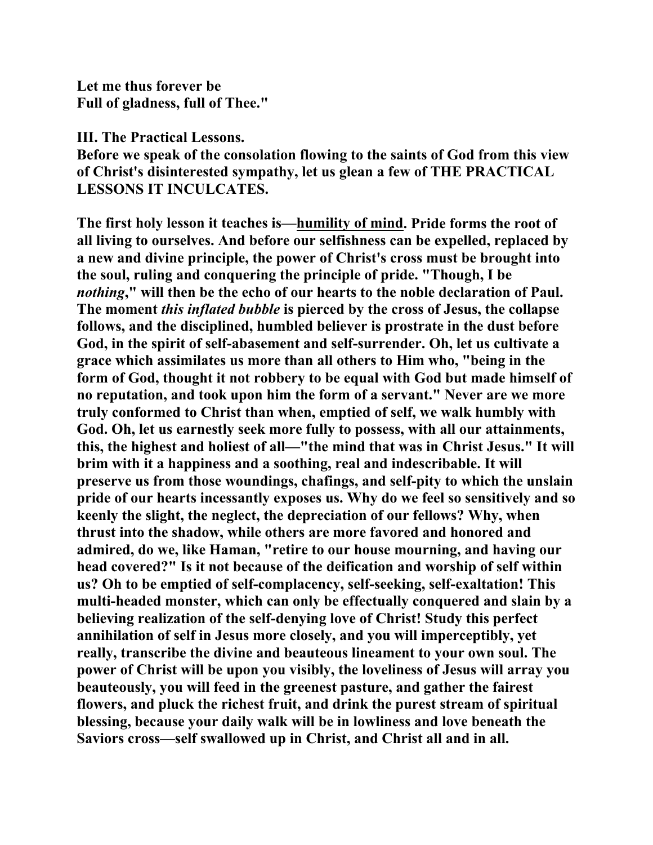**Let me thus forever be Full of gladness, full of Thee."** 

**III. The Practical Lessons.** 

**Before we speak of the consolation flowing to the saints of God from this view of Christ's disinterested sympathy, let us glean a few of THE PRACTICAL LESSONS IT INCULCATES.** 

**The first holy lesson it teaches is—humility of mind. Pride forms the root of all living to ourselves. And before our selfishness can be expelled, replaced by a new and divine principle, the power of Christ's cross must be brought into the soul, ruling and conquering the principle of pride. "Though, I be**  *nothing***," will then be the echo of our hearts to the noble declaration of Paul. The moment** *this inflated bubble* **is pierced by the cross of Jesus, the collapse follows, and the disciplined, humbled believer is prostrate in the dust before God, in the spirit of self-abasement and self-surrender. Oh, let us cultivate a grace which assimilates us more than all others to Him who, "being in the form of God, thought it not robbery to be equal with God but made himself of no reputation, and took upon him the form of a servant." Never are we more truly conformed to Christ than when, emptied of self, we walk humbly with God. Oh, let us earnestly seek more fully to possess, with all our attainments, this, the highest and holiest of all—"the mind that was in Christ Jesus." It will brim with it a happiness and a soothing, real and indescribable. It will preserve us from those woundings, chafings, and self-pity to which the unslain pride of our hearts incessantly exposes us. Why do we feel so sensitively and so keenly the slight, the neglect, the depreciation of our fellows? Why, when thrust into the shadow, while others are more favored and honored and admired, do we, like Haman, "retire to our house mourning, and having our head covered?" Is it not because of the deification and worship of self within us? Oh to be emptied of self-complacency, self-seeking, self-exaltation! This multi-headed monster, which can only be effectually conquered and slain by a believing realization of the self-denying love of Christ! Study this perfect annihilation of self in Jesus more closely, and you will imperceptibly, yet really, transcribe the divine and beauteous lineament to your own soul. The power of Christ will be upon you visibly, the loveliness of Jesus will array you beauteously, you will feed in the greenest pasture, and gather the fairest flowers, and pluck the richest fruit, and drink the purest stream of spiritual blessing, because your daily walk will be in lowliness and love beneath the Saviors cross—self swallowed up in Christ, and Christ all and in all.**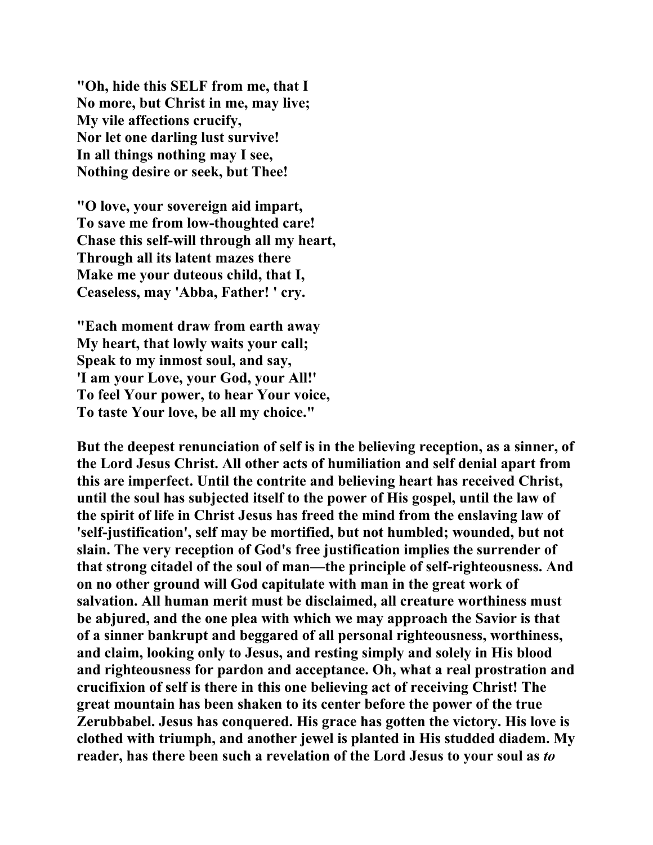**"Oh, hide this SELF from me, that I No more, but Christ in me, may live; My vile affections crucify, Nor let one darling lust survive! In all things nothing may I see, Nothing desire or seek, but Thee!** 

**"O love, your sovereign aid impart, To save me from low-thoughted care! Chase this self-will through all my heart, Through all its latent mazes there Make me your duteous child, that I, Ceaseless, may 'Abba, Father! ' cry.** 

**"Each moment draw from earth away My heart, that lowly waits your call; Speak to my inmost soul, and say, 'I am your Love, your God, your All!' To feel Your power, to hear Your voice, To taste Your love, be all my choice."** 

**But the deepest renunciation of self is in the believing reception, as a sinner, of the Lord Jesus Christ. All other acts of humiliation and self denial apart from this are imperfect. Until the contrite and believing heart has received Christ, until the soul has subjected itself to the power of His gospel, until the law of the spirit of life in Christ Jesus has freed the mind from the enslaving law of 'self-justification', self may be mortified, but not humbled; wounded, but not slain. The very reception of God's free justification implies the surrender of that strong citadel of the soul of man—the principle of self-righteousness. And on no other ground will God capitulate with man in the great work of salvation. All human merit must be disclaimed, all creature worthiness must be abjured, and the one plea with which we may approach the Savior is that of a sinner bankrupt and beggared of all personal righteousness, worthiness, and claim, looking only to Jesus, and resting simply and solely in His blood and righteousness for pardon and acceptance. Oh, what a real prostration and crucifixion of self is there in this one believing act of receiving Christ! The great mountain has been shaken to its center before the power of the true Zerubbabel. Jesus has conquered. His grace has gotten the victory. His love is clothed with triumph, and another jewel is planted in His studded diadem. My reader, has there been such a revelation of the Lord Jesus to your soul as** *to*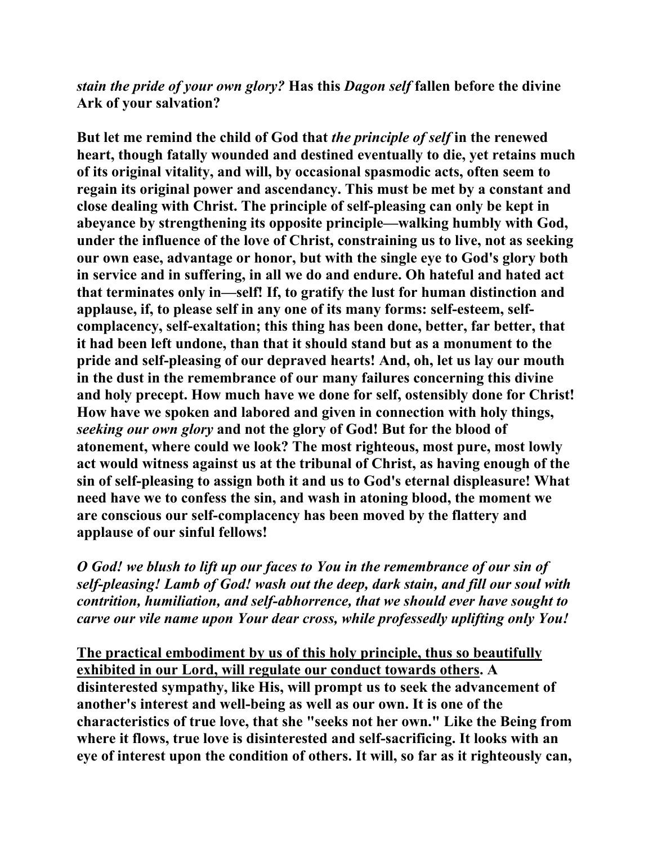*stain the pride of your own glory?* **Has this** *Dagon self* **fallen before the divine Ark of your salvation?** 

**But let me remind the child of God that** *the principle of self* **in the renewed heart, though fatally wounded and destined eventually to die, yet retains much of its original vitality, and will, by occasional spasmodic acts, often seem to regain its original power and ascendancy. This must be met by a constant and close dealing with Christ. The principle of self-pleasing can only be kept in abeyance by strengthening its opposite principle—walking humbly with God, under the influence of the love of Christ, constraining us to live, not as seeking our own ease, advantage or honor, but with the single eye to God's glory both in service and in suffering, in all we do and endure. Oh hateful and hated act that terminates only in—self! If, to gratify the lust for human distinction and applause, if, to please self in any one of its many forms: self-esteem, selfcomplacency, self-exaltation; this thing has been done, better, far better, that it had been left undone, than that it should stand but as a monument to the pride and self-pleasing of our depraved hearts! And, oh, let us lay our mouth in the dust in the remembrance of our many failures concerning this divine and holy precept. How much have we done for self, ostensibly done for Christ! How have we spoken and labored and given in connection with holy things,**  *seeking our own glory* **and not the glory of God! But for the blood of atonement, where could we look? The most righteous, most pure, most lowly act would witness against us at the tribunal of Christ, as having enough of the sin of self-pleasing to assign both it and us to God's eternal displeasure! What need have we to confess the sin, and wash in atoning blood, the moment we are conscious our self-complacency has been moved by the flattery and applause of our sinful fellows!** 

*O God! we blush to lift up our faces to You in the remembrance of our sin of self-pleasing! Lamb of God! wash out the deep, dark stain, and fill our soul with contrition, humiliation, and self-abhorrence, that we should ever have sought to carve our vile name upon Your dear cross, while professedly uplifting only You!*

**The practical embodiment by us of this holy principle, thus so beautifully exhibited in our Lord, will regulate our conduct towards others. A disinterested sympathy, like His, will prompt us to seek the advancement of another's interest and well-being as well as our own. It is one of the characteristics of true love, that she "seeks not her own." Like the Being from where it flows, true love is disinterested and self-sacrificing. It looks with an eye of interest upon the condition of others. It will, so far as it righteously can,**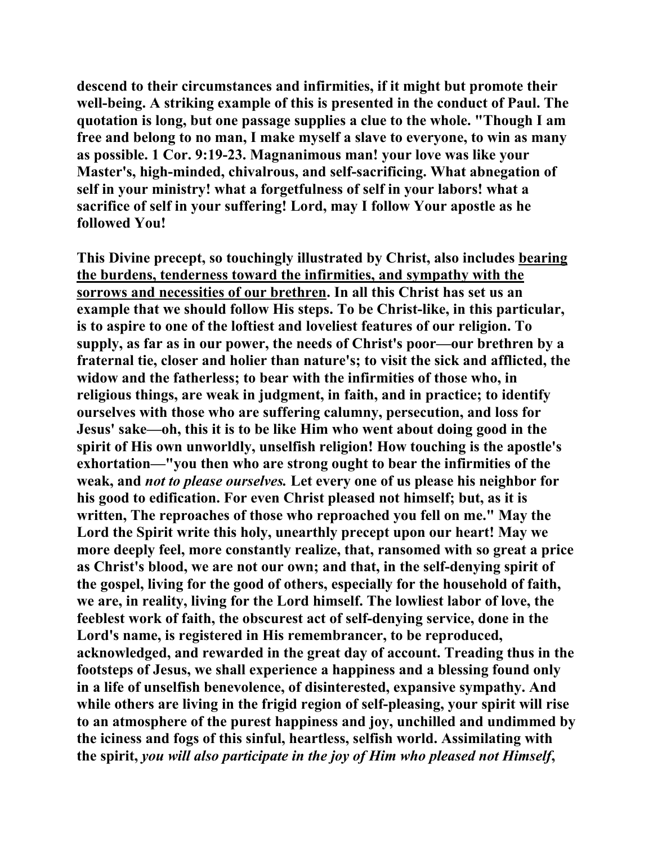**descend to their circumstances and infirmities, if it might but promote their well-being. A striking example of this is presented in the conduct of Paul. The quotation is long, but one passage supplies a clue to the whole. "Though I am free and belong to no man, I make myself a slave to everyone, to win as many as possible. 1 Cor. 9:19-23. Magnanimous man! your love was like your Master's, high-minded, chivalrous, and self-sacrificing. What abnegation of self in your ministry! what a forgetfulness of self in your labors! what a sacrifice of self in your suffering! Lord, may I follow Your apostle as he followed You!** 

**This Divine precept, so touchingly illustrated by Christ, also includes bearing the burdens, tenderness toward the infirmities, and sympathy with the sorrows and necessities of our brethren. In all this Christ has set us an example that we should follow His steps. To be Christ-like, in this particular, is to aspire to one of the loftiest and loveliest features of our religion. To supply, as far as in our power, the needs of Christ's poor—our brethren by a fraternal tie, closer and holier than nature's; to visit the sick and afflicted, the widow and the fatherless; to bear with the infirmities of those who, in religious things, are weak in judgment, in faith, and in practice; to identify ourselves with those who are suffering calumny, persecution, and loss for Jesus' sake—oh, this it is to be like Him who went about doing good in the spirit of His own unworldly, unselfish religion! How touching is the apostle's exhortation—"you then who are strong ought to bear the infirmities of the weak, and** *not to please ourselves.* **Let every one of us please his neighbor for his good to edification. For even Christ pleased not himself; but, as it is written, The reproaches of those who reproached you fell on me." May the Lord the Spirit write this holy, unearthly precept upon our heart! May we more deeply feel, more constantly realize, that, ransomed with so great a price as Christ's blood, we are not our own; and that, in the self-denying spirit of the gospel, living for the good of others, especially for the household of faith, we are, in reality, living for the Lord himself. The lowliest labor of love, the feeblest work of faith, the obscurest act of self-denying service, done in the Lord's name, is registered in His remembrancer, to be reproduced, acknowledged, and rewarded in the great day of account. Treading thus in the footsteps of Jesus, we shall experience a happiness and a blessing found only in a life of unselfish benevolence, of disinterested, expansive sympathy. And while others are living in the frigid region of self-pleasing, your spirit will rise to an atmosphere of the purest happiness and joy, unchilled and undimmed by the iciness and fogs of this sinful, heartless, selfish world. Assimilating with the spirit,** *you will also participate in the joy of Him who pleased not Himself***,**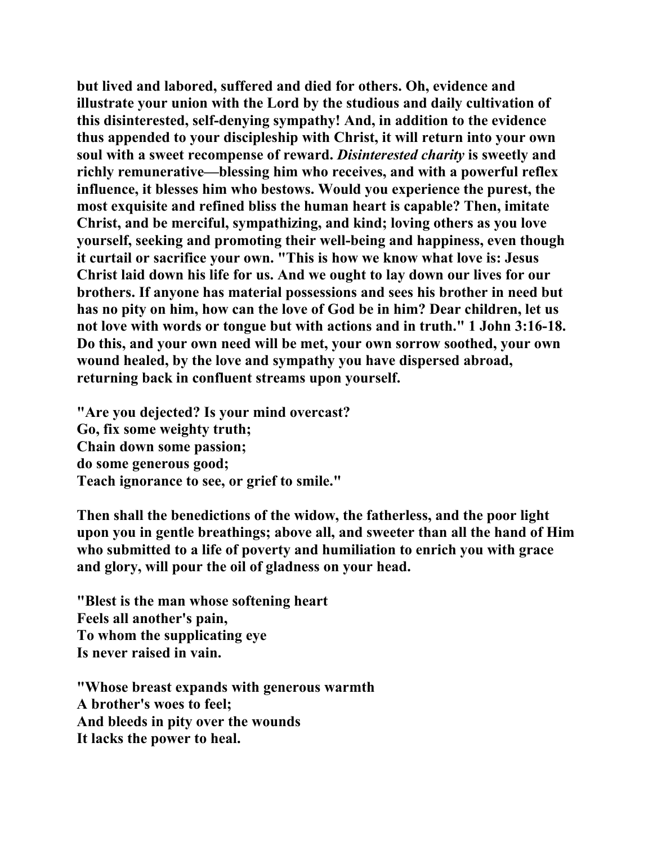**but lived and labored, suffered and died for others. Oh, evidence and illustrate your union with the Lord by the studious and daily cultivation of this disinterested, self-denying sympathy! And, in addition to the evidence thus appended to your discipleship with Christ, it will return into your own soul with a sweet recompense of reward.** *Disinterested charity* **is sweetly and richly remunerative—blessing him who receives, and with a powerful reflex influence, it blesses him who bestows. Would you experience the purest, the most exquisite and refined bliss the human heart is capable? Then, imitate Christ, and be merciful, sympathizing, and kind; loving others as you love yourself, seeking and promoting their well-being and happiness, even though it curtail or sacrifice your own. "This is how we know what love is: Jesus Christ laid down his life for us. And we ought to lay down our lives for our brothers. If anyone has material possessions and sees his brother in need but has no pity on him, how can the love of God be in him? Dear children, let us not love with words or tongue but with actions and in truth." 1 John 3:16-18. Do this, and your own need will be met, your own sorrow soothed, your own wound healed, by the love and sympathy you have dispersed abroad, returning back in confluent streams upon yourself.** 

**"Are you dejected? Is your mind overcast? Go, fix some weighty truth; Chain down some passion; do some generous good; Teach ignorance to see, or grief to smile."** 

**Then shall the benedictions of the widow, the fatherless, and the poor light upon you in gentle breathings; above all, and sweeter than all the hand of Him who submitted to a life of poverty and humiliation to enrich you with grace and glory, will pour the oil of gladness on your head.** 

**"Blest is the man whose softening heart Feels all another's pain, To whom the supplicating eye Is never raised in vain.** 

**"Whose breast expands with generous warmth A brother's woes to feel; And bleeds in pity over the wounds It lacks the power to heal.**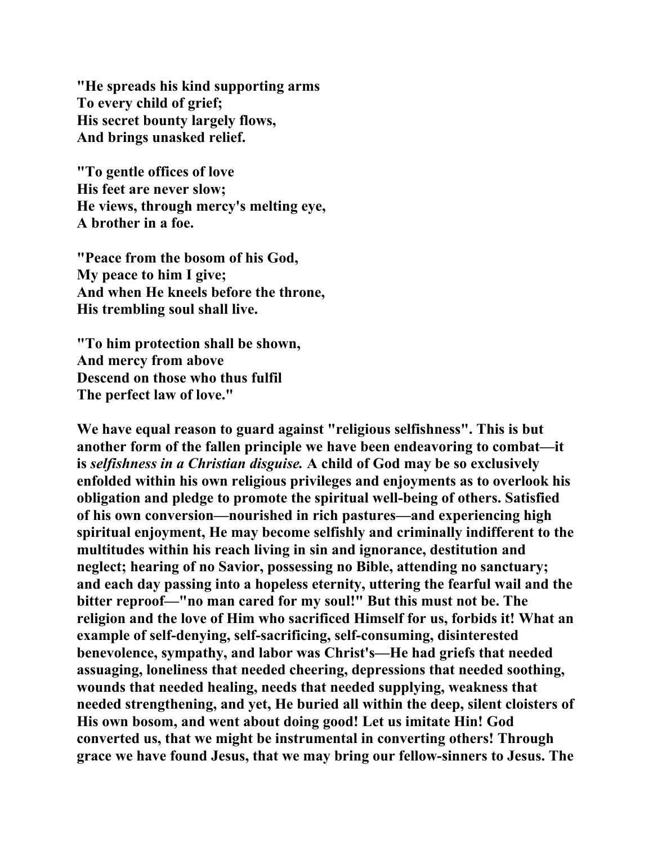**"He spreads his kind supporting arms To every child of grief; His secret bounty largely flows, And brings unasked relief.** 

**"To gentle offices of love His feet are never slow; He views, through mercy's melting eye, A brother in a foe.** 

**"Peace from the bosom of his God, My peace to him I give; And when He kneels before the throne, His trembling soul shall live.** 

**"To him protection shall be shown, And mercy from above Descend on those who thus fulfil The perfect law of love."** 

**We have equal reason to guard against "religious selfishness". This is but another form of the fallen principle we have been endeavoring to combat—it is** *selfishness in a Christian disguise.* **A child of God may be so exclusively enfolded within his own religious privileges and enjoyments as to overlook his obligation and pledge to promote the spiritual well-being of others. Satisfied of his own conversion—nourished in rich pastures—and experiencing high spiritual enjoyment, He may become selfishly and criminally indifferent to the multitudes within his reach living in sin and ignorance, destitution and neglect; hearing of no Savior, possessing no Bible, attending no sanctuary; and each day passing into a hopeless eternity, uttering the fearful wail and the bitter reproof—"no man cared for my soul!" But this must not be. The religion and the love of Him who sacrificed Himself for us, forbids it! What an example of self-denying, self-sacrificing, self-consuming, disinterested benevolence, sympathy, and labor was Christ's—He had griefs that needed assuaging, loneliness that needed cheering, depressions that needed soothing, wounds that needed healing, needs that needed supplying, weakness that needed strengthening, and yet, He buried all within the deep, silent cloisters of His own bosom, and went about doing good! Let us imitate Hin! God converted us, that we might be instrumental in converting others! Through grace we have found Jesus, that we may bring our fellow-sinners to Jesus. The**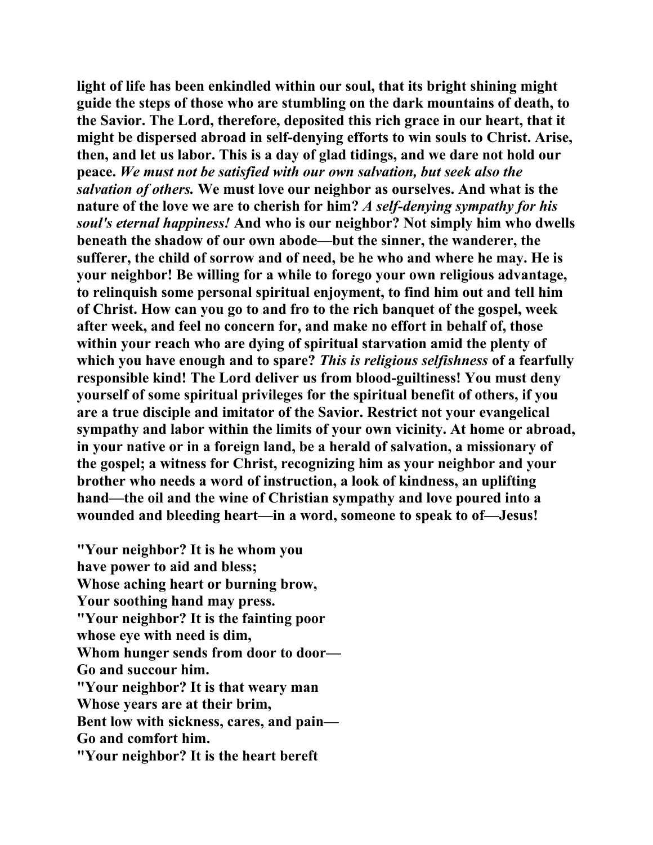**light of life has been enkindled within our soul, that its bright shining might guide the steps of those who are stumbling on the dark mountains of death, to the Savior. The Lord, therefore, deposited this rich grace in our heart, that it might be dispersed abroad in self-denying efforts to win souls to Christ. Arise, then, and let us labor. This is a day of glad tidings, and we dare not hold our peace.** *We must not be satisfied with our own salvation, but seek also the salvation of others.* **We must love our neighbor as ourselves. And what is the nature of the love we are to cherish for him?** *A self-denying sympathy for his soul's eternal happiness!* **And who is our neighbor? Not simply him who dwells beneath the shadow of our own abode—but the sinner, the wanderer, the sufferer, the child of sorrow and of need, be he who and where he may. He is your neighbor! Be willing for a while to forego your own religious advantage, to relinquish some personal spiritual enjoyment, to find him out and tell him of Christ. How can you go to and fro to the rich banquet of the gospel, week after week, and feel no concern for, and make no effort in behalf of, those within your reach who are dying of spiritual starvation amid the plenty of which you have enough and to spare?** *This is religious selfishness* **of a fearfully responsible kind! The Lord deliver us from blood-guiltiness! You must deny yourself of some spiritual privileges for the spiritual benefit of others, if you are a true disciple and imitator of the Savior. Restrict not your evangelical sympathy and labor within the limits of your own vicinity. At home or abroad, in your native or in a foreign land, be a herald of salvation, a missionary of the gospel; a witness for Christ, recognizing him as your neighbor and your brother who needs a word of instruction, a look of kindness, an uplifting hand—the oil and the wine of Christian sympathy and love poured into a wounded and bleeding heart—in a word, someone to speak to of—Jesus!** 

**"Your neighbor? It is he whom you have power to aid and bless; Whose aching heart or burning brow, Your soothing hand may press. "Your neighbor? It is the fainting poor whose eye with need is dim, Whom hunger sends from door to door— Go and succour him. "Your neighbor? It is that weary man Whose years are at their brim, Bent low with sickness, cares, and pain— Go and comfort him. "Your neighbor? It is the heart bereft**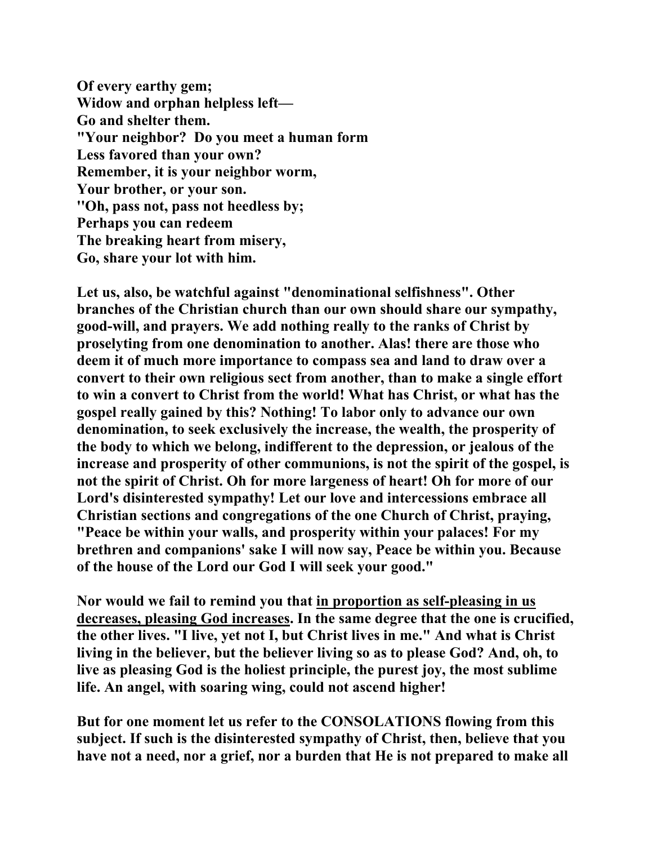**Of every earthy gem; Widow and orphan helpless left— Go and shelter them. "Your neighbor? Do you meet a human form Less favored than your own? Remember, it is your neighbor worm, Your brother, or your son. ''Oh, pass not, pass not heedless by; Perhaps you can redeem The breaking heart from misery, Go, share your lot with him.** 

**Let us, also, be watchful against "denominational selfishness". Other branches of the Christian church than our own should share our sympathy, good-will, and prayers. We add nothing really to the ranks of Christ by proselyting from one denomination to another. Alas! there are those who deem it of much more importance to compass sea and land to draw over a convert to their own religious sect from another, than to make a single effort to win a convert to Christ from the world! What has Christ, or what has the gospel really gained by this? Nothing! To labor only to advance our own denomination, to seek exclusively the increase, the wealth, the prosperity of the body to which we belong, indifferent to the depression, or jealous of the increase and prosperity of other communions, is not the spirit of the gospel, is not the spirit of Christ. Oh for more largeness of heart! Oh for more of our Lord's disinterested sympathy! Let our love and intercessions embrace all Christian sections and congregations of the one Church of Christ, praying, "Peace be within your walls, and prosperity within your palaces! For my brethren and companions' sake I will now say, Peace be within you. Because of the house of the Lord our God I will seek your good."** 

**Nor would we fail to remind you that in proportion as self-pleasing in us decreases, pleasing God increases. In the same degree that the one is crucified, the other lives. "I live, yet not I, but Christ lives in me." And what is Christ living in the believer, but the believer living so as to please God? And, oh, to live as pleasing God is the holiest principle, the purest joy, the most sublime life. An angel, with soaring wing, could not ascend higher!** 

**But for one moment let us refer to the CONSOLATIONS flowing from this subject. If such is the disinterested sympathy of Christ, then, believe that you have not a need, nor a grief, nor a burden that He is not prepared to make all**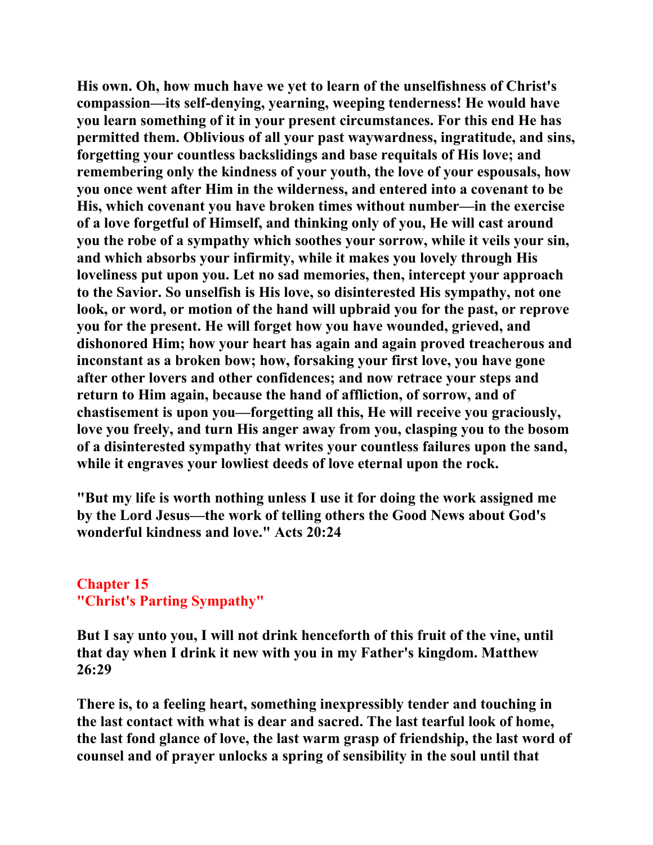**His own. Oh, how much have we yet to learn of the unselfishness of Christ's compassion—its self-denying, yearning, weeping tenderness! He would have you learn something of it in your present circumstances. For this end He has permitted them. Oblivious of all your past waywardness, ingratitude, and sins, forgetting your countless backslidings and base requitals of His love; and remembering only the kindness of your youth, the love of your espousals, how you once went after Him in the wilderness, and entered into a covenant to be His, which covenant you have broken times without number—in the exercise of a love forgetful of Himself, and thinking only of you, He will cast around you the robe of a sympathy which soothes your sorrow, while it veils your sin, and which absorbs your infirmity, while it makes you lovely through His loveliness put upon you. Let no sad memories, then, intercept your approach to the Savior. So unselfish is His love, so disinterested His sympathy, not one look, or word, or motion of the hand will upbraid you for the past, or reprove you for the present. He will forget how you have wounded, grieved, and dishonored Him; how your heart has again and again proved treacherous and inconstant as a broken bow; how, forsaking your first love, you have gone after other lovers and other confidences; and now retrace your steps and return to Him again, because the hand of affliction, of sorrow, and of chastisement is upon you—forgetting all this, He will receive you graciously, love you freely, and turn His anger away from you, clasping you to the bosom of a disinterested sympathy that writes your countless failures upon the sand, while it engraves your lowliest deeds of love eternal upon the rock.** 

**"But my life is worth nothing unless I use it for doing the work assigned me by the Lord Jesus—the work of telling others the Good News about God's wonderful kindness and love." Acts 20:24** 

## **Chapter 15 "Christ's Parting Sympathy"**

**But I say unto you, I will not drink henceforth of this fruit of the vine, until that day when I drink it new with you in my Father's kingdom. Matthew 26:29** 

**There is, to a feeling heart, something inexpressibly tender and touching in the last contact with what is dear and sacred. The last tearful look of home, the last fond glance of love, the last warm grasp of friendship, the last word of counsel and of prayer unlocks a spring of sensibility in the soul until that**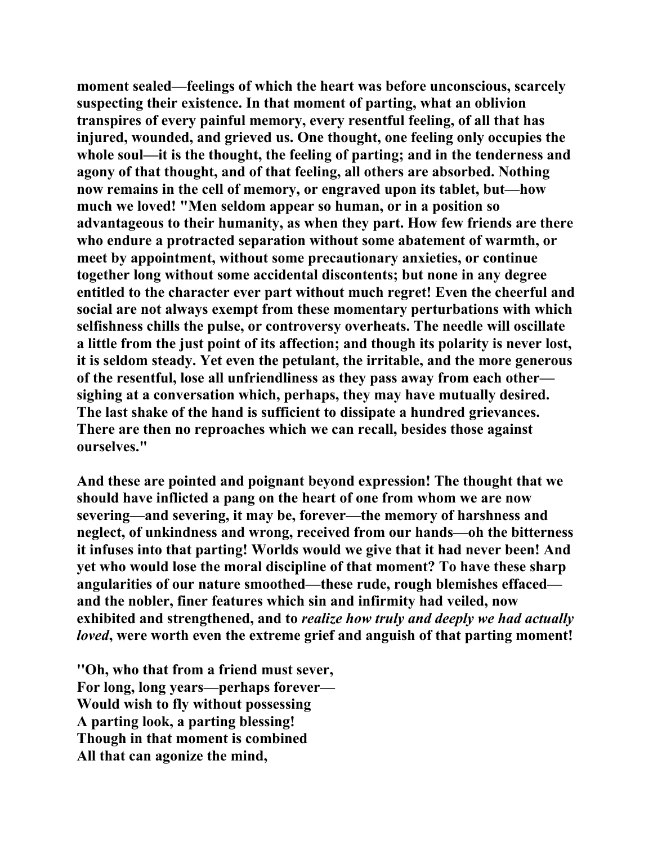**moment sealed—feelings of which the heart was before unconscious, scarcely suspecting their existence. In that moment of parting, what an oblivion transpires of every painful memory, every resentful feeling, of all that has injured, wounded, and grieved us. One thought, one feeling only occupies the whole soul—it is the thought, the feeling of parting; and in the tenderness and agony of that thought, and of that feeling, all others are absorbed. Nothing now remains in the cell of memory, or engraved upon its tablet, but—how much we loved! "Men seldom appear so human, or in a position so advantageous to their humanity, as when they part. How few friends are there who endure a protracted separation without some abatement of warmth, or meet by appointment, without some precautionary anxieties, or continue together long without some accidental discontents; but none in any degree entitled to the character ever part without much regret! Even the cheerful and social are not always exempt from these momentary perturbations with which selfishness chills the pulse, or controversy overheats. The needle will oscillate a little from the just point of its affection; and though its polarity is never lost, it is seldom steady. Yet even the petulant, the irritable, and the more generous of the resentful, lose all unfriendliness as they pass away from each other sighing at a conversation which, perhaps, they may have mutually desired. The last shake of the hand is sufficient to dissipate a hundred grievances. There are then no reproaches which we can recall, besides those against ourselves."** 

**And these are pointed and poignant beyond expression! The thought that we should have inflicted a pang on the heart of one from whom we are now severing—and severing, it may be, forever—the memory of harshness and neglect, of unkindness and wrong, received from our hands—oh the bitterness it infuses into that parting! Worlds would we give that it had never been! And yet who would lose the moral discipline of that moment? To have these sharp angularities of our nature smoothed—these rude, rough blemishes effaced and the nobler, finer features which sin and infirmity had veiled, now exhibited and strengthened, and to** *realize how truly and deeply we had actually loved***, were worth even the extreme grief and anguish of that parting moment!** 

**''Oh, who that from a friend must sever, For long, long years—perhaps forever— Would wish to fly without possessing A parting look, a parting blessing! Though in that moment is combined All that can agonize the mind,**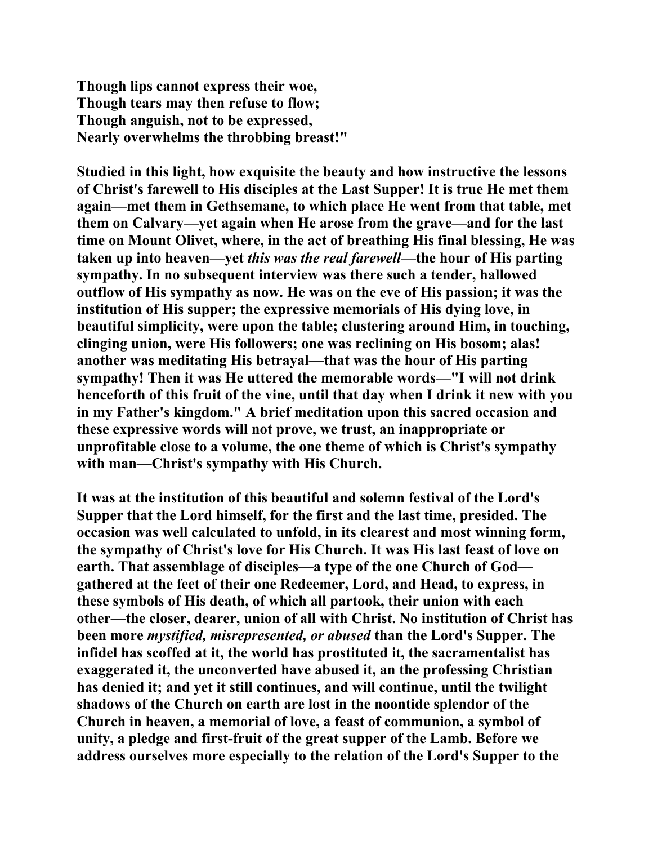**Though lips cannot express their woe, Though tears may then refuse to flow; Though anguish, not to be expressed, Nearly overwhelms the throbbing breast!"** 

**Studied in this light, how exquisite the beauty and how instructive the lessons of Christ's farewell to His disciples at the Last Supper! It is true He met them again—met them in Gethsemane, to which place He went from that table, met them on Calvary—yet again when He arose from the grave—and for the last time on Mount Olivet, where, in the act of breathing His final blessing, He was taken up into heaven—yet** *this was the real farewell***—the hour of His parting sympathy. In no subsequent interview was there such a tender, hallowed outflow of His sympathy as now. He was on the eve of His passion; it was the institution of His supper; the expressive memorials of His dying love, in beautiful simplicity, were upon the table; clustering around Him, in touching, clinging union, were His followers; one was reclining on His bosom; alas! another was meditating His betrayal—that was the hour of His parting sympathy! Then it was He uttered the memorable words—"I will not drink henceforth of this fruit of the vine, until that day when I drink it new with you in my Father's kingdom." A brief meditation upon this sacred occasion and these expressive words will not prove, we trust, an inappropriate or unprofitable close to a volume, the one theme of which is Christ's sympathy with man—Christ's sympathy with His Church.** 

**It was at the institution of this beautiful and solemn festival of the Lord's Supper that the Lord himself, for the first and the last time, presided. The occasion was well calculated to unfold, in its clearest and most winning form, the sympathy of Christ's love for His Church. It was His last feast of love on earth. That assemblage of disciples—a type of the one Church of God gathered at the feet of their one Redeemer, Lord, and Head, to express, in these symbols of His death, of which all partook, their union with each other—the closer, dearer, union of all with Christ. No institution of Christ has been more** *mystified, misrepresented, or abused* **than the Lord's Supper. The infidel has scoffed at it, the world has prostituted it, the sacramentalist has exaggerated it, the unconverted have abused it, an the professing Christian has denied it; and yet it still continues, and will continue, until the twilight shadows of the Church on earth are lost in the noontide splendor of the Church in heaven, a memorial of love, a feast of communion, a symbol of unity, a pledge and first-fruit of the great supper of the Lamb. Before we address ourselves more especially to the relation of the Lord's Supper to the**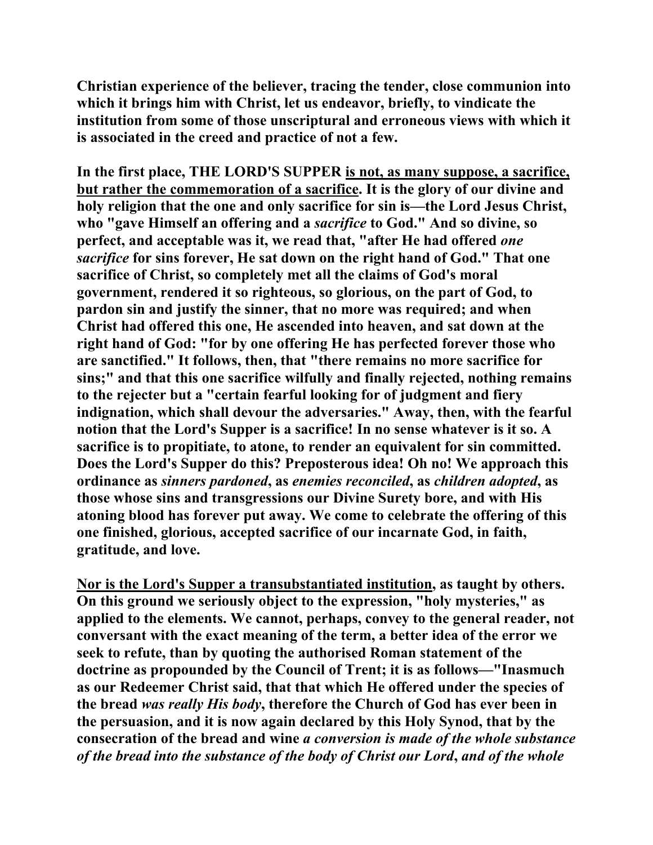**Christian experience of the believer, tracing the tender, close communion into which it brings him with Christ, let us endeavor, briefly, to vindicate the institution from some of those unscriptural and erroneous views with which it is associated in the creed and practice of not a few.** 

**In the first place, THE LORD'S SUPPER is not, as many suppose, a sacrifice, but rather the commemoration of a sacrifice. It is the glory of our divine and holy religion that the one and only sacrifice for sin is—the Lord Jesus Christ, who "gave Himself an offering and a** *sacrifice* **to God." And so divine, so perfect, and acceptable was it, we read that, "after He had offered** *one sacrifice* **for sins forever, He sat down on the right hand of God." That one sacrifice of Christ, so completely met all the claims of God's moral government, rendered it so righteous, so glorious, on the part of God, to pardon sin and justify the sinner, that no more was required; and when Christ had offered this one, He ascended into heaven, and sat down at the right hand of God: "for by one offering He has perfected forever those who are sanctified." It follows, then, that "there remains no more sacrifice for sins;" and that this one sacrifice wilfully and finally rejected, nothing remains to the rejecter but a "certain fearful looking for of judgment and fiery indignation, which shall devour the adversaries." Away, then, with the fearful notion that the Lord's Supper is a sacrifice! In no sense whatever is it so. A sacrifice is to propitiate, to atone, to render an equivalent for sin committed. Does the Lord's Supper do this? Preposterous idea! Oh no! We approach this ordinance as** *sinners pardoned***, as** *enemies reconciled***, as** *children adopted***, as those whose sins and transgressions our Divine Surety bore, and with His atoning blood has forever put away. We come to celebrate the offering of this one finished, glorious, accepted sacrifice of our incarnate God, in faith, gratitude, and love.** 

**Nor is the Lord's Supper a transubstantiated institution, as taught by others. On this ground we seriously object to the expression, "holy mysteries," as applied to the elements. We cannot, perhaps, convey to the general reader, not conversant with the exact meaning of the term, a better idea of the error we seek to refute, than by quoting the authorised Roman statement of the doctrine as propounded by the Council of Trent; it is as follows—"Inasmuch as our Redeemer Christ said, that that which He offered under the species of the bread** *was really His body***, therefore the Church of God has ever been in the persuasion, and it is now again declared by this Holy Synod, that by the consecration of the bread and wine** *a conversion is made of the whole substance of the bread into the substance of the body of Christ our Lord***,** *and of the whole*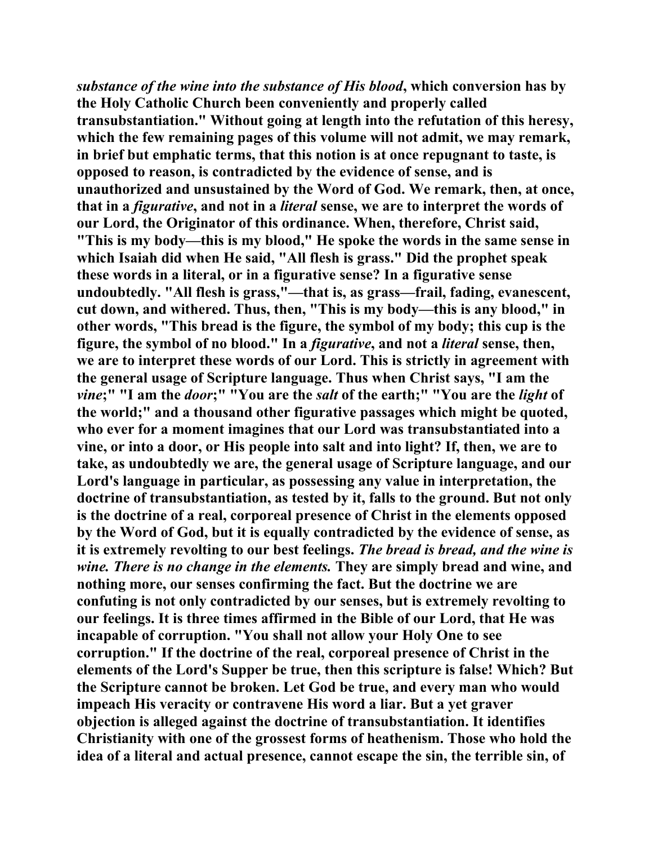*substance of the wine into the substance of His blood***, which conversion has by the Holy Catholic Church been conveniently and properly called transubstantiation." Without going at length into the refutation of this heresy, which the few remaining pages of this volume will not admit, we may remark, in brief but emphatic terms, that this notion is at once repugnant to taste, is opposed to reason, is contradicted by the evidence of sense, and is unauthorized and unsustained by the Word of God. We remark, then, at once, that in a** *figurative***, and not in a** *literal* **sense, we are to interpret the words of our Lord, the Originator of this ordinance. When, therefore, Christ said, "This is my body—this is my blood," He spoke the words in the same sense in which Isaiah did when He said, "All flesh is grass." Did the prophet speak these words in a literal, or in a figurative sense? In a figurative sense undoubtedly. "All flesh is grass,"—that is, as grass—frail, fading, evanescent, cut down, and withered. Thus, then, "This is my body—this is any blood," in other words, "This bread is the figure, the symbol of my body; this cup is the figure, the symbol of no blood." In a** *figurative***, and not a** *literal* **sense, then, we are to interpret these words of our Lord. This is strictly in agreement with the general usage of Scripture language. Thus when Christ says, "I am the**  *vine***;" "I am the** *door***;" "You are the** *salt* **of the earth;" "You are the** *light* **of the world;" and a thousand other figurative passages which might be quoted, who ever for a moment imagines that our Lord was transubstantiated into a vine, or into a door, or His people into salt and into light? If, then, we are to take, as undoubtedly we are, the general usage of Scripture language, and our Lord's language in particular, as possessing any value in interpretation, the doctrine of transubstantiation, as tested by it, falls to the ground. But not only is the doctrine of a real, corporeal presence of Christ in the elements opposed by the Word of God, but it is equally contradicted by the evidence of sense, as it is extremely revolting to our best feelings.** *The bread is bread, and the wine is wine. There is no change in the elements.* **They are simply bread and wine, and nothing more, our senses confirming the fact. But the doctrine we are confuting is not only contradicted by our senses, but is extremely revolting to our feelings. It is three times affirmed in the Bible of our Lord, that He was incapable of corruption. "You shall not allow your Holy One to see corruption." If the doctrine of the real, corporeal presence of Christ in the elements of the Lord's Supper be true, then this scripture is false! Which? But the Scripture cannot be broken. Let God be true, and every man who would impeach His veracity or contravene His word a liar. But a yet graver objection is alleged against the doctrine of transubstantiation. It identifies Christianity with one of the grossest forms of heathenism. Those who hold the idea of a literal and actual presence, cannot escape the sin, the terrible sin, of**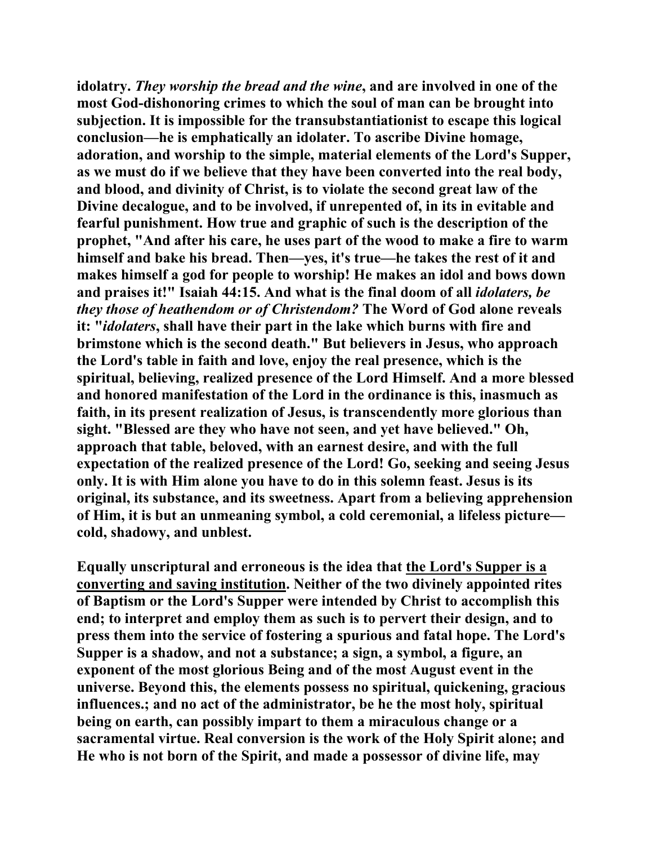**idolatry.** *They worship the bread and the wine***, and are involved in one of the most God-dishonoring crimes to which the soul of man can be brought into subjection. It is impossible for the transubstantiationist to escape this logical conclusion—he is emphatically an idolater. To ascribe Divine homage, adoration, and worship to the simple, material elements of the Lord's Supper, as we must do if we believe that they have been converted into the real body, and blood, and divinity of Christ, is to violate the second great law of the Divine decalogue, and to be involved, if unrepented of, in its in evitable and fearful punishment. How true and graphic of such is the description of the prophet, "And after his care, he uses part of the wood to make a fire to warm himself and bake his bread. Then—yes, it's true—he takes the rest of it and makes himself a god for people to worship! He makes an idol and bows down and praises it!" Isaiah 44:15. And what is the final doom of all** *idolaters, be they those of heathendom or of Christendom?* **The Word of God alone reveals it: "***idolaters***, shall have their part in the lake which burns with fire and brimstone which is the second death." But believers in Jesus, who approach the Lord's table in faith and love, enjoy the real presence, which is the spiritual, believing, realized presence of the Lord Himself. And a more blessed and honored manifestation of the Lord in the ordinance is this, inasmuch as faith, in its present realization of Jesus, is transcendently more glorious than sight. "Blessed are they who have not seen, and yet have believed." Oh, approach that table, beloved, with an earnest desire, and with the full expectation of the realized presence of the Lord! Go, seeking and seeing Jesus only. It is with Him alone you have to do in this solemn feast. Jesus is its original, its substance, and its sweetness. Apart from a believing apprehension of Him, it is but an unmeaning symbol, a cold ceremonial, a lifeless picture cold, shadowy, and unblest.** 

**Equally unscriptural and erroneous is the idea that the Lord's Supper is a converting and saving institution. Neither of the two divinely appointed rites of Baptism or the Lord's Supper were intended by Christ to accomplish this end; to interpret and employ them as such is to pervert their design, and to press them into the service of fostering a spurious and fatal hope. The Lord's Supper is a shadow, and not a substance; a sign, a symbol, a figure, an exponent of the most glorious Being and of the most August event in the universe. Beyond this, the elements possess no spiritual, quickening, gracious influences.; and no act of the administrator, be he the most holy, spiritual being on earth, can possibly impart to them a miraculous change or a sacramental virtue. Real conversion is the work of the Holy Spirit alone; and He who is not born of the Spirit, and made a possessor of divine life, may**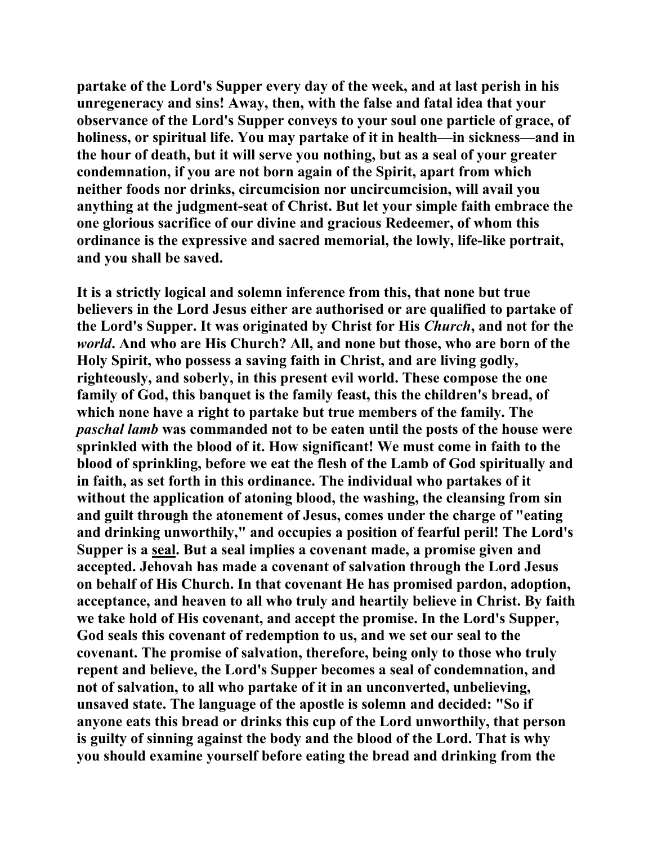**partake of the Lord's Supper every day of the week, and at last perish in his unregeneracy and sins! Away, then, with the false and fatal idea that your observance of the Lord's Supper conveys to your soul one particle of grace, of holiness, or spiritual life. You may partake of it in health—in sickness—and in the hour of death, but it will serve you nothing, but as a seal of your greater condemnation, if you are not born again of the Spirit, apart from which neither foods nor drinks, circumcision nor uncircumcision, will avail you anything at the judgment-seat of Christ. But let your simple faith embrace the one glorious sacrifice of our divine and gracious Redeemer, of whom this ordinance is the expressive and sacred memorial, the lowly, life-like portrait, and you shall be saved.** 

**It is a strictly logical and solemn inference from this, that none but true believers in the Lord Jesus either are authorised or are qualified to partake of the Lord's Supper. It was originated by Christ for His** *Church***, and not for the**  *world***. And who are His Church? All, and none but those, who are born of the Holy Spirit, who possess a saving faith in Christ, and are living godly, righteously, and soberly, in this present evil world. These compose the one family of God, this banquet is the family feast, this the children's bread, of which none have a right to partake but true members of the family. The**  *paschal lamb* **was commanded not to be eaten until the posts of the house were sprinkled with the blood of it. How significant! We must come in faith to the blood of sprinkling, before we eat the flesh of the Lamb of God spiritually and in faith, as set forth in this ordinance. The individual who partakes of it without the application of atoning blood, the washing, the cleansing from sin and guilt through the atonement of Jesus, comes under the charge of "eating and drinking unworthily," and occupies a position of fearful peril! The Lord's Supper is a seal. But a seal implies a covenant made, a promise given and accepted. Jehovah has made a covenant of salvation through the Lord Jesus on behalf of His Church. In that covenant He has promised pardon, adoption, acceptance, and heaven to all who truly and heartily believe in Christ. By faith we take hold of His covenant, and accept the promise. In the Lord's Supper, God seals this covenant of redemption to us, and we set our seal to the covenant. The promise of salvation, therefore, being only to those who truly repent and believe, the Lord's Supper becomes a seal of condemnation, and not of salvation, to all who partake of it in an unconverted, unbelieving, unsaved state. The language of the apostle is solemn and decided: "So if anyone eats this bread or drinks this cup of the Lord unworthily, that person is guilty of sinning against the body and the blood of the Lord. That is why you should examine yourself before eating the bread and drinking from the**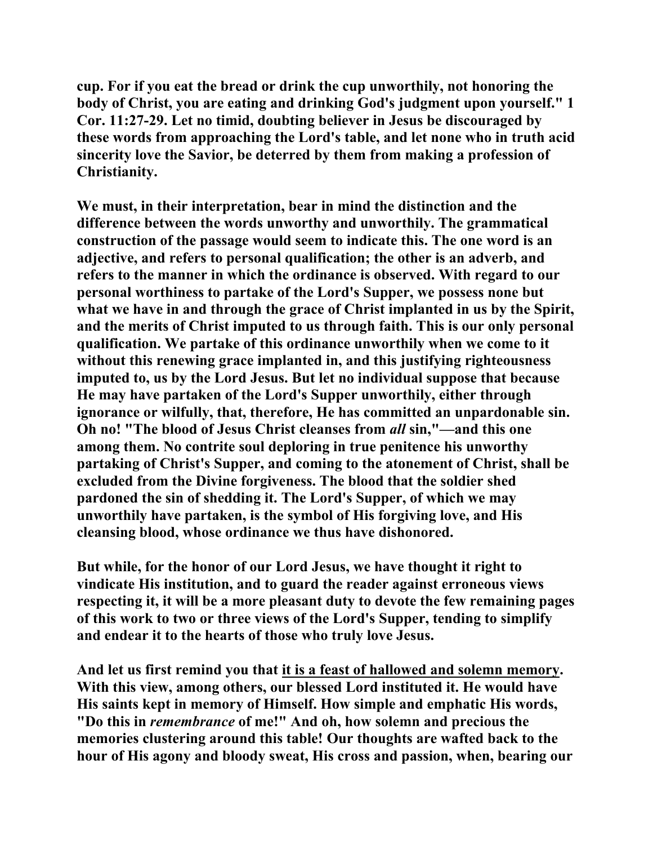**cup. For if you eat the bread or drink the cup unworthily, not honoring the body of Christ, you are eating and drinking God's judgment upon yourself." 1 Cor. 11:27-29. Let no timid, doubting believer in Jesus be discouraged by these words from approaching the Lord's table, and let none who in truth acid sincerity love the Savior, be deterred by them from making a profession of Christianity.** 

**We must, in their interpretation, bear in mind the distinction and the difference between the words unworthy and unworthily. The grammatical construction of the passage would seem to indicate this. The one word is an adjective, and refers to personal qualification; the other is an adverb, and refers to the manner in which the ordinance is observed. With regard to our personal worthiness to partake of the Lord's Supper, we possess none but what we have in and through the grace of Christ implanted in us by the Spirit, and the merits of Christ imputed to us through faith. This is our only personal qualification. We partake of this ordinance unworthily when we come to it without this renewing grace implanted in, and this justifying righteousness imputed to, us by the Lord Jesus. But let no individual suppose that because He may have partaken of the Lord's Supper unworthily, either through ignorance or wilfully, that, therefore, He has committed an unpardonable sin. Oh no! "The blood of Jesus Christ cleanses from** *all* **sin,"—and this one among them. No contrite soul deploring in true penitence his unworthy partaking of Christ's Supper, and coming to the atonement of Christ, shall be excluded from the Divine forgiveness. The blood that the soldier shed pardoned the sin of shedding it. The Lord's Supper, of which we may unworthily have partaken, is the symbol of His forgiving love, and His cleansing blood, whose ordinance we thus have dishonored.** 

**But while, for the honor of our Lord Jesus, we have thought it right to vindicate His institution, and to guard the reader against erroneous views respecting it, it will be a more pleasant duty to devote the few remaining pages of this work to two or three views of the Lord's Supper, tending to simplify and endear it to the hearts of those who truly love Jesus.** 

**And let us first remind you that it is a feast of hallowed and solemn memory. With this view, among others, our blessed Lord instituted it. He would have His saints kept in memory of Himself. How simple and emphatic His words, "Do this in** *remembrance* **of me!" And oh, how solemn and precious the memories clustering around this table! Our thoughts are wafted back to the hour of His agony and bloody sweat, His cross and passion, when, bearing our**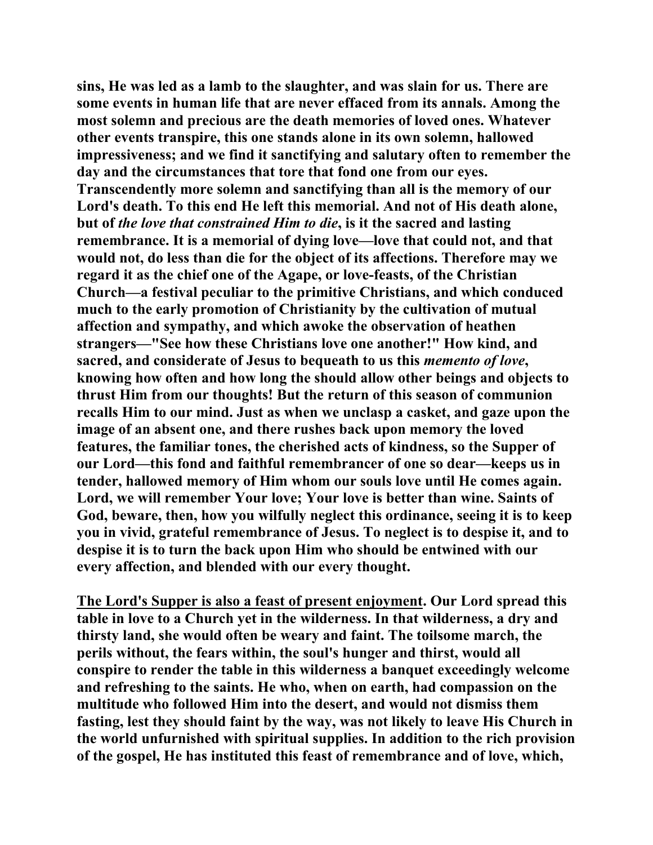**sins, He was led as a lamb to the slaughter, and was slain for us. There are some events in human life that are never effaced from its annals. Among the most solemn and precious are the death memories of loved ones. Whatever other events transpire, this one stands alone in its own solemn, hallowed impressiveness; and we find it sanctifying and salutary often to remember the day and the circumstances that tore that fond one from our eyes. Transcendently more solemn and sanctifying than all is the memory of our Lord's death. To this end He left this memorial. And not of His death alone, but of** *the love that constrained Him to die***, is it the sacred and lasting remembrance. It is a memorial of dying love—love that could not, and that would not, do less than die for the object of its affections. Therefore may we regard it as the chief one of the Agape, or love-feasts, of the Christian Church—a festival peculiar to the primitive Christians, and which conduced much to the early promotion of Christianity by the cultivation of mutual affection and sympathy, and which awoke the observation of heathen strangers—"See how these Christians love one another!" How kind, and sacred, and considerate of Jesus to bequeath to us this** *memento of love***, knowing how often and how long the should allow other beings and objects to thrust Him from our thoughts! But the return of this season of communion recalls Him to our mind. Just as when we unclasp a casket, and gaze upon the image of an absent one, and there rushes back upon memory the loved features, the familiar tones, the cherished acts of kindness, so the Supper of our Lord—this fond and faithful remembrancer of one so dear—keeps us in tender, hallowed memory of Him whom our souls love until He comes again. Lord, we will remember Your love; Your love is better than wine. Saints of God, beware, then, how you wilfully neglect this ordinance, seeing it is to keep you in vivid, grateful remembrance of Jesus. To neglect is to despise it, and to despise it is to turn the back upon Him who should be entwined with our every affection, and blended with our every thought.** 

**The Lord's Supper is also a feast of present enjoyment. Our Lord spread this table in love to a Church yet in the wilderness. In that wilderness, a dry and thirsty land, she would often be weary and faint. The toilsome march, the perils without, the fears within, the soul's hunger and thirst, would all conspire to render the table in this wilderness a banquet exceedingly welcome and refreshing to the saints. He who, when on earth, had compassion on the multitude who followed Him into the desert, and would not dismiss them fasting, lest they should faint by the way, was not likely to leave His Church in the world unfurnished with spiritual supplies. In addition to the rich provision of the gospel, He has instituted this feast of remembrance and of love, which,**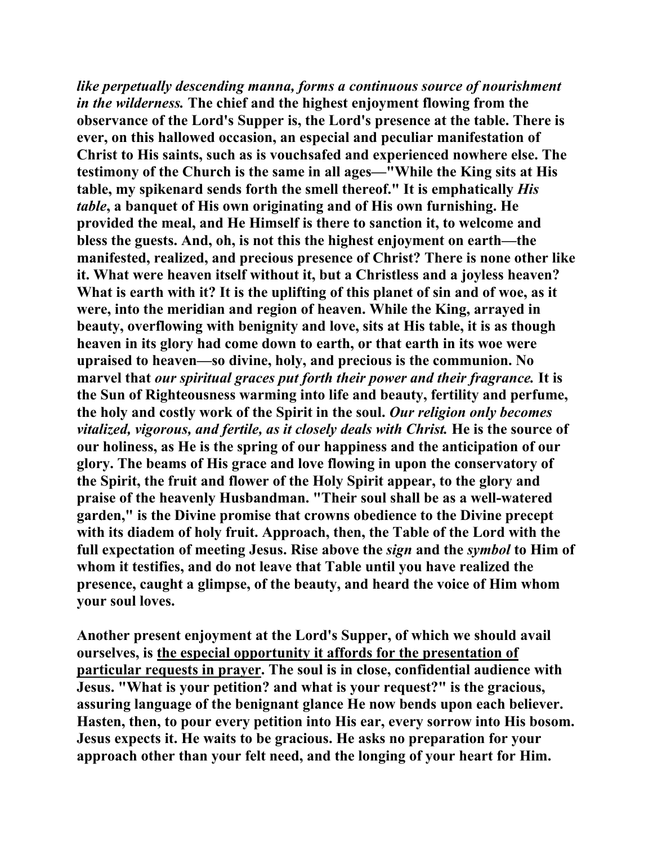*like perpetually descending manna, forms a continuous source of nourishment in the wilderness.* **The chief and the highest enjoyment flowing from the observance of the Lord's Supper is, the Lord's presence at the table. There is ever, on this hallowed occasion, an especial and peculiar manifestation of Christ to His saints, such as is vouchsafed and experienced nowhere else. The testimony of the Church is the same in all ages—"While the King sits at His table, my spikenard sends forth the smell thereof." It is emphatically** *His table***, a banquet of His own originating and of His own furnishing. He provided the meal, and He Himself is there to sanction it, to welcome and bless the guests. And, oh, is not this the highest enjoyment on earth—the manifested, realized, and precious presence of Christ? There is none other like it. What were heaven itself without it, but a Christless and a joyless heaven? What is earth with it? It is the uplifting of this planet of sin and of woe, as it were, into the meridian and region of heaven. While the King, arrayed in beauty, overflowing with benignity and love, sits at His table, it is as though heaven in its glory had come down to earth, or that earth in its woe were upraised to heaven—so divine, holy, and precious is the communion. No marvel that** *our spiritual graces put forth their power and their fragrance.* **It is the Sun of Righteousness warming into life and beauty, fertility and perfume, the holy and costly work of the Spirit in the soul.** *Our religion only becomes vitalized, vigorous, and fertile, as it closely deals with Christ.* **He is the source of our holiness, as He is the spring of our happiness and the anticipation of our glory. The beams of His grace and love flowing in upon the conservatory of the Spirit, the fruit and flower of the Holy Spirit appear, to the glory and praise of the heavenly Husbandman. "Their soul shall be as a well-watered garden," is the Divine promise that crowns obedience to the Divine precept with its diadem of holy fruit. Approach, then, the Table of the Lord with the full expectation of meeting Jesus. Rise above the** *sign* **and the** *symbol* **to Him of whom it testifies, and do not leave that Table until you have realized the presence, caught a glimpse, of the beauty, and heard the voice of Him whom your soul loves.** 

**Another present enjoyment at the Lord's Supper, of which we should avail ourselves, is the especial opportunity it affords for the presentation of particular requests in prayer. The soul is in close, confidential audience with Jesus. "What is your petition? and what is your request?" is the gracious, assuring language of the benignant glance He now bends upon each believer. Hasten, then, to pour every petition into His ear, every sorrow into His bosom. Jesus expects it. He waits to be gracious. He asks no preparation for your approach other than your felt need, and the longing of your heart for Him.**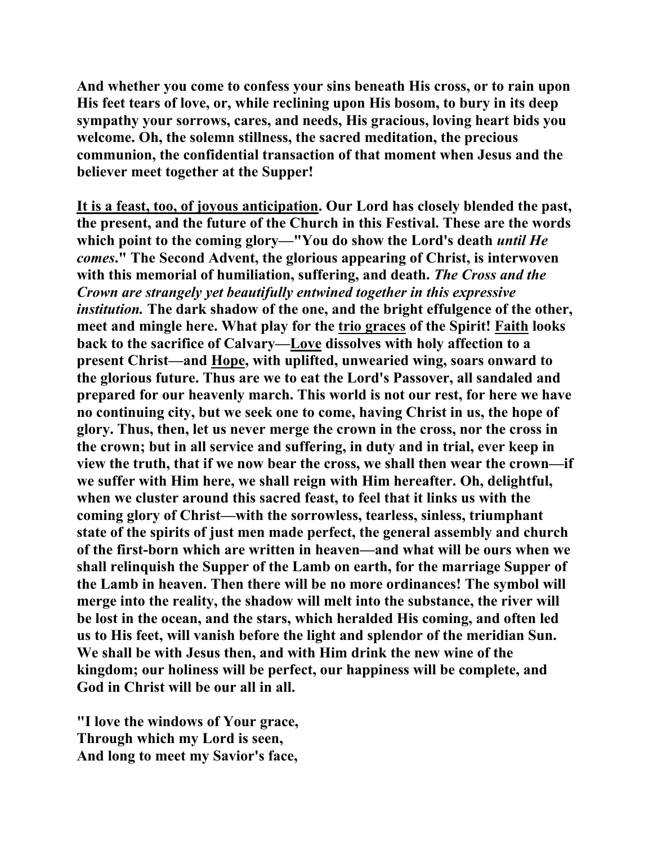**And whether you come to confess your sins beneath His cross, or to rain upon His feet tears of love, or, while reclining upon His bosom, to bury in its deep sympathy your sorrows, cares, and needs, His gracious, loving heart bids you welcome. Oh, the solemn stillness, the sacred meditation, the precious communion, the confidential transaction of that moment when Jesus and the believer meet together at the Supper!** 

**It is a feast, too, of joyous anticipation. Our Lord has closely blended the past, the present, and the future of the Church in this Festival. These are the words which point to the coming glory—"You do show the Lord's death** *until He comes***." The Second Advent, the glorious appearing of Christ, is interwoven with this memorial of humiliation, suffering, and death.** *The Cross and the Crown are strangely yet beautifully entwined together in this expressive institution.* **The dark shadow of the one, and the bright effulgence of the other, meet and mingle here. What play for the trio graces of the Spirit! Faith looks back to the sacrifice of Calvary—Love dissolves with holy affection to a present Christ—and Hope, with uplifted, unwearied wing, soars onward to the glorious future. Thus are we to eat the Lord's Passover, all sandaled and prepared for our heavenly march. This world is not our rest, for here we have no continuing city, but we seek one to come, having Christ in us, the hope of glory. Thus, then, let us never merge the crown in the cross, nor the cross in the crown; but in all service and suffering, in duty and in trial, ever keep in view the truth, that if we now bear the cross, we shall then wear the crown—if we suffer with Him here, we shall reign with Him hereafter. Oh, delightful, when we cluster around this sacred feast, to feel that it links us with the coming glory of Christ—with the sorrowless, tearless, sinless, triumphant state of the spirits of just men made perfect, the general assembly and church of the first-born which are written in heaven—and what will be ours when we shall relinquish the Supper of the Lamb on earth, for the marriage Supper of the Lamb in heaven. Then there will be no more ordinances! The symbol will merge into the reality, the shadow will melt into the substance, the river will be lost in the ocean, and the stars, which heralded His coming, and often led us to His feet, will vanish before the light and splendor of the meridian Sun. We shall be with Jesus then, and with Him drink the new wine of the kingdom; our holiness will be perfect, our happiness will be complete, and God in Christ will be our all in all.** 

**"I love the windows of Your grace, Through which my Lord is seen, And long to meet my Savior's face,**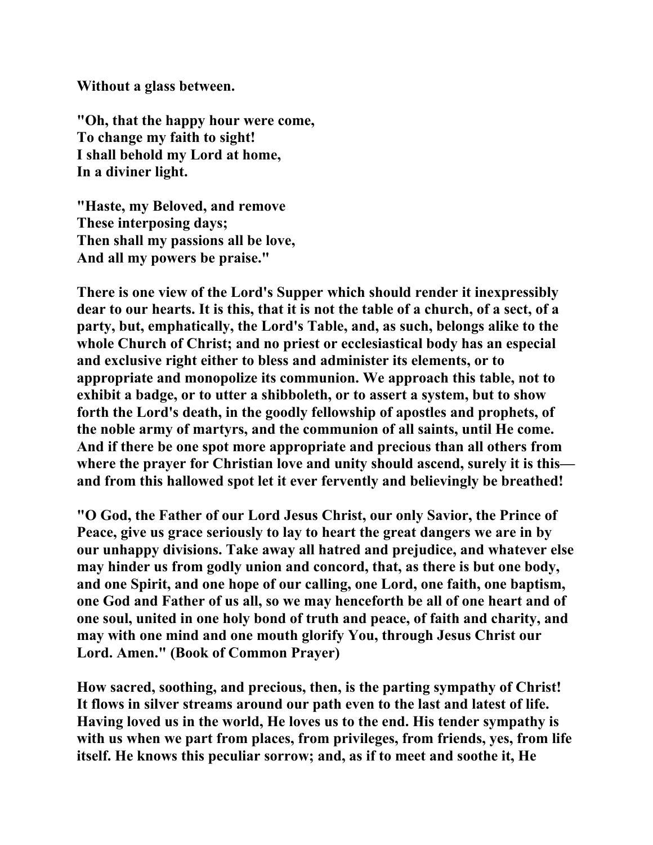**Without a glass between.** 

**"Oh, that the happy hour were come, To change my faith to sight! I shall behold my Lord at home, In a diviner light.** 

**"Haste, my Beloved, and remove These interposing days; Then shall my passions all be love, And all my powers be praise."** 

**There is one view of the Lord's Supper which should render it inexpressibly dear to our hearts. It is this, that it is not the table of a church, of a sect, of a party, but, emphatically, the Lord's Table, and, as such, belongs alike to the whole Church of Christ; and no priest or ecclesiastical body has an especial and exclusive right either to bless and administer its elements, or to appropriate and monopolize its communion. We approach this table, not to exhibit a badge, or to utter a shibboleth, or to assert a system, but to show forth the Lord's death, in the goodly fellowship of apostles and prophets, of the noble army of martyrs, and the communion of all saints, until He come. And if there be one spot more appropriate and precious than all others from where the prayer for Christian love and unity should ascend, surely it is this and from this hallowed spot let it ever fervently and believingly be breathed!** 

**"O God, the Father of our Lord Jesus Christ, our only Savior, the Prince of Peace, give us grace seriously to lay to heart the great dangers we are in by our unhappy divisions. Take away all hatred and prejudice, and whatever else may hinder us from godly union and concord, that, as there is but one body, and one Spirit, and one hope of our calling, one Lord, one faith, one baptism, one God and Father of us all, so we may henceforth be all of one heart and of one soul, united in one holy bond of truth and peace, of faith and charity, and may with one mind and one mouth glorify You, through Jesus Christ our Lord. Amen." (Book of Common Prayer)** 

**How sacred, soothing, and precious, then, is the parting sympathy of Christ! It flows in silver streams around our path even to the last and latest of life. Having loved us in the world, He loves us to the end. His tender sympathy is with us when we part from places, from privileges, from friends, yes, from life itself. He knows this peculiar sorrow; and, as if to meet and soothe it, He**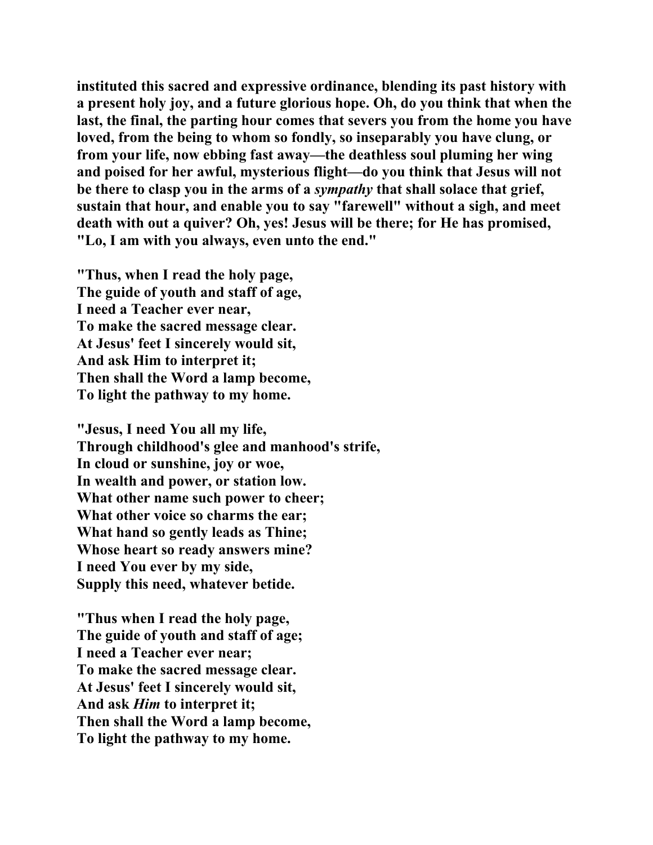**instituted this sacred and expressive ordinance, blending its past history with a present holy joy, and a future glorious hope. Oh, do you think that when the last, the final, the parting hour comes that severs you from the home you have loved, from the being to whom so fondly, so inseparably you have clung, or from your life, now ebbing fast away—the deathless soul pluming her wing and poised for her awful, mysterious flight—do you think that Jesus will not be there to clasp you in the arms of a** *sympathy* **that shall solace that grief, sustain that hour, and enable you to say "farewell" without a sigh, and meet death with out a quiver? Oh, yes! Jesus will be there; for He has promised, "Lo, I am with you always, even unto the end."** 

**"Thus, when I read the holy page, The guide of youth and staff of age, I need a Teacher ever near, To make the sacred message clear. At Jesus' feet I sincerely would sit, And ask Him to interpret it; Then shall the Word a lamp become, To light the pathway to my home.** 

**"Jesus, I need You all my life, Through childhood's glee and manhood's strife, In cloud or sunshine, joy or woe, In wealth and power, or station low. What other name such power to cheer; What other voice so charms the ear; What hand so gently leads as Thine; Whose heart so ready answers mine? I need You ever by my side, Supply this need, whatever betide.** 

**"Thus when I read the holy page, The guide of youth and staff of age; I need a Teacher ever near; To make the sacred message clear. At Jesus' feet I sincerely would sit, And ask** *Him* **to interpret it; Then shall the Word a lamp become, To light the pathway to my home.**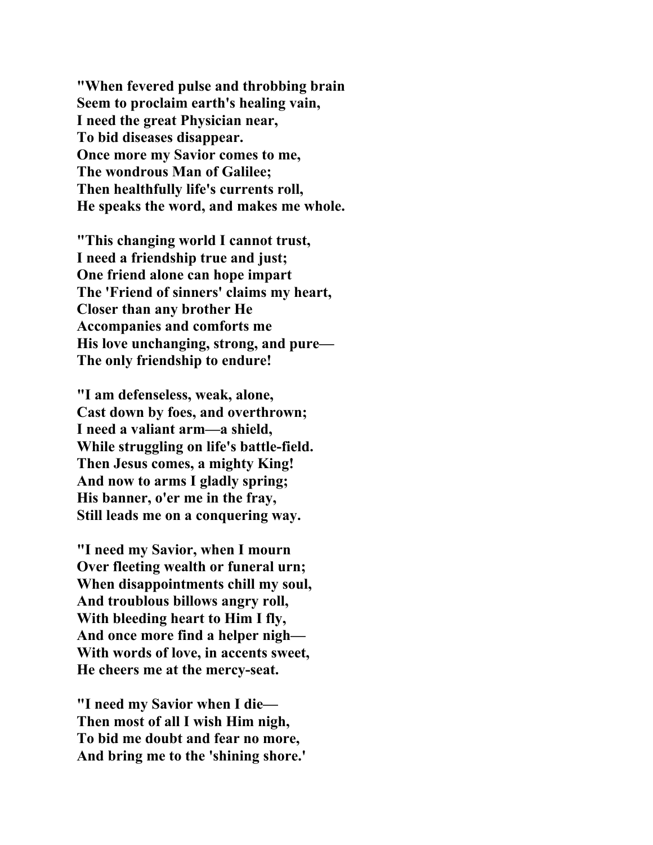**"When fevered pulse and throbbing brain Seem to proclaim earth's healing vain, I need the great Physician near, To bid diseases disappear. Once more my Savior comes to me, The wondrous Man of Galilee; Then healthfully life's currents roll, He speaks the word, and makes me whole.** 

**"This changing world I cannot trust, I need a friendship true and just; One friend alone can hope impart The 'Friend of sinners' claims my heart, Closer than any brother He Accompanies and comforts me His love unchanging, strong, and pure— The only friendship to endure!** 

**"I am defenseless, weak, alone, Cast down by foes, and overthrown; I need a valiant arm—a shield, While struggling on life's battle-field. Then Jesus comes, a mighty King! And now to arms I gladly spring; His banner, o'er me in the fray, Still leads me on a conquering way.** 

**"I need my Savior, when I mourn Over fleeting wealth or funeral urn; When disappointments chill my soul, And troublous billows angry roll, With bleeding heart to Him I fly, And once more find a helper nigh— With words of love, in accents sweet, He cheers me at the mercy-seat.** 

**"I need my Savior when I die— Then most of all I wish Him nigh, To bid me doubt and fear no more, And bring me to the 'shining shore.'**